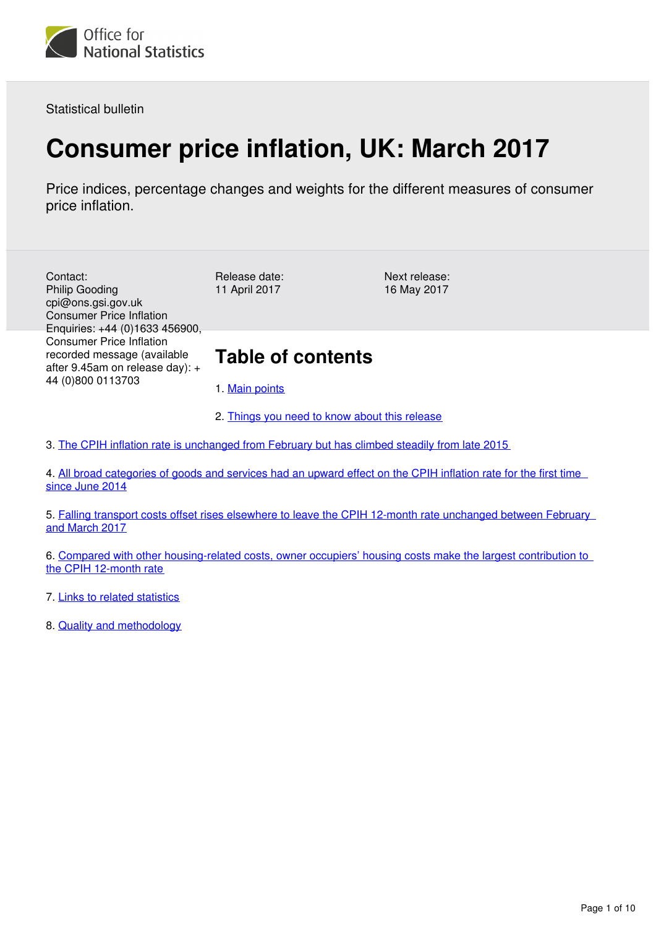

Statistical bulletin

# **Consumer price inflation, UK: March 2017**

Price indices, percentage changes and weights for the different measures of consumer price inflation.

Contact: Philip Gooding cpi@ons.gsi.gov.uk Consumer Price Inflation Enquiries: +44 (0)1633 456900, Consumer Price Inflation recorded message (available after 9.45am on release day): + 44 (0)800 0113703

Release date: 11 April 2017

Next release: 16 May 2017

## **Table of contents**

1. [Main points](#page-1-0)

2. [Things you need to know about this release](#page-1-1)

3. [The CPIH inflation rate is unchanged from February but has climbed steadily from late 2015](#page-2-0)

4. [All broad categories of goods and services had an upward effect on the CPIH inflation rate for the first time](#page-4-0)  [since June 2014](#page-4-0)

5. [Falling transport costs offset rises elsewhere to leave the CPIH 12-month rate unchanged between February](#page-5-0)  [and March 2017](#page-5-0)

6. [Compared with other housing-related costs, owner occupiers' housing costs make the largest contribution to](#page-7-0)  [the CPIH 12-month rate](#page-7-0)

7. [Links to related statistics](#page-8-0)

8. [Quality and methodology](#page-9-0)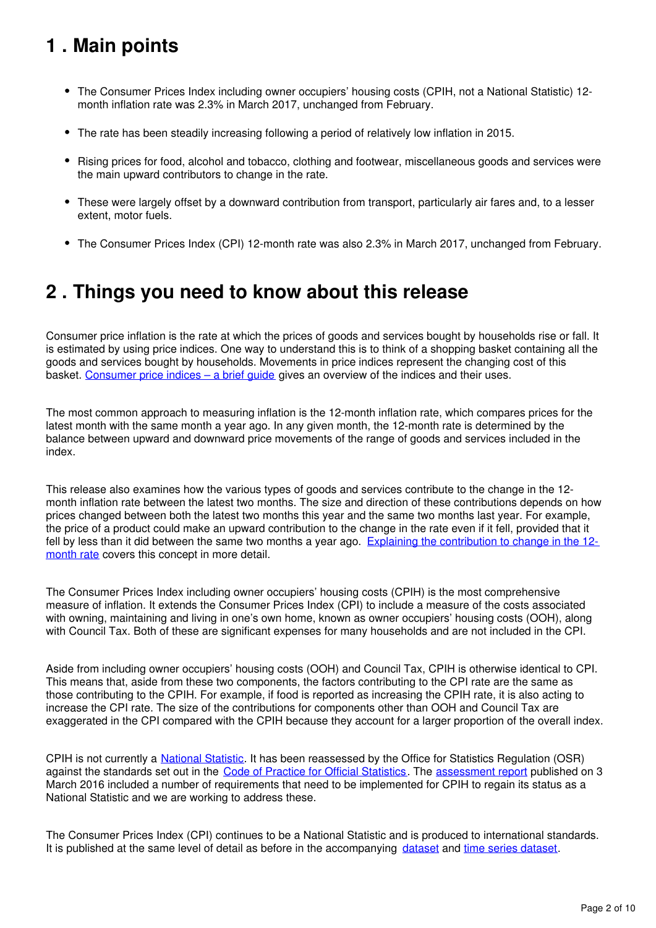## <span id="page-1-0"></span>**1 . Main points**

- The Consumer Prices Index including owner occupiers' housing costs (CPIH, not a National Statistic) 12month inflation rate was 2.3% in March 2017, unchanged from February.
- The rate has been steadily increasing following a period of relatively low inflation in 2015.
- Rising prices for food, alcohol and tobacco, clothing and footwear, miscellaneous goods and services were the main upward contributors to change in the rate.
- These were largely offset by a downward contribution from transport, particularly air fares and, to a lesser extent, motor fuels.
- The Consumer Prices Index (CPI) 12-month rate was also 2.3% in March 2017, unchanged from February.

## <span id="page-1-1"></span>**2 . Things you need to know about this release**

Consumer price inflation is the rate at which the prices of goods and services bought by households rise or fall. It is estimated by using price indices. One way to understand this is to think of a shopping basket containing all the goods and services bought by households. Movements in price indices represent the changing cost of this basket. Consumer price indices – a brief quide gives an overview of the indices and their uses.

The most common approach to measuring inflation is the 12-month inflation rate, which compares prices for the latest month with the same month a year ago. In any given month, the 12-month rate is determined by the balance between upward and downward price movements of the range of goods and services included in the index.

This release also examines how the various types of goods and services contribute to the change in the 12 month inflation rate between the latest two months. The size and direction of these contributions depends on how prices changed between both the latest two months this year and the same two months last year. For example, the price of a product could make an upward contribution to the change in the rate even if it fell, provided that it fell by less than it did between the same two months a year ago. [Explaining the contribution to change in the 12](http://webarchive.nationalarchives.gov.uk/20160105160709/http:/www.ons.gov.uk/ons/guide-method/user-guidance/prices/cpi-and-rpi/index.html) [month rate](http://webarchive.nationalarchives.gov.uk/20160105160709/http:/www.ons.gov.uk/ons/guide-method/user-guidance/prices/cpi-and-rpi/index.html) covers this concept in more detail.

The Consumer Prices Index including owner occupiers' housing costs (CPIH) is the most comprehensive measure of inflation. It extends the Consumer Prices Index (CPI) to include a measure of the costs associated with owning, maintaining and living in one's own home, known as owner occupiers' housing costs (OOH), along with Council Tax. Both of these are significant expenses for many households and are not included in the CPI.

Aside from including owner occupiers' housing costs (OOH) and Council Tax, CPIH is otherwise identical to CPI. This means that, aside from these two components, the factors contributing to the CPI rate are the same as those contributing to the CPIH. For example, if food is reported as increasing the CPIH rate, it is also acting to increase the CPI rate. The size of the contributions for components other than OOH and Council Tax are exaggerated in the CPI compared with the CPIH because they account for a larger proportion of the overall index.

CPIH is not currently a National Statistic[.](https://www.statisticsauthority.gov.uk/national-statistician/types-of-official-statistics/) It has been reassessed by the Office for Statistics Regulation (OSR) against the standards set out in the [Code of Practice for Official Statistics.](https://www.statisticsauthority.gov.uk/publication/code-of-practice/) The [assessment report](https://www.statisticsauthority.gov.uk/publication/statistics-on-consumer-price-inflation-including-owner-occupiers-housing-costs/) published on 3 March 2016 included a number of requirements that need to be implemented for CPIH to regain its status as a National Statistic and we are working to address these.

The Consumer Prices Index (CPI) continues to be a National Statistic and is produced to international standards. Itis published at the same level of detail as before in the accompanying dataset and time series dataset.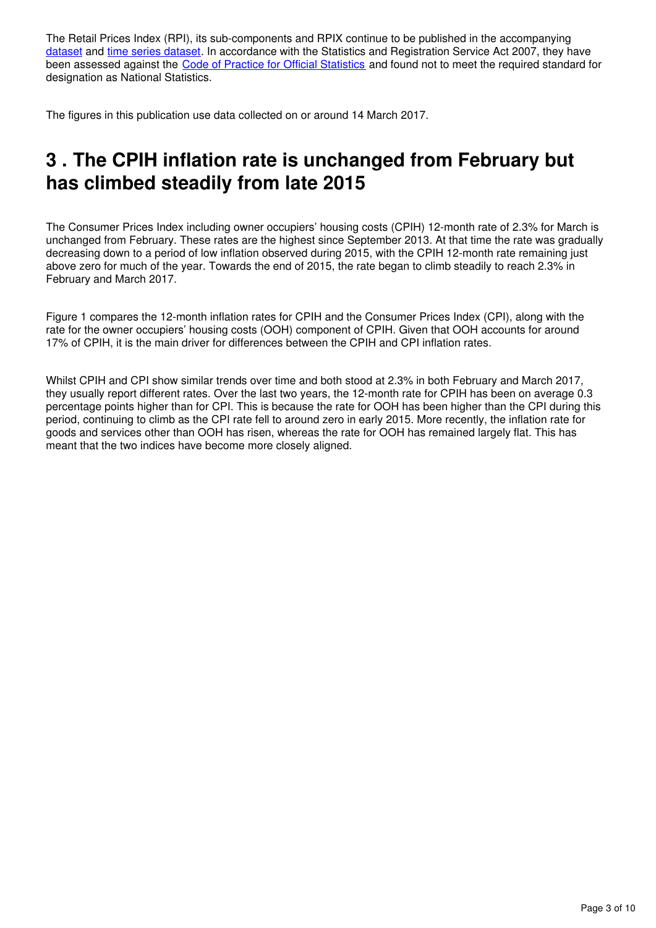The Retail Prices Index (RPI), its sub-components and RPIX continue to be published in the accompanying [dataset](https://www.ons.gov.uk/economy/inflationandpriceindices/datasets/consumerpriceinflation) and[time series dataset](https://www.ons.gov.uk/economy/inflationandpriceindices/datasets/consumerpriceindices). In accordance with the Statistics and Registration Service Act 2007, they have been assessed against the [Code of Practice for Official Statistics](https://www.statisticsauthority.gov.uk/publication/code-of-practice/) and found not to meet the required standard for designation as National Statistics.

The figures in this publication use data collected on or around 14 March 2017.

## <span id="page-2-0"></span>**3 . The CPIH inflation rate is unchanged from February but has climbed steadily from late 2015**

The Consumer Prices Index including owner occupiers' housing costs (CPIH) 12-month rate of 2.3% for March is unchanged from February. These rates are the highest since September 2013. At that time the rate was gradually decreasing down to a period of low inflation observed during 2015, with the CPIH 12-month rate remaining just above zero for much of the year. Towards the end of 2015, the rate began to climb steadily to reach 2.3% in February and March 2017.

Figure 1 compares the 12-month inflation rates for CPIH and the Consumer Prices Index (CPI), along with the rate for the owner occupiers' housing costs (OOH) component of CPIH. Given that OOH accounts for around 17% of CPIH, it is the main driver for differences between the CPIH and CPI inflation rates.

Whilst CPIH and CPI show similar trends over time and both stood at 2.3% in both February and March 2017, they usually report different rates. Over the last two years, the 12-month rate for CPIH has been on average 0.3 percentage points higher than for CPI. This is because the rate for OOH has been higher than the CPI during this period, continuing to climb as the CPI rate fell to around zero in early 2015. More recently, the inflation rate for goods and services other than OOH has risen, whereas the rate for OOH has remained largely flat. This has meant that the two indices have become more closely aligned.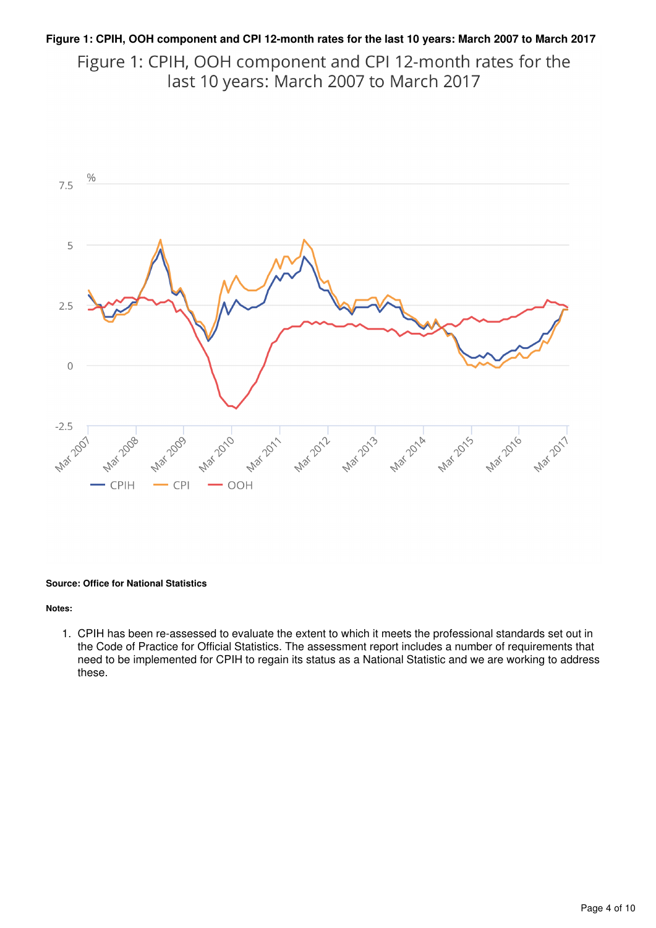### **Figure 1: CPIH, OOH component and CPI 12-month rates for the last 10 years: March 2007 to March 2017**

Figure 1: CPIH, OOH component and CPI 12-month rates for the last 10 years: March 2007 to March 2017



#### **Source: Office for National Statistics**

#### **Notes:**

1. CPIH has been re-assessed to evaluate the extent to which it meets the professional standards set out in the Code of Practice for Official Statistics. The assessment report includes a number of requirements that need to be implemented for CPIH to regain its status as a National Statistic and we are working to address these.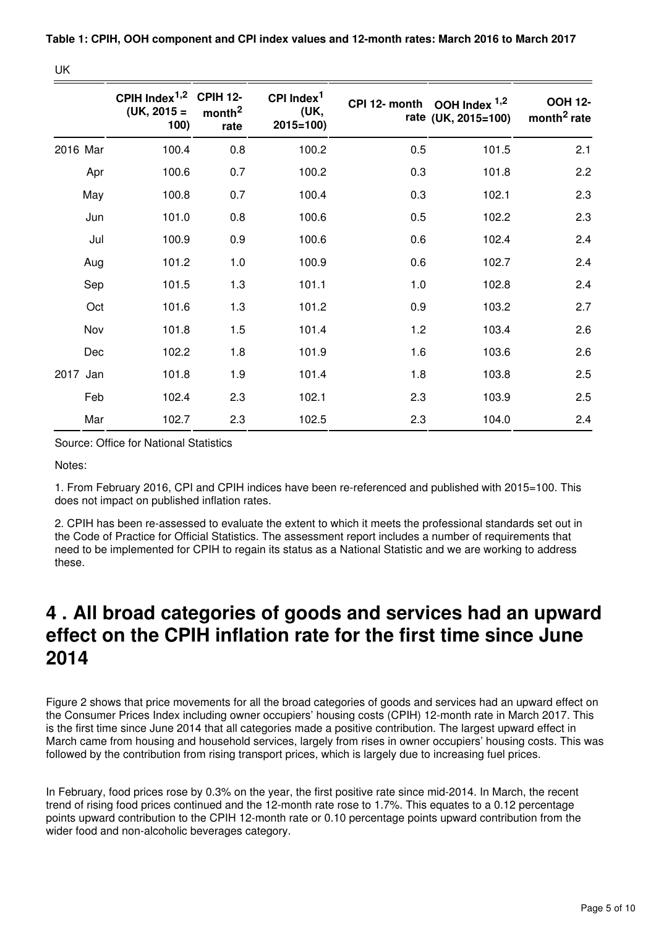|  | Table 1: CPIH, OOH component and CPI index values and 12-month rates: March 2016 to March 2017 |  |  |
|--|------------------------------------------------------------------------------------------------|--|--|
|--|------------------------------------------------------------------------------------------------|--|--|

UK

|          | CPIH Index <sup>1,2</sup> CPIH 12-<br>$(UK, 2015 =$<br>100) | month <sup>2</sup><br>rate | CPI Index <sup>1</sup><br>(UK,<br>$2015 = 100$ | CPI 12- month OOH Index $1,2$ | rate (UK, 2015=100) | <b>OOH 12-</b><br>month <sup>2</sup> rate |
|----------|-------------------------------------------------------------|----------------------------|------------------------------------------------|-------------------------------|---------------------|-------------------------------------------|
| 2016 Mar | 100.4                                                       | 0.8                        | 100.2                                          | 0.5                           | 101.5               | 2.1                                       |
| Apr      | 100.6                                                       | 0.7                        | 100.2                                          | 0.3                           | 101.8               | 2.2                                       |
| May      | 100.8                                                       | 0.7                        | 100.4                                          | 0.3                           | 102.1               | 2.3                                       |
| Jun      | 101.0                                                       | 0.8                        | 100.6                                          | 0.5                           | 102.2               | 2.3                                       |
| Jul      | 100.9                                                       | 0.9                        | 100.6                                          | 0.6                           | 102.4               | 2.4                                       |
| Aug      | 101.2                                                       | 1.0                        | 100.9                                          | 0.6                           | 102.7               | 2.4                                       |
| Sep      | 101.5                                                       | 1.3                        | 101.1                                          | 1.0                           | 102.8               | 2.4                                       |
| Oct      | 101.6                                                       | 1.3                        | 101.2                                          | 0.9                           | 103.2               | 2.7                                       |
| Nov      | 101.8                                                       | 1.5                        | 101.4                                          | 1.2                           | 103.4               | 2.6                                       |
| Dec      | 102.2                                                       | 1.8                        | 101.9                                          | 1.6                           | 103.6               | 2.6                                       |
| 2017 Jan | 101.8                                                       | 1.9                        | 101.4                                          | 1.8                           | 103.8               | 2.5                                       |
| Feb      | 102.4                                                       | 2.3                        | 102.1                                          | 2.3                           | 103.9               | 2.5                                       |
| Mar      | 102.7                                                       | 2.3                        | 102.5                                          | 2.3                           | 104.0               | 2.4                                       |

Source: Office for National Statistics

Notes:

1. From February 2016, CPI and CPIH indices have been re-referenced and published with 2015=100. This does not impact on published inflation rates.

2. CPIH has been re-assessed to evaluate the extent to which it meets the professional standards set out in the Code of Practice for Official Statistics. The assessment report includes a number of requirements that need to be implemented for CPIH to regain its status as a National Statistic and we are working to address these.

## <span id="page-4-0"></span>**4 . All broad categories of goods and services had an upward effect on the CPIH inflation rate for the first time since June 2014**

Figure 2 shows that price movements for all the broad categories of goods and services had an upward effect on the Consumer Prices Index including owner occupiers' housing costs (CPIH) 12-month rate in March 2017. This is the first time since June 2014 that all categories made a positive contribution. The largest upward effect in March came from housing and household services, largely from rises in owner occupiers' housing costs. This was followed by the contribution from rising transport prices, which is largely due to increasing fuel prices.

In February, food prices rose by 0.3% on the year, the first positive rate since mid-2014. In March, the recent trend of rising food prices continued and the 12-month rate rose to 1.7%. This equates to a 0.12 percentage points upward contribution to the CPIH 12-month rate or 0.10 percentage points upward contribution from the wider food and non-alcoholic beverages category.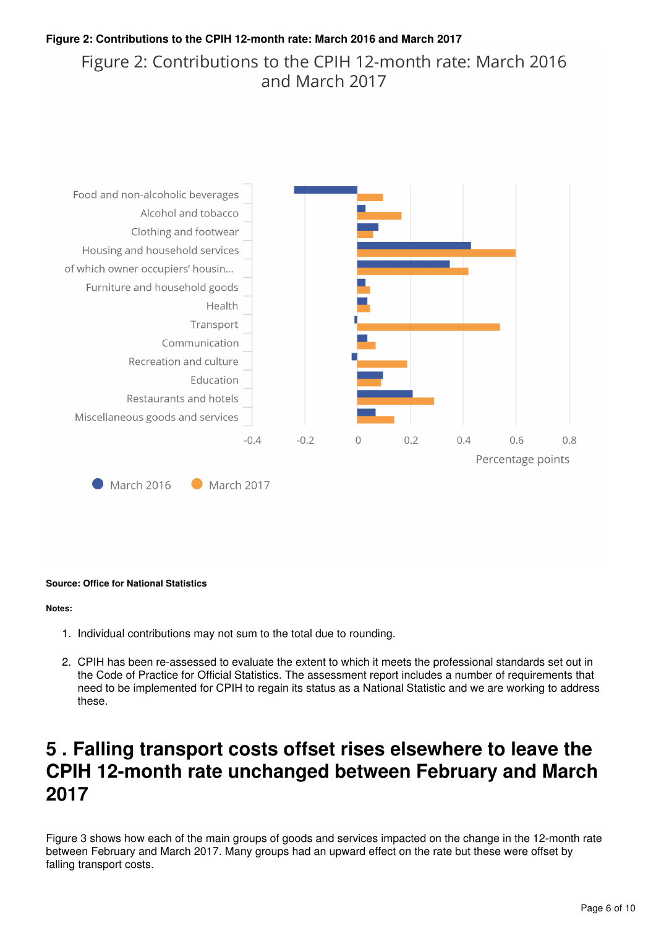### **Figure 2: Contributions to the CPIH 12-month rate: March 2016 and March 2017**

### Figure 2: Contributions to the CPIH 12-month rate: March 2016 and March 2017



#### **Source: Office for National Statistics**

#### **Notes:**

- 1. Individual contributions may not sum to the total due to rounding.
- 2. CPIH has been re-assessed to evaluate the extent to which it meets the professional standards set out in the Code of Practice for Official Statistics. The assessment report includes a number of requirements that need to be implemented for CPIH to regain its status as a National Statistic and we are working to address these.

## <span id="page-5-0"></span>**5 . Falling transport costs offset rises elsewhere to leave the CPIH 12-month rate unchanged between February and March 2017**

Figure 3 shows how each of the main groups of goods and services impacted on the change in the 12-month rate between February and March 2017. Many groups had an upward effect on the rate but these were offset by falling transport costs.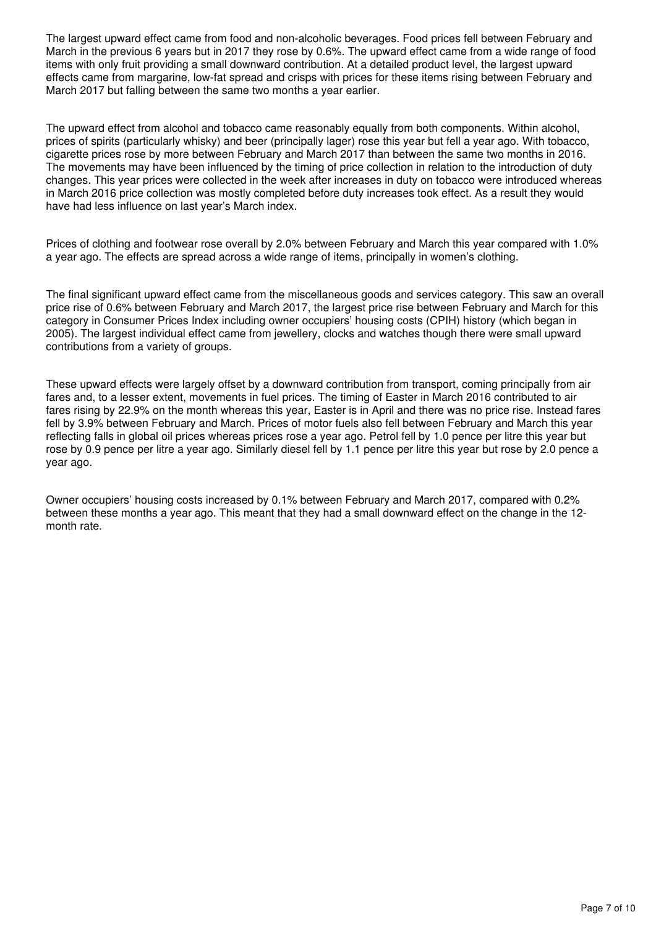The largest upward effect came from food and non-alcoholic beverages. Food prices fell between February and March in the previous 6 years but in 2017 they rose by 0.6%. The upward effect came from a wide range of food items with only fruit providing a small downward contribution. At a detailed product level, the largest upward effects came from margarine, low-fat spread and crisps with prices for these items rising between February and March 2017 but falling between the same two months a year earlier.

The upward effect from alcohol and tobacco came reasonably equally from both components. Within alcohol, prices of spirits (particularly whisky) and beer (principally lager) rose this year but fell a year ago. With tobacco, cigarette prices rose by more between February and March 2017 than between the same two months in 2016. The movements may have been influenced by the timing of price collection in relation to the introduction of duty changes. This year prices were collected in the week after increases in duty on tobacco were introduced whereas in March 2016 price collection was mostly completed before duty increases took effect. As a result they would have had less influence on last year's March index.

Prices of clothing and footwear rose overall by 2.0% between February and March this year compared with 1.0% a year ago. The effects are spread across a wide range of items, principally in women's clothing.

The final significant upward effect came from the miscellaneous goods and services category. This saw an overall price rise of 0.6% between February and March 2017, the largest price rise between February and March for this category in Consumer Prices Index including owner occupiers' housing costs (CPIH) history (which began in 2005). The largest individual effect came from jewellery, clocks and watches though there were small upward contributions from a variety of groups.

These upward effects were largely offset by a downward contribution from transport, coming principally from air fares and, to a lesser extent, movements in fuel prices. The timing of Easter in March 2016 contributed to air fares rising by 22.9% on the month whereas this year, Easter is in April and there was no price rise. Instead fares fell by 3.9% between February and March. Prices of motor fuels also fell between February and March this year reflecting falls in global oil prices whereas prices rose a year ago. Petrol fell by 1.0 pence per litre this year but rose by 0.9 pence per litre a year ago. Similarly diesel fell by 1.1 pence per litre this year but rose by 2.0 pence a year ago.

Owner occupiers' housing costs increased by 0.1% between February and March 2017, compared with 0.2% between these months a year ago. This meant that they had a small downward effect on the change in the 12 month rate.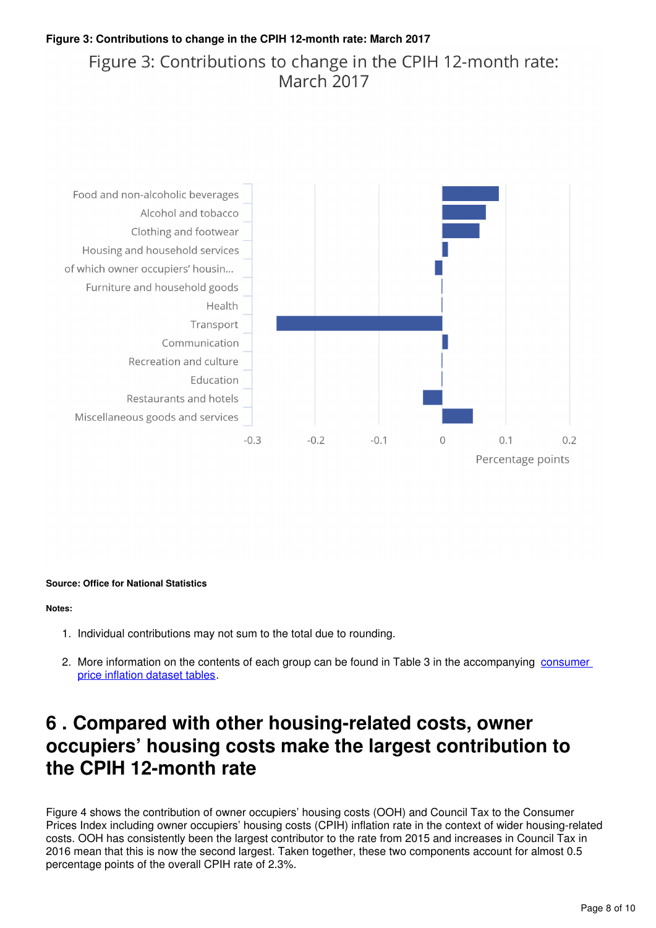### **Figure 3: Contributions to change in the CPIH 12-month rate: March 2017**

## Figure 3: Contributions to change in the CPIH 12-month rate: March 2017



#### **Source: Office for National Statistics**

#### **Notes:**

- 1. Individual contributions may not sum to the total due to rounding.
- 2. More information on the contents of each group can be found in Table 3 in the accompanying consumer [price inflation dataset tables](https://www.ons.gov.uk/economy/inflationandpriceindices/datasets/consumerpriceinflation).

## <span id="page-7-0"></span>**6 . Compared with other housing-related costs, owner occupiers' housing costs make the largest contribution to the CPIH 12-month rate**

Figure 4 shows the contribution of owner occupiers' housing costs (OOH) and Council Tax to the Consumer Prices Index including owner occupiers' housing costs (CPIH) inflation rate in the context of wider housing-related costs. OOH has consistently been the largest contributor to the rate from 2015 and increases in Council Tax in 2016 mean that this is now the second largest. Taken together, these two components account for almost 0.5 percentage points of the overall CPIH rate of 2.3%.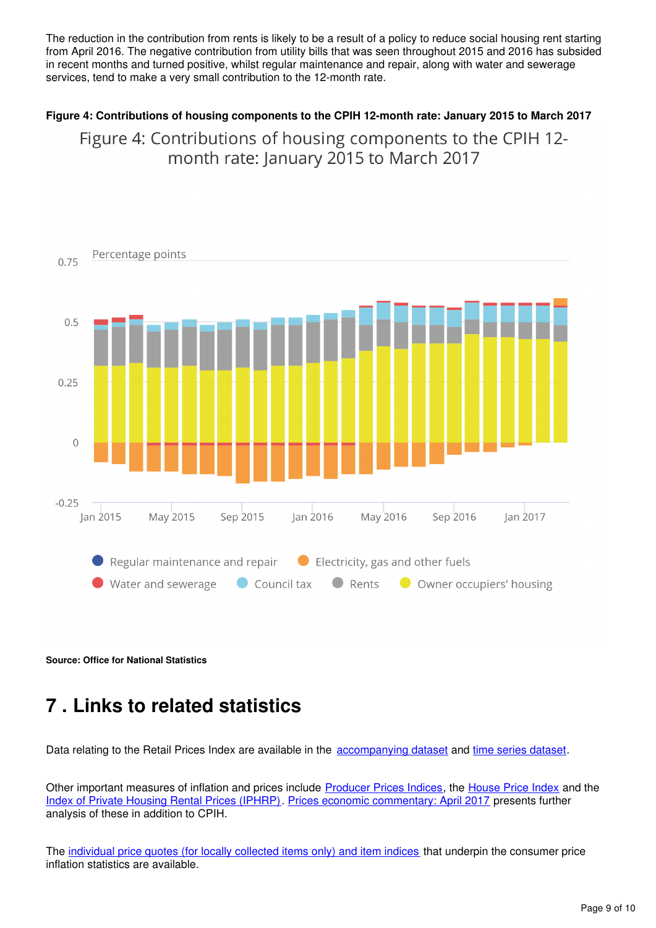The reduction in the contribution from rents is likely to be a result of a policy to reduce social housing rent starting from April 2016. The negative contribution from utility bills that was seen throughout 2015 and 2016 has subsided in recent months and turned positive, whilst regular maintenance and repair, along with water and sewerage services, tend to make a very small contribution to the 12-month rate.

#### **Figure 4: Contributions of housing components to the CPIH 12-month rate: January 2015 to March 2017**

Figure 4: Contributions of housing components to the CPIH 12month rate: January 2015 to March 2017



**Source: Office for National Statistics**

## <span id="page-8-0"></span>**7 . Links to related statistics**

Datarelating to the Retail Prices Index are available in the accompanying dataset and time series dataset.

Other important measures of inflation and prices include [Producer Prices Indices](https://www.ons.gov.uk/economy/inflationandpriceindices/bulletins/producerpriceinflation/previousReleases), the House Price Index and the [Index of Private Housing Rental Prices \(IPHRP\).](https://www.ons.gov.uk/economy/inflationandpriceindices/bulletins/indexofprivatehousingrentalprices/previousReleases) [Prices economic commentary: April 2017](https://www.ons.gov.uk/releases/priceseconomiccommentarymar2017) presents further analysis of these in addition to CPIH.

The [individual price quotes \(for locally collected items only\) and item indices](https://www.ons.gov.uk/economy/inflationandpriceindices/datasets/consumerpriceindicescpiandretailpricesindexrpiitemindicesandpricequotes) that underpin the consumer price inflation statistics are available.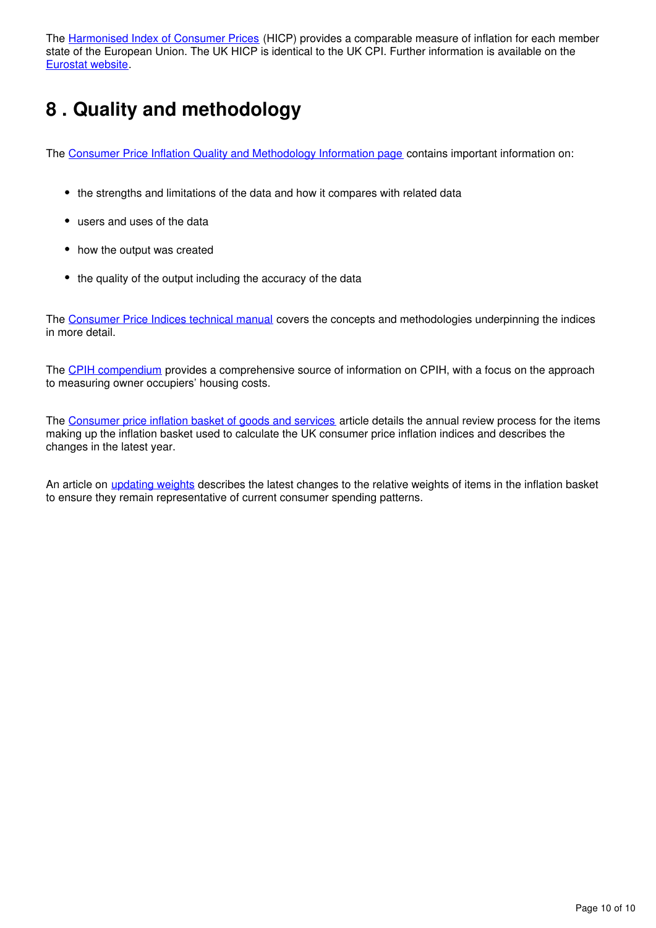The [Harmonised Index of Consumer Prices](http://ec.europa.eu/eurostat/tgm/refreshTableAction.do?tab=table&plugin=1&pcode=teicp000&language=en) (HICP) provides a comparable measure of inflation for each member state of the European Union. The UK HICP is identical to the UK CPI. Further information is available on the [Eurostat website.](http://ec.europa.eu/eurostat/web/hicp/overview)

## <span id="page-9-0"></span>**8 . Quality and methodology**

The [Consumer Price Inflation Quality and Methodology Information page](https://www.ons.gov.uk/economy/inflationandpriceindices/qmis/consumerpriceinflationqmi) contains important information on:

- the strengths and limitations of the data and how it compares with related data
- users and uses of the data
- how the output was created
- the quality of the output including the accuracy of the data

The [Consumer Price Indices technical manual](http://webarchive.nationalarchives.gov.uk/20160105160709/http:/ons.gov.uk/ons/rel/cpi/consumer-price-indices---technical-manual/2014/index.html) covers the concepts and methodologies underpinning the indices in more detail.

The [CPIH compendium](https://www.ons.gov.uk/economy/inflationandpriceindices/articles/cpihcompendium/2016-10-13) provides a comprehensive source of information on CPIH, with a focus on the approach to measuring owner occupiers' housing costs.

The [Consumer price inflation basket of goods and services](https://www.ons.gov.uk/economy/inflationandpriceindices/articles/ukconsumerpriceinflationbasketofgoodsandservices/2017) article details the annual review process for the items making up the inflation basket used to calculate the UK consumer price inflation indices and describes the changes in the latest year.

An article on [updating weights](https://www.ons.gov.uk/releases/consumerpriceinflationupdatingweights2017) describes the latest changes to the relative weights of items in the inflation basket to ensure they remain representative of current consumer spending patterns.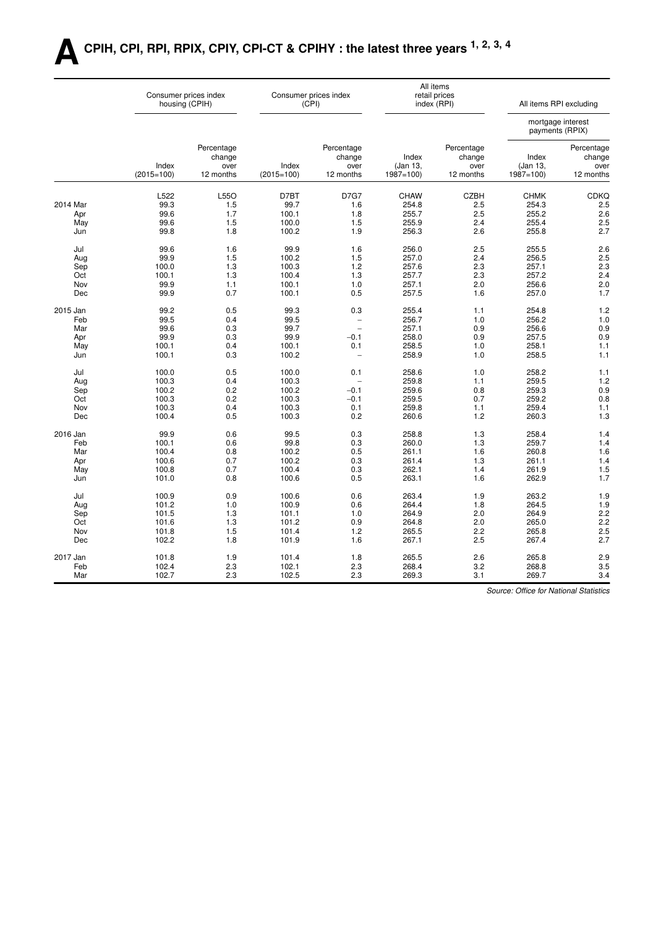## **ACPIH, CPI, RPI, RPIX, CPIY, CPI-CT & CPIHY : the latest three years 1, 2, 3, 4**

|          |                       | Consumer prices index<br>housing (CPIH)   |                       | Consumer prices index<br>(CPI)            |                                   | All items<br>retail prices<br>index (RPI) | All items RPI excluding           |                                           |  |  |  |
|----------|-----------------------|-------------------------------------------|-----------------------|-------------------------------------------|-----------------------------------|-------------------------------------------|-----------------------------------|-------------------------------------------|--|--|--|
|          |                       |                                           |                       |                                           |                                   |                                           |                                   | mortgage interest<br>payments (RPIX)      |  |  |  |
|          | Index<br>$(2015=100)$ | Percentage<br>change<br>over<br>12 months | Index<br>$(2015=100)$ | Percentage<br>change<br>over<br>12 months | Index<br>(Jan 13,<br>$1987 = 100$ | Percentage<br>change<br>over<br>12 months | Index<br>(Jan 13,<br>$1987 = 100$ | Percentage<br>change<br>over<br>12 months |  |  |  |
|          | L522                  | L55O                                      | D7BT                  | <b>D7G7</b>                               | <b>CHAW</b>                       | <b>CZBH</b>                               | <b>CHMK</b>                       | <b>CDKQ</b>                               |  |  |  |
| 2014 Mar | 99.3                  | 1.5                                       | 99.7                  | 1.6                                       | 254.8                             | 2.5                                       | 254.3                             | 2.5                                       |  |  |  |
| Apr      | 99.6                  | 1.7                                       | 100.1                 | 1.8                                       | 255.7                             | 2.5                                       | 255.2                             | 2.6                                       |  |  |  |
| May      | 99.6                  | 1.5                                       | 100.0                 | 1.5                                       | 255.9                             | 2.4                                       | 255.4                             | 2.5                                       |  |  |  |
| Jun      | 99.8                  | 1.8                                       | 100.2                 | 1.9                                       | 256.3                             | 2.6                                       | 255.8                             | 2.7                                       |  |  |  |
| Jul      | 99.6                  | 1.6                                       | 99.9                  | 1.6                                       | 256.0                             | 2.5                                       | 255.5                             | 2.6                                       |  |  |  |
| Aug      | 99.9                  | 1.5                                       | 100.2                 | 1.5                                       | 257.0                             | 2.4                                       | 256.5                             | 2.5                                       |  |  |  |
| Sep      | 100.0                 | 1.3                                       | 100.3                 | 1.2                                       | 257.6                             | 2.3                                       | 257.1                             | 2.3                                       |  |  |  |
| Oct      | 100.1                 | 1.3                                       | 100.4                 | 1.3                                       | 257.7                             | 2.3                                       | 257.2                             | 2.4                                       |  |  |  |
| Nov      | 99.9                  | 1.1                                       | 100.1                 | 1.0                                       | 257.1                             | 2.0                                       | 256.6                             | 2.0                                       |  |  |  |
| Dec      | 99.9                  | 0.7                                       | 100.1                 | 0.5                                       | 257.5                             | 1.6                                       | 257.0                             | 1.7                                       |  |  |  |
| 2015 Jan | 99.2                  | 0.5                                       | 99.3                  | 0.3                                       | 255.4                             | 1.1                                       | 254.8                             | 1.2                                       |  |  |  |
| Feb      | 99.5                  | 0.4                                       | 99.5                  | $\overline{\phantom{0}}$                  | 256.7                             | 1.0                                       | 256.2                             | 1.0                                       |  |  |  |
| Mar      | 99.6                  | 0.3                                       | 99.7                  | $\overline{a}$                            | 257.1                             | 0.9                                       | 256.6                             | 0.9                                       |  |  |  |
| Apr      | 99.9                  | 0.3                                       | 99.9                  | $-0.1$                                    | 258.0                             | 0.9                                       | 257.5                             | 0.9                                       |  |  |  |
| May      | 100.1                 | 0.4                                       | 100.1                 | 0.1                                       | 258.5                             | 1.0                                       | 258.1                             | 1.1                                       |  |  |  |
| Jun      | 100.1                 | 0.3                                       | 100.2                 | $\overline{\phantom{0}}$                  | 258.9                             | 1.0                                       | 258.5                             | 1.1                                       |  |  |  |
| Jul      | 100.0                 | 0.5                                       | 100.0                 | 0.1                                       | 258.6                             | 1.0                                       | 258.2                             | 1.1                                       |  |  |  |
| Aug      | 100.3                 | 0.4                                       | 100.3                 | $\overline{\phantom{0}}$                  | 259.8                             | 1.1                                       | 259.5                             | 1.2                                       |  |  |  |
| Sep      | 100.2                 | 0.2                                       | 100.2                 | $-0.1$                                    | 259.6                             | 0.8                                       | 259.3                             | 0.9                                       |  |  |  |
| Oct      | 100.3                 | 0.2                                       | 100.3                 | $-0.1$                                    | 259.5                             | 0.7                                       | 259.2                             | 0.8                                       |  |  |  |
| Nov      | 100.3                 | 0.4                                       | 100.3                 | 0.1                                       | 259.8                             | 1.1                                       | 259.4                             | 1.1                                       |  |  |  |
| Dec      | 100.4                 | 0.5                                       | 100.3                 | 0.2                                       | 260.6                             | $1.2$                                     | 260.3                             | 1.3                                       |  |  |  |
| 2016 Jan | 99.9                  | 0.6                                       | 99.5                  | 0.3                                       | 258.8                             | 1.3                                       | 258.4                             | 1.4                                       |  |  |  |
| Feb      | 100.1                 | 0.6                                       | 99.8                  | 0.3                                       | 260.0                             | 1.3                                       | 259.7                             | 1.4                                       |  |  |  |
| Mar      | 100.4                 | 0.8                                       | 100.2                 | 0.5                                       | 261.1                             | 1.6                                       | 260.8                             | 1.6                                       |  |  |  |
| Apr      | 100.6                 | 0.7                                       | 100.2                 | 0.3                                       | 261.4                             | 1.3                                       | 261.1                             | 1.4                                       |  |  |  |
| May      | 100.8                 | 0.7                                       | 100.4                 | 0.3                                       | 262.1                             | 1.4                                       | 261.9                             | 1.5                                       |  |  |  |
| Jun      | 101.0                 | 0.8                                       | 100.6                 | 0.5                                       | 263.1                             | 1.6                                       | 262.9                             | 1.7                                       |  |  |  |
| Jul      | 100.9                 | 0.9                                       | 100.6                 | 0.6                                       | 263.4                             | 1.9                                       | 263.2                             | 1.9                                       |  |  |  |
| Aug      | 101.2                 | 1.0                                       | 100.9                 | 0.6                                       | 264.4                             | 1.8                                       | 264.5                             | 1.9                                       |  |  |  |
| Sep      | 101.5                 | 1.3                                       | 101.1                 | 1.0                                       | 264.9                             | 2.0                                       | 264.9                             | 2.2                                       |  |  |  |
| Oct      | 101.6                 | 1.3                                       | 101.2                 | 0.9                                       | 264.8                             | 2.0                                       | 265.0                             | 2.2                                       |  |  |  |
| Nov      | 101.8                 | 1.5                                       | 101.4                 | 1.2                                       | 265.5                             | 2.2                                       | 265.8                             | 2.5                                       |  |  |  |
| Dec      | 102.2                 | 1.8                                       | 101.9                 | 1.6                                       | 267.1                             | 2.5                                       | 267.4                             | 2.7                                       |  |  |  |
| 2017 Jan | 101.8                 | 1.9                                       | 101.4                 | 1.8                                       | 265.5                             | 2.6                                       | 265.8                             | 2.9                                       |  |  |  |
| Feb      | 102.4                 | 2.3                                       | 102.1                 | 2.3                                       | 268.4                             | 3.2                                       | 268.8                             | 3.5                                       |  |  |  |
| Mar      | 102.7                 | 2.3                                       | 102.5                 | 2.3                                       | 269.3                             | 3.1                                       | 269.7                             | 3.4                                       |  |  |  |
|          |                       |                                           |                       |                                           |                                   |                                           |                                   |                                           |  |  |  |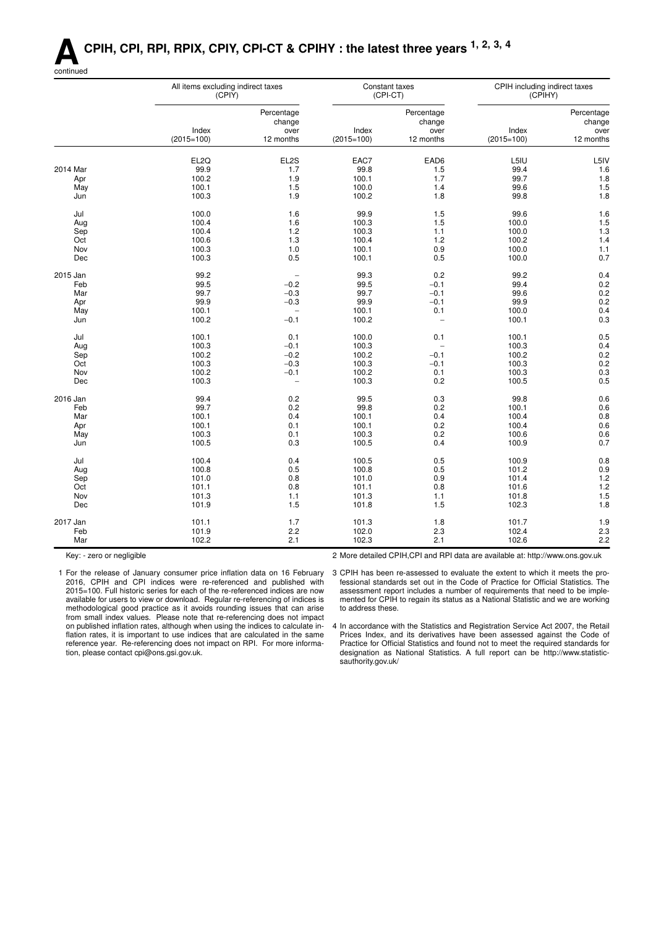## **ACPIH, CPI, RPI, RPIX, CPIY, CPI-CT & CPIHY : the latest three years 1, 2, 3, 4**



|          | All items excluding indirect taxes<br>(CPIY) |                          | (CPI-CT)              | Constant taxes           | CPIH including indirect taxes<br>(CPIHY) |                      |
|----------|----------------------------------------------|--------------------------|-----------------------|--------------------------|------------------------------------------|----------------------|
|          |                                              | Percentage<br>change     |                       | Percentage<br>change     |                                          | Percentage<br>change |
|          | Index<br>$(2015=100)$                        | over<br>12 months        | Index<br>$(2015=100)$ | over<br>12 months        | Index<br>$(2015=100)$                    | over<br>12 months    |
|          | EL <sub>2Q</sub>                             | EL2S                     | EAC7                  | EAD6                     | L5IU                                     | L5IV                 |
| 2014 Mar | 99.9                                         | 1.7                      | 99.8                  | 1.5                      | 99.4                                     | 1.6                  |
| Apr      | 100.2                                        | 1.9                      | 100.1                 | 1.7                      | 99.7                                     | 1.8                  |
| May      | 100.1                                        | 1.5                      | 100.0                 | 1.4                      | 99.6                                     | 1.5                  |
|          |                                              |                          |                       |                          |                                          |                      |
| Jun      | 100.3                                        | 1.9                      | 100.2                 | 1.8                      | 99.8                                     | 1.8                  |
| Jul      | 100.0                                        | 1.6                      | 99.9                  | 1.5                      | 99.6                                     | 1.6                  |
| Aug      | 100.4                                        | 1.6                      | 100.3                 | 1.5                      | 100.0                                    | 1.5                  |
| Sep      | 100.4                                        | 1.2                      | 100.3                 | 1.1                      | 100.0                                    | 1.3                  |
| Oct      | 100.6                                        | 1.3                      | 100.4                 | 1.2                      | 100.2                                    | 1.4                  |
| Nov      | 100.3                                        | 1.0                      | 100.1                 | 0.9                      | 100.0                                    | 1.1                  |
| Dec      | 100.3                                        | 0.5                      | 100.1                 | 0.5                      | 100.0                                    | 0.7                  |
| 2015 Jan | 99.2                                         |                          | 99.3                  | 0.2                      | 99.2                                     | 0.4                  |
| Feb      | 99.5                                         | $-0.2$                   | 99.5                  | $-0.1$                   | 99.4                                     | 0.2                  |
| Mar      | 99.7                                         | $-0.3$                   | 99.7                  | $-0.1$                   | 99.6                                     | 0.2                  |
| Apr      | 99.9                                         | $-0.3$                   | 99.9                  | $-0.1$                   | 99.9                                     | 0.2                  |
| May      | 100.1                                        | $\overline{a}$           | 100.1                 | 0.1                      | 100.0                                    | 0.4                  |
| Jun      | 100.2                                        | $-0.1$                   | 100.2                 | $\overline{\phantom{0}}$ | 100.1                                    | 0.3                  |
| Jul      | 100.1                                        | 0.1                      | 100.0                 | 0.1                      | 100.1                                    | 0.5                  |
| Aug      | 100.3                                        | $-0.1$                   | 100.3                 | $\overline{\phantom{0}}$ | 100.3                                    | 0.4                  |
| Sep      | 100.2                                        | $-0.2$                   | 100.2                 | $-0.1$                   | 100.2                                    | 0.2                  |
| Oct      | 100.3                                        | $-0.3$                   | 100.3                 | $-0.1$                   | 100.3                                    | 0.2                  |
| Nov      | 100.2                                        | $-0.1$                   | 100.2                 | 0.1                      | 100.3                                    | 0.3                  |
| Dec      | 100.3                                        | $\overline{\phantom{0}}$ | 100.3                 | 0.2                      | 100.5                                    | 0.5                  |
|          |                                              |                          |                       |                          |                                          |                      |
| 2016 Jan | 99.4                                         | 0.2                      | 99.5                  | 0.3                      | 99.8                                     | 0.6                  |
| Feb      | 99.7                                         | 0.2                      | 99.8                  | 0.2                      | 100.1                                    | 0.6                  |
| Mar      | 100.1                                        | 0.4                      | 100.1                 | 0.4                      | 100.4                                    | 0.8                  |
| Apr      | 100.1                                        | 0.1                      | 100.1                 | 0.2                      | 100.4                                    | 0.6                  |
| May      | 100.3                                        | 0.1                      | 100.3                 | 0.2                      | 100.6                                    | 0.6                  |
| Jun      | 100.5                                        | 0.3                      | 100.5                 | 0.4                      | 100.9                                    | 0.7                  |
| Jul      | 100.4                                        | 0.4                      | 100.5                 | 0.5                      | 100.9                                    | 0.8                  |
| Aug      | 100.8                                        | 0.5                      | 100.8                 | 0.5                      | 101.2                                    | 0.9                  |
| Sep      | 101.0                                        | 0.8                      | 101.0                 | 0.9                      | 101.4                                    | 1.2                  |
| Oct      | 101.1                                        | 0.8                      | 101.1                 | 0.8                      | 101.6                                    | 1.2                  |
| Nov      | 101.3                                        | 1.1                      | 101.3                 | 1.1                      | 101.8                                    | $1.5$                |
| Dec      | 101.9                                        | 1.5                      | 101.8                 | 1.5                      | 102.3                                    | 1.8                  |
| 2017 Jan | 101.1                                        | 1.7                      | 101.3                 | 1.8                      | 101.7                                    | 1.9                  |
| Feb      | 101.9                                        | 2.2                      | 102.0                 | 2.3                      | 102.4                                    | 2.3                  |
| Mar      | 102.2                                        | 2.1                      | 102.3                 | 2.1                      | 102.6                                    | 2.2                  |
|          |                                              |                          |                       |                          |                                          |                      |

Key: - zero or negligible

2 More detailed CPIH,CPI and RPI data are available at: http://www.ons.gov.uk

1 For the release of January consumer price inflation data on 16 February 2016, CPIH and CPI indices were re-referenced and published with 2015=100. Full historic series for each of the re-referenced indices are now available for users to view or download. Regular re-referencing of indices is methodological good practice as it avoids rounding issues that can arise from small index values. Please note that re-referencing does not impact on published inflation rates, although when using the indices to calculate inflation rates, it is important to use indices that are calculated in the same reference year. Re-referencing does not impact on RPI. For more information, please contact cpi@ons.gsi.gov.uk.

3 CPIH has been re-assessed to evaluate the extent to which it meets the professional standards set out in the Code of Practice for Official Statistics. The assessment report includes a number of requirements that need to be implemented for CPIH to regain its status as a National Statistic and we are working to address these.

4 In accordance with the Statistics and Registration Service Act 2007, the Retail Prices Index, and its derivatives have been assessed against the Code of Practice for Official Statistics and found not to meet the required standards for designation as National Statistics. A full report can be http://www.statisticsauthority.gov.uk/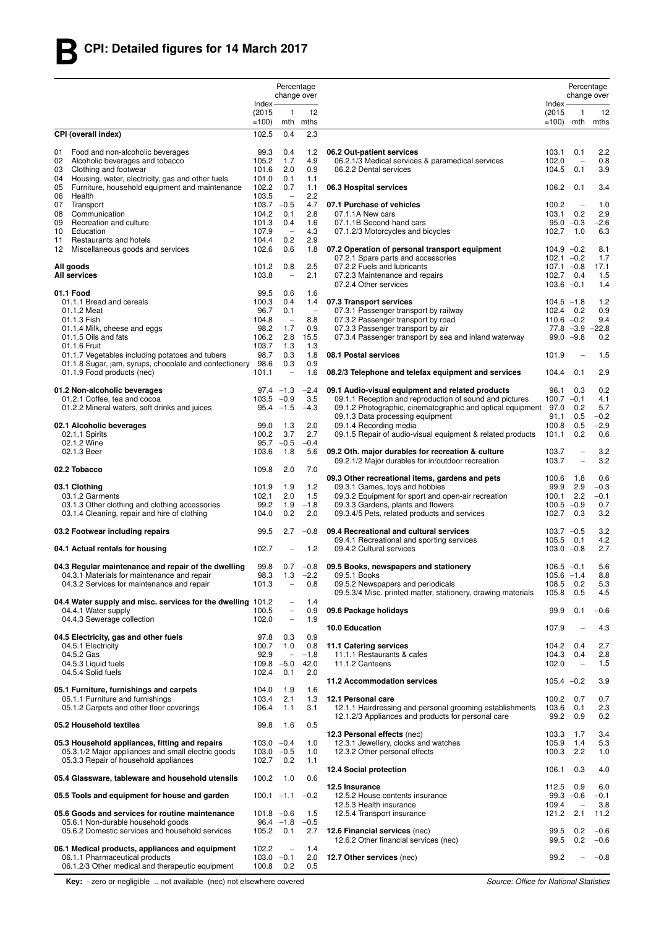| change over<br>change over<br>Index<br>Index<br>12<br>12<br>(2015)<br>(2015)<br>1<br>1<br>$=100$<br>mth mths<br>$=100$<br>mth<br>mths<br>102.5<br>0.4<br>CPI (overall index)<br>2.3<br>2.2<br>Food and non-alcoholic beverages<br>99.3<br>0.4<br>1.2<br>06.2 Out-patient services<br>103.1<br>0.1<br>01<br>Alcoholic beverages and tobacco<br>105.2<br>06.2.1/3 Medical services & paramedical services<br>02<br>1.7<br>4.9<br>102.0<br>0.8<br>$\overline{\phantom{a}}$<br>Clothing and footwear<br>101.6<br>2.0<br>0.9<br>06.2.2 Dental services<br>104.5<br>0.1<br>3.9<br>03<br>Housing, water, electricity, gas and other fuels<br>101.0<br>04<br>0.1<br>1.1<br>Furniture, household equipment and maintenance<br>102.2<br>0.7<br>0.1<br>05<br>1.1<br>06.3 Hospital services<br>106.2<br>3.4<br>2.2<br>06<br>103.5<br>Health<br>$\qquad \qquad -$<br>07<br>$103.7 -0.5$<br>4.7<br>07.1 Purchase of vehicles<br>Transport<br>100.2<br>1.0<br>$\overline{\phantom{0}}$<br>Communication<br>104.2<br>0.1<br>2.8<br>07.1.1A New cars<br>0.2<br>2.9<br>08<br>103.1<br>1.6<br>$95.0 -0.3$<br>$-2.6$<br>09<br>Recreation and culture<br>101.3<br>0.4<br>07.1.1B Second-hand cars<br>107.9<br>4.3<br>10<br>Education<br>$\overline{\phantom{a}}$<br>07.1.2/3 Motorcycles and bicycles<br>102.7<br>1.0<br>6.3<br>104.4<br>0.2<br>2.9<br>11<br>Restaurants and hotels<br>102.6<br>0.6<br>1.8<br>12<br>Miscellaneous goods and services<br>07.2 Operation of personal transport equipment<br>$104.9 - 0.2$<br>8.1<br>07.2.1 Spare parts and accessories<br>1.7<br>$102.1 - 0.2$<br>0.8<br>2.5<br>07.2.2 Fuels and lubricants<br>$107.1 - 0.8$<br>17.1<br>All goods<br>101.2<br>103.8<br>2.1<br>102.7 0.4<br>1.5<br>All services<br>07.2.3 Maintenance and repairs<br>$\qquad \qquad -$<br>$103.6 -0.1$<br>07.2.4 Other services<br>1.4<br>01.1 Food<br>99.5<br>0.6<br>1.6<br>100.3<br>07.3 Transport services<br>1.2<br>01.1.1 Bread and cereals<br>0.4<br>1.4<br>$104.5 - 1.8$<br>96.7<br>07.3.1 Passenger transport by railway<br>0.9<br>01.1.2 Meat<br>0.1<br>$\overline{\phantom{a}}$<br>102.4 0.2<br>104.8<br>8.8<br>07.3.2 Passenger transport by road<br>9.4<br>01.1.3 Fish<br>$110.6 - 0.2$<br>$\hspace{0.1mm}-\hspace{0.1mm}$<br>98.2<br>1.7<br>0.9<br>07.3.3 Passenger transport by air<br>$77.8 -3.9 -22.8$<br>01.1.4 Milk, cheese and eggs<br>07.3.4 Passenger transport by sea and inland waterway<br>01.1.5 Oils and fats<br>106.2<br>2.8<br>15.5<br>$99.0 - 9.8$<br>0.2<br>103.7<br>01.1.6 Fruit<br>1.3<br>1.3<br>98.7<br>01.1.7 Vegetables including potatoes and tubers<br>0.3<br>1.8<br>08.1 Postal services<br>1.5<br>101.9<br>$\overline{\phantom{0}}$<br>01.1.8 Sugar, jam, syrups, chocolate and confectionery 98.6<br>0.3<br>0.9<br>01.1.9 Food products (nec)<br>101.1<br>1.6<br>08.2/3 Telephone and telefax equipment and services<br>2.9<br>$\overline{\phantom{a}}$<br>104.4<br>0.1<br>0.2<br>01.2 Non-alcoholic beverages<br>$97.4 -1.3$<br>$-2.4$<br>09.1 Audio-visual equipment and related products<br>96.1<br>0.3<br>3.5<br>09.1.1 Reception and reproduction of sound and pictures<br>$100.7 -0.1$<br>01.2.1 Coffee, tea and cocoa<br>$103.5 -0.9$<br>4.1<br>$95.4 -1.5$<br>$-4.3$<br>09.1.2 Photographic, cinematographic and optical equipment<br>97.0<br>0.2<br>5.7<br>01.2.2 Mineral waters, soft drinks and juices<br>09.1.3 Data processing equipment<br>91.1<br>0.5<br>$-0.2$<br>99.0<br>2.0<br>09.1.4 Recording media<br>100.8<br>0.5<br>$-2.9$<br>02.1 Alcoholic beverages<br>1.3<br>2.7<br>02.1.1 Spirits<br>100.2<br>3.7<br>09.1.5 Repair of audio-visual equipment & related products<br>101.1<br>0.2<br>0.6<br>02.1.2 Wine<br>95.7<br>$-0.5$<br>$-0.4$<br>02.1.3 Beer<br>103.6<br>1.8<br>5.6<br>09.2 Oth. major durables for recreation & culture<br>103.7<br>$\overline{\phantom{0}}$<br>3.2<br>09.2.1/2 Major durables for in/outdoor recreation<br>103.7<br>3.2<br>$\overline{\phantom{0}}$<br>7.0<br>02.2 Tobacco<br>109.8<br>2.0<br>09.3 Other recreational items, gardens and pets<br>100.6<br>1.8<br>0.6<br>2.9<br>03.1 Clothing<br>1.2<br>09.3.1 Games, toys and hobbies<br>99.9<br>$-0.3$<br>101.9<br>1.9<br>09.3.2 Equipment for sport and open-air recreation<br>2.2<br>03.1.2 Garments<br>102.1<br>2.0<br>1.5<br>100.1<br>$-0.1$<br>03.1.3 Other clothing and clothing accessories<br>99.2<br>1.9<br>$-1.8$<br>09.3.3 Gardens, plants and flowers<br>$100.5 -0.9$<br>0.7<br>03.1.4 Cleaning, repair and hire of clothing<br>0.2<br>2.0<br>09.3.4/5 Pets, related products and services<br>102.7 0.3<br>3.2<br>104.0<br>99.5<br>09.4 Recreational and cultural services<br>3.2<br>03.2 Footwear including repairs<br>2.7<br>$-0.8$<br>$103.7 - 0.5$<br>4.2<br>09.4.1 Recreational and sporting services<br>105.5<br>0.1<br>04.1 Actual rentals for housing<br>102.7<br>1.2<br>09.4.2 Cultural services<br>$103.0 -0.8$<br>2.7<br>$\overline{\phantom{0}}$<br>04.3 Regular maintenance and repair of the dwelling<br>99.8<br>$0.7 -0.8$ 09.5 Books, newspapers and stationery<br>5.6<br>$106.5 - 0.1$<br>98.3<br>1.3<br>09.5.1 Books<br>8.8<br>04.3.1 Materials for maintenance and repair<br>$-2.2$<br>105.6<br>$-1.4$<br>04.3.2 Services for maintenance and repair<br>101.3<br>0.8<br>09.5.2 Newspapers and periodicals<br>108.5<br>0.2<br>5.3<br>$\qquad \qquad -$<br>09.5.3/4 Misc. printed matter, stationery, drawing materials<br>105.8<br>0.5<br>4.5<br>04.4 Water supply and misc. services for the dwelling 101.2<br>1.4<br>$\qquad \qquad -$<br>04.4.1 Water supply<br>0.9<br>99.9<br>0.1<br>$-0.6$<br>100.5<br>$\overline{\phantom{0}}$<br>09.6 Package holidays<br>102.0<br>04.4.3 Sewerage collection<br>$\overline{a}$<br>1.9<br>10.0 Education<br>4.3<br>107.9<br>97.8<br>0.3<br>0.9<br>04.5 Electricity, gas and other fuels<br>04.5.1 Electricity<br>100.7<br>1.0<br>11.1 Catering services<br>0.4<br>2.7<br>0.8<br>104.2<br>04.5.2 Gas<br>92.9<br>11.1.1 Restaurants & cafes<br>104.3<br>0.4<br>2.8<br>$-1.8$<br>$\qquad \qquad -$<br>$109.8 - 5.0$<br>04.5.3 Liquid fuels<br>42.0<br>11.1.2 Canteens<br>102.0<br>1.5<br>$\overline{\phantom{0}}$<br>04.5.4 Solid fuels<br>102.4<br>2.0<br>0.1<br>3.9<br>11.2 Accommodation services<br>$105.4 -0.2$<br>05.1 Furniture, furnishings and carpets<br>104.0<br>1.9<br>1.6<br>05.1.1 Furniture and furnishings<br>103.4<br>2.1<br>1.3<br>12.1 Personal care<br>0.7<br>0.7<br>100.2<br>05.1.2 Carpets and other floor coverings<br>106.4<br>12.1.1 Hairdressing and personal grooming establishments<br>103.6<br>2.3<br>1.1<br>3.1<br>0.1<br>12.1.2/3 Appliances and products for personal care<br>99.2<br>0.9<br>0.2<br>05.2 Household textiles<br>99.8<br>0.5<br>1.6<br>12.3 Personal effects (nec)<br>3.4<br>103.3<br>1.7<br>05.3 Household appliances, fitting and repairs<br>$103.0 -0.4$<br>12.3.1 Jewellery, clocks and watches<br>105.9<br>1.4<br>5.3<br>1.0<br>2.2<br>05.3.1/2 Major appliances and small electric goods<br>103.0<br>12.3.2 Other personal effects<br>$-0.5$<br>1.0<br>100.3<br>1.0<br>05.3.3 Repair of household appliances<br>102.7<br>0.2<br>1.1<br>12.4 Social protection<br>0.3<br>4.0<br>106.1<br>05.4 Glassware, tableware and household utensils<br>100.2<br>0.6<br>1.0<br>6.0<br>12.5 Insurance<br>112.5<br>0.9<br>05.5 Tools and equipment for house and garden<br>$-0.2$<br>12.5.2 House contents insurance<br>$99.3 -0.6$<br>$-0.1$<br>$100.1 - 1.1$<br>109.4<br>12.5.3 Health insurance<br>3.8<br>÷<br>05.6 Goods and services for routine maintenance<br>121.2<br>11.2<br>$101.8 - 0.6$<br>1.5<br>12.5.4 Transport insurance<br>2.1<br>05.6.1 Non-durable household goods<br>$96.4 -1.8$<br>$-0.5$<br>05.6.2 Domestic services and household services<br>105.2<br>2.7<br>12.6 Financial services (nec)<br>99.5<br>0.2<br>$-0.6$<br>0.1<br>12.6.2 Other financial services (nec)<br>99.5<br>0.2<br>$-0.6$<br>06.1 Medical products, appliances and equipment<br>102.2<br>1.4<br>$\qquad \qquad -$<br>06.1.1 Pharmaceutical products<br>$103.0 -0.1$<br>2.0<br>12.7 Other services (nec)<br>99.2<br>$-0.8$<br>$\overline{\phantom{0}}$<br>06.1.2/3 Other medical and therapeutic equipment<br>100.8<br>0.2<br>0.5 |  | Percentage | Percentage |  |  |
|------------------------------------------------------------------------------------------------------------------------------------------------------------------------------------------------------------------------------------------------------------------------------------------------------------------------------------------------------------------------------------------------------------------------------------------------------------------------------------------------------------------------------------------------------------------------------------------------------------------------------------------------------------------------------------------------------------------------------------------------------------------------------------------------------------------------------------------------------------------------------------------------------------------------------------------------------------------------------------------------------------------------------------------------------------------------------------------------------------------------------------------------------------------------------------------------------------------------------------------------------------------------------------------------------------------------------------------------------------------------------------------------------------------------------------------------------------------------------------------------------------------------------------------------------------------------------------------------------------------------------------------------------------------------------------------------------------------------------------------------------------------------------------------------------------------------------------------------------------------------------------------------------------------------------------------------------------------------------------------------------------------------------------------------------------------------------------------------------------------------------------------------------------------------------------------------------------------------------------------------------------------------------------------------------------------------------------------------------------------------------------------------------------------------------------------------------------------------------------------------------------------------------------------------------------------------------------------------------------------------------------------------------------------------------------------------------------------------------------------------------------------------------------------------------------------------------------------------------------------------------------------------------------------------------------------------------------------------------------------------------------------------------------------------------------------------------------------------------------------------------------------------------------------------------------------------------------------------------------------------------------------------------------------------------------------------------------------------------------------------------------------------------------------------------------------------------------------------------------------------------------------------------------------------------------------------------------------------------------------------------------------------------------------------------------------------------------------------------------------------------------------------------------------------------------------------------------------------------------------------------------------------------------------------------------------------------------------------------------------------------------------------------------------------------------------------------------------------------------------------------------------------------------------------------------------------------------------------------------------------------------------------------------------------------------------------------------------------------------------------------------------------------------------------------------------------------------------------------------------------------------------------------------------------------------------------------------------------------------------------------------------------------------------------------------------------------------------------------------------------------------------------------------------------------------------------------------------------------------------------------------------------------------------------------------------------------------------------------------------------------------------------------------------------------------------------------------------------------------------------------------------------------------------------------------------------------------------------------------------------------------------------------------------------------------------------------------------------------------------------------------------------------------------------------------------------------------------------------------------------------------------------------------------------------------------------------------------------------------------------------------------------------------------------------------------------------------------------------------------------------------------------------------------------------------------------------------------------------------------------------------------------------------------------------------------------------------------------------------------------------------------------------------------------------------------------------------------------------------------------------------------------------------------------------------------------------------------------------------------------------------------------------------------------------------------------------------------------------------------------------------------------------------------------------------------------------------------------------------------------------------------------------------------------------------------------------------------------------------------------------------------------------------------------------------------------------------------------------------------------------------------------------------------------------------------------------------------------------------------------------------------------------------------------------------------------------------------------------------------------------------------------------------------------------------------------------------------------------------------------------------------------------------------------------------------------------------------------------------------------------------------------------------------------------------------------------------------------------------------------------------------------------------------------------------------------------------------------------------------------------------------------------------------------------------------------------------------------------------------------------------------------------------------------------------------------------------------------------------------------------------------------------------------------------------------------------------------------------------------------------------------------------------------------------------------------------------------------------------------------------------------------------------------------------------------------------------------------------------------------------------------------------------------------|--|------------|------------|--|--|
|                                                                                                                                                                                                                                                                                                                                                                                                                                                                                                                                                                                                                                                                                                                                                                                                                                                                                                                                                                                                                                                                                                                                                                                                                                                                                                                                                                                                                                                                                                                                                                                                                                                                                                                                                                                                                                                                                                                                                                                                                                                                                                                                                                                                                                                                                                                                                                                                                                                                                                                                                                                                                                                                                                                                                                                                                                                                                                                                                                                                                                                                                                                                                                                                                                                                                                                                                                                                                                                                                                                                                                                                                                                                                                                                                                                                                                                                                                                                                                                                                                                                                                                                                                                                                                                                                                                                                                                                                                                                                                                                                                                                                                                                                                                                                                                                                                                                                                                                                                                                                                                                                                                                                                                                                                                                                                                                                                                                                                                                                                                                                                                                                                                                                                                                                                                                                                                                                                                                                                                                                                                                                                                                                                                                                                                                                                                                                                                                                                                                                                                                                                                                                                                                                                                                                                                                                                                                                                                                                                                                                                                                                                                                                                                                                                                                                                                                                                                                                                                                                                                                                                                                                                                                                                                                                                                                                                                                                                                                                                                                                                                                                                                                                                        |  |            |            |  |  |
|                                                                                                                                                                                                                                                                                                                                                                                                                                                                                                                                                                                                                                                                                                                                                                                                                                                                                                                                                                                                                                                                                                                                                                                                                                                                                                                                                                                                                                                                                                                                                                                                                                                                                                                                                                                                                                                                                                                                                                                                                                                                                                                                                                                                                                                                                                                                                                                                                                                                                                                                                                                                                                                                                                                                                                                                                                                                                                                                                                                                                                                                                                                                                                                                                                                                                                                                                                                                                                                                                                                                                                                                                                                                                                                                                                                                                                                                                                                                                                                                                                                                                                                                                                                                                                                                                                                                                                                                                                                                                                                                                                                                                                                                                                                                                                                                                                                                                                                                                                                                                                                                                                                                                                                                                                                                                                                                                                                                                                                                                                                                                                                                                                                                                                                                                                                                                                                                                                                                                                                                                                                                                                                                                                                                                                                                                                                                                                                                                                                                                                                                                                                                                                                                                                                                                                                                                                                                                                                                                                                                                                                                                                                                                                                                                                                                                                                                                                                                                                                                                                                                                                                                                                                                                                                                                                                                                                                                                                                                                                                                                                                                                                                                                                        |  |            |            |  |  |
|                                                                                                                                                                                                                                                                                                                                                                                                                                                                                                                                                                                                                                                                                                                                                                                                                                                                                                                                                                                                                                                                                                                                                                                                                                                                                                                                                                                                                                                                                                                                                                                                                                                                                                                                                                                                                                                                                                                                                                                                                                                                                                                                                                                                                                                                                                                                                                                                                                                                                                                                                                                                                                                                                                                                                                                                                                                                                                                                                                                                                                                                                                                                                                                                                                                                                                                                                                                                                                                                                                                                                                                                                                                                                                                                                                                                                                                                                                                                                                                                                                                                                                                                                                                                                                                                                                                                                                                                                                                                                                                                                                                                                                                                                                                                                                                                                                                                                                                                                                                                                                                                                                                                                                                                                                                                                                                                                                                                                                                                                                                                                                                                                                                                                                                                                                                                                                                                                                                                                                                                                                                                                                                                                                                                                                                                                                                                                                                                                                                                                                                                                                                                                                                                                                                                                                                                                                                                                                                                                                                                                                                                                                                                                                                                                                                                                                                                                                                                                                                                                                                                                                                                                                                                                                                                                                                                                                                                                                                                                                                                                                                                                                                                                                        |  |            |            |  |  |
|                                                                                                                                                                                                                                                                                                                                                                                                                                                                                                                                                                                                                                                                                                                                                                                                                                                                                                                                                                                                                                                                                                                                                                                                                                                                                                                                                                                                                                                                                                                                                                                                                                                                                                                                                                                                                                                                                                                                                                                                                                                                                                                                                                                                                                                                                                                                                                                                                                                                                                                                                                                                                                                                                                                                                                                                                                                                                                                                                                                                                                                                                                                                                                                                                                                                                                                                                                                                                                                                                                                                                                                                                                                                                                                                                                                                                                                                                                                                                                                                                                                                                                                                                                                                                                                                                                                                                                                                                                                                                                                                                                                                                                                                                                                                                                                                                                                                                                                                                                                                                                                                                                                                                                                                                                                                                                                                                                                                                                                                                                                                                                                                                                                                                                                                                                                                                                                                                                                                                                                                                                                                                                                                                                                                                                                                                                                                                                                                                                                                                                                                                                                                                                                                                                                                                                                                                                                                                                                                                                                                                                                                                                                                                                                                                                                                                                                                                                                                                                                                                                                                                                                                                                                                                                                                                                                                                                                                                                                                                                                                                                                                                                                                                                        |  |            |            |  |  |
|                                                                                                                                                                                                                                                                                                                                                                                                                                                                                                                                                                                                                                                                                                                                                                                                                                                                                                                                                                                                                                                                                                                                                                                                                                                                                                                                                                                                                                                                                                                                                                                                                                                                                                                                                                                                                                                                                                                                                                                                                                                                                                                                                                                                                                                                                                                                                                                                                                                                                                                                                                                                                                                                                                                                                                                                                                                                                                                                                                                                                                                                                                                                                                                                                                                                                                                                                                                                                                                                                                                                                                                                                                                                                                                                                                                                                                                                                                                                                                                                                                                                                                                                                                                                                                                                                                                                                                                                                                                                                                                                                                                                                                                                                                                                                                                                                                                                                                                                                                                                                                                                                                                                                                                                                                                                                                                                                                                                                                                                                                                                                                                                                                                                                                                                                                                                                                                                                                                                                                                                                                                                                                                                                                                                                                                                                                                                                                                                                                                                                                                                                                                                                                                                                                                                                                                                                                                                                                                                                                                                                                                                                                                                                                                                                                                                                                                                                                                                                                                                                                                                                                                                                                                                                                                                                                                                                                                                                                                                                                                                                                                                                                                                                                        |  |            |            |  |  |
|                                                                                                                                                                                                                                                                                                                                                                                                                                                                                                                                                                                                                                                                                                                                                                                                                                                                                                                                                                                                                                                                                                                                                                                                                                                                                                                                                                                                                                                                                                                                                                                                                                                                                                                                                                                                                                                                                                                                                                                                                                                                                                                                                                                                                                                                                                                                                                                                                                                                                                                                                                                                                                                                                                                                                                                                                                                                                                                                                                                                                                                                                                                                                                                                                                                                                                                                                                                                                                                                                                                                                                                                                                                                                                                                                                                                                                                                                                                                                                                                                                                                                                                                                                                                                                                                                                                                                                                                                                                                                                                                                                                                                                                                                                                                                                                                                                                                                                                                                                                                                                                                                                                                                                                                                                                                                                                                                                                                                                                                                                                                                                                                                                                                                                                                                                                                                                                                                                                                                                                                                                                                                                                                                                                                                                                                                                                                                                                                                                                                                                                                                                                                                                                                                                                                                                                                                                                                                                                                                                                                                                                                                                                                                                                                                                                                                                                                                                                                                                                                                                                                                                                                                                                                                                                                                                                                                                                                                                                                                                                                                                                                                                                                                                        |  |            |            |  |  |
|                                                                                                                                                                                                                                                                                                                                                                                                                                                                                                                                                                                                                                                                                                                                                                                                                                                                                                                                                                                                                                                                                                                                                                                                                                                                                                                                                                                                                                                                                                                                                                                                                                                                                                                                                                                                                                                                                                                                                                                                                                                                                                                                                                                                                                                                                                                                                                                                                                                                                                                                                                                                                                                                                                                                                                                                                                                                                                                                                                                                                                                                                                                                                                                                                                                                                                                                                                                                                                                                                                                                                                                                                                                                                                                                                                                                                                                                                                                                                                                                                                                                                                                                                                                                                                                                                                                                                                                                                                                                                                                                                                                                                                                                                                                                                                                                                                                                                                                                                                                                                                                                                                                                                                                                                                                                                                                                                                                                                                                                                                                                                                                                                                                                                                                                                                                                                                                                                                                                                                                                                                                                                                                                                                                                                                                                                                                                                                                                                                                                                                                                                                                                                                                                                                                                                                                                                                                                                                                                                                                                                                                                                                                                                                                                                                                                                                                                                                                                                                                                                                                                                                                                                                                                                                                                                                                                                                                                                                                                                                                                                                                                                                                                                                        |  |            |            |  |  |
|                                                                                                                                                                                                                                                                                                                                                                                                                                                                                                                                                                                                                                                                                                                                                                                                                                                                                                                                                                                                                                                                                                                                                                                                                                                                                                                                                                                                                                                                                                                                                                                                                                                                                                                                                                                                                                                                                                                                                                                                                                                                                                                                                                                                                                                                                                                                                                                                                                                                                                                                                                                                                                                                                                                                                                                                                                                                                                                                                                                                                                                                                                                                                                                                                                                                                                                                                                                                                                                                                                                                                                                                                                                                                                                                                                                                                                                                                                                                                                                                                                                                                                                                                                                                                                                                                                                                                                                                                                                                                                                                                                                                                                                                                                                                                                                                                                                                                                                                                                                                                                                                                                                                                                                                                                                                                                                                                                                                                                                                                                                                                                                                                                                                                                                                                                                                                                                                                                                                                                                                                                                                                                                                                                                                                                                                                                                                                                                                                                                                                                                                                                                                                                                                                                                                                                                                                                                                                                                                                                                                                                                                                                                                                                                                                                                                                                                                                                                                                                                                                                                                                                                                                                                                                                                                                                                                                                                                                                                                                                                                                                                                                                                                                                        |  |            |            |  |  |
|                                                                                                                                                                                                                                                                                                                                                                                                                                                                                                                                                                                                                                                                                                                                                                                                                                                                                                                                                                                                                                                                                                                                                                                                                                                                                                                                                                                                                                                                                                                                                                                                                                                                                                                                                                                                                                                                                                                                                                                                                                                                                                                                                                                                                                                                                                                                                                                                                                                                                                                                                                                                                                                                                                                                                                                                                                                                                                                                                                                                                                                                                                                                                                                                                                                                                                                                                                                                                                                                                                                                                                                                                                                                                                                                                                                                                                                                                                                                                                                                                                                                                                                                                                                                                                                                                                                                                                                                                                                                                                                                                                                                                                                                                                                                                                                                                                                                                                                                                                                                                                                                                                                                                                                                                                                                                                                                                                                                                                                                                                                                                                                                                                                                                                                                                                                                                                                                                                                                                                                                                                                                                                                                                                                                                                                                                                                                                                                                                                                                                                                                                                                                                                                                                                                                                                                                                                                                                                                                                                                                                                                                                                                                                                                                                                                                                                                                                                                                                                                                                                                                                                                                                                                                                                                                                                                                                                                                                                                                                                                                                                                                                                                                                                        |  |            |            |  |  |
|                                                                                                                                                                                                                                                                                                                                                                                                                                                                                                                                                                                                                                                                                                                                                                                                                                                                                                                                                                                                                                                                                                                                                                                                                                                                                                                                                                                                                                                                                                                                                                                                                                                                                                                                                                                                                                                                                                                                                                                                                                                                                                                                                                                                                                                                                                                                                                                                                                                                                                                                                                                                                                                                                                                                                                                                                                                                                                                                                                                                                                                                                                                                                                                                                                                                                                                                                                                                                                                                                                                                                                                                                                                                                                                                                                                                                                                                                                                                                                                                                                                                                                                                                                                                                                                                                                                                                                                                                                                                                                                                                                                                                                                                                                                                                                                                                                                                                                                                                                                                                                                                                                                                                                                                                                                                                                                                                                                                                                                                                                                                                                                                                                                                                                                                                                                                                                                                                                                                                                                                                                                                                                                                                                                                                                                                                                                                                                                                                                                                                                                                                                                                                                                                                                                                                                                                                                                                                                                                                                                                                                                                                                                                                                                                                                                                                                                                                                                                                                                                                                                                                                                                                                                                                                                                                                                                                                                                                                                                                                                                                                                                                                                                                                        |  |            |            |  |  |
|                                                                                                                                                                                                                                                                                                                                                                                                                                                                                                                                                                                                                                                                                                                                                                                                                                                                                                                                                                                                                                                                                                                                                                                                                                                                                                                                                                                                                                                                                                                                                                                                                                                                                                                                                                                                                                                                                                                                                                                                                                                                                                                                                                                                                                                                                                                                                                                                                                                                                                                                                                                                                                                                                                                                                                                                                                                                                                                                                                                                                                                                                                                                                                                                                                                                                                                                                                                                                                                                                                                                                                                                                                                                                                                                                                                                                                                                                                                                                                                                                                                                                                                                                                                                                                                                                                                                                                                                                                                                                                                                                                                                                                                                                                                                                                                                                                                                                                                                                                                                                                                                                                                                                                                                                                                                                                                                                                                                                                                                                                                                                                                                                                                                                                                                                                                                                                                                                                                                                                                                                                                                                                                                                                                                                                                                                                                                                                                                                                                                                                                                                                                                                                                                                                                                                                                                                                                                                                                                                                                                                                                                                                                                                                                                                                                                                                                                                                                                                                                                                                                                                                                                                                                                                                                                                                                                                                                                                                                                                                                                                                                                                                                                                                        |  |            |            |  |  |
|                                                                                                                                                                                                                                                                                                                                                                                                                                                                                                                                                                                                                                                                                                                                                                                                                                                                                                                                                                                                                                                                                                                                                                                                                                                                                                                                                                                                                                                                                                                                                                                                                                                                                                                                                                                                                                                                                                                                                                                                                                                                                                                                                                                                                                                                                                                                                                                                                                                                                                                                                                                                                                                                                                                                                                                                                                                                                                                                                                                                                                                                                                                                                                                                                                                                                                                                                                                                                                                                                                                                                                                                                                                                                                                                                                                                                                                                                                                                                                                                                                                                                                                                                                                                                                                                                                                                                                                                                                                                                                                                                                                                                                                                                                                                                                                                                                                                                                                                                                                                                                                                                                                                                                                                                                                                                                                                                                                                                                                                                                                                                                                                                                                                                                                                                                                                                                                                                                                                                                                                                                                                                                                                                                                                                                                                                                                                                                                                                                                                                                                                                                                                                                                                                                                                                                                                                                                                                                                                                                                                                                                                                                                                                                                                                                                                                                                                                                                                                                                                                                                                                                                                                                                                                                                                                                                                                                                                                                                                                                                                                                                                                                                                                                        |  |            |            |  |  |
|                                                                                                                                                                                                                                                                                                                                                                                                                                                                                                                                                                                                                                                                                                                                                                                                                                                                                                                                                                                                                                                                                                                                                                                                                                                                                                                                                                                                                                                                                                                                                                                                                                                                                                                                                                                                                                                                                                                                                                                                                                                                                                                                                                                                                                                                                                                                                                                                                                                                                                                                                                                                                                                                                                                                                                                                                                                                                                                                                                                                                                                                                                                                                                                                                                                                                                                                                                                                                                                                                                                                                                                                                                                                                                                                                                                                                                                                                                                                                                                                                                                                                                                                                                                                                                                                                                                                                                                                                                                                                                                                                                                                                                                                                                                                                                                                                                                                                                                                                                                                                                                                                                                                                                                                                                                                                                                                                                                                                                                                                                                                                                                                                                                                                                                                                                                                                                                                                                                                                                                                                                                                                                                                                                                                                                                                                                                                                                                                                                                                                                                                                                                                                                                                                                                                                                                                                                                                                                                                                                                                                                                                                                                                                                                                                                                                                                                                                                                                                                                                                                                                                                                                                                                                                                                                                                                                                                                                                                                                                                                                                                                                                                                                                                        |  |            |            |  |  |
|                                                                                                                                                                                                                                                                                                                                                                                                                                                                                                                                                                                                                                                                                                                                                                                                                                                                                                                                                                                                                                                                                                                                                                                                                                                                                                                                                                                                                                                                                                                                                                                                                                                                                                                                                                                                                                                                                                                                                                                                                                                                                                                                                                                                                                                                                                                                                                                                                                                                                                                                                                                                                                                                                                                                                                                                                                                                                                                                                                                                                                                                                                                                                                                                                                                                                                                                                                                                                                                                                                                                                                                                                                                                                                                                                                                                                                                                                                                                                                                                                                                                                                                                                                                                                                                                                                                                                                                                                                                                                                                                                                                                                                                                                                                                                                                                                                                                                                                                                                                                                                                                                                                                                                                                                                                                                                                                                                                                                                                                                                                                                                                                                                                                                                                                                                                                                                                                                                                                                                                                                                                                                                                                                                                                                                                                                                                                                                                                                                                                                                                                                                                                                                                                                                                                                                                                                                                                                                                                                                                                                                                                                                                                                                                                                                                                                                                                                                                                                                                                                                                                                                                                                                                                                                                                                                                                                                                                                                                                                                                                                                                                                                                                                                        |  |            |            |  |  |
|                                                                                                                                                                                                                                                                                                                                                                                                                                                                                                                                                                                                                                                                                                                                                                                                                                                                                                                                                                                                                                                                                                                                                                                                                                                                                                                                                                                                                                                                                                                                                                                                                                                                                                                                                                                                                                                                                                                                                                                                                                                                                                                                                                                                                                                                                                                                                                                                                                                                                                                                                                                                                                                                                                                                                                                                                                                                                                                                                                                                                                                                                                                                                                                                                                                                                                                                                                                                                                                                                                                                                                                                                                                                                                                                                                                                                                                                                                                                                                                                                                                                                                                                                                                                                                                                                                                                                                                                                                                                                                                                                                                                                                                                                                                                                                                                                                                                                                                                                                                                                                                                                                                                                                                                                                                                                                                                                                                                                                                                                                                                                                                                                                                                                                                                                                                                                                                                                                                                                                                                                                                                                                                                                                                                                                                                                                                                                                                                                                                                                                                                                                                                                                                                                                                                                                                                                                                                                                                                                                                                                                                                                                                                                                                                                                                                                                                                                                                                                                                                                                                                                                                                                                                                                                                                                                                                                                                                                                                                                                                                                                                                                                                                                                        |  |            |            |  |  |
|                                                                                                                                                                                                                                                                                                                                                                                                                                                                                                                                                                                                                                                                                                                                                                                                                                                                                                                                                                                                                                                                                                                                                                                                                                                                                                                                                                                                                                                                                                                                                                                                                                                                                                                                                                                                                                                                                                                                                                                                                                                                                                                                                                                                                                                                                                                                                                                                                                                                                                                                                                                                                                                                                                                                                                                                                                                                                                                                                                                                                                                                                                                                                                                                                                                                                                                                                                                                                                                                                                                                                                                                                                                                                                                                                                                                                                                                                                                                                                                                                                                                                                                                                                                                                                                                                                                                                                                                                                                                                                                                                                                                                                                                                                                                                                                                                                                                                                                                                                                                                                                                                                                                                                                                                                                                                                                                                                                                                                                                                                                                                                                                                                                                                                                                                                                                                                                                                                                                                                                                                                                                                                                                                                                                                                                                                                                                                                                                                                                                                                                                                                                                                                                                                                                                                                                                                                                                                                                                                                                                                                                                                                                                                                                                                                                                                                                                                                                                                                                                                                                                                                                                                                                                                                                                                                                                                                                                                                                                                                                                                                                                                                                                                                        |  |            |            |  |  |
|                                                                                                                                                                                                                                                                                                                                                                                                                                                                                                                                                                                                                                                                                                                                                                                                                                                                                                                                                                                                                                                                                                                                                                                                                                                                                                                                                                                                                                                                                                                                                                                                                                                                                                                                                                                                                                                                                                                                                                                                                                                                                                                                                                                                                                                                                                                                                                                                                                                                                                                                                                                                                                                                                                                                                                                                                                                                                                                                                                                                                                                                                                                                                                                                                                                                                                                                                                                                                                                                                                                                                                                                                                                                                                                                                                                                                                                                                                                                                                                                                                                                                                                                                                                                                                                                                                                                                                                                                                                                                                                                                                                                                                                                                                                                                                                                                                                                                                                                                                                                                                                                                                                                                                                                                                                                                                                                                                                                                                                                                                                                                                                                                                                                                                                                                                                                                                                                                                                                                                                                                                                                                                                                                                                                                                                                                                                                                                                                                                                                                                                                                                                                                                                                                                                                                                                                                                                                                                                                                                                                                                                                                                                                                                                                                                                                                                                                                                                                                                                                                                                                                                                                                                                                                                                                                                                                                                                                                                                                                                                                                                                                                                                                                                        |  |            |            |  |  |
|                                                                                                                                                                                                                                                                                                                                                                                                                                                                                                                                                                                                                                                                                                                                                                                                                                                                                                                                                                                                                                                                                                                                                                                                                                                                                                                                                                                                                                                                                                                                                                                                                                                                                                                                                                                                                                                                                                                                                                                                                                                                                                                                                                                                                                                                                                                                                                                                                                                                                                                                                                                                                                                                                                                                                                                                                                                                                                                                                                                                                                                                                                                                                                                                                                                                                                                                                                                                                                                                                                                                                                                                                                                                                                                                                                                                                                                                                                                                                                                                                                                                                                                                                                                                                                                                                                                                                                                                                                                                                                                                                                                                                                                                                                                                                                                                                                                                                                                                                                                                                                                                                                                                                                                                                                                                                                                                                                                                                                                                                                                                                                                                                                                                                                                                                                                                                                                                                                                                                                                                                                                                                                                                                                                                                                                                                                                                                                                                                                                                                                                                                                                                                                                                                                                                                                                                                                                                                                                                                                                                                                                                                                                                                                                                                                                                                                                                                                                                                                                                                                                                                                                                                                                                                                                                                                                                                                                                                                                                                                                                                                                                                                                                                                        |  |            |            |  |  |
|                                                                                                                                                                                                                                                                                                                                                                                                                                                                                                                                                                                                                                                                                                                                                                                                                                                                                                                                                                                                                                                                                                                                                                                                                                                                                                                                                                                                                                                                                                                                                                                                                                                                                                                                                                                                                                                                                                                                                                                                                                                                                                                                                                                                                                                                                                                                                                                                                                                                                                                                                                                                                                                                                                                                                                                                                                                                                                                                                                                                                                                                                                                                                                                                                                                                                                                                                                                                                                                                                                                                                                                                                                                                                                                                                                                                                                                                                                                                                                                                                                                                                                                                                                                                                                                                                                                                                                                                                                                                                                                                                                                                                                                                                                                                                                                                                                                                                                                                                                                                                                                                                                                                                                                                                                                                                                                                                                                                                                                                                                                                                                                                                                                                                                                                                                                                                                                                                                                                                                                                                                                                                                                                                                                                                                                                                                                                                                                                                                                                                                                                                                                                                                                                                                                                                                                                                                                                                                                                                                                                                                                                                                                                                                                                                                                                                                                                                                                                                                                                                                                                                                                                                                                                                                                                                                                                                                                                                                                                                                                                                                                                                                                                                                        |  |            |            |  |  |
|                                                                                                                                                                                                                                                                                                                                                                                                                                                                                                                                                                                                                                                                                                                                                                                                                                                                                                                                                                                                                                                                                                                                                                                                                                                                                                                                                                                                                                                                                                                                                                                                                                                                                                                                                                                                                                                                                                                                                                                                                                                                                                                                                                                                                                                                                                                                                                                                                                                                                                                                                                                                                                                                                                                                                                                                                                                                                                                                                                                                                                                                                                                                                                                                                                                                                                                                                                                                                                                                                                                                                                                                                                                                                                                                                                                                                                                                                                                                                                                                                                                                                                                                                                                                                                                                                                                                                                                                                                                                                                                                                                                                                                                                                                                                                                                                                                                                                                                                                                                                                                                                                                                                                                                                                                                                                                                                                                                                                                                                                                                                                                                                                                                                                                                                                                                                                                                                                                                                                                                                                                                                                                                                                                                                                                                                                                                                                                                                                                                                                                                                                                                                                                                                                                                                                                                                                                                                                                                                                                                                                                                                                                                                                                                                                                                                                                                                                                                                                                                                                                                                                                                                                                                                                                                                                                                                                                                                                                                                                                                                                                                                                                                                                                        |  |            |            |  |  |
|                                                                                                                                                                                                                                                                                                                                                                                                                                                                                                                                                                                                                                                                                                                                                                                                                                                                                                                                                                                                                                                                                                                                                                                                                                                                                                                                                                                                                                                                                                                                                                                                                                                                                                                                                                                                                                                                                                                                                                                                                                                                                                                                                                                                                                                                                                                                                                                                                                                                                                                                                                                                                                                                                                                                                                                                                                                                                                                                                                                                                                                                                                                                                                                                                                                                                                                                                                                                                                                                                                                                                                                                                                                                                                                                                                                                                                                                                                                                                                                                                                                                                                                                                                                                                                                                                                                                                                                                                                                                                                                                                                                                                                                                                                                                                                                                                                                                                                                                                                                                                                                                                                                                                                                                                                                                                                                                                                                                                                                                                                                                                                                                                                                                                                                                                                                                                                                                                                                                                                                                                                                                                                                                                                                                                                                                                                                                                                                                                                                                                                                                                                                                                                                                                                                                                                                                                                                                                                                                                                                                                                                                                                                                                                                                                                                                                                                                                                                                                                                                                                                                                                                                                                                                                                                                                                                                                                                                                                                                                                                                                                                                                                                                                                        |  |            |            |  |  |
|                                                                                                                                                                                                                                                                                                                                                                                                                                                                                                                                                                                                                                                                                                                                                                                                                                                                                                                                                                                                                                                                                                                                                                                                                                                                                                                                                                                                                                                                                                                                                                                                                                                                                                                                                                                                                                                                                                                                                                                                                                                                                                                                                                                                                                                                                                                                                                                                                                                                                                                                                                                                                                                                                                                                                                                                                                                                                                                                                                                                                                                                                                                                                                                                                                                                                                                                                                                                                                                                                                                                                                                                                                                                                                                                                                                                                                                                                                                                                                                                                                                                                                                                                                                                                                                                                                                                                                                                                                                                                                                                                                                                                                                                                                                                                                                                                                                                                                                                                                                                                                                                                                                                                                                                                                                                                                                                                                                                                                                                                                                                                                                                                                                                                                                                                                                                                                                                                                                                                                                                                                                                                                                                                                                                                                                                                                                                                                                                                                                                                                                                                                                                                                                                                                                                                                                                                                                                                                                                                                                                                                                                                                                                                                                                                                                                                                                                                                                                                                                                                                                                                                                                                                                                                                                                                                                                                                                                                                                                                                                                                                                                                                                                                                        |  |            |            |  |  |
|                                                                                                                                                                                                                                                                                                                                                                                                                                                                                                                                                                                                                                                                                                                                                                                                                                                                                                                                                                                                                                                                                                                                                                                                                                                                                                                                                                                                                                                                                                                                                                                                                                                                                                                                                                                                                                                                                                                                                                                                                                                                                                                                                                                                                                                                                                                                                                                                                                                                                                                                                                                                                                                                                                                                                                                                                                                                                                                                                                                                                                                                                                                                                                                                                                                                                                                                                                                                                                                                                                                                                                                                                                                                                                                                                                                                                                                                                                                                                                                                                                                                                                                                                                                                                                                                                                                                                                                                                                                                                                                                                                                                                                                                                                                                                                                                                                                                                                                                                                                                                                                                                                                                                                                                                                                                                                                                                                                                                                                                                                                                                                                                                                                                                                                                                                                                                                                                                                                                                                                                                                                                                                                                                                                                                                                                                                                                                                                                                                                                                                                                                                                                                                                                                                                                                                                                                                                                                                                                                                                                                                                                                                                                                                                                                                                                                                                                                                                                                                                                                                                                                                                                                                                                                                                                                                                                                                                                                                                                                                                                                                                                                                                                                                        |  |            |            |  |  |
|                                                                                                                                                                                                                                                                                                                                                                                                                                                                                                                                                                                                                                                                                                                                                                                                                                                                                                                                                                                                                                                                                                                                                                                                                                                                                                                                                                                                                                                                                                                                                                                                                                                                                                                                                                                                                                                                                                                                                                                                                                                                                                                                                                                                                                                                                                                                                                                                                                                                                                                                                                                                                                                                                                                                                                                                                                                                                                                                                                                                                                                                                                                                                                                                                                                                                                                                                                                                                                                                                                                                                                                                                                                                                                                                                                                                                                                                                                                                                                                                                                                                                                                                                                                                                                                                                                                                                                                                                                                                                                                                                                                                                                                                                                                                                                                                                                                                                                                                                                                                                                                                                                                                                                                                                                                                                                                                                                                                                                                                                                                                                                                                                                                                                                                                                                                                                                                                                                                                                                                                                                                                                                                                                                                                                                                                                                                                                                                                                                                                                                                                                                                                                                                                                                                                                                                                                                                                                                                                                                                                                                                                                                                                                                                                                                                                                                                                                                                                                                                                                                                                                                                                                                                                                                                                                                                                                                                                                                                                                                                                                                                                                                                                                                        |  |            |            |  |  |
|                                                                                                                                                                                                                                                                                                                                                                                                                                                                                                                                                                                                                                                                                                                                                                                                                                                                                                                                                                                                                                                                                                                                                                                                                                                                                                                                                                                                                                                                                                                                                                                                                                                                                                                                                                                                                                                                                                                                                                                                                                                                                                                                                                                                                                                                                                                                                                                                                                                                                                                                                                                                                                                                                                                                                                                                                                                                                                                                                                                                                                                                                                                                                                                                                                                                                                                                                                                                                                                                                                                                                                                                                                                                                                                                                                                                                                                                                                                                                                                                                                                                                                                                                                                                                                                                                                                                                                                                                                                                                                                                                                                                                                                                                                                                                                                                                                                                                                                                                                                                                                                                                                                                                                                                                                                                                                                                                                                                                                                                                                                                                                                                                                                                                                                                                                                                                                                                                                                                                                                                                                                                                                                                                                                                                                                                                                                                                                                                                                                                                                                                                                                                                                                                                                                                                                                                                                                                                                                                                                                                                                                                                                                                                                                                                                                                                                                                                                                                                                                                                                                                                                                                                                                                                                                                                                                                                                                                                                                                                                                                                                                                                                                                                                        |  |            |            |  |  |
|                                                                                                                                                                                                                                                                                                                                                                                                                                                                                                                                                                                                                                                                                                                                                                                                                                                                                                                                                                                                                                                                                                                                                                                                                                                                                                                                                                                                                                                                                                                                                                                                                                                                                                                                                                                                                                                                                                                                                                                                                                                                                                                                                                                                                                                                                                                                                                                                                                                                                                                                                                                                                                                                                                                                                                                                                                                                                                                                                                                                                                                                                                                                                                                                                                                                                                                                                                                                                                                                                                                                                                                                                                                                                                                                                                                                                                                                                                                                                                                                                                                                                                                                                                                                                                                                                                                                                                                                                                                                                                                                                                                                                                                                                                                                                                                                                                                                                                                                                                                                                                                                                                                                                                                                                                                                                                                                                                                                                                                                                                                                                                                                                                                                                                                                                                                                                                                                                                                                                                                                                                                                                                                                                                                                                                                                                                                                                                                                                                                                                                                                                                                                                                                                                                                                                                                                                                                                                                                                                                                                                                                                                                                                                                                                                                                                                                                                                                                                                                                                                                                                                                                                                                                                                                                                                                                                                                                                                                                                                                                                                                                                                                                                                                        |  |            |            |  |  |
|                                                                                                                                                                                                                                                                                                                                                                                                                                                                                                                                                                                                                                                                                                                                                                                                                                                                                                                                                                                                                                                                                                                                                                                                                                                                                                                                                                                                                                                                                                                                                                                                                                                                                                                                                                                                                                                                                                                                                                                                                                                                                                                                                                                                                                                                                                                                                                                                                                                                                                                                                                                                                                                                                                                                                                                                                                                                                                                                                                                                                                                                                                                                                                                                                                                                                                                                                                                                                                                                                                                                                                                                                                                                                                                                                                                                                                                                                                                                                                                                                                                                                                                                                                                                                                                                                                                                                                                                                                                                                                                                                                                                                                                                                                                                                                                                                                                                                                                                                                                                                                                                                                                                                                                                                                                                                                                                                                                                                                                                                                                                                                                                                                                                                                                                                                                                                                                                                                                                                                                                                                                                                                                                                                                                                                                                                                                                                                                                                                                                                                                                                                                                                                                                                                                                                                                                                                                                                                                                                                                                                                                                                                                                                                                                                                                                                                                                                                                                                                                                                                                                                                                                                                                                                                                                                                                                                                                                                                                                                                                                                                                                                                                                                                        |  |            |            |  |  |
|                                                                                                                                                                                                                                                                                                                                                                                                                                                                                                                                                                                                                                                                                                                                                                                                                                                                                                                                                                                                                                                                                                                                                                                                                                                                                                                                                                                                                                                                                                                                                                                                                                                                                                                                                                                                                                                                                                                                                                                                                                                                                                                                                                                                                                                                                                                                                                                                                                                                                                                                                                                                                                                                                                                                                                                                                                                                                                                                                                                                                                                                                                                                                                                                                                                                                                                                                                                                                                                                                                                                                                                                                                                                                                                                                                                                                                                                                                                                                                                                                                                                                                                                                                                                                                                                                                                                                                                                                                                                                                                                                                                                                                                                                                                                                                                                                                                                                                                                                                                                                                                                                                                                                                                                                                                                                                                                                                                                                                                                                                                                                                                                                                                                                                                                                                                                                                                                                                                                                                                                                                                                                                                                                                                                                                                                                                                                                                                                                                                                                                                                                                                                                                                                                                                                                                                                                                                                                                                                                                                                                                                                                                                                                                                                                                                                                                                                                                                                                                                                                                                                                                                                                                                                                                                                                                                                                                                                                                                                                                                                                                                                                                                                                                        |  |            |            |  |  |
|                                                                                                                                                                                                                                                                                                                                                                                                                                                                                                                                                                                                                                                                                                                                                                                                                                                                                                                                                                                                                                                                                                                                                                                                                                                                                                                                                                                                                                                                                                                                                                                                                                                                                                                                                                                                                                                                                                                                                                                                                                                                                                                                                                                                                                                                                                                                                                                                                                                                                                                                                                                                                                                                                                                                                                                                                                                                                                                                                                                                                                                                                                                                                                                                                                                                                                                                                                                                                                                                                                                                                                                                                                                                                                                                                                                                                                                                                                                                                                                                                                                                                                                                                                                                                                                                                                                                                                                                                                                                                                                                                                                                                                                                                                                                                                                                                                                                                                                                                                                                                                                                                                                                                                                                                                                                                                                                                                                                                                                                                                                                                                                                                                                                                                                                                                                                                                                                                                                                                                                                                                                                                                                                                                                                                                                                                                                                                                                                                                                                                                                                                                                                                                                                                                                                                                                                                                                                                                                                                                                                                                                                                                                                                                                                                                                                                                                                                                                                                                                                                                                                                                                                                                                                                                                                                                                                                                                                                                                                                                                                                                                                                                                                                                        |  |            |            |  |  |
|                                                                                                                                                                                                                                                                                                                                                                                                                                                                                                                                                                                                                                                                                                                                                                                                                                                                                                                                                                                                                                                                                                                                                                                                                                                                                                                                                                                                                                                                                                                                                                                                                                                                                                                                                                                                                                                                                                                                                                                                                                                                                                                                                                                                                                                                                                                                                                                                                                                                                                                                                                                                                                                                                                                                                                                                                                                                                                                                                                                                                                                                                                                                                                                                                                                                                                                                                                                                                                                                                                                                                                                                                                                                                                                                                                                                                                                                                                                                                                                                                                                                                                                                                                                                                                                                                                                                                                                                                                                                                                                                                                                                                                                                                                                                                                                                                                                                                                                                                                                                                                                                                                                                                                                                                                                                                                                                                                                                                                                                                                                                                                                                                                                                                                                                                                                                                                                                                                                                                                                                                                                                                                                                                                                                                                                                                                                                                                                                                                                                                                                                                                                                                                                                                                                                                                                                                                                                                                                                                                                                                                                                                                                                                                                                                                                                                                                                                                                                                                                                                                                                                                                                                                                                                                                                                                                                                                                                                                                                                                                                                                                                                                                                                                        |  |            |            |  |  |
|                                                                                                                                                                                                                                                                                                                                                                                                                                                                                                                                                                                                                                                                                                                                                                                                                                                                                                                                                                                                                                                                                                                                                                                                                                                                                                                                                                                                                                                                                                                                                                                                                                                                                                                                                                                                                                                                                                                                                                                                                                                                                                                                                                                                                                                                                                                                                                                                                                                                                                                                                                                                                                                                                                                                                                                                                                                                                                                                                                                                                                                                                                                                                                                                                                                                                                                                                                                                                                                                                                                                                                                                                                                                                                                                                                                                                                                                                                                                                                                                                                                                                                                                                                                                                                                                                                                                                                                                                                                                                                                                                                                                                                                                                                                                                                                                                                                                                                                                                                                                                                                                                                                                                                                                                                                                                                                                                                                                                                                                                                                                                                                                                                                                                                                                                                                                                                                                                                                                                                                                                                                                                                                                                                                                                                                                                                                                                                                                                                                                                                                                                                                                                                                                                                                                                                                                                                                                                                                                                                                                                                                                                                                                                                                                                                                                                                                                                                                                                                                                                                                                                                                                                                                                                                                                                                                                                                                                                                                                                                                                                                                                                                                                                                        |  |            |            |  |  |
|                                                                                                                                                                                                                                                                                                                                                                                                                                                                                                                                                                                                                                                                                                                                                                                                                                                                                                                                                                                                                                                                                                                                                                                                                                                                                                                                                                                                                                                                                                                                                                                                                                                                                                                                                                                                                                                                                                                                                                                                                                                                                                                                                                                                                                                                                                                                                                                                                                                                                                                                                                                                                                                                                                                                                                                                                                                                                                                                                                                                                                                                                                                                                                                                                                                                                                                                                                                                                                                                                                                                                                                                                                                                                                                                                                                                                                                                                                                                                                                                                                                                                                                                                                                                                                                                                                                                                                                                                                                                                                                                                                                                                                                                                                                                                                                                                                                                                                                                                                                                                                                                                                                                                                                                                                                                                                                                                                                                                                                                                                                                                                                                                                                                                                                                                                                                                                                                                                                                                                                                                                                                                                                                                                                                                                                                                                                                                                                                                                                                                                                                                                                                                                                                                                                                                                                                                                                                                                                                                                                                                                                                                                                                                                                                                                                                                                                                                                                                                                                                                                                                                                                                                                                                                                                                                                                                                                                                                                                                                                                                                                                                                                                                                                        |  |            |            |  |  |
|                                                                                                                                                                                                                                                                                                                                                                                                                                                                                                                                                                                                                                                                                                                                                                                                                                                                                                                                                                                                                                                                                                                                                                                                                                                                                                                                                                                                                                                                                                                                                                                                                                                                                                                                                                                                                                                                                                                                                                                                                                                                                                                                                                                                                                                                                                                                                                                                                                                                                                                                                                                                                                                                                                                                                                                                                                                                                                                                                                                                                                                                                                                                                                                                                                                                                                                                                                                                                                                                                                                                                                                                                                                                                                                                                                                                                                                                                                                                                                                                                                                                                                                                                                                                                                                                                                                                                                                                                                                                                                                                                                                                                                                                                                                                                                                                                                                                                                                                                                                                                                                                                                                                                                                                                                                                                                                                                                                                                                                                                                                                                                                                                                                                                                                                                                                                                                                                                                                                                                                                                                                                                                                                                                                                                                                                                                                                                                                                                                                                                                                                                                                                                                                                                                                                                                                                                                                                                                                                                                                                                                                                                                                                                                                                                                                                                                                                                                                                                                                                                                                                                                                                                                                                                                                                                                                                                                                                                                                                                                                                                                                                                                                                                                        |  |            |            |  |  |
|                                                                                                                                                                                                                                                                                                                                                                                                                                                                                                                                                                                                                                                                                                                                                                                                                                                                                                                                                                                                                                                                                                                                                                                                                                                                                                                                                                                                                                                                                                                                                                                                                                                                                                                                                                                                                                                                                                                                                                                                                                                                                                                                                                                                                                                                                                                                                                                                                                                                                                                                                                                                                                                                                                                                                                                                                                                                                                                                                                                                                                                                                                                                                                                                                                                                                                                                                                                                                                                                                                                                                                                                                                                                                                                                                                                                                                                                                                                                                                                                                                                                                                                                                                                                                                                                                                                                                                                                                                                                                                                                                                                                                                                                                                                                                                                                                                                                                                                                                                                                                                                                                                                                                                                                                                                                                                                                                                                                                                                                                                                                                                                                                                                                                                                                                                                                                                                                                                                                                                                                                                                                                                                                                                                                                                                                                                                                                                                                                                                                                                                                                                                                                                                                                                                                                                                                                                                                                                                                                                                                                                                                                                                                                                                                                                                                                                                                                                                                                                                                                                                                                                                                                                                                                                                                                                                                                                                                                                                                                                                                                                                                                                                                                                        |  |            |            |  |  |
|                                                                                                                                                                                                                                                                                                                                                                                                                                                                                                                                                                                                                                                                                                                                                                                                                                                                                                                                                                                                                                                                                                                                                                                                                                                                                                                                                                                                                                                                                                                                                                                                                                                                                                                                                                                                                                                                                                                                                                                                                                                                                                                                                                                                                                                                                                                                                                                                                                                                                                                                                                                                                                                                                                                                                                                                                                                                                                                                                                                                                                                                                                                                                                                                                                                                                                                                                                                                                                                                                                                                                                                                                                                                                                                                                                                                                                                                                                                                                                                                                                                                                                                                                                                                                                                                                                                                                                                                                                                                                                                                                                                                                                                                                                                                                                                                                                                                                                                                                                                                                                                                                                                                                                                                                                                                                                                                                                                                                                                                                                                                                                                                                                                                                                                                                                                                                                                                                                                                                                                                                                                                                                                                                                                                                                                                                                                                                                                                                                                                                                                                                                                                                                                                                                                                                                                                                                                                                                                                                                                                                                                                                                                                                                                                                                                                                                                                                                                                                                                                                                                                                                                                                                                                                                                                                                                                                                                                                                                                                                                                                                                                                                                                                                        |  |            |            |  |  |
|                                                                                                                                                                                                                                                                                                                                                                                                                                                                                                                                                                                                                                                                                                                                                                                                                                                                                                                                                                                                                                                                                                                                                                                                                                                                                                                                                                                                                                                                                                                                                                                                                                                                                                                                                                                                                                                                                                                                                                                                                                                                                                                                                                                                                                                                                                                                                                                                                                                                                                                                                                                                                                                                                                                                                                                                                                                                                                                                                                                                                                                                                                                                                                                                                                                                                                                                                                                                                                                                                                                                                                                                                                                                                                                                                                                                                                                                                                                                                                                                                                                                                                                                                                                                                                                                                                                                                                                                                                                                                                                                                                                                                                                                                                                                                                                                                                                                                                                                                                                                                                                                                                                                                                                                                                                                                                                                                                                                                                                                                                                                                                                                                                                                                                                                                                                                                                                                                                                                                                                                                                                                                                                                                                                                                                                                                                                                                                                                                                                                                                                                                                                                                                                                                                                                                                                                                                                                                                                                                                                                                                                                                                                                                                                                                                                                                                                                                                                                                                                                                                                                                                                                                                                                                                                                                                                                                                                                                                                                                                                                                                                                                                                                                                        |  |            |            |  |  |
|                                                                                                                                                                                                                                                                                                                                                                                                                                                                                                                                                                                                                                                                                                                                                                                                                                                                                                                                                                                                                                                                                                                                                                                                                                                                                                                                                                                                                                                                                                                                                                                                                                                                                                                                                                                                                                                                                                                                                                                                                                                                                                                                                                                                                                                                                                                                                                                                                                                                                                                                                                                                                                                                                                                                                                                                                                                                                                                                                                                                                                                                                                                                                                                                                                                                                                                                                                                                                                                                                                                                                                                                                                                                                                                                                                                                                                                                                                                                                                                                                                                                                                                                                                                                                                                                                                                                                                                                                                                                                                                                                                                                                                                                                                                                                                                                                                                                                                                                                                                                                                                                                                                                                                                                                                                                                                                                                                                                                                                                                                                                                                                                                                                                                                                                                                                                                                                                                                                                                                                                                                                                                                                                                                                                                                                                                                                                                                                                                                                                                                                                                                                                                                                                                                                                                                                                                                                                                                                                                                                                                                                                                                                                                                                                                                                                                                                                                                                                                                                                                                                                                                                                                                                                                                                                                                                                                                                                                                                                                                                                                                                                                                                                                                        |  |            |            |  |  |
|                                                                                                                                                                                                                                                                                                                                                                                                                                                                                                                                                                                                                                                                                                                                                                                                                                                                                                                                                                                                                                                                                                                                                                                                                                                                                                                                                                                                                                                                                                                                                                                                                                                                                                                                                                                                                                                                                                                                                                                                                                                                                                                                                                                                                                                                                                                                                                                                                                                                                                                                                                                                                                                                                                                                                                                                                                                                                                                                                                                                                                                                                                                                                                                                                                                                                                                                                                                                                                                                                                                                                                                                                                                                                                                                                                                                                                                                                                                                                                                                                                                                                                                                                                                                                                                                                                                                                                                                                                                                                                                                                                                                                                                                                                                                                                                                                                                                                                                                                                                                                                                                                                                                                                                                                                                                                                                                                                                                                                                                                                                                                                                                                                                                                                                                                                                                                                                                                                                                                                                                                                                                                                                                                                                                                                                                                                                                                                                                                                                                                                                                                                                                                                                                                                                                                                                                                                                                                                                                                                                                                                                                                                                                                                                                                                                                                                                                                                                                                                                                                                                                                                                                                                                                                                                                                                                                                                                                                                                                                                                                                                                                                                                                                                        |  |            |            |  |  |
|                                                                                                                                                                                                                                                                                                                                                                                                                                                                                                                                                                                                                                                                                                                                                                                                                                                                                                                                                                                                                                                                                                                                                                                                                                                                                                                                                                                                                                                                                                                                                                                                                                                                                                                                                                                                                                                                                                                                                                                                                                                                                                                                                                                                                                                                                                                                                                                                                                                                                                                                                                                                                                                                                                                                                                                                                                                                                                                                                                                                                                                                                                                                                                                                                                                                                                                                                                                                                                                                                                                                                                                                                                                                                                                                                                                                                                                                                                                                                                                                                                                                                                                                                                                                                                                                                                                                                                                                                                                                                                                                                                                                                                                                                                                                                                                                                                                                                                                                                                                                                                                                                                                                                                                                                                                                                                                                                                                                                                                                                                                                                                                                                                                                                                                                                                                                                                                                                                                                                                                                                                                                                                                                                                                                                                                                                                                                                                                                                                                                                                                                                                                                                                                                                                                                                                                                                                                                                                                                                                                                                                                                                                                                                                                                                                                                                                                                                                                                                                                                                                                                                                                                                                                                                                                                                                                                                                                                                                                                                                                                                                                                                                                                                                        |  |            |            |  |  |
|                                                                                                                                                                                                                                                                                                                                                                                                                                                                                                                                                                                                                                                                                                                                                                                                                                                                                                                                                                                                                                                                                                                                                                                                                                                                                                                                                                                                                                                                                                                                                                                                                                                                                                                                                                                                                                                                                                                                                                                                                                                                                                                                                                                                                                                                                                                                                                                                                                                                                                                                                                                                                                                                                                                                                                                                                                                                                                                                                                                                                                                                                                                                                                                                                                                                                                                                                                                                                                                                                                                                                                                                                                                                                                                                                                                                                                                                                                                                                                                                                                                                                                                                                                                                                                                                                                                                                                                                                                                                                                                                                                                                                                                                                                                                                                                                                                                                                                                                                                                                                                                                                                                                                                                                                                                                                                                                                                                                                                                                                                                                                                                                                                                                                                                                                                                                                                                                                                                                                                                                                                                                                                                                                                                                                                                                                                                                                                                                                                                                                                                                                                                                                                                                                                                                                                                                                                                                                                                                                                                                                                                                                                                                                                                                                                                                                                                                                                                                                                                                                                                                                                                                                                                                                                                                                                                                                                                                                                                                                                                                                                                                                                                                                                        |  |            |            |  |  |
|                                                                                                                                                                                                                                                                                                                                                                                                                                                                                                                                                                                                                                                                                                                                                                                                                                                                                                                                                                                                                                                                                                                                                                                                                                                                                                                                                                                                                                                                                                                                                                                                                                                                                                                                                                                                                                                                                                                                                                                                                                                                                                                                                                                                                                                                                                                                                                                                                                                                                                                                                                                                                                                                                                                                                                                                                                                                                                                                                                                                                                                                                                                                                                                                                                                                                                                                                                                                                                                                                                                                                                                                                                                                                                                                                                                                                                                                                                                                                                                                                                                                                                                                                                                                                                                                                                                                                                                                                                                                                                                                                                                                                                                                                                                                                                                                                                                                                                                                                                                                                                                                                                                                                                                                                                                                                                                                                                                                                                                                                                                                                                                                                                                                                                                                                                                                                                                                                                                                                                                                                                                                                                                                                                                                                                                                                                                                                                                                                                                                                                                                                                                                                                                                                                                                                                                                                                                                                                                                                                                                                                                                                                                                                                                                                                                                                                                                                                                                                                                                                                                                                                                                                                                                                                                                                                                                                                                                                                                                                                                                                                                                                                                                                                        |  |            |            |  |  |
|                                                                                                                                                                                                                                                                                                                                                                                                                                                                                                                                                                                                                                                                                                                                                                                                                                                                                                                                                                                                                                                                                                                                                                                                                                                                                                                                                                                                                                                                                                                                                                                                                                                                                                                                                                                                                                                                                                                                                                                                                                                                                                                                                                                                                                                                                                                                                                                                                                                                                                                                                                                                                                                                                                                                                                                                                                                                                                                                                                                                                                                                                                                                                                                                                                                                                                                                                                                                                                                                                                                                                                                                                                                                                                                                                                                                                                                                                                                                                                                                                                                                                                                                                                                                                                                                                                                                                                                                                                                                                                                                                                                                                                                                                                                                                                                                                                                                                                                                                                                                                                                                                                                                                                                                                                                                                                                                                                                                                                                                                                                                                                                                                                                                                                                                                                                                                                                                                                                                                                                                                                                                                                                                                                                                                                                                                                                                                                                                                                                                                                                                                                                                                                                                                                                                                                                                                                                                                                                                                                                                                                                                                                                                                                                                                                                                                                                                                                                                                                                                                                                                                                                                                                                                                                                                                                                                                                                                                                                                                                                                                                                                                                                                                                        |  |            |            |  |  |
|                                                                                                                                                                                                                                                                                                                                                                                                                                                                                                                                                                                                                                                                                                                                                                                                                                                                                                                                                                                                                                                                                                                                                                                                                                                                                                                                                                                                                                                                                                                                                                                                                                                                                                                                                                                                                                                                                                                                                                                                                                                                                                                                                                                                                                                                                                                                                                                                                                                                                                                                                                                                                                                                                                                                                                                                                                                                                                                                                                                                                                                                                                                                                                                                                                                                                                                                                                                                                                                                                                                                                                                                                                                                                                                                                                                                                                                                                                                                                                                                                                                                                                                                                                                                                                                                                                                                                                                                                                                                                                                                                                                                                                                                                                                                                                                                                                                                                                                                                                                                                                                                                                                                                                                                                                                                                                                                                                                                                                                                                                                                                                                                                                                                                                                                                                                                                                                                                                                                                                                                                                                                                                                                                                                                                                                                                                                                                                                                                                                                                                                                                                                                                                                                                                                                                                                                                                                                                                                                                                                                                                                                                                                                                                                                                                                                                                                                                                                                                                                                                                                                                                                                                                                                                                                                                                                                                                                                                                                                                                                                                                                                                                                                                                        |  |            |            |  |  |
|                                                                                                                                                                                                                                                                                                                                                                                                                                                                                                                                                                                                                                                                                                                                                                                                                                                                                                                                                                                                                                                                                                                                                                                                                                                                                                                                                                                                                                                                                                                                                                                                                                                                                                                                                                                                                                                                                                                                                                                                                                                                                                                                                                                                                                                                                                                                                                                                                                                                                                                                                                                                                                                                                                                                                                                                                                                                                                                                                                                                                                                                                                                                                                                                                                                                                                                                                                                                                                                                                                                                                                                                                                                                                                                                                                                                                                                                                                                                                                                                                                                                                                                                                                                                                                                                                                                                                                                                                                                                                                                                                                                                                                                                                                                                                                                                                                                                                                                                                                                                                                                                                                                                                                                                                                                                                                                                                                                                                                                                                                                                                                                                                                                                                                                                                                                                                                                                                                                                                                                                                                                                                                                                                                                                                                                                                                                                                                                                                                                                                                                                                                                                                                                                                                                                                                                                                                                                                                                                                                                                                                                                                                                                                                                                                                                                                                                                                                                                                                                                                                                                                                                                                                                                                                                                                                                                                                                                                                                                                                                                                                                                                                                                                                        |  |            |            |  |  |
|                                                                                                                                                                                                                                                                                                                                                                                                                                                                                                                                                                                                                                                                                                                                                                                                                                                                                                                                                                                                                                                                                                                                                                                                                                                                                                                                                                                                                                                                                                                                                                                                                                                                                                                                                                                                                                                                                                                                                                                                                                                                                                                                                                                                                                                                                                                                                                                                                                                                                                                                                                                                                                                                                                                                                                                                                                                                                                                                                                                                                                                                                                                                                                                                                                                                                                                                                                                                                                                                                                                                                                                                                                                                                                                                                                                                                                                                                                                                                                                                                                                                                                                                                                                                                                                                                                                                                                                                                                                                                                                                                                                                                                                                                                                                                                                                                                                                                                                                                                                                                                                                                                                                                                                                                                                                                                                                                                                                                                                                                                                                                                                                                                                                                                                                                                                                                                                                                                                                                                                                                                                                                                                                                                                                                                                                                                                                                                                                                                                                                                                                                                                                                                                                                                                                                                                                                                                                                                                                                                                                                                                                                                                                                                                                                                                                                                                                                                                                                                                                                                                                                                                                                                                                                                                                                                                                                                                                                                                                                                                                                                                                                                                                                                        |  |            |            |  |  |
|                                                                                                                                                                                                                                                                                                                                                                                                                                                                                                                                                                                                                                                                                                                                                                                                                                                                                                                                                                                                                                                                                                                                                                                                                                                                                                                                                                                                                                                                                                                                                                                                                                                                                                                                                                                                                                                                                                                                                                                                                                                                                                                                                                                                                                                                                                                                                                                                                                                                                                                                                                                                                                                                                                                                                                                                                                                                                                                                                                                                                                                                                                                                                                                                                                                                                                                                                                                                                                                                                                                                                                                                                                                                                                                                                                                                                                                                                                                                                                                                                                                                                                                                                                                                                                                                                                                                                                                                                                                                                                                                                                                                                                                                                                                                                                                                                                                                                                                                                                                                                                                                                                                                                                                                                                                                                                                                                                                                                                                                                                                                                                                                                                                                                                                                                                                                                                                                                                                                                                                                                                                                                                                                                                                                                                                                                                                                                                                                                                                                                                                                                                                                                                                                                                                                                                                                                                                                                                                                                                                                                                                                                                                                                                                                                                                                                                                                                                                                                                                                                                                                                                                                                                                                                                                                                                                                                                                                                                                                                                                                                                                                                                                                                                        |  |            |            |  |  |
|                                                                                                                                                                                                                                                                                                                                                                                                                                                                                                                                                                                                                                                                                                                                                                                                                                                                                                                                                                                                                                                                                                                                                                                                                                                                                                                                                                                                                                                                                                                                                                                                                                                                                                                                                                                                                                                                                                                                                                                                                                                                                                                                                                                                                                                                                                                                                                                                                                                                                                                                                                                                                                                                                                                                                                                                                                                                                                                                                                                                                                                                                                                                                                                                                                                                                                                                                                                                                                                                                                                                                                                                                                                                                                                                                                                                                                                                                                                                                                                                                                                                                                                                                                                                                                                                                                                                                                                                                                                                                                                                                                                                                                                                                                                                                                                                                                                                                                                                                                                                                                                                                                                                                                                                                                                                                                                                                                                                                                                                                                                                                                                                                                                                                                                                                                                                                                                                                                                                                                                                                                                                                                                                                                                                                                                                                                                                                                                                                                                                                                                                                                                                                                                                                                                                                                                                                                                                                                                                                                                                                                                                                                                                                                                                                                                                                                                                                                                                                                                                                                                                                                                                                                                                                                                                                                                                                                                                                                                                                                                                                                                                                                                                                                        |  |            |            |  |  |
|                                                                                                                                                                                                                                                                                                                                                                                                                                                                                                                                                                                                                                                                                                                                                                                                                                                                                                                                                                                                                                                                                                                                                                                                                                                                                                                                                                                                                                                                                                                                                                                                                                                                                                                                                                                                                                                                                                                                                                                                                                                                                                                                                                                                                                                                                                                                                                                                                                                                                                                                                                                                                                                                                                                                                                                                                                                                                                                                                                                                                                                                                                                                                                                                                                                                                                                                                                                                                                                                                                                                                                                                                                                                                                                                                                                                                                                                                                                                                                                                                                                                                                                                                                                                                                                                                                                                                                                                                                                                                                                                                                                                                                                                                                                                                                                                                                                                                                                                                                                                                                                                                                                                                                                                                                                                                                                                                                                                                                                                                                                                                                                                                                                                                                                                                                                                                                                                                                                                                                                                                                                                                                                                                                                                                                                                                                                                                                                                                                                                                                                                                                                                                                                                                                                                                                                                                                                                                                                                                                                                                                                                                                                                                                                                                                                                                                                                                                                                                                                                                                                                                                                                                                                                                                                                                                                                                                                                                                                                                                                                                                                                                                                                                                        |  |            |            |  |  |
|                                                                                                                                                                                                                                                                                                                                                                                                                                                                                                                                                                                                                                                                                                                                                                                                                                                                                                                                                                                                                                                                                                                                                                                                                                                                                                                                                                                                                                                                                                                                                                                                                                                                                                                                                                                                                                                                                                                                                                                                                                                                                                                                                                                                                                                                                                                                                                                                                                                                                                                                                                                                                                                                                                                                                                                                                                                                                                                                                                                                                                                                                                                                                                                                                                                                                                                                                                                                                                                                                                                                                                                                                                                                                                                                                                                                                                                                                                                                                                                                                                                                                                                                                                                                                                                                                                                                                                                                                                                                                                                                                                                                                                                                                                                                                                                                                                                                                                                                                                                                                                                                                                                                                                                                                                                                                                                                                                                                                                                                                                                                                                                                                                                                                                                                                                                                                                                                                                                                                                                                                                                                                                                                                                                                                                                                                                                                                                                                                                                                                                                                                                                                                                                                                                                                                                                                                                                                                                                                                                                                                                                                                                                                                                                                                                                                                                                                                                                                                                                                                                                                                                                                                                                                                                                                                                                                                                                                                                                                                                                                                                                                                                                                                                        |  |            |            |  |  |
|                                                                                                                                                                                                                                                                                                                                                                                                                                                                                                                                                                                                                                                                                                                                                                                                                                                                                                                                                                                                                                                                                                                                                                                                                                                                                                                                                                                                                                                                                                                                                                                                                                                                                                                                                                                                                                                                                                                                                                                                                                                                                                                                                                                                                                                                                                                                                                                                                                                                                                                                                                                                                                                                                                                                                                                                                                                                                                                                                                                                                                                                                                                                                                                                                                                                                                                                                                                                                                                                                                                                                                                                                                                                                                                                                                                                                                                                                                                                                                                                                                                                                                                                                                                                                                                                                                                                                                                                                                                                                                                                                                                                                                                                                                                                                                                                                                                                                                                                                                                                                                                                                                                                                                                                                                                                                                                                                                                                                                                                                                                                                                                                                                                                                                                                                                                                                                                                                                                                                                                                                                                                                                                                                                                                                                                                                                                                                                                                                                                                                                                                                                                                                                                                                                                                                                                                                                                                                                                                                                                                                                                                                                                                                                                                                                                                                                                                                                                                                                                                                                                                                                                                                                                                                                                                                                                                                                                                                                                                                                                                                                                                                                                                                                        |  |            |            |  |  |
|                                                                                                                                                                                                                                                                                                                                                                                                                                                                                                                                                                                                                                                                                                                                                                                                                                                                                                                                                                                                                                                                                                                                                                                                                                                                                                                                                                                                                                                                                                                                                                                                                                                                                                                                                                                                                                                                                                                                                                                                                                                                                                                                                                                                                                                                                                                                                                                                                                                                                                                                                                                                                                                                                                                                                                                                                                                                                                                                                                                                                                                                                                                                                                                                                                                                                                                                                                                                                                                                                                                                                                                                                                                                                                                                                                                                                                                                                                                                                                                                                                                                                                                                                                                                                                                                                                                                                                                                                                                                                                                                                                                                                                                                                                                                                                                                                                                                                                                                                                                                                                                                                                                                                                                                                                                                                                                                                                                                                                                                                                                                                                                                                                                                                                                                                                                                                                                                                                                                                                                                                                                                                                                                                                                                                                                                                                                                                                                                                                                                                                                                                                                                                                                                                                                                                                                                                                                                                                                                                                                                                                                                                                                                                                                                                                                                                                                                                                                                                                                                                                                                                                                                                                                                                                                                                                                                                                                                                                                                                                                                                                                                                                                                                                        |  |            |            |  |  |
|                                                                                                                                                                                                                                                                                                                                                                                                                                                                                                                                                                                                                                                                                                                                                                                                                                                                                                                                                                                                                                                                                                                                                                                                                                                                                                                                                                                                                                                                                                                                                                                                                                                                                                                                                                                                                                                                                                                                                                                                                                                                                                                                                                                                                                                                                                                                                                                                                                                                                                                                                                                                                                                                                                                                                                                                                                                                                                                                                                                                                                                                                                                                                                                                                                                                                                                                                                                                                                                                                                                                                                                                                                                                                                                                                                                                                                                                                                                                                                                                                                                                                                                                                                                                                                                                                                                                                                                                                                                                                                                                                                                                                                                                                                                                                                                                                                                                                                                                                                                                                                                                                                                                                                                                                                                                                                                                                                                                                                                                                                                                                                                                                                                                                                                                                                                                                                                                                                                                                                                                                                                                                                                                                                                                                                                                                                                                                                                                                                                                                                                                                                                                                                                                                                                                                                                                                                                                                                                                                                                                                                                                                                                                                                                                                                                                                                                                                                                                                                                                                                                                                                                                                                                                                                                                                                                                                                                                                                                                                                                                                                                                                                                                                                        |  |            |            |  |  |
|                                                                                                                                                                                                                                                                                                                                                                                                                                                                                                                                                                                                                                                                                                                                                                                                                                                                                                                                                                                                                                                                                                                                                                                                                                                                                                                                                                                                                                                                                                                                                                                                                                                                                                                                                                                                                                                                                                                                                                                                                                                                                                                                                                                                                                                                                                                                                                                                                                                                                                                                                                                                                                                                                                                                                                                                                                                                                                                                                                                                                                                                                                                                                                                                                                                                                                                                                                                                                                                                                                                                                                                                                                                                                                                                                                                                                                                                                                                                                                                                                                                                                                                                                                                                                                                                                                                                                                                                                                                                                                                                                                                                                                                                                                                                                                                                                                                                                                                                                                                                                                                                                                                                                                                                                                                                                                                                                                                                                                                                                                                                                                                                                                                                                                                                                                                                                                                                                                                                                                                                                                                                                                                                                                                                                                                                                                                                                                                                                                                                                                                                                                                                                                                                                                                                                                                                                                                                                                                                                                                                                                                                                                                                                                                                                                                                                                                                                                                                                                                                                                                                                                                                                                                                                                                                                                                                                                                                                                                                                                                                                                                                                                                                                                        |  |            |            |  |  |
|                                                                                                                                                                                                                                                                                                                                                                                                                                                                                                                                                                                                                                                                                                                                                                                                                                                                                                                                                                                                                                                                                                                                                                                                                                                                                                                                                                                                                                                                                                                                                                                                                                                                                                                                                                                                                                                                                                                                                                                                                                                                                                                                                                                                                                                                                                                                                                                                                                                                                                                                                                                                                                                                                                                                                                                                                                                                                                                                                                                                                                                                                                                                                                                                                                                                                                                                                                                                                                                                                                                                                                                                                                                                                                                                                                                                                                                                                                                                                                                                                                                                                                                                                                                                                                                                                                                                                                                                                                                                                                                                                                                                                                                                                                                                                                                                                                                                                                                                                                                                                                                                                                                                                                                                                                                                                                                                                                                                                                                                                                                                                                                                                                                                                                                                                                                                                                                                                                                                                                                                                                                                                                                                                                                                                                                                                                                                                                                                                                                                                                                                                                                                                                                                                                                                                                                                                                                                                                                                                                                                                                                                                                                                                                                                                                                                                                                                                                                                                                                                                                                                                                                                                                                                                                                                                                                                                                                                                                                                                                                                                                                                                                                                                                        |  |            |            |  |  |
|                                                                                                                                                                                                                                                                                                                                                                                                                                                                                                                                                                                                                                                                                                                                                                                                                                                                                                                                                                                                                                                                                                                                                                                                                                                                                                                                                                                                                                                                                                                                                                                                                                                                                                                                                                                                                                                                                                                                                                                                                                                                                                                                                                                                                                                                                                                                                                                                                                                                                                                                                                                                                                                                                                                                                                                                                                                                                                                                                                                                                                                                                                                                                                                                                                                                                                                                                                                                                                                                                                                                                                                                                                                                                                                                                                                                                                                                                                                                                                                                                                                                                                                                                                                                                                                                                                                                                                                                                                                                                                                                                                                                                                                                                                                                                                                                                                                                                                                                                                                                                                                                                                                                                                                                                                                                                                                                                                                                                                                                                                                                                                                                                                                                                                                                                                                                                                                                                                                                                                                                                                                                                                                                                                                                                                                                                                                                                                                                                                                                                                                                                                                                                                                                                                                                                                                                                                                                                                                                                                                                                                                                                                                                                                                                                                                                                                                                                                                                                                                                                                                                                                                                                                                                                                                                                                                                                                                                                                                                                                                                                                                                                                                                                                        |  |            |            |  |  |
|                                                                                                                                                                                                                                                                                                                                                                                                                                                                                                                                                                                                                                                                                                                                                                                                                                                                                                                                                                                                                                                                                                                                                                                                                                                                                                                                                                                                                                                                                                                                                                                                                                                                                                                                                                                                                                                                                                                                                                                                                                                                                                                                                                                                                                                                                                                                                                                                                                                                                                                                                                                                                                                                                                                                                                                                                                                                                                                                                                                                                                                                                                                                                                                                                                                                                                                                                                                                                                                                                                                                                                                                                                                                                                                                                                                                                                                                                                                                                                                                                                                                                                                                                                                                                                                                                                                                                                                                                                                                                                                                                                                                                                                                                                                                                                                                                                                                                                                                                                                                                                                                                                                                                                                                                                                                                                                                                                                                                                                                                                                                                                                                                                                                                                                                                                                                                                                                                                                                                                                                                                                                                                                                                                                                                                                                                                                                                                                                                                                                                                                                                                                                                                                                                                                                                                                                                                                                                                                                                                                                                                                                                                                                                                                                                                                                                                                                                                                                                                                                                                                                                                                                                                                                                                                                                                                                                                                                                                                                                                                                                                                                                                                                                                        |  |            |            |  |  |
|                                                                                                                                                                                                                                                                                                                                                                                                                                                                                                                                                                                                                                                                                                                                                                                                                                                                                                                                                                                                                                                                                                                                                                                                                                                                                                                                                                                                                                                                                                                                                                                                                                                                                                                                                                                                                                                                                                                                                                                                                                                                                                                                                                                                                                                                                                                                                                                                                                                                                                                                                                                                                                                                                                                                                                                                                                                                                                                                                                                                                                                                                                                                                                                                                                                                                                                                                                                                                                                                                                                                                                                                                                                                                                                                                                                                                                                                                                                                                                                                                                                                                                                                                                                                                                                                                                                                                                                                                                                                                                                                                                                                                                                                                                                                                                                                                                                                                                                                                                                                                                                                                                                                                                                                                                                                                                                                                                                                                                                                                                                                                                                                                                                                                                                                                                                                                                                                                                                                                                                                                                                                                                                                                                                                                                                                                                                                                                                                                                                                                                                                                                                                                                                                                                                                                                                                                                                                                                                                                                                                                                                                                                                                                                                                                                                                                                                                                                                                                                                                                                                                                                                                                                                                                                                                                                                                                                                                                                                                                                                                                                                                                                                                                                        |  |            |            |  |  |
|                                                                                                                                                                                                                                                                                                                                                                                                                                                                                                                                                                                                                                                                                                                                                                                                                                                                                                                                                                                                                                                                                                                                                                                                                                                                                                                                                                                                                                                                                                                                                                                                                                                                                                                                                                                                                                                                                                                                                                                                                                                                                                                                                                                                                                                                                                                                                                                                                                                                                                                                                                                                                                                                                                                                                                                                                                                                                                                                                                                                                                                                                                                                                                                                                                                                                                                                                                                                                                                                                                                                                                                                                                                                                                                                                                                                                                                                                                                                                                                                                                                                                                                                                                                                                                                                                                                                                                                                                                                                                                                                                                                                                                                                                                                                                                                                                                                                                                                                                                                                                                                                                                                                                                                                                                                                                                                                                                                                                                                                                                                                                                                                                                                                                                                                                                                                                                                                                                                                                                                                                                                                                                                                                                                                                                                                                                                                                                                                                                                                                                                                                                                                                                                                                                                                                                                                                                                                                                                                                                                                                                                                                                                                                                                                                                                                                                                                                                                                                                                                                                                                                                                                                                                                                                                                                                                                                                                                                                                                                                                                                                                                                                                                                                        |  |            |            |  |  |
|                                                                                                                                                                                                                                                                                                                                                                                                                                                                                                                                                                                                                                                                                                                                                                                                                                                                                                                                                                                                                                                                                                                                                                                                                                                                                                                                                                                                                                                                                                                                                                                                                                                                                                                                                                                                                                                                                                                                                                                                                                                                                                                                                                                                                                                                                                                                                                                                                                                                                                                                                                                                                                                                                                                                                                                                                                                                                                                                                                                                                                                                                                                                                                                                                                                                                                                                                                                                                                                                                                                                                                                                                                                                                                                                                                                                                                                                                                                                                                                                                                                                                                                                                                                                                                                                                                                                                                                                                                                                                                                                                                                                                                                                                                                                                                                                                                                                                                                                                                                                                                                                                                                                                                                                                                                                                                                                                                                                                                                                                                                                                                                                                                                                                                                                                                                                                                                                                                                                                                                                                                                                                                                                                                                                                                                                                                                                                                                                                                                                                                                                                                                                                                                                                                                                                                                                                                                                                                                                                                                                                                                                                                                                                                                                                                                                                                                                                                                                                                                                                                                                                                                                                                                                                                                                                                                                                                                                                                                                                                                                                                                                                                                                                                        |  |            |            |  |  |

**Key:** - zero or negligible .. not available (nec) not elsewhere covered *Source: Office for National Statistics*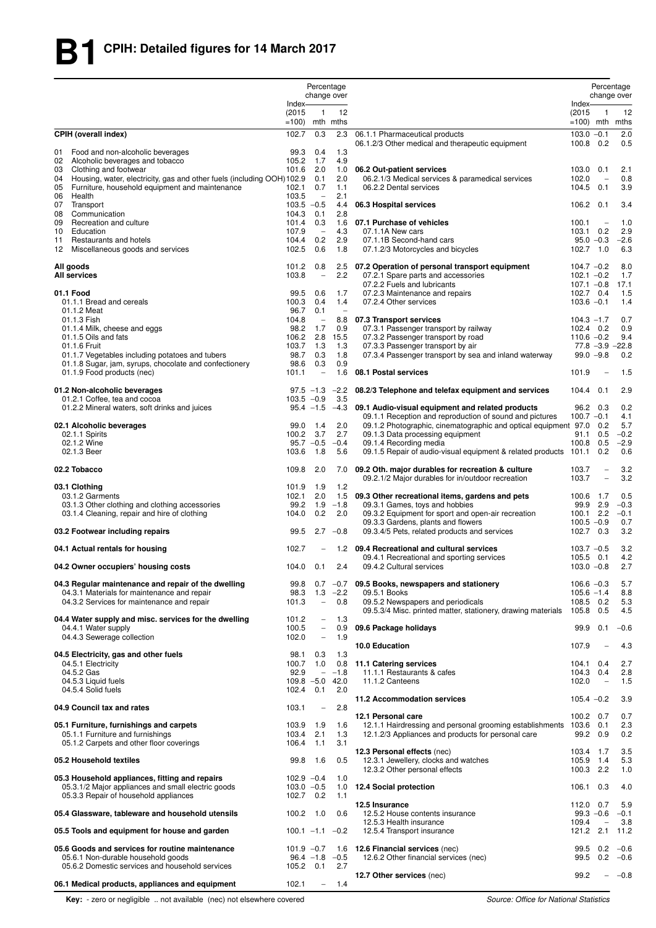|          |                                                                                             |                            | Percentage<br>change over                            |                          |                                                                                                                              |                                  |                                                      | Percentage<br>change over |
|----------|---------------------------------------------------------------------------------------------|----------------------------|------------------------------------------------------|--------------------------|------------------------------------------------------------------------------------------------------------------------------|----------------------------------|------------------------------------------------------|---------------------------|
|          |                                                                                             | Index-<br>(2015)<br>$=100$ | $\mathbf{1}$                                         | 12<br>mth mths           |                                                                                                                              | Index-<br>(2015)<br>$=100$ ) mth | $\mathbf{1}$                                         | 12<br>mths                |
| 01       | <b>CPIH (overall index)</b><br>Food and non-alcoholic beverages                             | 102.7<br>99.3              | 0.3<br>0.4                                           | 2.3<br>1.3               | 06.1.1 Pharmaceutical products<br>06.1.2/3 Other medical and therapeutic equipment                                           | $103.0 - 0.1$<br>100.8 0.2       |                                                      | 2.0<br>0.5                |
| 02<br>03 | Alcoholic beverages and tobacco<br>Clothing and footwear                                    | 105.2<br>101.6             | 1.7<br>2.0                                           | 4.9<br>1.0               | 06.2 Out-patient services                                                                                                    | 103.0                            | 0.1                                                  | 2.1                       |
|          | 04 Housing, water, electricity, gas and other fuels (including OOH) 102.9                   |                            | 0.1                                                  | 2.0                      | 06.2.1/3 Medical services & paramedical services                                                                             | 102.0                            | $\hspace{1.0cm} - \hspace{1.0cm}$                    | 0.8                       |
| 05       | Furniture, household equipment and maintenance                                              | 102.1                      | 0.7                                                  | 1.1                      | 06.2.2 Dental services                                                                                                       | 104.5                            | 0.1                                                  | 3.9                       |
| 06<br>07 | Health<br>Transport                                                                         | 103.5<br>$103.5 - 0.5$     | $\overline{\phantom{0}}$                             | 2.1<br>4.4               | 06.3 Hospital services                                                                                                       | 106.2                            | 0.1                                                  | 3.4                       |
| 08       | Communication                                                                               | 104.3                      | 0.1                                                  | 2.8                      |                                                                                                                              |                                  |                                                      |                           |
| 09       | Recreation and culture                                                                      | 101.4                      | 0.3                                                  | 1.6                      | 07.1 Purchase of vehicles                                                                                                    | 100.1                            | $\hspace{1.0cm} - \hspace{1.0cm}$                    | 1.0                       |
| 10<br>11 | Education<br>Restaurants and hotels                                                         | 107.9<br>104.4             | $\overline{\phantom{a}}$<br>0.2                      | 4.3<br>2.9               | 07.1.1A New cars<br>07.1.1B Second-hand cars                                                                                 | 103.1<br>$95.0 - 0.3$            | 0.2                                                  | 2.9<br>$-2.6$             |
| 12       | Miscellaneous goods and services                                                            | 102.5                      | 0.6                                                  | 1.8                      | 07.1.2/3 Motorcycles and bicycles                                                                                            | 102.7 1.0                        |                                                      | 6.3                       |
|          | All goods                                                                                   | 101.2                      | 0.8                                                  | 2.5                      | 07.2 Operation of personal transport equipment                                                                               | $104.7 - 0.2$                    |                                                      | 8.0                       |
|          | <b>All services</b>                                                                         | 103.8                      | $\overline{\phantom{0}}$                             | 2.2                      | 07.2.1 Spare parts and accessories                                                                                           | $102.1 - 0.2$                    |                                                      | 1.7                       |
|          |                                                                                             |                            |                                                      |                          | 07.2.2 Fuels and lubricants                                                                                                  | $107.1 - 0.8$                    |                                                      | 17.1                      |
|          | 01.1 Food<br>01.1.1 Bread and cereals                                                       | 99.5<br>100.3              | 0.6<br>0.4                                           | 1.7<br>1.4               | 07.2.3 Maintenance and repairs<br>07.2.4 Other services                                                                      | 102.7 0.4<br>$103.6 - 0.1$       |                                                      | 1.5<br>1.4                |
|          | 01.1.2 Meat                                                                                 | 96.7                       | 0.1                                                  | $\overline{\phantom{a}}$ |                                                                                                                              |                                  |                                                      |                           |
|          | 01.1.3 Fish                                                                                 | 104.8                      | $\overline{\phantom{a}}$                             | 8.8                      | 07.3 Transport services                                                                                                      | $104.3 - 1.7$                    |                                                      | 0.7                       |
|          | 01.1.4 Milk, cheese and eggs<br>01.1.5 Oils and fats                                        | 98.2<br>106.2              | 1.7<br>2.8                                           | 0.9<br>15.5              | 07.3.1 Passenger transport by railway<br>07.3.2 Passenger transport by road                                                  | 102.4 0.2<br>$110.6 - 0.2$       |                                                      | 0.9<br>9.4                |
|          | 01.1.6 Fruit                                                                                | 103.7                      | 1.3                                                  | 1.3                      | 07.3.3 Passenger transport by air                                                                                            |                                  |                                                      | $77.8 - 3.9 - 22.8$       |
|          | 01.1.7 Vegetables including potatoes and tubers                                             | 98.7                       | 0.3                                                  | 1.8                      | 07.3.4 Passenger transport by sea and inland waterway                                                                        | $99.0 - 9.8$                     |                                                      | 0.2                       |
|          | 01.1.8 Sugar, jam, syrups, chocolate and confectionery                                      | 98.6<br>101.1              | 0.3<br>$\hspace{1.0cm} - \hspace{1.0cm}$             | 0.9<br>1.6               | 08.1 Postal services                                                                                                         | 101.9                            |                                                      | 1.5                       |
|          | 01.1.9 Food products (nec)                                                                  |                            |                                                      |                          |                                                                                                                              |                                  |                                                      |                           |
|          | 01.2 Non-alcoholic beverages<br>01.2.1 Coffee, tea and cocoa                                | $103.5 - 0.9$              | $97.5 - 1.3$                                         | $-2.2$<br>3.5            | 08.2/3 Telephone and telefax equipment and services                                                                          | 104.4                            | 0.1                                                  | 2.9                       |
|          | 01.2.2 Mineral waters, soft drinks and juices                                               |                            |                                                      |                          | $95.4 -1.5 -4.3$ 09.1 Audio-visual equipment and related products<br>09.1.1 Reception and reproduction of sound and pictures | 96.2 0.3<br>$100.7 - 0.1$        |                                                      | 0.2<br>4.1                |
|          | 02.1 Alcoholic beverages                                                                    | 99.0                       | 1.4                                                  | 2.0                      | 09.1.2 Photographic, cinematographic and optical equipment 97.0 0.2                                                          |                                  |                                                      | 5.7                       |
|          | 02.1.1 Spirits                                                                              | 100.2 3.7                  |                                                      | 2.7                      | 09.1.3 Data processing equipment                                                                                             | 91.1                             | 0.5                                                  | $-0.2$                    |
|          | 02.1.2 Wine<br>02.1.3 Beer                                                                  | 103.6                      | $95.7 -0.5$<br>1.8                                   | $-0.4$<br>5.6            | 09.1.4 Recording media<br>09.1.5 Repair of audio-visual equipment & related products 101.1                                   | 100.8                            | 0.5<br>0.2                                           | $-2.9$<br>0.6             |
|          |                                                                                             |                            |                                                      |                          |                                                                                                                              |                                  |                                                      |                           |
|          | 02.2 Tobacco                                                                                | 109.8                      | 2.0                                                  | 7.0                      | 09.2 Oth. major durables for recreation & culture<br>09.2.1/2 Major durables for in/outdoor recreation                       | 103.7<br>103.7                   | $\overline{\phantom{0}}$<br>$\overline{\phantom{0}}$ | 3.2<br>3.2                |
|          | 03.1 Clothing<br>03.1.2 Garments                                                            | 101.9<br>102.1             | 1.9<br>2.0                                           | 1.2<br>1.5               | 09.3 Other recreational items, gardens and pets                                                                              | 100.6 1.7                        |                                                      | 0.5                       |
|          | 03.1.3 Other clothing and clothing accessories                                              | 99.2                       | 1.9                                                  | $-1.8$                   | 09.3.1 Games, toys and hobbies                                                                                               | 99.9 2.9                         |                                                      | $-0.3$                    |
|          | 03.1.4 Cleaning, repair and hire of clothing                                                | 104.0                      | 0.2                                                  | 2.0                      | 09.3.2 Equipment for sport and open-air recreation                                                                           | $100.1$ 2.2<br>$100.5 -0.9$      |                                                      | $-0.1$                    |
|          | 03.2 Footwear including repairs                                                             | 99.5                       | 2.7                                                  | $-0.8$                   | 09.3.3 Gardens, plants and flowers<br>09.3.4/5 Pets, related products and services                                           | 102.7 0.3                        |                                                      | 0.7<br>3.2                |
|          | 04.1 Actual rentals for housing                                                             | 102.7                      |                                                      |                          | 1.2 09.4 Recreational and cultural services                                                                                  | $103.7 - 0.5$                    |                                                      | 3.2                       |
|          | 04.2 Owner occupiers' housing costs                                                         | $104.0$ 0.1                |                                                      | 2.4                      | 09.4.1 Recreational and sporting services<br>09.4.2 Cultural services                                                        | 105.5 0.1<br>$103.0 - 0.8$       |                                                      | 4.2<br>2.7                |
|          | 04.3 Regular maintenance and repair of the dwelling                                         | 99.8                       |                                                      |                          | $0.7 -0.7$ 09.5 Books, newspapers and stationery                                                                             | $106.6 - 0.3$                    |                                                      | 5.7                       |
|          | 04.3.1 Materials for maintenance and repair                                                 | 98.3                       |                                                      | $1.3 -2.2$               | 09.5.1 Books                                                                                                                 | $105.6 - 1.4$                    |                                                      | 8.8                       |
|          | 04.3.2 Services for maintenance and repair                                                  | 101.3                      | $\overline{\phantom{a}}$                             | 0.8                      | 09.5.2 Newspapers and periodicals<br>09.5.3/4 Misc. printed matter, stationery, drawing materials                            | 108.5 0.2                        |                                                      | 5.3<br>4.5                |
|          | 04.4 Water supply and misc. services for the dwelling                                       | 101.2                      | $\qquad \qquad -$                                    | 1.3                      |                                                                                                                              | 105.8 0.5                        |                                                      |                           |
|          | 04.4.1 Water supply<br>04.4.3 Sewerage collection                                           | 100.5<br>102.0             | $\overline{\phantom{a}}$<br>$\overline{\phantom{0}}$ | 0.9<br>1.9               | 09.6 Package holidays                                                                                                        | 99.9                             | 0.1                                                  | $-0.6$                    |
|          |                                                                                             |                            |                                                      |                          | 10.0 Education                                                                                                               | 107.9                            |                                                      | 4.3                       |
|          | 04.5 Electricity, gas and other fuels<br>04.5.1 Electricity                                 | 98.1<br>100.7              | 0.3<br>1.0                                           | 1.3<br>0.8               | 11.1 Catering services                                                                                                       | 104.1 0.4                        |                                                      | 2.7                       |
|          | 04.5.2 Gas                                                                                  | 92.9                       | $ \,$                                                | $-1.8$                   | 11.1.1 Restaurants & cafes                                                                                                   | 104.3                            | 0.4                                                  | 2.8                       |
|          | 04.5.3 Liquid fuels                                                                         | $109.8 - 5.0$              |                                                      | 42.0                     | 11.1.2 Canteens                                                                                                              | 102.0                            | $\overline{\phantom{a}}$                             | 1.5                       |
|          | 04.5.4 Solid fuels                                                                          | 102.4                      | 0.1                                                  | 2.0                      | 11.2 Accommodation services                                                                                                  | $105.4 -0.2$                     |                                                      | 3.9                       |
|          | 04.9 Council tax and rates                                                                  | 103.1                      | $\qquad \qquad -$                                    | 2.8                      | 12.1 Personal care                                                                                                           | 100.2 0.7                        |                                                      | 0.7                       |
|          | 05.1 Furniture, furnishings and carpets                                                     | 103.9                      | 1.9                                                  | 1.6                      | 12.1.1 Hairdressing and personal grooming establishments 103.6                                                               |                                  | 0.1                                                  | 2.3                       |
|          | 05.1.1 Furniture and furnishings                                                            | 103.4                      | 2.1                                                  | 1.3                      | 12.1.2/3 Appliances and products for personal care                                                                           | 99.2                             | 0.9                                                  | 0.2                       |
|          | 05.1.2 Carpets and other floor coverings                                                    | 106.4                      | 1.1                                                  | 3.1                      | 12.3 Personal effects (nec)                                                                                                  | 103.4 1.7                        |                                                      | 3.5                       |
|          | 05.2 Household textiles                                                                     | 99.8                       | 1.6                                                  | 0.5                      | 12.3.1 Jewellery, clocks and watches<br>12.3.2 Other personal effects                                                        | 105.9<br>100.3 2.2               | 1.4                                                  | 5.3<br>1.0                |
|          | 05.3 Household appliances, fitting and repairs                                              | $102.9 -0.4$               |                                                      | 1.0                      |                                                                                                                              |                                  |                                                      |                           |
|          | 05.3.1/2 Major appliances and small electric goods<br>05.3.3 Repair of household appliances | $103.0 -0.5$<br>102.7 0.2  |                                                      | 1.1                      | 1.0 12.4 Social protection                                                                                                   | 106.1                            | 0.3                                                  | 4.0                       |
|          |                                                                                             |                            |                                                      |                          | 12.5 Insurance                                                                                                               | 112.0 0.7                        |                                                      | 5.9                       |
|          | 05.4 Glassware, tableware and household utensils                                            | $100.2$ 1.0                |                                                      | 0.6                      | 12.5.2 House contents insurance<br>12.5.3 Health insurance                                                                   | $99.3 - 0.6$<br>109.4            | $\overline{\phantom{0}}$                             | $-0.1$<br>3.8             |
|          | 05.5 Tools and equipment for house and garden                                               | $100.1 - 1.1$              |                                                      | $-0.2$                   | 12.5.4 Transport insurance                                                                                                   | 121.2 2.1                        |                                                      | 11.2                      |
|          | 05.6 Goods and services for routine maintenance                                             | $101.9 - 0.7$              |                                                      |                          | 1.6 12.6 Financial services (nec)                                                                                            |                                  | 99.5 0.2                                             | $-0.6$                    |
|          | 05.6.1 Non-durable household goods<br>05.6.2 Domestic services and household services       | $105.2$ 0.1                | $96.4 -1.8 -0.5$                                     | 2.7                      | 12.6.2 Other financial services (nec)                                                                                        |                                  | 99.5 0.2                                             | $-0.6$                    |
|          |                                                                                             | 102.1                      | $\overline{\phantom{0}}$                             |                          | 12.7 Other services (nec)                                                                                                    | 99.2                             |                                                      | $-$ -0.8                  |
|          | 06.1 Medical products, appliances and equipment                                             |                            |                                                      | 1.4                      |                                                                                                                              |                                  |                                                      |                           |

**Key:** - zero or negligible .. not available (nec) not elsewhere covered *Source: Office for National Statistics*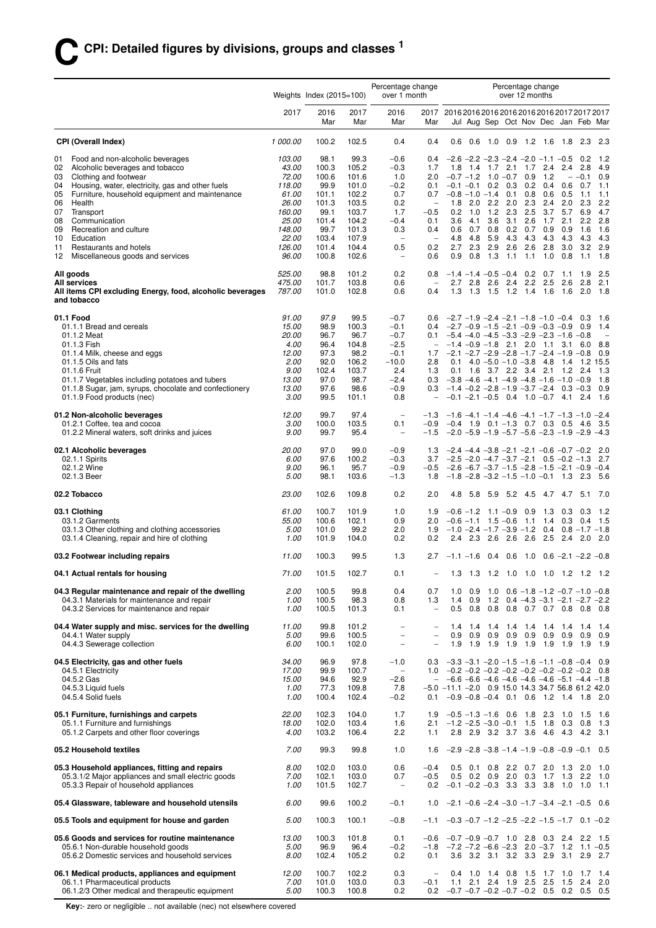|                                                                                                    |                  | Weights Index $(2015=100)$ |                | Percentage change<br>over 1 month                    |                                                      |                                                                                                                        |            |                  |            | over 12 months       | Percentage change                                                             |            |                   |                                 |
|----------------------------------------------------------------------------------------------------|------------------|----------------------------|----------------|------------------------------------------------------|------------------------------------------------------|------------------------------------------------------------------------------------------------------------------------|------------|------------------|------------|----------------------|-------------------------------------------------------------------------------|------------|-------------------|---------------------------------|
|                                                                                                    | 2017             | 2016<br>Mar                | 2017<br>Mar    | 2016<br>Mar                                          | 2017<br>Mar                                          | 2016 2016 2016 2016 2016 2016 2017 2017 2017<br>Jul Aug Sep Oct Nov Dec Jan Feb Mar                                    |            |                  |            |                      |                                                                               |            |                   |                                 |
| <b>CPI (Overall Index)</b>                                                                         | 1 000.00         | 100.2                      | 102.5          | 0.4                                                  | 0.4                                                  | 0.6                                                                                                                    | 0.6        |                  |            | 1.0 0.9 1.2 1.6      |                                                                               | 1.8        | 2.3               | - 2.3                           |
| Food and non-alcoholic beverages<br>01                                                             | 103.00           | 98.1                       | 99.3           | $-0.6$                                               | 0.4                                                  | $-2.6$ $-2.2$ $-2.3$ $-2.4$ $-2.0$ $-1.1$ $-0.5$                                                                       |            |                  |            |                      |                                                                               |            | 0.2               | 1.2                             |
| Alcoholic beverages and tobacco<br>02<br>Clothing and footwear<br>03                               | 43.00<br>72.00   | 100.3<br>100.6             | 105.2<br>101.6 | $-0.3$<br>1.0                                        | 1.7<br>2.0                                           | 1.8<br>$-0.7 -1.2$ 1.0 $-0.7$ 0.9                                                                                      |            | 1.4 1.7 2.1      |            | 1.7                  | 2.4<br>1.2                                                                    | 2.4        | 2.8<br>$- -0.1$   | 4.9<br>0.9                      |
| Housing, water, electricity, gas and other fuels<br>04                                             | 118.00           | 99.9                       | 101.0          | $-0.2$                                               | 0.1                                                  | $-0.1$ $-0.1$ 0.2 0.3                                                                                                  |            |                  |            | 0.2                  | 0.4                                                                           | 0.6        | 0.7               | 1.1                             |
| Furniture, household equipment and maintenance<br>05                                               | 61.00            | 101.1                      | 102.2          | 0.7                                                  | 0.7                                                  | $-0.8$ $-1.0$ $-1.4$ 0.1                                                                                               |            |                  |            | 0.8                  | 0.6                                                                           | 0.5        | 1.1               | 1.1                             |
| 06<br>Health<br>07<br>Transport                                                                    | 26.00<br>160.00  | 101.3<br>99.1              | 103.5<br>103.7 | 0.2<br>1.7                                           | $\overline{\phantom{a}}$<br>$-0.5$                   | 1.8 2.0 2.2 2.0 2.3<br>0.2                                                                                             | 1.0        | 1.2              |            | 2.3 2.5              | 2.4<br>3.7                                                                    | 2.0<br>5.7 | 2.3<br>6.9        | 2.2<br>4.7                      |
| Communication<br>08                                                                                | 25.00            | 101.4                      | 104.2          | $-0.4$                                               | 0.1                                                  | 3.6                                                                                                                    | 4.1        | 3.6              | 3.1        | 2.6                  | 1.7                                                                           | 2.1        | 2.2               | 2.8                             |
| 09<br>Recreation and culture                                                                       | 148.00           | 99.7                       | 101.3          | 0.3                                                  | 0.4                                                  | 0.6                                                                                                                    |            | $0.7\quad 0.8$   |            | $0.2$ 0.7 0.9        |                                                                               | 0.9        | 1.6               | 1.6                             |
| 10<br>Education<br>11<br>Restaurants and hotels                                                    | 22.00<br>126.00  | 103.4<br>101.4             | 107.9<br>104.4 | $\overline{\phantom{0}}$<br>0.5                      | $\equiv$<br>0.2                                      | 4.8<br>2.7                                                                                                             | 4.8        | 5.9<br>$2.3$ 2.9 | 4.3<br>2.6 | 4.3<br>2.6           | 4.3<br>2.8                                                                    | 4.3<br>3.0 | 4.3<br>3.2        | 4.3<br>2.9                      |
| Miscellaneous goods and services<br>12                                                             | 96.00            | 100.8                      | 102.6          | $\overline{\phantom{a}}$                             | 0.6                                                  | 0.9                                                                                                                    |            |                  |            | 0.8 1.3 1.1 1.1 1.0  |                                                                               | 0.8        | 1.1               | 1.8                             |
| All goods<br><b>All services</b>                                                                   | 525.00<br>475.00 | 98.8<br>101.7              | 101.2<br>103.8 | 0.2<br>0.6                                           | 0.8<br>$\overline{\phantom{a}}$                      | $-1.4$ $-1.4$ $-0.5$ $-0.4$ 0.2 0.7<br>2.7                                                                             | 2.8        | 2.6              | 2.4        |                      | $2.2$ 2.5                                                                     | 1.1<br>2.6 | 1.9<br>2.8        | 2.5<br>2.1                      |
| All items CPI excluding Energy, food, alcoholic beverages<br>and tobacco                           | 787.00           | 101.0                      | 102.8          | 0.6                                                  | 0.4                                                  | 1.3                                                                                                                    | 1.3        | - 1.5            |            | $1.2$ 1.4            | 1.6                                                                           | 1.6        | 2.0               | 1.8                             |
| 01.1 Food                                                                                          | 91.00            | 97.9                       | 99.5           | $-0.7$                                               | 0.6                                                  | $-2.7$ $-1.9$ $-2.4$ $-2.1$ $-1.8$ $-1.0$ $-0.4$ 0.3                                                                   |            |                  |            |                      |                                                                               |            |                   | 1.6                             |
| 01.1.1 Bread and cereals<br>01.1.2 Meat                                                            | 15.00<br>20.00   | 98.9<br>96.7               | 100.3<br>96.7  | $-0.1$<br>$-0.7$                                     | 0.4                                                  | $-2.7$ $-0.9$ $-1.5$ $-2.1$ $-0.9$ $-0.3$ $-0.9$<br>0.1 $-5.4$ $-4.0$ $-4.5$ $-3.3$ $-2.9$ $-2.3$ $-1.6$ $-0.8$        |            |                  |            |                      |                                                                               |            | 0.9               | 1.4<br>$\overline{\phantom{a}}$ |
| 01.1.3 Fish                                                                                        | 4.00             | 96.4                       | 104.8          | $-2.5$                                               | $\overline{\phantom{m}}$                             | $-1.4 - 0.9 - 1.8$ 2.1 2.0 1.1 3.1 6.0                                                                                 |            |                  |            |                      |                                                                               |            |                   | 8.8                             |
| 01.1.4 Milk, cheese and eggs                                                                       | 12.00            | 97.3                       | 98.2           | $-0.1$                                               | 1.7                                                  | $-2.1$ $-2.7$ $-2.9$ $-2.8$ $-1.7$ $-2.4$ $-1.9$ $-0.8$ 0.9                                                            |            |                  |            |                      |                                                                               |            |                   |                                 |
| 01.1.5 Oils and fats<br>01.1.6 Fruit                                                               | 2.00<br>9.00     | 92.0<br>102.4              | 106.2<br>103.7 | $-10.0$<br>2.4                                       | 2.8<br>1.3                                           | $0.1$ 4.0 -5.0 -1.0 -3.8 4.8 1.4 1.2 15.5<br>0.1 1.6 3.7 2.2 3.4 2.1 1.2 2.4                                           |            |                  |            |                      |                                                                               |            |                   | - 1.3                           |
| 01.1.7 Vegetables including potatoes and tubers                                                    | 13.00            | 97.0                       | 98.7           | $-2.4$                                               |                                                      | $0.3 -3.8 -4.6 -4.1 -4.9 -4.8 -1.6 -1.0 -0.9$                                                                          |            |                  |            |                      |                                                                               |            |                   | 1.8                             |
| 01.1.8 Sugar, jam, syrups, chocolate and confectionery<br>01.1.9 Food products (nec)               | 13.00<br>3.00    | 97.6<br>99.5               | 98.6<br>101.1  | $-0.9$<br>0.8                                        | 0.3                                                  | $-1.4$ $-0.2$ $-2.8$ $-1.9$ $-3.7$ $-2.4$ 0.3 $-0.3$ 0.9<br>$-0.1$ $-2.1$ $-0.5$ 0.4 1.0 $-0.7$ 4.1 2.4                |            |                  |            |                      |                                                                               |            |                   | 1.6                             |
| 01.2 Non-alcoholic beverages                                                                       | 12.00            | 99.7                       | 97.4           | $\overline{\phantom{m}}$                             | $-1.3$                                               | $-1.6$ $-4.1$ $-1.4$ $-4.6$ $-4.1$ $-1.7$ $-1.3$ $-1.0$ $-2.4$                                                         |            |                  |            |                      |                                                                               |            |                   |                                 |
| 01.2.1 Coffee, tea and cocoa<br>01.2.2 Mineral waters, soft drinks and juices                      | 3.00<br>9.00     | 100.0<br>99.7              | 103.5<br>95.4  | 0.1<br>$\overline{\phantom{a}}$                      | $-0.9$<br>$-1.5$                                     | $-0.4$ 1.9 0.1 $-1.3$ 0.7 0.3 0.5 4.6<br>$-2.0$ $-5.9$ $-1.9$ $-5.7$ $-5.6$ $-2.3$ $-1.9$ $-2.9$ $-4.3$                |            |                  |            |                      |                                                                               |            |                   | - 3.5                           |
| 02.1 Alcoholic beverages                                                                           | 20.00            | 97.0                       | 99.0           | $-0.9$                                               | 1.3                                                  | $-2.4$ $-4.4$ $-3.8$ $-2.1$ $-2.1$ $-0.6$ $-0.7$ $-0.2$                                                                |            |                  |            |                      |                                                                               |            |                   | - 2.0<br>2.7                    |
| 02.1.1 Spirits<br>02.1.2 Wine                                                                      | 6.00<br>9.00     | 97.6<br>96.1               | 100.2<br>95.7  | $-0.3$<br>$-0.9$                                     | 3.7<br>$-0.5$                                        | $-2.5$ $-2.0$ $-4.7$ $-3.7$ $-2.1$ 0.5 $-0.2$ $-1.3$<br>$-2.6$ $-6.7$ $-3.7$ $-1.5$ $-2.8$ $-1.5$ $-2.1$ $-0.9$ $-0.4$ |            |                  |            |                      |                                                                               |            |                   |                                 |
| 02.1.3 Beer                                                                                        | 5.00             | 98.1                       | 103.6          | $-1.3$                                               | 1.8                                                  | $-1.8$ $-2.8$ $-3.2$ $-1.5$ $-1.0$ $-0.1$ 1.3 2.3                                                                      |            |                  |            |                      |                                                                               |            |                   | - 5.6                           |
| 02.2 Tobacco                                                                                       | 23.00            | 102.6                      | 109.8          | 0.2                                                  | 2.0                                                  | 4.8 5.8 5.9 5.2 4.5 4.7 4.7 5.1 7.0                                                                                    |            |                  |            |                      |                                                                               |            |                   |                                 |
| 03.1 Clothing<br>03.1.2 Garments                                                                   | 61.00<br>55.00   | 100.7<br>100.6             | 101.9<br>102.1 | 1.0<br>0.9                                           | 1.9<br>2.0                                           | $-0.6 - 1.2$ 1.1 $-0.9$ 0.9<br>$-0.6$ $-1.1$ 1.5 $-0.6$ 1.1                                                            |            |                  |            |                      | 1.3<br>1.4 0.3 0.4                                                            |            | $0.3\quad 0.3$    | 1.2<br>1.5                      |
| 03.1.3 Other clothing and clothing accessories                                                     | 5.00             | 101.0                      | 99.2           | 2.0                                                  | 1.9                                                  | $-1.0$ $-2.4$ $-1.7$ $-3.9$ $-1.2$                                                                                     |            |                  |            |                      | 0.4                                                                           |            | $0.8 - 1.7 - 1.8$ |                                 |
| 03.1.4 Cleaning, repair and hire of clothing                                                       | 1.00             | 101.9                      | 104.0          | 0.2                                                  | 0.2                                                  | 2.4 2.3 2.6 2.6 2.6                                                                                                    |            |                  |            |                      | 2.5                                                                           |            | $2.4$ 2.0         | 2.0                             |
| 03.2 Footwear including repairs                                                                    | 11.00            | 100.3                      | 99.5           | 1.3                                                  |                                                      | $2.7$ $-1.1$ $-1.6$ 0.4 0.6 1.0 0.6 $-2.1$ $-2.2$ $-0.8$                                                               |            |                  |            |                      |                                                                               |            |                   |                                 |
| 04.1 Actual rentals for housing                                                                    | 71.00            | 101.5                      | 102.7          | 0.1                                                  |                                                      | - 1.3 1.3 1.2 1.0 1.0 1.0 1.2 1.2 1.2                                                                                  |            |                  |            |                      |                                                                               |            |                   |                                 |
| 04.3 Regular maintenance and repair of the dwelling<br>04.3.1 Materials for maintenance and repair | 2.00<br>1.00     | 100.5<br>100.5             | 99.8<br>98.3   | 0.4<br>0.8                                           | 0.7<br>1.3                                           | 1.0<br>1.4                                                                                                             | 0.9<br>0.9 |                  |            |                      | 1.0 $0.6 - 1.8 - 1.2 - 0.7 - 1.0 - 0.8$<br>1.2 $0.4 -4.3 -3.1 -2.1 -2.7 -2.2$ |            |                   |                                 |
| 04.3.2 Services for maintenance and repair                                                         | 1.00             | 100.5                      | 101.3          | 0.1                                                  | $\overline{\phantom{0}}$                             | 0.5                                                                                                                    | 0.8        | 0.8              |            |                      | 0.8 0.7 0.7 0.8 0.8 0.8                                                       |            |                   |                                 |
| 04.4 Water supply and misc. services for the dwelling                                              | 11.00            | 99.8                       | 101.2          | -                                                    |                                                      | 1.4 1.4 1.4 1.4 1.4 1.4 1.4 1.4                                                                                        |            |                  |            |                      |                                                                               |            |                   | 1.4                             |
| 04.4.1 Water supply<br>04.4.3 Sewerage collection                                                  | 5.00<br>6.00     | 99.6<br>100.1              | 100.5<br>102.0 | $\overline{\phantom{0}}$<br>$\overline{\phantom{0}}$ | $\overline{\phantom{0}}$<br>$\overline{\phantom{0}}$ | 0.9<br>1.9                                                                                                             | 0.9<br>1.9 | 0.9<br>1.9       |            | $0.9$ 0.9<br>1.9 1.9 | $0.9\quad 0.9$<br>1.9                                                         | 1.9        | 0.9<br>1.9        | 0.9<br>1.9                      |
| 04.5 Electricity, gas and other fuels                                                              | 34.00            | 96.9                       | 97.8           | $-1.0$                                               | 0.3                                                  | $-3.3$ $-3.1$ $-2.0$ $-1.5$ $-1.6$ $-1.1$ $-0.8$ $-0.4$                                                                |            |                  |            |                      |                                                                               |            |                   | 0.9                             |
| 04.5.1 Electricity                                                                                 | 17.00            | 99.9                       | 100.7          | $\overline{\phantom{m}}$                             |                                                      | 1.0 $-0.2$ $-0.2$ $-0.2$ $-0.2$ $-0.2$ $-0.2$ $-0.2$ $-0.2$ 0.8                                                        |            |                  |            |                      |                                                                               |            |                   |                                 |
| 04.5.2 Gas<br>04.5.3 Liquid fuels                                                                  | 15.00<br>1.00    | 94.6<br>77.3               | 92.9<br>109.8  | $-2.6$<br>7.8                                        |                                                      | $-$ -6.6 -6.6 -4.6 -4.6 -4.6 -4.6 -5.1 -4.4 -1.8<br>-5.0 -11.1 -2.0 0.9 15.0 14.3 34.7 56.8 61.2 42.0                  |            |                  |            |                      |                                                                               |            |                   |                                 |
| 04.5.4 Solid fuels                                                                                 | 1.00             | 100.4                      | 102.4          | $-0.2$                                               | 0.1                                                  | $-0.9 - 0.8 - 0.4$ 0.1 0.6 1.2 1.4 1.8 2.0                                                                             |            |                  |            |                      |                                                                               |            |                   |                                 |
| 05.1 Furniture, furnishings and carpets                                                            | 22.00            | 102.3                      | 104.0          | 1.7                                                  | 1.9                                                  | $-0.5$ $-1.3$ $-1.6$ 0.6 1.8 2.3                                                                                       |            |                  |            |                      |                                                                               | 1.0        | 1.5               | 1.6                             |
| 05.1.1 Furniture and furnishings<br>05.1.2 Carpets and other floor coverings                       | 18.00<br>4.00    | 102.0<br>103.2             | 103.4<br>106.4 | 1.6<br>2.2                                           | 2.1<br>1.1                                           | $-1.2$ $-2.5$ $-3.0$ $-0.1$ 1.5<br>2.8 2.9 3.2 3.7 3.6 4.6 4.3 4.2                                                     |            |                  |            |                      | 1.8                                                                           |            | $0.3 \quad 0.8$   | 1.3<br>3.1                      |
| 05.2 Household textiles                                                                            | 7.00             | 99.3                       | 99.8           | 1.0                                                  | 1.6                                                  | $-2.9$ $-2.8$ $-3.8$ $-1.4$ $-1.9$ $-0.8$ $-0.9$ $-0.1$                                                                |            |                  |            |                      |                                                                               |            |                   | 0.5                             |
| 05.3 Household appliances, fitting and repairs                                                     | 8.00             | 102.0                      | 103.0          | 0.6                                                  | $-0.4$                                               | 0.5 0.1 0.8 2.2 0.7 2.0 1.3 2.0                                                                                        |            |                  |            |                      |                                                                               |            |                   | 1.0                             |
| 05.3.1/2 Major appliances and small electric goods<br>05.3.3 Repair of household appliances        | 7.00<br>1.00     | 102.1<br>101.5             | 103.0<br>102.7 | 0.7<br>$\overline{\phantom{a}}$                      | $-0.5$<br>0.2                                        | $0.5$ 0.2 0.9<br>$-0.1$ $-0.2$ $-0.3$ 3.3 3.3 3.8 1.0 1.0                                                              |            |                  |            | $2.0\quad 0.3$       | 1.7                                                                           |            | $1.3$ 2.2         | 1.0<br>1.1                      |
| 05.4 Glassware, tableware and household utensils                                                   | 6.00             | 99.6                       | 100.2          | $-0.1$                                               | 1.0                                                  | $-2.1$ $-0.6$ $-2.4$ $-3.0$ $-1.7$ $-3.4$ $-2.1$ $-0.5$ 0.6                                                            |            |                  |            |                      |                                                                               |            |                   |                                 |
| 05.5 Tools and equipment for house and garden                                                      | 5.00             | 100.3                      | 100.1          | $-0.8$                                               | $-1.1$                                               | $-0.3$ $-0.7$ $-1.2$ $-2.5$ $-2.2$ $-1.5$ $-1.7$ 0.1 $-0.2$                                                            |            |                  |            |                      |                                                                               |            |                   |                                 |
| 05.6 Goods and services for routine maintenance                                                    | 13.00            | 100.3                      | 101.8          | 0.1                                                  | $-0.6$                                               | $-0.7$ $-0.9$ $-0.7$ 1.0 2.8 0.3 2.4 2.2                                                                               |            |                  |            |                      |                                                                               |            |                   | 1.5                             |
| 05.6.1 Non-durable household goods<br>05.6.2 Domestic services and household services              | 5.00<br>8.00     | 96.9<br>102.4              | 96.4<br>105.2  | $-0.2$<br>0.2                                        | $-1.8$<br>0.1                                        | $-7.2$ $-7.2$ $-6.6$ $-2.3$ 2.0 $-3.7$ 1.2 1.1 $-0.5$<br>3.6                                                           |            | $3.2$ $3.1$      |            | 3.2 3.3 2.9          |                                                                               |            | $3.1$ 2.9         | 2.7                             |
| 06.1 Medical products, appliances and equipment                                                    | 12.00            | 100.7                      | 102.2          | 0.3                                                  | $\overline{\phantom{a}}$                             | 0.4 1.0 1.4 0.8 1.5 1.7 1.0                                                                                            |            |                  |            |                      |                                                                               |            | 1.7               | 1.4                             |
| 06.1.1 Pharmaceutical products                                                                     | 7.00             | 101.0                      | 103.0          | 0.3                                                  | $-0.1$                                               | 1.1                                                                                                                    | 2.1        |                  |            | 2.4 1.9 2.5 2.5      |                                                                               | 1.5        |                   | $2.4$ 2.0                       |
| 06.1.2/3 Other medical and therapeutic equipment                                                   | 5.00             | 100.3                      | 100.8          | 0.2                                                  |                                                      | $0.2$ $-0.7$ $-0.7$ $-0.2$ $-0.7$ $-0.2$ 0.5 0.2 0.5 0.5                                                               |            |                  |            |                      |                                                                               |            |                   |                                 |

**Key:**- zero or negligible .. not available (nec) not elsewhere covered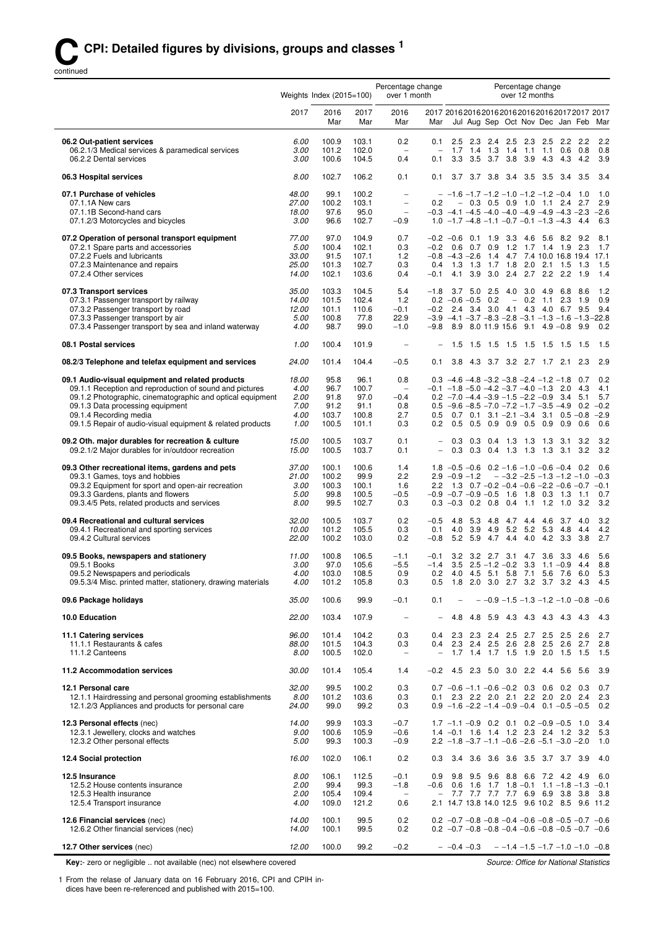continued

|                                                                                                   | Weights Index $(2015=100)$ |                |                | Percentage change<br>over 1 month                    |                          | Percentage change<br>over 12 months                                                                                 |  |  |  |  |  |
|---------------------------------------------------------------------------------------------------|----------------------------|----------------|----------------|------------------------------------------------------|--------------------------|---------------------------------------------------------------------------------------------------------------------|--|--|--|--|--|
|                                                                                                   | 2017                       | 2016<br>Mar    | 2017<br>Mar    | 2016<br>Mar                                          | Mar                      | 2017 2016 2016 2016 2016 2016 2016 2017 2017 2017<br>Jul Aug Sep Oct Nov Dec Jan Feb Mar                            |  |  |  |  |  |
| 06.2 Out-patient services<br>06.2.1/3 Medical services & paramedical services                     | 6.00<br>3.00               | 100.9<br>101.2 | 103.1<br>102.0 | 0.2<br>$\overline{\phantom{m}}$                      | 0.1<br>$\qquad \qquad -$ | 2.2<br>2.5 2.3 2.4 2.5 2.3 2.5 2.2 2.2<br>1.7 1.4 1.3 1.4 1.1 1.1 0.6 0.8<br>0.8                                    |  |  |  |  |  |
| 06.2.2 Dental services                                                                            | 3.00                       | 100.6          | 104.5          | 0.4                                                  | 0.1                      | 3.3 3.5 3.7 3.8 3.9 4.3 4.3 4.2<br>3.9                                                                              |  |  |  |  |  |
| 06.3 Hospital services                                                                            | 8.00                       | 102.7          | 106.2          | 0.1                                                  | 0.1                      | 3.7 3.7 3.8 3.4 3.5 3.5 3.4 3.5<br>3.4                                                                              |  |  |  |  |  |
| 07.1 Purchase of vehicles                                                                         | 48.00                      | 99.1           | 100.2          |                                                      |                          | $-$ -1.6 -1.7 -1.2 -1.0 -1.2 -1.2 -0.4 1.0<br>1.0                                                                   |  |  |  |  |  |
| 07.1.1A New cars<br>07.1.1B Second-hand cars                                                      | 27.00<br>18.00             | 100.2<br>97.6  | 103.1<br>95.0  | $\overline{\phantom{0}}$<br>$\overline{\phantom{0}}$ | 0.2                      | $-0.3$ 0.5 0.9 1.0 1.1 2.4 2.7<br>2.9<br>$-0.3$ $-4.1$ $-4.5$ $-4.0$ $-4.0$ $-4.9$ $-4.9$ $-4.3$ $-2.3$ $-2.6$      |  |  |  |  |  |
| 07.1.2/3 Motorcycles and bicycles                                                                 | 3.00                       | 96.6           | 102.7          | $-0.9$                                               |                          | $1.0 -1.7 -4.8 -1.1 -0.7 -0.1 -1.3 -4.3$ 4.4<br>6.3                                                                 |  |  |  |  |  |
| 07.2 Operation of personal transport equipment<br>07.2.1 Spare parts and accessories              | 77.00<br>5.00              | 97.0<br>100.4  | 104.9<br>102.1 | 0.7<br>0.3                                           | $-0.2$                   | $-0.2$ $-0.6$ 0.1 1.9<br>3.3 4.6<br>8.1<br>5.6 8.2 9.2<br>1.2<br>$0.6$ 0.7 0.9<br>1.7 1.4 1.9 2.3<br>1.7            |  |  |  |  |  |
| 07.2.2 Fuels and lubricants<br>07.2.3 Maintenance and repairs                                     | 33.00<br>25.00             | 91.5<br>101.3  | 107.1<br>102.7 | 1.2<br>0.3                                           | 0.4                      | $-0.8$ $-4.3$ $-2.6$ 1.4 4.7 7.4 10.0 16.8 19.4 17.1<br>1.3 1.3 1.7 1.8 2.0 2.1 1.5 1.3<br>1.5                      |  |  |  |  |  |
| 07.2.4 Other services                                                                             | 14.00                      | 102.1          | 103.6          | 0.4                                                  | $-0.1$                   | 2.4<br>2.7 2.2 2.2 1.9<br>4.1 3.9 3.0<br>1.4                                                                        |  |  |  |  |  |
| 07.3 Transport services<br>07.3.1 Passenger transport by railway                                  | 35.00<br>14.00             | 103.3<br>101.5 | 104.5<br>102.4 | 5.4<br>1.2                                           | $-1.8$                   | $3.7$ 5.0 2.5<br>4.0<br>$3.0$ 4.9<br>6.8 8.6<br>1.2<br>0.9<br>$0.2 -0.6 -0.5$ 0.2<br>$-0.2$ 1.1<br>$2.3$ 1.9        |  |  |  |  |  |
| 07.3.2 Passenger transport by road                                                                | 12.00                      | 101.1          | 110.6          | $-0.1$                                               |                          | $-0.2$ 2.4 3.4 3.0 4.1 4.3 4.0 6.7 9.5<br>9.4                                                                       |  |  |  |  |  |
| 07.3.3 Passenger transport by air<br>07.3.4 Passenger transport by sea and inland waterway        | 5.00<br>4.00               | 100.8<br>98.7  | 77.8<br>99.0   | 22.9<br>$-1.0$                                       | $-9.8$                   | $-3.9$ $-4.1$ $-3.7$ $-8.3$ $-2.8$ $-3.1$ $-1.3$ $-1.6$ $-1.3$ $-22.8$<br>8.9 8.0 11.9 15.6 9.1 4.9 -0.8 9.9<br>0.2 |  |  |  |  |  |
| 08.1 Postal services                                                                              | 1.00                       | 100.4          | 101.9          |                                                      |                          | $1.5$ 1.5<br>1.5 1.5 1.5 1.5<br>1.5<br>1.5<br>1.5                                                                   |  |  |  |  |  |
| 08.2/3 Telephone and telefax equipment and services                                               | 24.00                      | 101.4          | 104.4          | $-0.5$                                               | 0.1                      | 2.9<br>3.8 4.3 3.7 3.2 2.7 1.7 2.1 2.3                                                                              |  |  |  |  |  |
| 09.1 Audio-visual equipment and related products                                                  | 18.00                      | 95.8           | 96.1           | 0.8                                                  |                          | 0.2<br>$0.3 -4.6 -4.8 -3.2 -3.8 -2.4 -1.2 -1.8$ 0.7                                                                 |  |  |  |  |  |
| 09.1.1 Reception and reproduction of sound and pictures                                           | 4.00                       | 96.7           | 100.7          | $\overline{\phantom{a}}$                             |                          | $-0.1$ $-1.8$ $-5.0$ $-4.2$ $-3.7$ $-4.0$ $-1.3$ 2.0 4.3<br>4.1                                                     |  |  |  |  |  |
| 09.1.2 Photographic, cinematographic and optical equipment<br>09.1.3 Data processing equipment    | 2.00<br>7.00               | 91.8<br>91.2   | 97.0<br>91.1   | $-0.4$<br>0.8                                        |                          | $0.2 -7.0 -4.4 -3.9 -1.5 -2.2 -0.9$ 3.4 5.1<br>5.7<br>$0.5 -9.6 -8.5 -7.0 -7.2 -1.7 -3.5 -4.9$ 0.2 -0.2             |  |  |  |  |  |
| 09.1.4 Recording media<br>09.1.5 Repair of audio-visual equipment & related products              | 4.00<br>1.00               | 103.7<br>100.5 | 100.8<br>101.1 | 2.7<br>0.3                                           | 0.2                      | $0.5$ 0.7 0.1 3.1 -2.1 -3.4 3.1 0.5 -0.8<br>$-2.9$<br>0.5 0.5 0.9 0.9 0.5 0.9 0.9 0.6<br>0.6                        |  |  |  |  |  |
| 09.2 Oth. major durables for recreation & culture                                                 | 15.00                      | 100.5          | 103.7          | 0.1                                                  |                          | 0.3 0.3 0.4 1.3 1.3 1.3 3.1 3.2<br>3.2                                                                              |  |  |  |  |  |
| 09.2.1/2 Major durables for in/outdoor recreation                                                 | 15.00                      | 100.5          | 103.7          | 0.1                                                  | $\qquad \qquad -$        | 3.2<br>0.3<br>$0.3$ 0.4 1.3 1.3<br>1.3 3.1 3.2                                                                      |  |  |  |  |  |
| 09.3 Other recreational items, gardens and pets                                                   | 37.00<br>21.00             | 100.1<br>100.2 | 100.6<br>99.9  | 1.4<br>2.2                                           |                          | $1.8 - 0.5 - 0.6$ 0.2 $-1.6 - 1.0 - 0.6 - 0.4$ 0.2<br>0.6<br>$2.9 -0.9 -1.2$                                        |  |  |  |  |  |
| 09.3.1 Games, toys and hobbies<br>09.3.2 Equipment for sport and open-air recreation              | 3.00                       | 100.3          | 100.1          | 1.6                                                  | $2.2^{\circ}$            | $-$ -3.2 -2.5 -1.3 -1.2 -1.0 -0.3<br>1.3 0.7 -0.2 -0.4 -0.6 -2.2 -0.6 -0.7 -0.1                                     |  |  |  |  |  |
| 09.3.3 Gardens, plants and flowers<br>09.3.4/5 Pets, related products and services                | 5.00<br>8.00               | 99.8<br>99.5   | 100.5<br>102.7 | $-0.5$<br>0.3                                        |                          | $-0.9$ $-0.7$ $-0.9$ $-0.5$ 1.6 1.8 0.3 1.3 1.1<br>0.7<br>$0.3 -0.3$ 0.2 0.8<br>$0.4$ 1.1 1.2 1.0 3.2<br>3.2        |  |  |  |  |  |
| 09.4 Recreational and cultural services                                                           | 32.00                      | 100.5          | 103.7          | 0.2                                                  | $-0.5$                   | 4.8 5.3 4.8 4.7 4.4 4.6 3.7 4.0<br>3.2                                                                              |  |  |  |  |  |
| 09.4.1 Recreational and sporting services                                                         | 10.00                      | 101.2          | 105.5          | 0.3                                                  | 0.1                      | 4.0 3.9 4.9<br>$5.2$ $5.2$ $5.3$<br>4.8 4.4<br>4.2                                                                  |  |  |  |  |  |
| 09.4.2 Cultural services                                                                          | 22.00                      | 100.2          | 103.0          | 0.2                                                  | $-0.8$                   | 5.2 5.9 4.7 4.4<br>4.0 4.2 3.3 3.8<br>2.7                                                                           |  |  |  |  |  |
| 09.5 Books, newspapers and stationery<br>09.5.1 Books                                             | 11.00<br>3.00              | 100.8<br>97.0  | 106.5<br>105.6 | $-1.1$<br>$-5.5$                                     | $-0.1$<br>$-1.4$         | 3.2 3.2 2.7 3.1 4.7<br>3.6 3.3 4.6<br>5.6<br>$3.5$ $2.5$ $-1.2$ $-0.2$ $3.3$<br>$1.1 - 0.9$ 4.4<br>8.8              |  |  |  |  |  |
| 09.5.2 Newspapers and periodicals<br>09.5.3/4 Misc. printed matter, stationery, drawing materials | 4.00<br>4.00               | 103.0<br>101.2 | 108.5<br>105.8 | 0.9<br>0.3                                           | 0.2<br>0.5               | 4.0 4.5 5.1 5.8 7.1 5.6 7.6 6.0<br>5.3<br>1.8 2.0 3.0 2.7 3.2 3.7 3.2 4.3<br>- 4.5                                  |  |  |  |  |  |
| 09.6 Package holidays                                                                             | 35.00                      | 100.6          | 99.9           | $-0.1$                                               | 0.1                      | $-$ -0.9 -1.5 -1.3 -1.2 -1.0 -0.8 -0.6                                                                              |  |  |  |  |  |
| 10.0 Education                                                                                    | 22.00                      | 103.4          | 107.9          |                                                      |                          | 4.8 5.9 4.3 4.3 4.3 4.3 4.3<br>4.8<br>4.3                                                                           |  |  |  |  |  |
| 11.1 Catering services                                                                            | 96.00                      | 101.4          | 104.2          | 0.3                                                  | 0.4                      | 2.3 2.3 2.4 2.5 2.7 2.5 2.5 2.6<br>2.7                                                                              |  |  |  |  |  |
| 11.1.1 Restaurants & cafes                                                                        | 88.00                      | 101.5          | 104.3          | 0.3                                                  | 0.4                      | 2.8 2.5 2.6 2.7<br>2.8<br>2.3 2.4 2.5 2.6                                                                           |  |  |  |  |  |
| 11.1.2 Canteens<br>11.2 Accommodation services                                                    | 8.00                       | 100.5          | 102.0          | $\overline{\phantom{a}}$                             | $\qquad \qquad -$        | 1.7 1.4 1.7 1.5 1.9 2.0 1.5 1.5<br>1.5<br>4.5 2.3 5.0 3.0 2.2 4.4 5.6 5.6<br>3.9                                    |  |  |  |  |  |
|                                                                                                   | 30.00                      | 101.4          | 105.4          | 1.4                                                  | $-0.2$                   |                                                                                                                     |  |  |  |  |  |
| 12.1 Personal care<br>12.1.1 Hairdressing and personal grooming establishments                    | 32.00<br>8.00              | 99.5<br>101.2  | 100.2<br>103.6 | 0.3<br>0.3                                           | 0.1                      | $0.7 -0.6 -1.1 -0.6 -0.2$ 0.3 0.6 0.2 0.3<br>0.7<br>2.3 2.2 2.0 2.1 2.2 2.0 2.0 2.4<br>2.3                          |  |  |  |  |  |
| 12.1.2/3 Appliances and products for personal care                                                | 24.00                      | 99.0           | 99.2           | 0.3                                                  |                          | $0.9 -1.6 -2.2 -1.4 -0.9 -0.4$ 0.1 -0.5 -0.5<br>0.2                                                                 |  |  |  |  |  |
| 12.3 Personal effects (nec)<br>12.3.1 Jewellery, clocks and watches                               | 14.00<br>9.00              | 99.9<br>100.6  | 103.3<br>105.9 | $-0.7$<br>$-0.6$                                     |                          | $1.7 - 1.1 - 0.9$ 0.2 0.1 0.2 $-0.9 - 0.5$ 1.0<br>3.4<br>1.4 -0.1 1.6 1.4 1.2 2.3 2.4 1.2 3.2<br>5.3                |  |  |  |  |  |
| 12.3.2 Other personal effects                                                                     | 5.00                       | 99.3           | 100.3          | $-0.9$                                               |                          | $2.2 -1.8 -3.7 -1.1 -0.6 -2.6 -5.1 -3.0 -2.0$<br>1.0                                                                |  |  |  |  |  |
| 12.4 Social protection                                                                            | 16.00                      | 102.0          | 106.1          | 0.2                                                  | 0.3                      | 3.4 3.6 3.6 3.6 3.5 3.7 3.7 3.9<br>4.0                                                                              |  |  |  |  |  |
| 12.5 Insurance<br>12.5.2 House contents insurance                                                 | 8.00<br>2.00               | 106.1<br>99.4  | 112.5<br>99.3  | $-0.1$<br>$-1.8$                                     | 0.9                      | 9.8 9.5 9.6 8.8 6.6 7.2 4.2 4.9<br>6.0<br>$-0.6$ 0.6 1.6 1.7 1.8 $-0.1$ 1.1 $-1.8$ $-1.3$ $-0.1$                    |  |  |  |  |  |
| 12.5.3 Health insurance                                                                           | 2.00                       | 105.4          | 109.4          | $\qquad \qquad -$                                    | $\qquad \qquad -$        | 7.7 7.7 7.7 7.7 6.9 6.9 3.8 3.8<br>- 3.8                                                                            |  |  |  |  |  |
| 12.5.4 Transport insurance                                                                        | 4.00                       | 109.0          | 121.2          | 0.6                                                  |                          | 2.1 14.7 13.8 14.0 12.5 9.6 10.2 8.5 9.6 11.2                                                                       |  |  |  |  |  |
| 12.6 Financial services (nec)<br>12.6.2 Other financial services (nec)                            | 14.00<br>14.00             | 100.1<br>100.1 | 99.5<br>99.5   | 0.2<br>0.2                                           |                          | $0.2 -0.7 -0.8 -0.8 -0.4 -0.6 -0.8 -0.5 -0.7 -0.6$<br>$0.2 -0.7 -0.8 -0.8 -0.4 -0.6 -0.8 -0.5 -0.7 -0.6$            |  |  |  |  |  |
| 12.7 Other services (nec)                                                                         | 12.00                      | 100.0          | 99.2           | $-0.2$                                               |                          | $-$ -0.4 -0.3<br>$-1.4$ $-1.5$ $-1.7$ $-1.0$ $-1.0$ $-0.8$                                                          |  |  |  |  |  |

**Key:**- zero or negligible .. not available (nec) not elsewhere covered

1 From the relase of January data on 16 February 2016, CPI and CPIH indices have been re-referenced and published with 2015=100.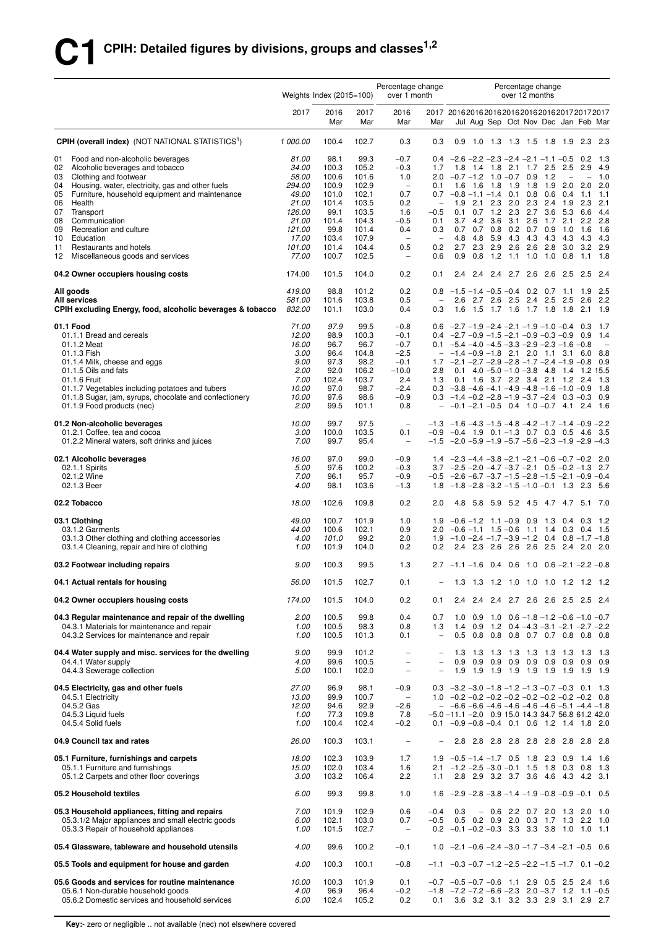|          |                                                                                                               | Weights Index $(2015=100)$ |                       | Percentage change<br>Percentage change<br>over 12 months<br>over 1 month |                                                             |                                   |                                                                                                                                                                                         |           |                             |     |                        |             |            |                                           |                                 |
|----------|---------------------------------------------------------------------------------------------------------------|----------------------------|-----------------------|--------------------------------------------------------------------------|-------------------------------------------------------------|-----------------------------------|-----------------------------------------------------------------------------------------------------------------------------------------------------------------------------------------|-----------|-----------------------------|-----|------------------------|-------------|------------|-------------------------------------------|---------------------------------|
|          |                                                                                                               | 2017                       | 2016<br>Mar           | 2017<br>Mar                                                              | 2016<br>Mar                                                 | Mar                               | 2017 201620162016201620162016201720172017                                                                                                                                               |           |                             |     |                        |             |            | Jul Aug Sep Oct Nov Dec Jan Feb Mar       |                                 |
|          | <b>CPIH (overall index)</b> (NOT NATIONAL STATISTICS <sup>1</sup> )                                           | 1 000.00                   | 100.4                 | 102.7                                                                    | 0.3                                                         | 0.3                               | 0.9                                                                                                                                                                                     |           |                             |     |                        |             |            | 1.0 1.3 1.3 1.5 1.8 1.9 2.3               | -2.3                            |
| 01       | Food and non-alcoholic beverages                                                                              | 81.00                      | 98.1                  | 99.3                                                                     | $-0.7$                                                      |                                   | $0.4$ $-2.6$ $-2.2$ $-2.3$ $-2.4$ $-2.1$ $-1.1$ $-0.5$ 0.2                                                                                                                              |           |                             |     |                        |             |            |                                           | - 1.3                           |
| 02       | Alcoholic beverages and tobacco                                                                               | 34.00                      | 100.3                 | 105.2                                                                    | $-0.3$                                                      | 1.7                               | 1.8                                                                                                                                                                                     | 1.4       | 1.8                         |     | 2.1 1.7                | 2.5         | 2.5        | 2.9                                       | 4.9                             |
| 03<br>04 | Clothing and footwear<br>Housing, water, electricity, gas and other fuels                                     | 58.00<br>294.00            | 100.6<br>100.9        | 101.6<br>102.9                                                           | 1.0<br>$\overline{\phantom{a}}$                             | 2.0<br>0.1                        | $-0.7 -1.2$ 1.0 $-0.7$ 0.9                                                                                                                                                              |           | $1.6$ 1.6 1.8               | 1.9 | 1.8                    | 1.2<br>1.9  | 2.0        | 2.0                                       | 1.0<br>2.0                      |
| 05       | Furniture, household equipment and maintenance                                                                | 49.00                      | 101.0                 | 102.1                                                                    | 0.7                                                         |                                   | $0.7 -0.8 -1.1 -1.4$                                                                                                                                                                    |           |                             | 0.1 | 0.8                    | 0.6         | 0.4        | 1.1                                       | 1.1                             |
| 06       | Health                                                                                                        | 21.00                      | 101.4                 | 103.5                                                                    | 0.2                                                         |                                   | 1.9                                                                                                                                                                                     |           | $2.1$ 2.3                   | 2.0 | 2.3                    | 2.4         | 1.9        | 2.3                                       | 2.1                             |
| 07       | Transport                                                                                                     | 126.00                     | 99.1                  | 103.5                                                                    | 1.6                                                         | $-0.5$                            |                                                                                                                                                                                         |           | $0.1$ 0.7 1.2               |     | $2.3$ 2.7              | 3.6         | 5.3        | 6.6                                       | 4.4                             |
| 08       | Communication                                                                                                 | 21.00                      | 101.4                 | 104.3                                                                    | $-0.5$                                                      | 0.1                               |                                                                                                                                                                                         |           | 3.7 4.2 3.6                 |     | $3.1$ 2.6              | 1.7         | 2.1        | 2.2                                       | 2.8                             |
| 09<br>10 | Recreation and culture<br>Education                                                                           | 121.00<br>17.00            | 99.8<br>103.4         | 101.4<br>107.9                                                           | 0.4<br>$\overline{\phantom{a}}$                             | 0.3<br>$\overline{\phantom{0}}$   | 4.8                                                                                                                                                                                     | 4.8       | $0.7$ 0.7 0.8<br>5.9        | 4.3 | $0.2 \quad 0.7$<br>4.3 | 0.9<br>4.3  | 1.0<br>4.3 | 1.6<br>4.3                                | 1.6<br>4.3                      |
| 11       | Restaurants and hotels                                                                                        | 101.00                     | 101.4                 | 104.4                                                                    | 0.5                                                         | 0.2                               |                                                                                                                                                                                         | $2.7$ 2.3 | 2.9                         | 2.6 | 2.6                    | 2.8         | 3.0        | 3.2                                       | 2.9                             |
| 12       | Miscellaneous goods and services                                                                              | 77.00                      | 100.7                 | 102.5                                                                    | $\qquad \qquad -$                                           | 0.6                               | 0.9                                                                                                                                                                                     | 0.8       | 1.2                         |     | $1.1$ 1.0              | 1.0         | 0.8        | 1.1                                       | 1.8                             |
|          | 04.2 Owner occupiers housing costs                                                                            | 174.00                     | 101.5                 | 104.0                                                                    | 0.2                                                         | 0.1                               | 2.4                                                                                                                                                                                     | 2.4       | 2.4                         |     | $2.7$ 2.6              | 2.6         | -2.5       | 2.5                                       | 2.4                             |
|          | All goods                                                                                                     | 419.00                     | 98.8                  | 101.2                                                                    | 0.2                                                         |                                   | $0.8$ -1.5 -1.4 -0.5 -0.4 0.2 0.7 1.1 1.9                                                                                                                                               |           |                             |     |                        |             |            |                                           | - 2.5                           |
|          | <b>All services</b>                                                                                           | 581.00                     | 101.6                 | 103.8                                                                    | 0.5                                                         | $\hspace{1.0cm} - \hspace{1.0cm}$ | 2.6                                                                                                                                                                                     |           | 2.7 2.6 2.5                 |     | 2.4                    | 2.5         | 2.5        | 2.6                                       | 2.2                             |
|          | CPIH excluding Energy, food, alcoholic beverages & tobacco                                                    | 832.00                     | 101.1                 | 103.0                                                                    | 0.4                                                         | 0.3                               | 1.6                                                                                                                                                                                     |           | 1.5 1.7 1.6 1.7 1.8 1.8     |     |                        |             |            | 2.1                                       | 1.9                             |
|          | 01.1 Food                                                                                                     | 71.00                      | 97.9                  | 99.5                                                                     | $-0.8$                                                      | 0.6                               | $-2.7$ $-1.9$ $-2.4$ $-2.1$ $-1.9$ $-1.0$ $-0.4$                                                                                                                                        |           |                             |     |                        |             |            | 0.3                                       | 1.7                             |
|          | 01.1.1 Bread and cereals<br>01.1.2 Meat                                                                       | 12.00<br>16.00             | 98.9<br>96.7          | 100.3<br>96.7                                                            | $-0.1$<br>$-0.7$                                            |                                   | $0.4 -2.7 -0.9 -1.5 -2.1 -0.9 -0.3 -0.9$<br>0.1 $-5.4$ $-4.0$ $-4.5$ $-3.3$ $-2.9$ $-2.3$ $-1.6$ $-0.8$                                                                                 |           |                             |     |                        |             |            | 0.9                                       | 1.4<br>$\overline{\phantom{a}}$ |
|          | 01.1.3 Fish                                                                                                   | 3.00                       | 96.4                  | 104.8                                                                    | $-2.5$                                                      |                                   | $-1.4 - 0.9 - 1.8$ 2.1 2.0 1.1 3.1 6.0                                                                                                                                                  |           |                             |     |                        |             |            |                                           | 8.8                             |
|          | 01.1.4 Milk, cheese and eggs                                                                                  | 9.00                       | 97.3                  | 98.2                                                                     | $-0.1$                                                      |                                   | $1.7 -2.1 -2.7 -2.9 -2.8 -1.7 -2.4 -1.9 -0.8$                                                                                                                                           |           |                             |     |                        |             |            |                                           | 0.9                             |
|          | 01.1.5 Oils and fats                                                                                          | 2.00                       | 92.0                  | 106.2                                                                    | $-10.0$                                                     | 2.8                               |                                                                                                                                                                                         |           |                             |     |                        |             |            | $0.1$ 4.0 -5.0 -1.0 -3.8 4.8 1.4 1.2 15.5 |                                 |
|          | 01.1.6 Fruit                                                                                                  | 7.00                       | 102.4                 | 103.7                                                                    | 2.4                                                         | 1.3                               |                                                                                                                                                                                         |           |                             |     |                        |             |            | 0.1 1.6 3.7 2.2 3.4 2.1 1.2 2.4           | - 1.3                           |
|          | 01.1.7 Vegetables including potatoes and tubers<br>01.1.8 Sugar, jam, syrups, chocolate and confectionery     | 10.00<br>10.00             | 97.0<br>97.6          | 98.7<br>98.6                                                             | $-2.4$<br>$-0.9$                                            |                                   | $0.3$ $-3.8$ $-4.6$ $-4.1$ $-4.9$ $-4.8$ $-1.6$ $-1.0$ $-0.9$<br>$0.3 -1.4 -0.2 -2.8 -1.9 -3.7 -2.4$ 0.3 -0.3                                                                           |           |                             |     |                        |             |            |                                           | 1.8<br>0.9                      |
|          | 01.1.9 Food products (nec)                                                                                    | 2.00                       | 99.5                  | 101.1                                                                    | 0.8                                                         |                                   | $-0.1 - 2.1 - 0.5$ 0.4 1.0 $-0.7$ 4.1 2.4                                                                                                                                               |           |                             |     |                        |             |            |                                           | - 1.6                           |
|          | 01.2 Non-alcoholic beverages<br>01.2.1 Coffee, tea and cocoa<br>01.2.2 Mineral waters, soft drinks and juices | 10.00<br>3.00<br>7.00      | 99.7<br>100.0<br>99.7 | 97.5<br>103.5<br>95.4                                                    | $\overline{\phantom{m}}$<br>0.1<br>$\overline{\phantom{0}}$ | $-0.9$                            | $-1.3$ $-1.6$ $-4.3$ $-1.5$ $-4.8$ $-4.2$ $-1.7$ $-1.4$ $-0.9$ $-2.2$<br>$-0.4$ 1.9 0.1 $-1.3$ 0.7 0.3 0.5 4.6<br>$-1.5$ $-2.0$ $-5.9$ $-1.9$ $-5.7$ $-5.6$ $-2.3$ $-1.9$ $-2.9$ $-4.3$ |           |                             |     |                        |             |            |                                           | - 3.5                           |
|          | 02.1 Alcoholic beverages                                                                                      | 16.00                      | 97.0                  | 99.0                                                                     | $-0.9$                                                      |                                   | $1.4 -2.3 -4.4 -3.8 -2.1 -2.1 -0.6 -0.7 -0.2$ 2.0                                                                                                                                       |           |                             |     |                        |             |            |                                           |                                 |
|          | 02.1.1 Spirits                                                                                                | 5.00                       | 97.6                  | 100.2                                                                    | $-0.3$                                                      |                                   | $3.7 -2.5 -2.0 -4.7 -3.7 -2.1$ $0.5 -0.2 -1.3$ 2.7                                                                                                                                      |           |                             |     |                        |             |            |                                           |                                 |
|          | 02.1.2 Wine                                                                                                   | 7.00                       | 96.1                  | 95.7                                                                     | $-0.9$                                                      |                                   | $-0.5$ $-2.6$ $-6.7$ $-3.7$ $-1.5$ $-2.8$ $-1.5$ $-2.1$ $-0.9$ $-0.4$                                                                                                                   |           |                             |     |                        |             |            |                                           |                                 |
|          | 02.1.3 Beer                                                                                                   | 4.00                       | 98.1                  | 103.6                                                                    | $-1.3$                                                      |                                   | $1.8 - 1.8 - 2.8 - 3.2 - 1.5 - 1.0 - 0.1$ 1.3 2.3                                                                                                                                       |           |                             |     |                        |             |            |                                           | - 5.6                           |
|          | 02.2 Tobacco                                                                                                  | 18.00                      | 102.6                 | 109.8                                                                    | 0.2                                                         | 2.0                               |                                                                                                                                                                                         |           |                             |     |                        |             |            | 4.8 5.8 5.9 5.2 4.5 4.7 4.7 5.1 7.0       |                                 |
|          | 03.1 Clothing                                                                                                 | 49.00                      | 100.7                 | 101.9                                                                    | 1.0                                                         |                                   | $1.9 -0.6 -1.2$ $1.1 -0.9$ 0.9                                                                                                                                                          |           |                             |     |                        | 1.3         | 0.4        | 0.3                                       | 1.2                             |
|          | 03.1.2 Garments                                                                                               | 44.00                      | 100.6                 | 102.1                                                                    | 0.9                                                         |                                   | $2.0 -0.6 -1.1$ 1.5 $-0.6$ 1.1                                                                                                                                                          |           |                             |     |                        |             |            | 1.4 0.3 0.4 1.5                           |                                 |
|          | 03.1.3 Other clothing and clothing accessories<br>03.1.4 Cleaning, repair and hire of clothing                | 4.00<br>1.00               | 101.0<br>101.9        | 99.2<br>104.0                                                            | 2.0<br>0.2                                                  | 0.2                               | $1.9 - 1.0 - 2.4 - 1.7 - 3.9 - 1.2$ 0.4 0.8 - 1.7 - 1.8                                                                                                                                 |           |                             |     |                        |             |            | 2.4 2.3 2.6 2.6 2.6 2.5 2.4 2.0           | 2.0                             |
|          | 03.2 Footwear including repairs                                                                               | 9.00                       | 100.3                 | 99.5                                                                     | 1.3                                                         |                                   | $2.7 -1.1 -1.6$ 0.4 0.6 1.0 0.6 -2.1 -2.2 -0.8                                                                                                                                          |           |                             |     |                        |             |            |                                           |                                 |
|          | 04.1 Actual rentals for housing                                                                               | 56.00                      | 101.5                 | 102.7                                                                    | 0.1                                                         |                                   |                                                                                                                                                                                         |           |                             |     |                        |             |            | 1.3 1.3 1.2 1.0 1.0 1.0 1.2 1.2 1.2       |                                 |
|          | 04.2 Owner occupiers housing costs                                                                            | 174.00                     | 101.5                 | 104.0                                                                    | 0.2                                                         | 0.1                               | 2.4                                                                                                                                                                                     |           |                             |     |                        |             |            | 2.4 2.4 2.7 2.6 2.6 2.5 2.5 2.4           |                                 |
|          | 04.3 Regular maintenance and repair of the dwelling                                                           | 2.00                       | 100.5                 | 99.8                                                                     | 0.4                                                         | 0.7                               | 1.0                                                                                                                                                                                     | 0.9       |                             |     |                        |             |            | 1.0 $0.6 - 1.8 - 1.2 - 0.6 - 1.0 - 0.7$   |                                 |
|          | 04.3.1 Materials for maintenance and repair                                                                   | 1.00                       | 100.5                 | 98.3                                                                     | 0.8                                                         | 1.3                               | 1.4                                                                                                                                                                                     | 0.9       |                             |     |                        |             |            | 1.2 $0.4 - 4.3 - 3.1 - 2.1 - 2.7 - 2.2$   |                                 |
|          | 04.3.2 Services for maintenance and repair                                                                    | 1.00                       | 100.5                 | 101.3                                                                    | 0.1                                                         | $\overline{\phantom{0}}$          |                                                                                                                                                                                         |           |                             |     |                        |             |            | 0.5 0.8 0.8 0.8 0.7 0.7 0.8 0.8 0.8       |                                 |
|          | 04.4 Water supply and misc. services for the dwelling                                                         | 9.00                       | 99.9                  | 101.2                                                                    | $\qquad \qquad -$                                           |                                   | 1.3                                                                                                                                                                                     |           | 1.3 1.3 1.3 1.3 1.3 1.3 1.3 |     |                        |             |            |                                           | - 1.3                           |
|          | 04.4.1 Water supply                                                                                           | 4.00                       | 99.6                  | 100.5                                                                    | $\overline{\phantom{0}}$                                    | $\overline{\phantom{0}}$          | 0.9                                                                                                                                                                                     |           |                             |     |                        |             |            | 0.9 0.9 0.9 0.9 0.9 0.9 0.9 0.9           |                                 |
|          | 04.4.3 Sewerage collection                                                                                    | 5.00                       | 100.1                 | 102.0                                                                    | $\overline{\phantom{0}}$                                    | $\overline{\phantom{0}}$          | 1.9                                                                                                                                                                                     | 1.9       |                             |     | 1.9 1.9 1.9            | 1.9 1.9 1.9 |            |                                           | - 1.9                           |
|          |                                                                                                               |                            |                       |                                                                          |                                                             |                                   |                                                                                                                                                                                         |           |                             |     |                        |             |            |                                           |                                 |
|          | 04.5 Electricity, gas and other fuels                                                                         | 27.00<br>13.00             | 96.9<br>99.9          | 98.1<br>100.7                                                            | $-0.9$                                                      |                                   | $0.3 -3.2 -3.0 -1.8 -1.2 -1.3 -0.7 -0.3$ 0.1 1.3<br>1.0 $-0.2$ $-0.2$ $-0.2$ $-0.2$ $-0.2$ $-0.2$ $-0.2$ $-0.2$ 0.8                                                                     |           |                             |     |                        |             |            |                                           |                                 |
|          | 04.5.1 Electricity<br>04.5.2 Gas                                                                              | 12.00                      | 94.6                  | 92.9                                                                     | $\overline{\phantom{a}}$<br>$-2.6$                          |                                   | $-$ -6.6 -6.6 -4.6 -4.6 -4.6 -4.6 -5.1 -4.4 -1.8                                                                                                                                        |           |                             |     |                        |             |            |                                           |                                 |
|          | 04.5.3 Liquid fuels                                                                                           | 1.00                       | 77.3                  | 109.8                                                                    | 7.8                                                         |                                   | $-5.0$ $-11.1$ $-2.0$ 0.9 15.0 14.3 34.7 56.8 61.2 42.0                                                                                                                                 |           |                             |     |                        |             |            |                                           |                                 |
|          | 04.5.4 Solid fuels                                                                                            | 1.00                       | 100.4                 | 102.4                                                                    | $-0.2$                                                      |                                   | $0.1 -0.9 -0.8 -0.4$ 0.1 0.6 1.2 1.4 1.8 2.0                                                                                                                                            |           |                             |     |                        |             |            |                                           |                                 |
|          | 04.9 Council tax and rates                                                                                    | 26.00                      | 100.3                 | 103.1                                                                    | $\overline{\phantom{a}}$                                    |                                   |                                                                                                                                                                                         |           |                             |     |                        |             |            | 2.8 2.8 2.8 2.8 2.8 2.8 2.8 2.8 2.8       |                                 |
|          | 05.1 Furniture, furnishings and carpets                                                                       | 18.00                      | 102.3                 | 103.9                                                                    | 1.7                                                         |                                   | $1.9 -0.5 -1.4 -1.7$ 0.5 1.8 2.3 0.9 1.4                                                                                                                                                |           |                             |     |                        |             |            |                                           | 1.6                             |
|          | 05.1.1 Furniture and furnishings                                                                              | 15.00                      | 102.0                 | 103.4                                                                    | 1.6                                                         |                                   | $2.1$ $-1.2$ $-2.5$ $-3.0$ $-0.1$ 1.5 1.8 0.3 0.8 1.3                                                                                                                                   |           |                             |     |                        |             |            |                                           |                                 |
|          | 05.1.2 Carpets and other floor coverings                                                                      | 3.00                       | 103.2                 | 106.4                                                                    | 2.2                                                         | 1.1                               |                                                                                                                                                                                         |           |                             |     |                        |             |            | 2.8 2.9 3.2 3.7 3.6 4.6 4.3 4.2 3.1       |                                 |
|          | 05.2 Household textiles                                                                                       | 6.00                       | 99.3                  | 99.8                                                                     | 1.0                                                         | 1.6                               | $-2.9$ $-2.8$ $-3.8$ $-1.4$ $-1.9$ $-0.8$ $-0.9$ $-0.1$ 0.5                                                                                                                             |           |                             |     |                        |             |            |                                           |                                 |
|          | 05.3 Household appliances, fitting and repairs                                                                | 7.00                       | 101.9                 | 102.9                                                                    | 0.6                                                         | $-0.4$                            | 0.3                                                                                                                                                                                     |           |                             |     |                        |             |            | $-0.6$ 2.2 0.7 2.0 1.3 2.0                | 1.0                             |
|          | 05.3.1/2 Major appliances and small electric goods                                                            | 6.00<br>1.00               | 102.1<br>101.5        | 103.0<br>102.7                                                           | 0.7<br>$\overline{\phantom{a}}$                             | $-0.5$                            | $0.2$ $-0.1$ $-0.2$ $-0.3$ 3.3 3.3 3.8 1.0 1.0                                                                                                                                          |           |                             |     |                        |             |            | 0.5 0.2 0.9 2.0 0.3 1.7 1.3 2.2 1.0       | 1.1                             |
|          | 05.3.3 Repair of household appliances                                                                         |                            |                       |                                                                          |                                                             |                                   |                                                                                                                                                                                         |           |                             |     |                        |             |            |                                           |                                 |
|          | 05.4 Glassware, tableware and household utensils                                                              | 4.00                       | 99.6                  | 100.2                                                                    | $-0.1$                                                      |                                   | $1.0 -2.1 -0.6 -2.4 -3.0 -1.7 -3.4 -2.1 -0.5$ 0.6                                                                                                                                       |           |                             |     |                        |             |            |                                           |                                 |
|          | 05.5 Tools and equipment for house and garden                                                                 | 4.00                       | 100.3                 | 100.1                                                                    | $-0.8$                                                      |                                   | $-1.1$ $-0.3$ $-0.7$ $-1.2$ $-2.5$ $-2.2$ $-1.5$ $-1.7$ 0.1 $-0.2$                                                                                                                      |           |                             |     |                        |             |            |                                           |                                 |
|          | 05.6 Goods and services for routine maintenance                                                               | 10.00                      | 100.3                 | 101.9                                                                    | 0.1                                                         |                                   | $-0.7$ $-0.5$ $-0.7$ $-0.6$ 1.1 2.9 0.5 2.5 2.4 1.6                                                                                                                                     |           |                             |     |                        |             |            |                                           |                                 |
|          | 05.6.1 Non-durable household goods<br>05.6.2 Domestic services and household services                         | 4.00<br>6.00               | 96.9<br>102.4         | 96.4<br>105.2                                                            | $-0.2$<br>0.2                                               | 0.1                               | $-1.8$ $-7.2$ $-7.2$ $-6.6$ $-2.3$ 2.0 $-3.7$ 1.2 1.1 $-0.5$                                                                                                                            |           |                             |     |                        |             |            | 3.6 3.2 3.1 3.2 3.3 2.9 3.1 2.9 2.7       |                                 |
|          |                                                                                                               |                            |                       |                                                                          |                                                             |                                   |                                                                                                                                                                                         |           |                             |     |                        |             |            |                                           |                                 |

**Key:**- zero or negligible .. not available (nec) not elsewhere covered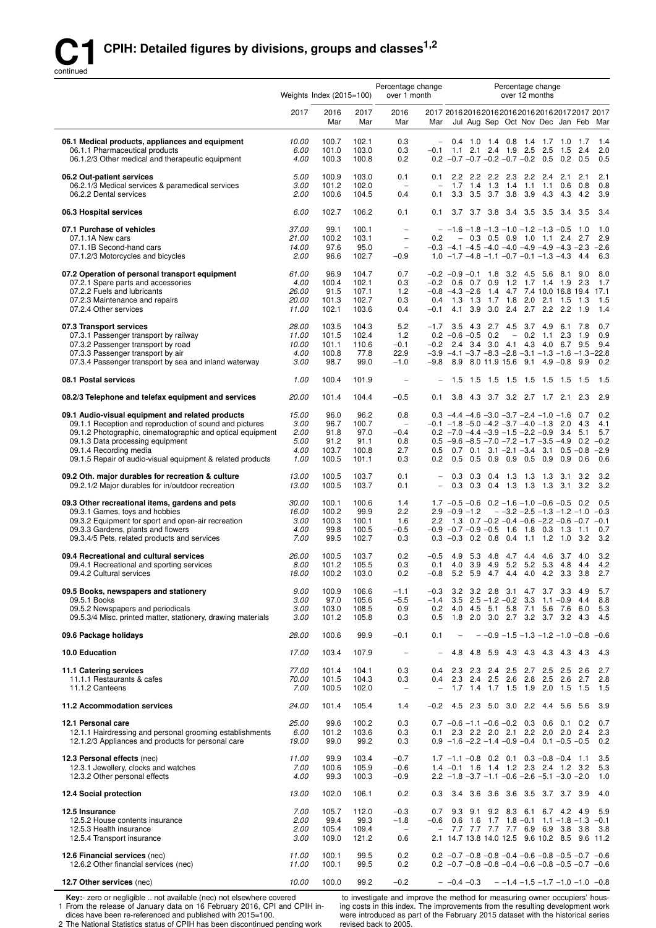

|                                                                                                                                                                                                                                                                                                       | Weights Index $(2015=100)$                      |                                                |                                                 | Percentage change<br>Percentage change<br>over 1 month<br>over 12 months                   |                                           |                                                                                                                                                                                                                                                                                                                               |  |  |
|-------------------------------------------------------------------------------------------------------------------------------------------------------------------------------------------------------------------------------------------------------------------------------------------------------|-------------------------------------------------|------------------------------------------------|-------------------------------------------------|--------------------------------------------------------------------------------------------|-------------------------------------------|-------------------------------------------------------------------------------------------------------------------------------------------------------------------------------------------------------------------------------------------------------------------------------------------------------------------------------|--|--|
|                                                                                                                                                                                                                                                                                                       | 2017                                            | 2016<br>Mar                                    | 2017<br>Mar                                     | 2016<br>Mar                                                                                | Mar                                       | 2017 2016 2016 2016 2016 2016 2016 2017 2017 2017<br>Jul Aug Sep Oct Nov Dec Jan Feb Mar                                                                                                                                                                                                                                      |  |  |
| 06.1 Medical products, appliances and equipment<br>06.1.1 Pharmaceutical products<br>06.1.2/3 Other medical and therapeutic equipment                                                                                                                                                                 | 10.00<br>6.00<br>4.00                           | 100.7<br>101.0<br>100.3                        | 102.1<br>103.0<br>100.8                         | 0.3<br>0.3<br>0.2                                                                          | $-$<br>$-0.1$<br>0.2 <sub>0</sub>         | 0.4 1.0 1.4 0.8 1.4 1.7 1.0 1.7<br>1.4<br>1.1 2.1 2.4 1.9 2.5 2.5 1.5<br>2.4<br>2.0<br>$-0.7$ $-0.7$ $-0.2$ $-0.7$ $-0.2$ 0.5<br>0.5<br>$0.2 \quad 0.5$                                                                                                                                                                       |  |  |
| 06.2 Out-patient services<br>06.2.1/3 Medical services & paramedical services<br>06.2.2 Dental services                                                                                                                                                                                               | 5.00<br>3.00<br>2.00                            | 100.9<br>101.2<br>100.6                        | 103.0<br>102.0<br>104.5                         | 0.1<br>$\overline{\phantom{a}}$<br>0.4                                                     | 0.1<br>0.1                                | 2.2 2.2 2.2 2.3<br>$2.2$ 2.4<br>$2.1$ 2.1<br>2.1<br>$1.7$ 1.4<br>1.3<br>1.4<br>1.1<br>1.1<br>$0.6$ 0.8<br>0.8<br>3.3 3.5 3.7 3.8 3.9 4.3 4.3 4.2<br>3.9                                                                                                                                                                       |  |  |
| 06.3 Hospital services                                                                                                                                                                                                                                                                                | 6.00                                            | 102.7                                          | 106.2                                           | 0.1                                                                                        | 0.1                                       | 3.4 3.5 3.5 3.4<br>3.7 3.7 3.8<br>3.5<br>3.4                                                                                                                                                                                                                                                                                  |  |  |
| 07.1 Purchase of vehicles<br>07.1.1A New cars<br>07.1.1B Second-hand cars<br>07.1.2/3 Motorcycles and bicycles                                                                                                                                                                                        | 37.00<br>21.00<br>14.00<br>2.00                 | 99.1<br>100.2<br>97.6<br>96.6                  | 100.1<br>103.1<br>95.0<br>102.7                 | $\overline{\phantom{0}}$<br>$\overline{\phantom{0}}$<br>$\overline{\phantom{0}}$<br>$-0.9$ | 0.2                                       | $-$ -1.6 -1.8 -1.3 -1.0 -1.2 -1.3 -0.5 1.0<br>1.0<br>2.9<br>$-0.3$ 0.5 0.9 1.0 1.1 2.4 2.7<br>$-0.3$ $-4.1$ $-4.5$ $-4.0$ $-4.0$ $-4.9$ $-4.9$ $-4.3$ $-2.3$<br>$-2.6$<br>$1.0 -1.7 -4.8 -1.1 -0.7 -0.1 -1.3 -4.3$ 4.4<br>6.3                                                                                                 |  |  |
| 07.2 Operation of personal transport equipment<br>07.2.1 Spare parts and accessories<br>07.2.2 Fuels and lubricants<br>07.2.3 Maintenance and repairs<br>07.2.4 Other services                                                                                                                        | 61.00<br>4.00<br>26.00<br><i>20.00</i><br>11.00 | 96.9<br>100.4<br>91.5<br>101.3<br>102.1        | 104.7<br>102.1<br>107.1<br>102.7<br>103.6       | 0.7<br>0.3<br>1.2<br>0.3<br>0.4                                                            | $-0.2$<br>0.4<br>$-0.1$                   | 8.0<br>$-0.2$ $-0.9$ $-0.1$ 1.8 3.2 4.5 5.6 8.1 9.0<br>1.2 1.7 1.4 1.9 2.3<br>$0.6$ 0.7 0.9<br>1.7<br>$-0.8$ $-4.3$ $-2.6$<br>1.4 4.7 7.4 10.0 16.8 19.4 17.1<br>1.3 1.3 1.7 1.8 2.0 2.1 1.5 1.3<br>1.5<br>2.4 2.7 2.2 2.2 1.9<br>4.1<br>3.9<br>3.0<br>1.4                                                                    |  |  |
| 07.3 Transport services<br>07.3.1 Passenger transport by railway<br>07.3.2 Passenger transport by road<br>07.3.3 Passenger transport by air<br>07.3.4 Passenger transport by sea and inland waterway                                                                                                  | 28.00<br>11.00<br>10.00<br>4.00<br>3.00         | 103.5<br>101.5<br>101.1<br>100.8<br>98.7       | 104.3<br>102.4<br>110.6<br>77.8<br>99.0         | 5.2<br>1.2<br>$-0.1$<br>22.9<br>$-1.0$                                                     | $-1.7$<br>$-0.2$<br>$-9.8$                | 0.7<br>3.5 4.3 2.7 4.5 3.7 4.9 6.1 7.8<br>$0.2 -0.6 -0.5$ 0.2<br>$-0.2$ 1.1 2.3 1.9<br>0.9<br>2.4 3.4 3.0 4.1 4.3 4.0 6.7 9.5<br>9.4<br>$-3.9$ $-4.1$ $-3.7$ $-8.3$ $-2.8$ $-3.1$ $-1.3$ $-1.6$ $-1.3$ $-22.8$<br>8.9 8.0 11.9 15.6 9.1 4.9 -0.8 9.9<br>0.2                                                                   |  |  |
| 08.1 Postal services                                                                                                                                                                                                                                                                                  | 1.00                                            | 100.4                                          | 101.9                                           |                                                                                            |                                           | 1.5 1.5 1.5 1.5 1.5 1.5 1.5 1.5<br>1.5                                                                                                                                                                                                                                                                                        |  |  |
| 08.2/3 Telephone and telefax equipment and services                                                                                                                                                                                                                                                   | <i>20.00</i>                                    | 101.4                                          | 104.4                                           | $-0.5$                                                                                     | 0.1                                       | 4.3 3.7 3.2 2.7 1.7 2.1 2.3<br>2.9<br>3.8                                                                                                                                                                                                                                                                                     |  |  |
| 09.1 Audio-visual equipment and related products<br>09.1.1 Reception and reproduction of sound and pictures<br>09.1.2 Photographic, cinematographic and optical equipment<br>09.1.3 Data processing equipment<br>09.1.4 Recording media<br>09.1.5 Repair of audio-visual equipment & related products | 15.00<br>3.00<br>2.00<br>5.00<br>4.00<br>1.00   | 96.0<br>96.7<br>91.8<br>91.2<br>103.7<br>100.5 | 96.2<br>100.7<br>97.0<br>91.1<br>100.8<br>101.1 | 0.8<br>$\overline{\phantom{0}}$<br>$-0.4$<br>0.8<br>2.7<br>0.3                             | 0.5<br>0.2                                | $0.3 -4.4 -4.6 -3.0 -3.7 -2.4 -1.0 -1.6$ 0.7<br>0.2<br>$-0.1$ $-1.8$ $-5.0$ $-4.2$ $-3.7$ $-4.0$ $-1.3$ 2.0 4.3<br>4.1<br>$0.2 -7.0 -4.4 -3.9 -1.5 -2.2 -0.9$ 3.4 5.1<br>5.7<br>$0.5 -9.6 -8.5 -7.0 -7.2 -1.7 -3.5 -4.9$ 0.2 -0.2<br>$0.7$ 0.1 3.1 -2.1 -3.4 3.1 0.5 -0.8<br>$-2.9$<br>0.5 0.5 0.9 0.9 0.5 0.9 0.9 0.6<br>0.6 |  |  |
| 09.2 Oth. major durables for recreation & culture<br>09.2.1/2 Major durables for in/outdoor recreation                                                                                                                                                                                                | 13.00<br>13.00                                  | 100.5<br>100.5                                 | 103.7<br>103.7                                  | 0.1<br>0.1                                                                                 | $\qquad \qquad -$                         | 3.2<br>$0.3$ 0.4 1.3<br>3.2<br>0.3<br>1.3<br>- 1.3<br>3.1<br>0.3<br>0.3 0.4 1.3 1.3 1.3 3.1 3.2<br>3.2                                                                                                                                                                                                                        |  |  |
| 09.3 Other recreational items, gardens and pets<br>09.3.1 Games, toys and hobbies<br>09.3.2 Equipment for sport and open-air recreation<br>09.3.3 Gardens, plants and flowers<br>09.3.4/5 Pets, related products and services                                                                         | 30.00<br>16.00<br>3.00<br>4.00<br>7.00          | 100.1<br>100.2<br>100.3<br>99.8<br>99.5        | 100.6<br>99.9<br>100.1<br>100.5<br>102.7        | 1.4<br>2.2<br>1.6<br>$-0.5$<br>0.3                                                         | 2.2                                       | $1.7 -0.5 -0.6$ 0.2 $-1.6 -1.0 -0.6 -0.5$ 0.2<br>0.5<br>$2.9 -0.9 -1.2$<br>$-$ -3.2 -2.5 -1.3 -1.2 -1.0 -0.3<br>$1.3$ 0.7 $-0.2$ $-0.4$ $-0.6$ $-2.2$ $-0.6$ $-0.7$ $-0.1$<br>$-0.9$ $-0.7$ $-0.9$ $-0.5$ 1.6 1.8 0.3 1.3 1.1<br>0.7<br>$0.3 -0.3$ 0.2 0.8 0.4 1.1 1.2 1.0 3.2<br>3.2                                         |  |  |
| 09.4 Recreational and cultural services<br>09.4.1 Recreational and sporting services<br>09.4.2 Cultural services                                                                                                                                                                                      | 26.00<br>8.00<br>18.00                          | 100.5<br>101.2<br>100.2                        | 103.7<br>105.5<br>103.0                         | 0.2<br>0.3<br>0.2                                                                          | $-0.5$<br>0.1<br>$-0.8$                   | 5.3 4.8<br>4.7 4.4<br>3.2<br>4.9<br>-4.6<br>$3.7$ 4.0<br>4.0 3.9 4.9 5.2 5.2 5.3 4.8 4.4<br>4.2<br>2.7<br>5.2 5.9 4.7 4.4 4.0 4.2 3.3 3.8                                                                                                                                                                                     |  |  |
| 09.5 Books, newspapers and stationery<br>09.5.1 Books<br>09.5.2 Newspapers and periodicals<br>09.5.3/4 Misc. printed matter, stationery, drawing materials                                                                                                                                            | 9.00<br>3.00<br>3.00<br>3.00                    | 100.9<br>97.0<br>103.0<br>101.2                | 106.6<br>105.6<br>108.5<br>105.8                | $-1.1$<br>$-5.5$<br>0.9<br>0.3                                                             | $-0.3$<br>$-1.4$<br>0.2<br>0.5            | 5.7<br>3.2 3.2 2.8 3.1 4.7 3.7 3.3 4.9<br>3.5<br>$2.5 - 1.2 - 0.2$ 3.3 1.1 - 0.9 4.4<br>8.8<br>4.0 4.5 5.1 5.8 7.1 5.6 7.6 6.0<br>5.3<br>4.5<br>1.8 2.0 3.0 2.7 3.2 3.7 3.2 4.3                                                                                                                                               |  |  |
| 09.6 Package holidays                                                                                                                                                                                                                                                                                 | 28.00                                           | 100.6                                          | 99.9                                            | $-0.1$                                                                                     | 0.1                                       | $-$ -0.9 -1.5 -1.3 -1.2 -1.0 -0.8 -0.6<br>$\overline{a}$                                                                                                                                                                                                                                                                      |  |  |
| 10.0 Education                                                                                                                                                                                                                                                                                        | 17.00                                           | 103.4                                          | 107.9                                           | $\overline{\phantom{0}}$                                                                   |                                           | 5.9<br>4.3 4.3 4.3 4.3 4.3<br>4.3<br>4.8<br>4.8                                                                                                                                                                                                                                                                               |  |  |
| 11.1 Catering services<br>11.1.1 Restaurants & cafes<br>11.1.2 Canteens                                                                                                                                                                                                                               | 77.00<br>70.00<br>7.00                          | 101.4<br>101.5<br>100.5                        | 104.1<br>104.3<br>102.0                         | 0.3<br>0.3<br>$\qquad \qquad -$                                                            | 0.4<br>0.4<br>$\qquad \qquad -$           | 2.3 2.3 2.4 2.5 2.7 2.5 2.5 2.6<br>2.7<br>2.3 2.4 2.5 2.6 2.8 2.5 2.6 2.7<br>2.8<br>1.7 1.4 1.7 1.5<br>$1.9$ 2.0<br>1.5 1.5<br>1.5                                                                                                                                                                                            |  |  |
| 11.2 Accommodation services                                                                                                                                                                                                                                                                           | 24.00                                           | 101.4                                          | 105.4                                           | 1.4                                                                                        | $-0.2$                                    | 2.3 5.0 3.0 2.2 4.4 5.6 5.6<br>3.9<br>4.5                                                                                                                                                                                                                                                                                     |  |  |
| 12.1 Personal care<br>12.1.1 Hairdressing and personal grooming establishments<br>12.1.2/3 Appliances and products for personal care                                                                                                                                                                  | 25.00<br>6.00<br>19.00                          | 99.6<br>101.2<br>99.0                          | 100.2<br>103.6<br>99.2                          | 0.3<br>0.3<br>0.3                                                                          | 0.1                                       | $0.7 -0.6 -1.1 -0.6 -0.2$ 0.3 0.6 0.1 0.2<br>0.7<br>2.3 2.2 2.0 2.1 2.2 2.0 2.0 2.4<br>2.3<br>$0.9 -1.6 -2.2 -1.4 -0.9 -0.4$ 0.1 -0.5 -0.5<br>0.2                                                                                                                                                                             |  |  |
| 12.3 Personal effects (nec)<br>12.3.1 Jewellery, clocks and watches<br>12.3.2 Other personal effects                                                                                                                                                                                                  | 11.00<br>7.00<br>4.00                           | 99.9<br>100.6<br>99.3                          | 103.4<br>105.9<br>100.3                         | $-0.7$<br>$-0.6$<br>$-0.9$                                                                 |                                           | 3.5<br>$1.7 - 1.1 - 0.8$ 0.2 0.1 0.3 -0.8 -0.4 1.1<br>1.4 -0.1 1.6 1.4 1.2 2.3 2.4 1.2 3.2<br>5.3<br>$2.2 -1.8 -3.7 -1.1 -0.6 -2.6 -5.1 -3.0 -2.0$<br>1.0                                                                                                                                                                     |  |  |
| 12.4 Social protection                                                                                                                                                                                                                                                                                | 13.00                                           | 102.0                                          | 106.1                                           | 0.2                                                                                        | 0.3                                       | 3.4 3.6 3.6 3.6 3.5 3.7 3.7 3.9<br>4.0                                                                                                                                                                                                                                                                                        |  |  |
| 12.5 Insurance<br>12.5.2 House contents insurance<br>12.5.3 Health insurance<br>12.5.4 Transport insurance                                                                                                                                                                                            | 7.00<br>2.00<br>2.00<br>3.00                    | 105.7<br>99.4<br>105.4<br>109.0                | 112.0<br>99.3<br>109.4<br>121.2                 | $-0.3$<br>$-1.8$<br>$\qquad \qquad -$<br>0.6                                               | 0.7<br>$-0.6$<br>$\overline{\phantom{0}}$ | 9.3 9.1 9.2 8.3 6.1 6.7 4.2 4.9<br>5.9<br>$0.6$ 1.6 1.7 1.8 -0.1 1.1 -1.8 -1.3 -0.1<br>7.7 7.7 7.7 7.7 6.9 6.9 3.8 3.8<br>3.8<br>2.1 14.7 13.8 14.0 12.5 9.6 10.2 8.5 9.6 11.2                                                                                                                                                |  |  |
| 12.6 Financial services (nec)<br>12.6.2 Other financial services (nec)                                                                                                                                                                                                                                | 11.00<br>11.00                                  | 100.1<br>100.1                                 | 99.5<br>99.5                                    | 0.2<br>0.2                                                                                 |                                           | $0.2 -0.7 -0.8 -0.8 -0.4 -0.6 -0.8 -0.5 -0.7 -0.6$<br>$0.2 -0.7 -0.8 -0.8 -0.4 -0.6 -0.8 -0.5 -0.7 -0.6$                                                                                                                                                                                                                      |  |  |
| 12.7 Other services (nec)                                                                                                                                                                                                                                                                             | 10.00                                           | 100.0                                          | 99.2                                            | $-0.2$                                                                                     |                                           | $-$ -0.4 -0.3<br>$-$ -1.4 -1.5 -1.7 -1.0 -1.0 -0.8                                                                                                                                                                                                                                                                            |  |  |

**Key:**- zero or negligible .. not available (nec) not elsewhere covered<br>1 From the release of January data on 16 February 2016, CPI and CPIH in-

dices have been re-referenced and published with 2015=100.<br>2 The National Statistics status of CPIH has been discontinued pending work

to investigate and improve the method for measuring owner occupiers' hous-<br>ing costs in this index. The improvements from the resulting development work were introduced as part of the February 2015 dataset with the historical series revised back to 2005.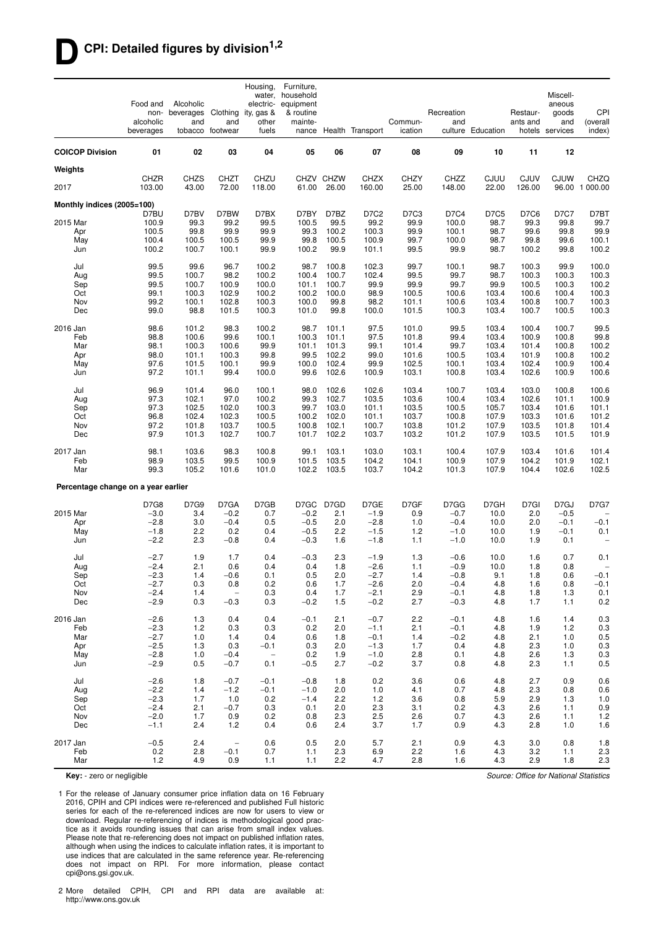## **DCPI: Detailed figures by division1,2**

|                                     | Food and<br>non-<br>alcoholic | Alcoholic<br>beverages<br>and | Clothing<br>and                 | Housing,<br>ity, gas &<br>other | Furniture,<br>water, household<br>electric- equipment<br>& routine<br>mainte- |                |                       | Commun-              | Recreation<br>and |                      | Restaur-<br>ants and | Miscell-<br>aneous<br>goods<br>and | CPI<br>(overall        |
|-------------------------------------|-------------------------------|-------------------------------|---------------------------------|---------------------------------|-------------------------------------------------------------------------------|----------------|-----------------------|----------------------|-------------------|----------------------|----------------------|------------------------------------|------------------------|
|                                     | beverages                     |                               | tobacco footwear                | fuels                           | nance                                                                         |                | Health Transport      | ication              |                   | culture Education    |                      | hotels services                    | index)                 |
| <b>COICOP Division</b>              | 01                            | 02                            | 03                              | 04                              | 05                                                                            | 06             | 07                    | 08                   | 09                | 10                   | 11                   | 12                                 |                        |
| Weights                             | CHZR                          |                               |                                 | CHZU                            |                                                                               | CHZV CHZW      |                       |                      | CHZZ              |                      | <b>CJUV</b>          | <b>CJUW</b>                        |                        |
| 2017                                | 103.00                        | <b>CHZS</b><br>43.00          | CHZT<br>72.00                   | 118.00                          | 61.00                                                                         | 26.00          | <b>CHZX</b><br>160.00 | <b>CHZY</b><br>25.00 | 148.00            | <b>CJUU</b><br>22.00 | 126.00               |                                    | CHZQ<br>96.00 1 000.00 |
| Monthly indices (2005=100)          |                               |                               |                                 |                                 |                                                                               |                |                       |                      |                   |                      |                      |                                    |                        |
| 2015 Mar                            | D7BU<br>100.9                 | D7BV<br>99.3                  | D7BW<br>99.2                    | D7BX<br>99.5                    | D7BY<br>100.5                                                                 | D7BZ<br>99.5   | D7C2<br>99.2          | D7C3<br>99.9         | D7C4<br>100.0     | D7C5<br>98.7         | D7C6<br>99.3         | <b>D7C7</b><br>99.8                | D7BT<br>99.7           |
| Apr                                 | 100.5                         | 99.8                          | 99.9                            | 99.9                            | 99.3                                                                          | 100.2          | 100.3                 | 99.9                 | 100.1             | 98.7                 | 99.6                 | 99.8                               | 99.9                   |
| May                                 | 100.4                         | 100.5                         | 100.5                           | 99.9                            | 99.8                                                                          | 100.5          | 100.9                 | 99.7                 | 100.0             | 98.7                 | 99.8                 | 99.6                               | 100.1                  |
| Jun                                 | 100.2                         | 100.7                         | 100.1                           | 99.9                            | 100.2                                                                         | 99.9           | 101.1                 | 99.5                 | 99.9              | 98.7                 | 100.2                | 99.8                               | 100.2                  |
| Jul                                 | 99.5                          | 99.6                          | 96.7                            | 100.2                           | 98.7                                                                          | 100.8          | 102.3                 | 99.7                 | 100.1             | 98.7                 | 100.3                | 99.9                               | 100.0                  |
| Aug                                 | 99.5                          | 100.7                         | 98.2                            | 100.2                           | 100.4                                                                         | 100.7          | 102.4                 | 99.5                 | 99.7              | 98.7                 | 100.3                | 100.3                              | 100.3                  |
| Sep<br>Oct                          | 99.5<br>99.1                  | 100.7<br>100.3                | 100.9<br>102.9                  | 100.0<br>100.2                  | 101.1<br>100.2                                                                | 100.7<br>100.0 | 99.9<br>98.9          | 99.9<br>100.5        | 99.7<br>100.6     | 99.9<br>103.4        | 100.5<br>100.6       | 100.3<br>100.4                     | 100.2<br>100.3         |
| Nov                                 | 99.2                          | 100.1                         | 102.8                           | 100.3                           | 100.0                                                                         | 99.8           | 98.2                  | 101.1                | 100.6             | 103.4                | 100.8                | 100.7                              | 100.3                  |
| Dec                                 | 99.0                          | 98.8                          | 101.5                           | 100.3                           | 101.0                                                                         | 99.8           | 100.0                 | 101.5                | 100.3             | 103.4                | 100.7                | 100.5                              | 100.3                  |
| 2016 Jan                            | 98.6                          | 101.2                         | 98.3                            | 100.2                           | 98.7                                                                          | 101.1          | 97.5                  | 101.0                | 99.5              | 103.4                | 100.4                | 100.7                              | 99.5                   |
| Feb                                 | 98.8                          | 100.6                         | 99.6                            | 100.1                           | 100.3                                                                         | 101.1          | 97.5                  | 101.8                | 99.4              | 103.4                | 100.9                | 100.8                              | 99.8                   |
| Mar                                 | 98.1                          | 100.3                         | 100.6                           | 99.9                            | 101.1                                                                         | 101.3          | 99.1                  | 101.4                | 99.7              | 103.4                | 101.4                | 100.8                              | 100.2                  |
| Apr                                 | 98.0                          | 101.1                         | 100.3                           | 99.8                            | 99.5                                                                          | 102.2          | 99.0                  | 101.6                | 100.5             | 103.4                | 101.9                | 100.8                              | 100.2                  |
| May<br>Jun                          | 97.6<br>97.2                  | 101.5<br>101.1                | 100.1<br>99.4                   | 99.9<br>100.0                   | 100.0<br>99.6                                                                 | 102.4<br>102.6 | 99.9<br>100.9         | 102.5<br>103.1       | 100.1<br>100.8    | 103.4<br>103.4       | 102.4<br>102.6       | 100.9<br>100.9                     | 100.4<br>100.6         |
|                                     |                               |                               |                                 |                                 |                                                                               |                |                       |                      |                   |                      |                      |                                    |                        |
| Jul<br>Aug                          | 96.9<br>97.3                  | 101.4<br>102.1                | 96.0<br>97.0                    | 100.1<br>100.2                  | 98.0<br>99.3                                                                  | 102.6<br>102.7 | 102.6<br>103.5        | 103.4<br>103.6       | 100.7<br>100.4    | 103.4<br>103.4       | 103.0<br>102.6       | 100.8<br>101.1                     | 100.6<br>100.9         |
| Sep                                 | 97.3                          | 102.5                         | 102.0                           | 100.3                           | 99.7                                                                          | 103.0          | 101.1                 | 103.5                | 100.5             | 105.7                | 103.4                | 101.6                              | 101.1                  |
| Oct                                 | 96.8                          | 102.4                         | 102.3                           | 100.5                           | 100.2                                                                         | 102.0          | 101.1                 | 103.7                | 100.8             | 107.9                | 103.3                | 101.6                              | 101.2                  |
| Nov                                 | 97.2                          | 101.8                         | 103.7                           | 100.5                           | 100.8                                                                         | 102.1          | 100.7                 | 103.8                | 101.2             | 107.9                | 103.5                | 101.8                              | 101.4                  |
| Dec                                 | 97.9                          | 101.3                         | 102.7                           | 100.7                           | 101.7                                                                         | 102.2          | 103.7                 | 103.2                | 101.2             | 107.9                | 103.5                | 101.5                              | 101.9                  |
| 2017 Jan                            | 98.1                          | 103.6                         | 98.3                            | 100.8                           | 99.1                                                                          | 103.1          | 103.0                 | 103.1                | 100.4             | 107.9                | 103.4                | 101.6                              | 101.4                  |
| Feb                                 | 98.9                          | 103.5                         | 99.5                            | 100.9                           | 101.5                                                                         | 103.5          | 104.2                 | 104.1                | 100.9             | 107.9                | 104.2                | 101.9                              | 102.1                  |
| Mar                                 | 99.3                          | 105.2                         | 101.6                           | 101.0                           | 102.2                                                                         | 103.5          | 103.7                 | 104.2                | 101.3             | 107.9                | 104.4                | 102.6                              | 102.5                  |
| Percentage change on a year earlier |                               |                               |                                 |                                 |                                                                               |                |                       |                      |                   |                      |                      |                                    |                        |
|                                     | D7G8                          | D7G9                          | D7GA                            | D7GB                            | D7GC                                                                          | D7GD           | D7GE                  | D7GF                 | D7GG              | D7GH                 | D7GI                 | D7GJ                               | <b>D7G7</b>            |
| 2015 Mar                            | $-3.0$                        | 3.4                           | $-0.2$                          | 0.7                             | $-0.2$                                                                        | 2.1            | $-1.9$                | 0.9                  | $-0.7$            | 10.0                 | 2.0                  | $-0.5$                             |                        |
| Apr                                 | $-2.8$                        | 3.0                           | $-0.4$                          | 0.5                             | $-0.5$                                                                        | 2.0            | $-2.8$                | 1.0                  | $-0.4$            | 10.0                 | 2.0                  | $-0.1$                             | $-0.1$                 |
| May<br>Jun                          | $-1.8$<br>$-2.2$              | 2.2<br>2.3                    | 0.2<br>$-0.8$                   | 0.4<br>0.4                      | $-0.5$<br>$-0.3$                                                              | 2.2<br>1.6     | $-1.5$<br>$-1.8$      | 1.2<br>1.1           | $-1.0$<br>$-1.0$  | 10.0<br>10.0         | 1.9<br>1.9           | $-0.1$<br>0.1                      | 0.1                    |
|                                     |                               |                               |                                 |                                 |                                                                               |                |                       |                      |                   |                      |                      |                                    |                        |
| Jul                                 | $-2.7$                        | 1.9                           | 1.7                             | 0.4                             | $-0.3$                                                                        | 2.3            | $-1.9$                | 1.3                  | $-0.6$            | 10.0                 | 1.6                  | 0.7                                | 0.1                    |
| Aug                                 | $-2.4$<br>$-2.3$              | 2.1<br>1.4                    | 0.6<br>$-0.6$                   | 0.4<br>0.1                      | 0.4<br>0.5                                                                    | 1.8<br>2.0     | $-2.6$                | 1.1<br>1.4           | $-0.9$<br>$-0.8$  | 10.0                 | 1.8<br>1.8           | 0.8<br>0.6                         | $-0.1$                 |
| sep<br>Oct                          | $-2.7$                        | 0.3                           | 0.8                             | 0.2                             | 0.6                                                                           | 1.7            | $-2.1$<br>$-2.6$      | 2.0                  | $-0.4$            | 9.1<br>4.8           | 1.6                  | 0.8                                | $-0.1$                 |
| Nov                                 | $-2.4$                        | 1.4                           | $\overline{\phantom{a}}$        | 0.3                             | 0.4                                                                           | 1.7            | $-2.1$                | 2.9                  | $-0.1$            | 4.8                  | 1.8                  | 1.3                                | 0.1                    |
| Dec                                 | $-2.9$                        | 0.3                           | $-0.3$                          | 0.3                             | $-0.2$                                                                        | 1.5            | $-0.2$                | 2.7                  | $-0.3$            | 4.8                  | 1.7                  | 1.1                                | 0.2                    |
| 2016 Jan                            | $-2.6$                        | 1.3                           | 0.4                             | 0.4                             | $-0.1$                                                                        | 2.1            | $-0.7$                | 2.2                  | $-0.1$            | 4.8                  | 1.6                  | 1.4                                | 0.3                    |
| Feb                                 | $-2.3$                        | 1.2                           | 0.3                             | 0.3                             | 0.2                                                                           | 2.0            | $-1.1$                | 2.1                  | $-0.1$            | 4.8                  | 1.9                  | 1.2                                | 0.3                    |
| Mar                                 | $-2.7$                        | 1.0                           | 1.4                             | 0.4                             | 0.6                                                                           | 1.8            | $-0.1$                | 1.4                  | $-0.2$            | 4.8                  | 2.1                  | 1.0                                | 0.5                    |
| Apr                                 | $-2.5$                        | 1.3                           | 0.3                             | $-0.1$                          | 0.3                                                                           | 2.0            | $-1.3$                | 1.7                  | 0.4               | 4.8                  | 2.3                  | 1.0                                | 0.3                    |
| May<br>Jun                          | $-2.8$<br>$-2.9$              | 1.0<br>0.5                    | $-0.4$<br>$-0.7$                | $\overline{\phantom{a}}$<br>0.1 | 0.2<br>$-0.5$                                                                 | 1.9<br>2.7     | $-1.0$<br>$-0.2$      | 2.8<br>3.7           | 0.1<br>0.8        | 4.8<br>4.8           | 2.6<br>2.3           | 1.3<br>1.1                         | 0.3<br>0.5             |
|                                     |                               |                               |                                 |                                 |                                                                               |                |                       |                      |                   |                      |                      |                                    |                        |
| Jul<br>Aug                          | $-2.6$<br>$-2.2$              | 1.8<br>1.4                    | $-0.7$<br>$-1.2$                | $-0.1$<br>$-0.1$                | $-0.8$<br>$-1.0$                                                              | 1.8<br>2.0     | 0.2<br>1.0            | 3.6<br>4.1           | 0.6<br>0.7        | 4.8<br>4.8           | 2.7<br>2.3           | 0.9<br>0.8                         | 0.6<br>0.6             |
| Sep                                 | $-2.3$                        | 1.7                           | 1.0                             | 0.2                             | $-1.4$                                                                        | 2.2            | 1.2                   | 3.6                  | 0.8               | 5.9                  | 2.9                  | 1.3                                | 1.0                    |
| Oct                                 | $-2.4$                        | 2.1                           | $-0.7$                          | 0.3                             | 0.1                                                                           | 2.0            | 2.3                   | 3.1                  | 0.2               | 4.3                  | 2.6                  | 1.1                                | 0.9                    |
| Nov                                 | $-2.0$                        | 1.7                           | 0.9                             | 0.2                             | 0.8                                                                           | 2.3            | 2.5                   | 2.6                  | 0.7               | 4.3                  | 2.6                  | 1.1                                | $1.2$                  |
| Dec                                 | $-1.1$                        | 2.4                           | 1.2                             | 0.4                             | 0.6                                                                           | 2.4            | 3.7                   | 1.7                  | 0.9               | 4.3                  | 2.8                  | 1.0                                | 1.6                    |
| 2017 Jan                            | $-0.5$                        | 2.4                           | $\hspace{0.1mm}-\hspace{0.1mm}$ | 0.6                             | 0.5                                                                           | 2.0            | 5.7                   | 2.1                  | 0.9               | 4.3                  | 3.0                  | 0.8                                | 1.8                    |
| Feb                                 | 0.2                           | 2.8                           | $-0.1$                          | 0.7                             | 1.1                                                                           | 2.3            | 6.9                   | 2.2                  | 1.6               | 4.3                  | 3.2                  | 1.1                                | 2.3                    |
| Mar                                 | 1.2                           | 4.9                           | 0.9                             | 1.1                             | 1.1                                                                           | 2.2            | 4.7                   | 2.8                  | 1.6               | 4.3                  | 2.9                  | 1.8                                | 2.3                    |

**Key:** - zero or negligible

1 For the release of January consumer price inflation data on 16 February 2016, CPIH and CPI indices were re-referenced and published Full historic series for each of the re-referenced indices are now for users to view or download. Regular re-referencing of indices is methodological good practice as it avoids rounding issues that can arise from small index values. Please note that re-referencing does not impact on published inflation rates, although when using the indices to calculate inflation rates, it is important to use indices that are calculated in the same reference year. Re-referencing does not impact on RPI. For more information, please contact cpi@ons.gsi.gov.uk.

2 More detailed CPIH, CPI and RPI data are available at: http://www.ons.gov.uk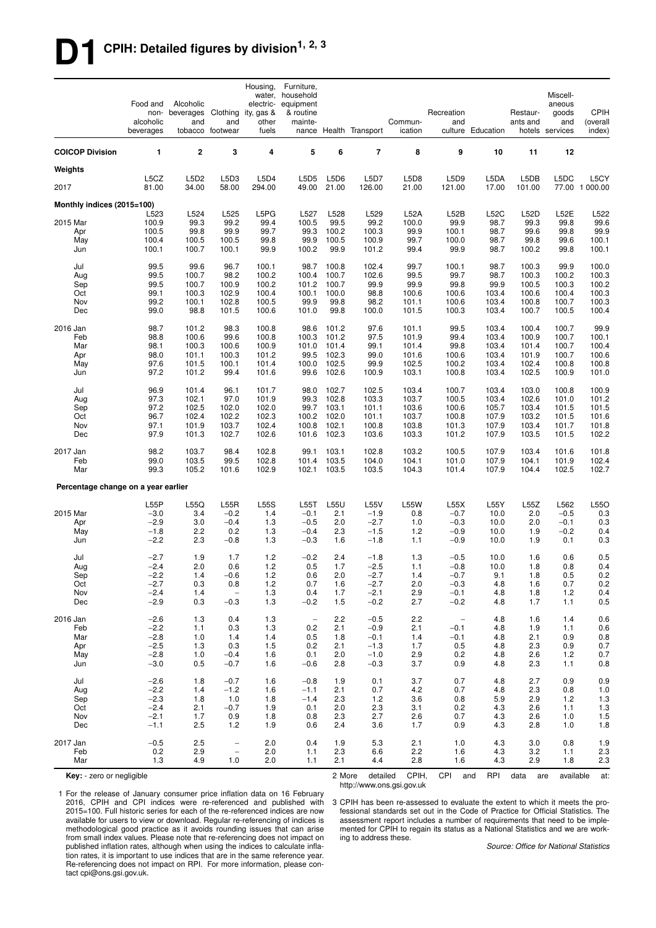# **D1 CPIH: Detailed figures by division1, 2, 3**

|                                     | Food and<br>non-<br>alcoholic<br>beverages | Alcoholic<br>beverages<br>and | Clothing<br>and<br>tobacco footwear           | Housing,<br>electric-<br>ity, gas &<br>other<br>fuels | Furniture,<br>water, household<br>equipment<br>& routine<br>mainte- |                | nance Health Transport   | Commun-<br>ication | Recreation<br>and               | culture Education | Restaur-<br>ants and | Miscell-<br>aneous<br>goods<br>and<br>hotels services | <b>CPIH</b><br>(overall<br>index) |
|-------------------------------------|--------------------------------------------|-------------------------------|-----------------------------------------------|-------------------------------------------------------|---------------------------------------------------------------------|----------------|--------------------------|--------------------|---------------------------------|-------------------|----------------------|-------------------------------------------------------|-----------------------------------|
| <b>COICOP Division</b>              | 1                                          | $\mathbf{2}$                  | 3                                             | 4                                                     | 5                                                                   | 6              | $\overline{\phantom{a}}$ | 8                  | 9                               | 10                | 11                   | 12                                                    |                                   |
| Weights                             |                                            |                               |                                               |                                                       |                                                                     |                |                          |                    |                                 |                   |                      |                                                       |                                   |
| 2017                                | L5CZ<br>81.00                              | L5D2<br>34.00                 | L <sub>5</sub> D <sub>3</sub><br>58.00        | L5D4<br>294.00                                        | L5D5<br>49.00                                                       | L5D6<br>21.00  | L5D7<br>126.00           | L5D8<br>21.00      | L5D9<br>121.00                  | L5DA<br>17.00     | L5DB<br>101.00       | L5DC                                                  | L5CY<br>77.00 1 000.00            |
| Monthly indices (2015=100)          |                                            |                               |                                               |                                                       |                                                                     |                |                          |                    |                                 |                   |                      |                                                       |                                   |
| 2015 Mar                            | L523<br>100.9                              | L524<br>99.3                  | L525<br>99.2                                  | L5PG<br>99.4                                          | L527<br>100.5                                                       | L528<br>99.5   | L529<br>99.2             | L52A<br>100.0      | L52B<br>99.9                    | L52C<br>98.7      | <b>L52D</b><br>99.3  | L52E<br>99.8                                          | L522<br>99.6                      |
| Apr                                 | 100.5                                      | 99.8                          | 99.9                                          | 99.7                                                  | 99.3                                                                | 100.2          | 100.3                    | 99.9               | 100.1                           | 98.7              | 99.6                 | 99.8                                                  | 99.9                              |
| May                                 | 100.4                                      | 100.5                         | 100.5                                         | 99.8                                                  | 99.9                                                                | 100.5          | 100.9                    | 99.7               | 100.0                           | 98.7              | 99.8                 | 99.6                                                  | 100.1                             |
| Jun                                 | 100.1                                      | 100.7                         | 100.1                                         | 99.9                                                  | 100.2                                                               | 99.9           | 101.2                    | 99.4               | 99.9                            | 98.7              | 100.2                | 99.8                                                  | 100.1                             |
| Jul                                 | 99.5                                       | 99.6                          | 96.7                                          | 100.1                                                 | 98.7                                                                | 100.8          | 102.4                    | 99.7               | 100.1                           | 98.7              | 100.3                | 99.9                                                  | 100.0                             |
| Aug<br>Sep                          | 99.5<br>99.5                               | 100.7<br>100.7                | 98.2<br>100.9                                 | 100.2<br>100.2                                        | 100.4<br>101.2                                                      | 100.7<br>100.7 | 102.6<br>99.9            | 99.5<br>99.9       | 99.7<br>99.8                    | 98.7<br>99.9      | 100.3<br>100.5       | 100.2<br>100.3                                        | 100.3<br>100.2                    |
| Oct                                 | 99.1                                       | 100.3                         | 102.9                                         | 100.4                                                 | 100.1                                                               | 100.0          | 98.8                     | 100.6              | 100.6                           | 103.4             | 100.6                | 100.4                                                 | 100.3                             |
| Nov                                 | 99.2                                       | 100.1                         | 102.8                                         | 100.5                                                 | 99.9                                                                | 99.8           | 98.2                     | 101.1              | 100.6                           | 103.4             | 100.8                | 100.7                                                 | 100.3                             |
| Dec                                 | 99.0                                       | 98.8                          | 101.5                                         | 100.6                                                 | 101.0                                                               | 99.8           | 100.0                    | 101.5              | 100.3                           | 103.4             | 100.7                | 100.5                                                 | 100.4                             |
| 2016 Jan                            | 98.7                                       | 101.2                         | 98.3                                          | 100.8                                                 | 98.6                                                                | 101.2          | 97.6                     | 101.1              | 99.5                            | 103.4             | 100.4                | 100.7                                                 | 99.9                              |
| Feb                                 | 98.8                                       | 100.6                         | 99.6                                          | 100.8                                                 | 100.3                                                               | 101.2          | 97.5                     | 101.9              | 99.4                            | 103.4             | 100.9                | 100.7                                                 | 100.1                             |
| Mar                                 | 98.1                                       | 100.3                         | 100.6                                         | 100.9                                                 | 101.0                                                               | 101.4          | 99.1                     | 101.4              | 99.8                            | 103.4             | 101.4                | 100.7                                                 | 100.4                             |
| Apr<br>May                          | 98.0<br>97.6                               | 101.1<br>101.5                | 100.3<br>100.1                                | 101.2<br>101.4                                        | 99.5<br>100.0                                                       | 102.3<br>102.5 | 99.0<br>99.9             | 101.6<br>102.5     | 100.6<br>100.2                  | 103.4<br>103.4    | 101.9<br>102.4       | 100.7<br>100.8                                        | 100.6<br>100.8                    |
| Jun                                 | 97.2                                       | 101.2                         | 99.4                                          | 101.6                                                 | 99.6                                                                | 102.6          | 100.9                    | 103.1              | 100.8                           | 103.4             | 102.5                | 100.9                                                 | 101.0                             |
| Jul                                 | 96.9                                       | 101.4                         | 96.1                                          | 101.7                                                 | 98.0                                                                | 102.7          | 102.5                    | 103.4              | 100.7                           | 103.4             | 103.0                | 100.8                                                 | 100.9                             |
| Aug                                 | 97.3                                       | 102.1                         | 97.0                                          | 101.9                                                 | 99.3                                                                | 102.8          | 103.3                    | 103.7              | 100.5                           | 103.4             | 102.6                | 101.0                                                 | 101.2                             |
| Sep                                 | 97.2                                       | 102.5                         | 102.0                                         | 102.0                                                 | 99.7                                                                | 103.1          | 101.1                    | 103.6              | 100.6                           | 105.7             | 103.4                | 101.5                                                 | 101.5                             |
| Oct<br>Nov                          | 96.7<br>97.1                               | 102.4<br>101.9                | 102.2<br>103.7                                | 102.3<br>102.4                                        | 100.2<br>100.8                                                      | 102.0<br>102.1 | 101.1<br>100.8           | 103.7<br>103.8     | 100.8<br>101.3                  | 107.9<br>107.9    | 103.2<br>103.4       | 101.5<br>101.7                                        | 101.6<br>101.8                    |
| Dec                                 | 97.9                                       | 101.3                         | 102.7                                         | 102.6                                                 | 101.6                                                               | 102.3          | 103.6                    | 103.3              | 101.2                           | 107.9             | 103.5                | 101.5                                                 | 102.2                             |
| 2017 Jan                            | 98.2                                       | 103.7                         | 98.4                                          | 102.8                                                 | 99.1                                                                | 103.1          | 102.8                    | 103.2              | 100.5                           | 107.9             | 103.4                | 101.6                                                 | 101.8                             |
| Feb                                 | 99.0                                       | 103.5                         | 99.5                                          | 102.8                                                 | 101.4                                                               | 103.5          | 104.0                    | 104.1              | 101.0                           | 107.9             | 104.1                | 101.9                                                 | 102.4                             |
| Mar                                 | 99.3                                       | 105.2                         | 101.6                                         | 102.9                                                 | 102.1                                                               | 103.5          | 103.5                    | 104.3              | 101.4                           | 107.9             | 104.4                | 102.5                                                 | 102.7                             |
| Percentage change on a year earlier |                                            |                               |                                               |                                                       |                                                                     |                |                          |                    |                                 |                   |                      |                                                       |                                   |
|                                     | L55P                                       | L55Q                          | L55R                                          | <b>L55S</b>                                           | L55T                                                                | <b>L55U</b>    | <b>L55V</b>              | <b>L55W</b>        | L55X                            | L55Y              | L55Z                 | L562                                                  | L55O                              |
| 2015 Mar                            | $-3.0$                                     | 3.4                           | $-0.2$                                        | 1.4                                                   | $-0.1$                                                              | 2.1            | $-1.9$                   | 0.8                | $-0.7$                          | 10.0              | 2.0                  | $-0.5$                                                | 0.3                               |
| Apr<br>May                          | $-2.9$<br>$-1.8$                           | 3.0<br>2.2                    | $-0.4$<br>0.2                                 | 1.3<br>1.3                                            | $-0.5$<br>$-0.4$                                                    | 2.0<br>2.3     | $-2.7$<br>$-1.5$         | 1.0<br>1.2         | $-0.3$<br>$-0.9$                | 10.0<br>10.0      | 2.0<br>1.9           | $-0.1$<br>$-0.2$                                      | 0.3<br>0.4                        |
| Jun                                 | $-2.2$                                     | 2.3                           | $-0.8$                                        | 1.3                                                   | $-0.3$                                                              | 1.6            | $-1.8$                   | 1.1                | $-0.9$                          | 10.0              | 1.9                  | 0.1                                                   | 0.3                               |
| Jul                                 | $-2.7$                                     | 1.9                           | 1.7                                           | 1.2                                                   | $-0.2$                                                              | 2.4            | $-1.8$                   | 1.3                | $-0.5$                          | 10.0              | 1.6                  | 0.6                                                   | 0.5                               |
| Aug                                 | $-2.4$                                     | 2.0                           | 0.6                                           | 1.2                                                   | 0.5                                                                 | 1.7            | $-2.5$                   | 1.1                | $-0.8$                          | 10.0              | 1.8                  | 0.8                                                   | 0.4                               |
| Sep                                 | -2.2                                       | 1.4                           | -0.6                                          | 1.2                                                   | 0.6                                                                 | 2.0            | $-2.7$                   | 1.4                | $-0.7$                          | 9.1               | 1.8                  | 0.5                                                   | 0.2                               |
| Oct<br>Nov                          | $-2.7$<br>$-2.4$                           | 0.3                           | 0.8<br>$\overline{\phantom{a}}$               | 1.2<br>1.3                                            | 0.7<br>0.4                                                          | 1.6            | $-2.7$                   | 2.0                | $-0.3$<br>$-0.1$                | 4.8<br>4.8        | 1.6                  | 0.7                                                   | 0.2                               |
| Dec                                 | $-2.9$                                     | 1.4<br>0.3                    | $-0.3$                                        | 1.3                                                   | $-0.2$                                                              | 1.7<br>1.5     | $-2.1$<br>$-0.2$         | 2.9<br>2.7         | $-0.2$                          | 4.8               | 1.8<br>1.7           | $1.2$<br>1.1                                          | 0.4<br>0.5                        |
| 2016 Jan                            | $-2.6$                                     | 1.3                           | 0.4                                           | 1.3                                                   | $\overline{\phantom{a}}$                                            | 2.2            | $-0.5$                   | 2.2                | $\hspace{0.1mm}-\hspace{0.1mm}$ | 4.8               | 1.6                  | 1.4                                                   | 0.6                               |
| Feb                                 | $-2.2$                                     | 1.1                           | 0.3                                           | 1.3                                                   | 0.2                                                                 | 2.1            | $-0.9$                   | 2.1                | $-0.1$                          | 4.8               | 1.9                  | 1.1                                                   | 0.6                               |
| Mar                                 | $-2.8$                                     | 1.0                           | 1.4                                           | 1.4                                                   | 0.5                                                                 | 1.8            | $-0.1$                   | 1.4                | $-0.1$                          | 4.8               | 2.1                  | 0.9                                                   | 0.8                               |
| Apr                                 | $-2.5$                                     | 1.3                           | 0.3                                           | 1.5                                                   | 0.2                                                                 | 2.1            | $-1.3$                   | 1.7                | 0.5                             | 4.8               | 2.3                  | 0.9                                                   | 0.7                               |
| May<br>Jun                          | $-2.8$<br>$-3.0$                           | 1.0<br>0.5                    | $-0.4$<br>$-0.7$                              | 1.6<br>1.6                                            | 0.1<br>$-0.6$                                                       | 2.0<br>2.8     | $-1.0$<br>$-0.3$         | 2.9<br>3.7         | 0.2<br>0.9                      | 4.8<br>4.8        | 2.6<br>2.3           | 1.2<br>1.1                                            | 0.7<br>0.8                        |
| Jul                                 | $-2.6$                                     | 1.8                           | $-0.7$                                        | 1.6                                                   | $-0.8$                                                              | 1.9            | 0.1                      | 3.7                | 0.7                             | 4.8               | 2.7                  | 0.9                                                   |                                   |
| Aug                                 | $-2.2$                                     | 1.4                           | $-1.2$                                        | 1.6                                                   | $-1.1$                                                              | 2.1            | 0.7                      | 4.2                | 0.7                             | 4.8               | 2.3                  | 0.8                                                   | 0.9<br>1.0                        |
| Sep                                 | $-2.3$                                     | 1.8                           | 1.0                                           | 1.8                                                   | $-1.4$                                                              | 2.3            | $1.2$                    | 3.6                | 0.8                             | 5.9               | 2.9                  | $1.2$                                                 | 1.3                               |
| Oct                                 | $-2.4$                                     | 2.1                           | $-0.7$                                        | 1.9                                                   | 0.1                                                                 | 2.0            | 2.3                      | 3.1                | 0.2                             | 4.3               | 2.6                  | 1.1                                                   | 1.3                               |
| Nov<br>Dec                          | $-2.1$<br>$-1.1$                           | 1.7<br>2.5                    | 0.9<br>1.2                                    | 1.8<br>1.9                                            | 0.8<br>0.6                                                          | 2.3<br>2.4     | 2.7<br>3.6               | 2.6<br>1.7         | 0.7<br>0.9                      | 4.3<br>4.3        | 2.6<br>2.8           | 1.0<br>1.0                                            | 1.5<br>1.8                        |
|                                     |                                            |                               |                                               |                                                       |                                                                     |                |                          |                    |                                 |                   |                      |                                                       |                                   |
| 2017 Jan<br>Feb                     | $-0.5$<br>0.2                              | 2.5<br>2.9                    | $\qquad \qquad -$<br>$\overline{\phantom{a}}$ | 2.0<br>2.0                                            | 0.4<br>1.1                                                          | 1.9<br>2.3     | 5.3<br>6.6               | 2.1<br>2.2         | 1.0<br>1.6                      | 4.3<br>4.3        | 3.0<br>3.2           | 0.8<br>1.1                                            | 1.9<br>2.3                        |
| Mar                                 | 1.3                                        | 4.9                           | 1.0                                           | 2.0                                                   | 1.1                                                                 | 2.1            | 4.4                      | 2.8                | 1.6                             | 4.3               | 2.9                  | 1.8                                                   | 2.3                               |
| Key: - zero or negligible           |                                            |                               |                                               |                                                       |                                                                     | 2 More         | detailed                 | CPIH,              | CPI                             | RPI<br>and        | data                 | available<br>are                                      | at:                               |

http://www.ons.gsi.gov.uk

1 For the release of January consumer price inflation data on 16 February 2016, CPIH and CPI indices were re-referenced and published with 2015=100. Full historic series for each of the re-referenced indices are now available for users to view or download. Regular re-referencing of indices is methodological good practice as it avoids rounding issues that can arise from small index values. Please note that re-referencing does not impact on published inflation rates, although when using the indices to calculate inflation rates, it is important to use indices that are in the same reference year. Re-referencing does not impact on RPI. For more information, please contact cpi@ons.gsi.gov.uk.

3 CPIH has been re-assessed to evaluate the extent to which it meets the professional standards set out in the Code of Practice for Official Statistics. The assessment report includes a number of requirements that need to be implemented for CPIH to regain its status as a National Statistics and we are working to address these.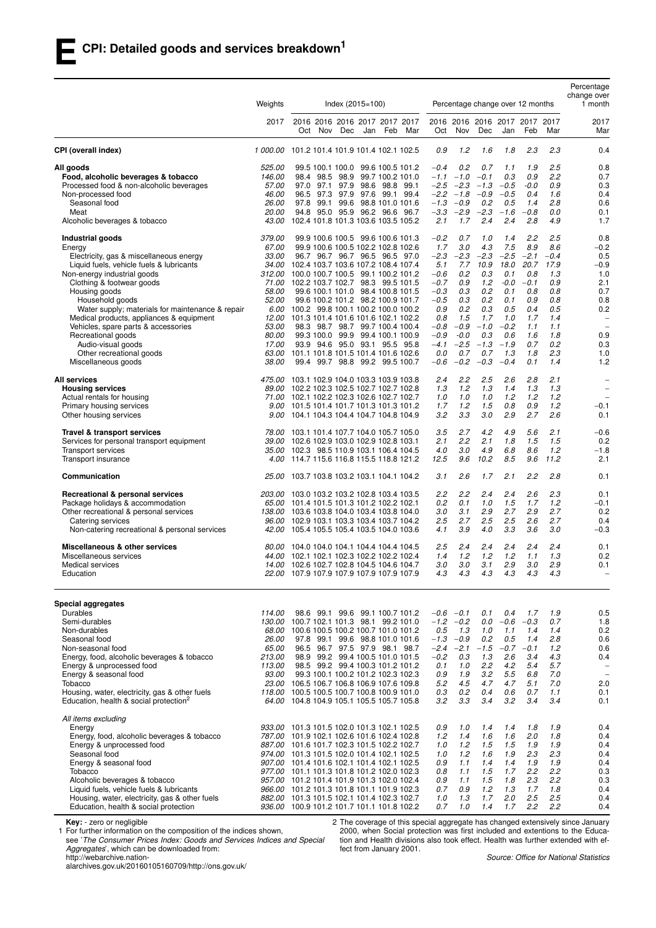|                                                                                                      | Weights                                      |      |         | Index $(2015=100)$ |     |     |                                                                                          |                  | Percentage change over 12 months     |               |               |               |            | Percentage<br>change over<br>1 month |
|------------------------------------------------------------------------------------------------------|----------------------------------------------|------|---------|--------------------|-----|-----|------------------------------------------------------------------------------------------|------------------|--------------------------------------|---------------|---------------|---------------|------------|--------------------------------------|
|                                                                                                      | 2017                                         |      | Oct Nov | Dec                | Jan | Feb | 2016 2016 2016 2017 2017 2017<br>Mar                                                     | Oct              | 2016 2016 2016 2017 2017 2017<br>Nov | Dec           | Jan           | Feb           | Mar        | 2017<br>Mar                          |
| CPI (overall index)                                                                                  | 1 000.00 101.2 101.4 101.9 101.4 102.1 102.5 |      |         |                    |     |     |                                                                                          | 0.9              | 1.2                                  | 1.6           | 1.8           | 2.3           | 2.3        | 0.4                                  |
| All goods                                                                                            | 525.00                                       |      |         |                    |     |     | 99.5 100.1 100.0 99.6 100.5 101.2                                                        | $-0.4$           | 0.2                                  | 0.7           | 1.1           | 1.9           | 2.5        | 0.8                                  |
| Food, alcoholic beverages & tobacco                                                                  | 146.00                                       |      |         |                    |     |     | 98.4 98.5 98.9 99.7 100.2 101.0                                                          | $-1.1$           | $-1.0$                               | $-0.1$        | 0.3           | 0.9           | 2.2        | 0.7                                  |
| Processed food & non-alcoholic beverages                                                             | <i>57.00</i>                                 | 97.0 | 97.1    |                    |     |     | 97.9 98.6 98.8 99.1                                                                      | $-2.5$           | $-2.3$                               | $-1.3$        | $-0.5$        | -0.0          | 0.9        | 0.3                                  |
| Non-processed food                                                                                   | 46.00<br>26.00                               |      |         |                    |     |     | 96.5 97.3 97.9 97.6 99.1 99.4<br>97.8 99.1 99.6 98.8 101.0 101.6                         | $-2.2$<br>$-1.3$ | $-1.8$<br>$-0.9$                     | $-0.9$<br>0.2 | $-0.5$<br>0.5 | 0.4<br>1.4    | 1.6<br>2.8 | 0.4<br>0.6                           |
| Seasonal food<br>Meat                                                                                | 20.00                                        | 94.8 |         |                    |     |     | 95.0 95.9 96.2 96.6 96.7                                                                 | $-3.3$           | $-2.9$                               | $-2.3$        | $-1.6$        | $-0.8$        | 0.0        | 0.1                                  |
| Alcoholic beverages & tobacco                                                                        | 43.00                                        |      |         |                    |     |     | 102.4 101.8 101.3 103.6 103.5 105.2                                                      | 2.1              | 1.7                                  | 2.4           | 2.4           | 2.8           | 4.9        | 1.7                                  |
| Industrial goods<br>Energy                                                                           | 379.00<br>67.00                              |      |         |                    |     |     | 99.9 100.6 100.5 99.6 100.6 101.3<br>99.9 100.6 100.5 102.2 102.8 102.6                  | $-0.2$<br>1.7    | 0.7<br>3.0                           | 1.0<br>4.3    | 1.4<br>7.5    | 2.2<br>8.9    | 2.5<br>8.6 | 0.8<br>$-0.2$                        |
| Electricity, gas & miscellaneous energy                                                              | 33.00                                        |      |         |                    |     |     | 96.7 96.7 96.7 96.5 96.5 97.0                                                            | -2.3             | $-2.3$                               | $-2.3$        | $-2.5$        | $-2.1$        | $-0.4$     | 0.5                                  |
| Liquid fuels, vehicle fuels & lubricants                                                             | <i>34.00</i>                                 |      |         |                    |     |     | 102.4 103.7 103.6 107.2 108.4 107.4                                                      | 5.1              | 7.7                                  | 10.9          | 18.0          | 20.7          | 17.9       | $-0.9$                               |
| Non-energy industrial goods                                                                          | 312.00                                       |      |         |                    |     |     | 100.0 100.7 100.5 99.1 100.2 101.2                                                       | -0.6             | 0.2                                  | 0.3           | 0.1           | 0.8           | 1.3        | 1.0                                  |
| Clothing & footwear goods                                                                            | 71.00                                        |      |         |                    |     |     | 102.2 103.7 102.7 98.3 99.5 101.5                                                        | $-0.7$           | 0.9                                  | 1.2           | $-0.0$        | $-0.1$        | 0.9        | 2.1                                  |
| Housing goods                                                                                        | 58.00                                        |      |         |                    |     |     | 99.6 100.1 101.0 98.4 100.8 101.5                                                        | $-0.3$           | 0.3                                  | 0.2<br>0.2    | 0.1           | 0.8<br>0.9    | 0.8<br>0.8 | 0.7<br>0.8                           |
| Household goods<br>Water supply; materials for maintenance & repair                                  | 52.00<br>6.00                                |      |         |                    |     |     | 99.6 100.2 101.2 98.2 100.9 101.7<br>100.2 99.8 100.1 100.2 100.0 100.2                  | -0.5<br>0.9      | 0.3<br>0.2                           | 0.3           | 0.1<br>0.5    | 0.4           | 0.5        | 0.2                                  |
| Medical products, appliances & equipment                                                             | 12.00                                        |      |         |                    |     |     | 101.3 101.4 101.6 101.6 102.1 102.2                                                      | 0.8              | 1.5                                  | 1.7           | 1.0           | 1.7           | 1.4        | $\overline{\phantom{0}}$             |
| Vehicles, spare parts & accessories                                                                  | 53.00                                        |      |         |                    |     |     | 98.3 98.7 98.7 99.7 100.4 100.4                                                          | $-0.8$           | $-0.9$                               | $-1.0$        | $-0.2$        | 1.1           | 1.1        | $\overline{a}$                       |
| Recreational goods                                                                                   | 80.00                                        |      |         |                    |     |     | 99.3 100.0 99.9 99.4 100.1 100.9                                                         | $-0.9$           | $-0.0$                               | 0.3           | 0.6           | 1.6           | 1.8        | 0.9                                  |
| Audio-visual goods                                                                                   | 17.00                                        |      |         |                    |     |     | 93.9 94.6 95.0 93.1 95.5 95.8                                                            | $-4.1$           | $-2.5$                               | $-1.3$        | $-1.9$        | 0.7           | 0.2        | 0.3                                  |
| Other recreational goods<br>Miscellaneous goods                                                      | 38.00                                        |      |         |                    |     |     | 63.00 101.1 101.8 101.5 101.4 101.6 102.6<br>99.4 99.7 98.8 99.2 99.5 100.7              | 0.0<br>-0.6      | 0.7<br>$-0.2$                        | 0.7<br>$-0.3$ | 1.3<br>$-0.4$ | 1.8<br>0.1    | 2.3<br>1.4 | 1.0<br>1.2                           |
| <b>All services</b>                                                                                  | 475.00                                       |      |         |                    |     |     | 103.1 102.9 104.0 103.3 103.9 103.8                                                      | 2.4              | 2.2                                  | 2.5           | 2.6           | 2.8           | 2.1        | $\overline{a}$                       |
| <b>Housing services</b>                                                                              |                                              |      |         |                    |     |     | 89.00 102.2 102.3 102.5 102.7 102.7 102.8                                                | 1.3              | 1.2                                  | 1.3           | 1.4           | 1.3           | 1.3        | $\overline{\phantom{0}}$             |
| Actual rentals for housing                                                                           |                                              |      |         |                    |     |     | 71.00 102.1 102.2 102.3 102.6 102.7 102.7                                                | 1.0              | 1.0                                  | 1.0           | 1.2           | 1.2           | 1.2        | $\overline{\phantom{0}}$             |
| Primary housing services                                                                             | 9.00                                         |      |         |                    |     |     | 101.5 101.4 101.7 101.3 101.3 101.2                                                      | 1.7              | 1.2                                  | 1.5           | 0.8           | 0.9           | 1.2        | $-0.1$                               |
| Other housing services                                                                               |                                              |      |         |                    |     |     | 9.00 104.1 104.3 104.4 104.7 104.8 104.9                                                 | 3.2              | 3.3                                  | 3.0           | 2.9           | 2.7           | 2.6        | 0.1                                  |
| Travel & transport services                                                                          |                                              |      |         |                    |     |     | 78.00 103.1 101.4 107.7 104.0 105.7 105.0                                                | 3.5              | 2.7                                  | 4.2           | 4.9           | 5.6           | 2.1        | $-0.6$                               |
| Services for personal transport equipment<br>Transport services                                      |                                              |      |         |                    |     |     | 39.00 102.6 102.9 103.0 102.9 102.8 103.1<br>35.00 102.3 98.5 110.9 103.1 106.4 104.5    | 2.1<br>4.0       | 2.2<br>3.0                           | 2.1<br>4.9    | 1.8<br>6.8    | 1.5<br>8.6    | 1.5<br>1.2 | 0.2<br>$-1.8$                        |
| Transport insurance                                                                                  | 4.00                                         |      |         |                    |     |     | 114.7 115.6 116.8 115.5 118.8 121.2                                                      | 12.5             | 9.6                                  | 10.2          | 8.5           | 9.6           | 11.2       | 2.1                                  |
| Communication                                                                                        | <i>25.00</i>                                 |      |         |                    |     |     | 103.7 103.8 103.2 103.1 104.1 104.2                                                      | 3.1              | 2.6                                  | 1.7           | 2.1           | 2.2           | 2.8        | 0.1                                  |
| Recreational & personal services                                                                     | <i>203.00</i>                                |      |         |                    |     |     | 103.0 103.2 103.2 102.8 103.4 103.5                                                      | 2.2              | 2.2                                  | 2.4           | 2.4           | 2.6           | 2.3        | 0.1                                  |
| Package holidays & accommodation<br>Other recreational & personal services                           |                                              |      |         |                    |     |     | 65.00 101.4 101.5 101.3 101.2 102.2 102.1<br>138.00 103.6 103.8 104.0 103.4 103.8 104.0  | 0.2<br>3.0       | 0.1<br>3.1                           | 1.0<br>2.9    | 1.5<br>2.7    | 1.7<br>2.9    | 1.2<br>2.7 | $-0.1$<br>0.2                        |
| Catering services                                                                                    | 96.00                                        |      |         |                    |     |     | 102.9 103.1 103.3 103.4 103.7 104.2                                                      | 2.5              | 2.7                                  | 2.5           | 2.5           | 2.6           | 2.7        | 0.4                                  |
| Non-catering recreational & personal services                                                        | 42.00                                        |      |         |                    |     |     | 105.4 105.5 105.4 103.5 104.0 103.6                                                      | 4.1              | 3.9                                  | 4.0           | 3.3           | 3.6           | 3.0        | $-0.3$                               |
| Miscellaneous & other services                                                                       | 80.00                                        |      |         |                    |     |     | 104.0 104.0 104.1 104.4 104.4 104.5                                                      | 2.5              | 2.4                                  | 2.4           | 2.4           | 2.4           | 2.4        | 0.1                                  |
| Miscellaneous services                                                                               |                                              |      |         |                    |     |     | 44.00 102.1 102.1 102.3 102.2 102.2 102.4                                                | 1.4              | 1.2                                  | 1.2           | 1.2           | 1.1           | 1.3        | 0.2                                  |
| <b>Medical services</b><br>Education                                                                 |                                              |      |         |                    |     |     | 14.00 102.6 102.7 102.8 104.5 104.6 104.7<br>22.00 107.9 107.9 107.9 107.9 107.9 107.9   | 3.0<br>4.3       | 3.0<br>4.3                           | 3.1<br>4.3    | 2.9<br>4.3    | 3.0<br>4.3    | 2.9<br>4.3 | 0.1<br>-                             |
|                                                                                                      |                                              |      |         |                    |     |     |                                                                                          |                  |                                      |               |               |               |            |                                      |
| Special aggregates<br>Durables                                                                       | 114.00                                       |      |         |                    |     |     | 98.6 99.1 99.6 99.1 100.7 101.2                                                          |                  | $-0.6$ $-0.1$                        | 0.1           | 0.4           | 1.7           | 1.9        | 0.5                                  |
| Semi-durables                                                                                        | 130.00                                       |      |         |                    |     |     | 100.7 102.1 101.3 98.1 99.2 101.0                                                        | $-1.2$           | $-0.2$                               | 0.0           | $-0.6$        | $-0.3$        | 0.7        | 1.8                                  |
| Non-durables                                                                                         | 68.00                                        |      |         |                    |     |     | 100.6 100.5 100.2 100.7 101.0 101.2                                                      | 0.5              | 1.3                                  | 1.0           | 1.1           | 1.4           | 1.4        | 0.2                                  |
| Seasonal food                                                                                        | 26.00                                        |      |         |                    |     |     | 97.8 99.1 99.6 98.8 101.0 101.6                                                          | $-1.3$           | $-0.9$                               | 0.2           | 0.5           | 1.4           | 2.8        | 0.6                                  |
| Non-seasonal food                                                                                    | 65.00                                        |      |         |                    |     |     | 96.5 96.7 97.5 97.9 98.1 98.7<br>98.9 99.2 99.4 100.5 101.0 101.5                        | $-2.4$           | $-2.1$                               | $-1.5$        | $-0.7$<br>2.6 | $-0.1$<br>3.4 | 1.2<br>4.3 | 0.6                                  |
| Energy, food, alcoholic beverages & tobacco<br>Energy & unprocessed food                             | 213.00<br>113.00                             |      |         |                    |     |     | 98.5 99.2 99.4 100.3 101.2 101.2                                                         | $-0.2$<br>0.1    | 0.3<br>1.0                           | 1.3<br>2.2    | 4.2           | 5.4           | 5.7        | 0.4<br>$\qquad \qquad -$             |
| Energy & seasonal food                                                                               | 93.00                                        |      |         |                    |     |     | 99.3 100.1 100.2 101.2 102.3 102.3                                                       | 0.9              | 1.9                                  | 3.2           | 5.5           | 6.8           | 7.0        |                                      |
| Tobacco                                                                                              |                                              |      |         |                    |     |     | 23.00 106.5 106.7 106.8 106.9 107.6 109.8                                                | 5.2              | 4.5                                  | 4.7           | 4.7           | 5.1           | 7.0        | 2.0                                  |
| Housing, water, electricity, gas & other fuels<br>Education, health & social protection <sup>2</sup> |                                              |      |         |                    |     |     | 118.00 100.5 100.5 100.7 100.8 100.9 101.0<br>64.00 104.8 104.9 105.1 105.5 105.7 105.8  | 0.3<br>3.2       | 0.2<br>3.3                           | 0.4<br>3.4    | 0.6<br>3.2    | 0.7<br>3.4    | 1.1<br>3.4 | 0.1<br>0.1                           |
| All items excluding                                                                                  |                                              |      |         |                    |     |     |                                                                                          |                  |                                      |               |               |               |            |                                      |
| Energy                                                                                               |                                              |      |         |                    |     |     | 933.00 101.3 101.5 102.0 101.3 102.1 102.5                                               | 0.9              | 1.0                                  | 1.4           | 1.4           | 1.8           | 1.9        | 0.4                                  |
| Energy, food, alcoholic beverages & tobacco                                                          |                                              |      |         |                    |     |     | 787.00 101.9 102.1 102.6 101.6 102.4 102.8                                               | 1.2              | 1.4                                  | 1.6           | 1.6           | 2.0           | 1.8        | 0.4                                  |
| Energy & unprocessed food                                                                            |                                              |      |         |                    |     |     | 887.00 101.6 101.7 102.3 101.5 102.2 102.7                                               | 1.0              | 1.2                                  | 1.5           | 1.5           | 1.9           | 1.9        | 0.4                                  |
| Seasonal food<br>Energy & seasonal food                                                              |                                              |      |         |                    |     |     | 974.00 101.3 101.5 102.0 101.4 102.1 102.5                                               | 1.0<br>0.9       | 1.2<br>1.1                           | 1.6<br>1.4    | 1.9<br>1.4    | 2.3<br>1.9    | 2.3<br>1.9 | 0.4<br>0.4                           |
| Tobacco                                                                                              |                                              |      |         |                    |     |     | 907.00 101.4 101.6 102.1 101.4 102.1 102.5<br>977.00 101.1 101.3 101.8 101.2 102.0 102.3 | 0.8              | 1.1                                  | 1.5           | 1.7           | 2.2           | 2.2        | 0.3                                  |
| Alcoholic beverages & tobacco                                                                        |                                              |      |         |                    |     |     | 957.00 101.2 101.4 101.9 101.3 102.0 102.4                                               | 0.9              | 1.1                                  | 1.5           | 1.8           | 2.3           | 2.2        | 0.3                                  |
| Liquid fuels, vehicle fuels & lubricants                                                             |                                              |      |         |                    |     |     | 966.00 101.2 101.3 101.8 101.1 101.9 102.3                                               | 0.7              | 0.9                                  | 1.2           | 1.3           | 1.7           | 1.8        | 0.4                                  |
| Housing, water, electricity, gas & other fuels                                                       |                                              |      |         |                    |     |     | 882.00 101.3 101.5 102.1 101.4 102.3 102.7                                               | 1.0              | 1.3                                  | 1.7           | 2.0           | 2.5           | 2.5        | 0.4                                  |
| Education, health & social protection                                                                |                                              |      |         |                    |     |     | 936.00 100.9 101.2 101.7 101.1 101.8 102.2                                               | 0.7              | 1.0                                  | 1.4           | 1.7           | 2.2           | 2.2        | 0.4                                  |

**Key:** - zero or negligible

1 For further information on the composition of the indices shown,

see '*The Consumer Prices Index: Goods and Services Indices and Special Aggregates*', which can be downloaded from: http://webarchive.nation-

alarchives.gov.uk/20160105160709/http://ons.gov.uk/

2 The coverage of this special aggregate has changed extensively since January 2000, when Social protection was first included and extentions to the Education and Health divisions also took effect. Health was further extended with effect from January 2001.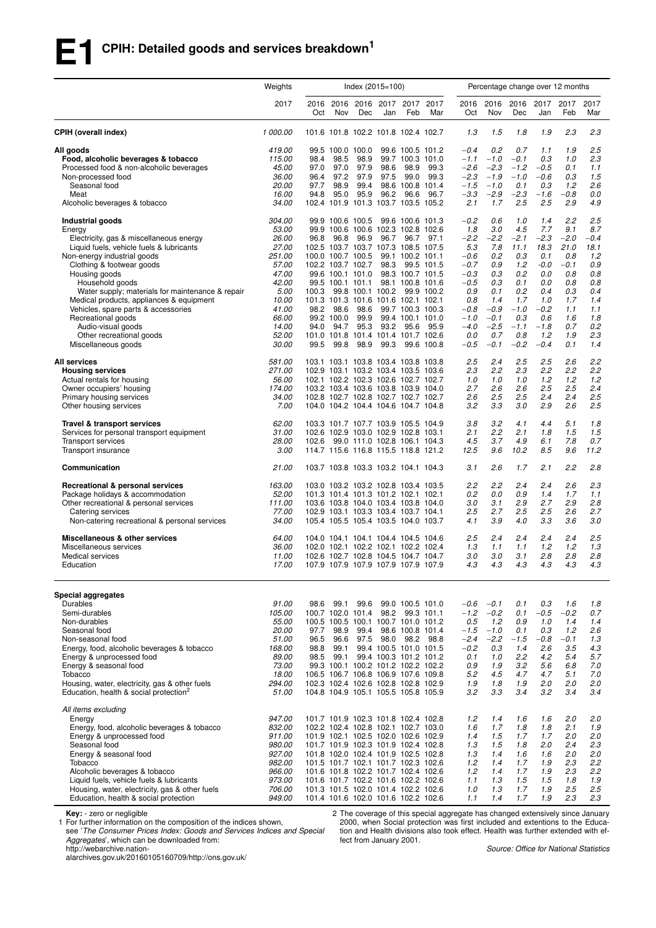# **E1 CPIH: Detailed goods and services breakdown<sup>1</sup>**

|                                                                                                      | Weights          |              |                          | Index (2015=100)                                                           |                  |                                      |              |                  | Percentage change over 12 months |                  |                  |               |             |
|------------------------------------------------------------------------------------------------------|------------------|--------------|--------------------------|----------------------------------------------------------------------------|------------------|--------------------------------------|--------------|------------------|----------------------------------|------------------|------------------|---------------|-------------|
|                                                                                                      | 2017             | 2016<br>Oct  | 2016<br>Nov              | Dec                                                                        | 2016 2017<br>Jan | 2017<br>Feb                          | 2017<br>Mar  | 2016<br>Oct      | 2016<br>Nov                      | 2016<br>Dec      | 2017<br>Jan      | 2017<br>Feb   | 2017<br>Mar |
| <b>CPIH (overall index)</b>                                                                          | 1 000.00         |              |                          | 101.6 101.8 102.2 101.8 102.4 102.7                                        |                  |                                      |              | 1.3              | 1.5                              | 1.8              | 1.9              | 2.3           | 2.3         |
| All goods<br>Food, alcoholic beverages & tobacco                                                     | 419.00<br>115.00 | 98.4         | 99.5 100.0 100.0<br>98.5 | 98.9                                                                       |                  | 99.6 100.5 101.2<br>99.7 100.3 101.0 |              | $-0.4$<br>$-1.1$ | 0.2<br>$-1.0$                    | 0.7<br>$-0.1$    | 1.1<br>0.3       | 1.9<br>1.0    | 2.5<br>2.3  |
| Processed food & non-alcoholic beverages<br>Non-processed food                                       | 45.00<br>36.00   | 97.0<br>96.4 | 97.0<br>97.2             | 97.9<br>97.9                                                               | 98.6<br>97.5     | 98.9<br>99.0                         | 99.3<br>99.3 | $-2.6$<br>$-2.3$ | $-2.3$<br>$-1.9$                 | $-1.2$<br>$-1.0$ | $-0.5$<br>$-0.6$ | 0.1<br>0.3    | 1.1<br>1.5  |
| Seasonal food                                                                                        | 20.00            | 97.7         | 98.9                     | 99.4                                                                       |                  | 98.6 100.8 101.4                     |              | $-1.5$           | $-1.0$                           | 0.1              | 0.3              | 1.2           | 2.6         |
| Meat<br>Alcoholic beverages & tobacco                                                                | 16.00<br>34.00   | 94.8         | 95.0                     | 95.9<br>102.4 101.9 101.3 103.7 103.5 105.2                                | 96.2             | 96.6                                 | 96.7         | $-3.3$<br>2.1    | $-2.9$<br>1.7                    | $-2.3$<br>2.5    | $-1.6$<br>2.5    | $-0.8$<br>2.9 | 0.0<br>4.9  |
| Industrial goods                                                                                     | 304.00           |              | 99.9 100.6 100.5         |                                                                            |                  | 99.6 100.6 101.3                     |              | $-0.2$           | 0.6                              | 1.0              | 1.4              | 2.2           | 2.5         |
| Energy                                                                                               | 53.00            |              |                          | 99.9 100.6 100.6 102.3 102.8 102.6                                         |                  |                                      |              | 1.8              | 3.0                              | 4.5              | 7.7              | 9.1           | 8.7         |
| Electricity, gas & miscellaneous energy                                                              | 26.00            | 96.8         | 96.8                     | 96.9                                                                       | 96.7             | 96.7                                 | 97.1         | $-2.2$           | $-2.2$                           | $-2.1$           | $-2.3$           | $-2.0$        | $-0.4$      |
| Liquid fuels, vehicle fuels & lubricants<br>Non-energy industrial goods                              | 27.00<br>251.00  |              | 100.0 100.7 100.5        | 102.5 103.7 103.7 107.3 108.5 107.5                                        |                  | 99.1 100.2 101.1                     |              | 5.3<br>$-0.6$    | 7.8<br>0.2                       | 11.1<br>0.3      | 18.3<br>0.1      | 21.0<br>0.8   | 18.1<br>1.2 |
| Clothing & footwear goods                                                                            | 57.00            |              | 102.2 103.7 102.7        |                                                                            | 98.3             |                                      | 99.5 101.5   | $-0.7$           | 0.9                              | 1.2              | $-0.0$           | $-0.1$        | 0.9         |
| Housing goods                                                                                        | 47.00            |              | 99.6 100.1 101.0         |                                                                            |                  | 98.3 100.7 101.5                     |              | $-0.3$           | 0.3                              | 0.2              | 0.0              | 0.8           | 0.8         |
| Household goods                                                                                      | 42.00            |              |                          | 99.5 100.1 101.1                                                           |                  | 98.1 100.8 101.6                     |              | $-0.5$           | 0.3                              | 0.1              | 0.0              | 0.8           | 0.8         |
| Water supply; materials for maintenance & repair                                                     | 5.00             | 100.3        |                          | 99.8 100.1 100.2 99.9 100.2                                                |                  |                                      |              | 0.9              | 0.1                              | 0.2              | 0.4              | 0.3           | 0.4         |
| Medical products, appliances & equipment<br>Vehicles, spare parts & accessories                      | 10.00<br>41.00   |              | 98.2 98.6                | 101.3 101.3 101.6 101.6 102.1 102.1<br>98.6                                |                  | 99.7 100.3 100.3                     |              | 0.8<br>$-0.8$    | 1.4<br>$-0.9$                    | 1.7<br>$-1.0$    | 1.0<br>$-0.2$    | 1.7<br>1.1    | 1.4<br>1.1  |
| Recreational goods                                                                                   | 66.00            |              | 99.2 100.0               | 99.9                                                                       |                  | 99.4 100.1 101.0                     |              | $-1.0$           | $-0.1$                           | 0.3              | 0.6              | 1.6           | 1.8         |
| Audio-visual goods                                                                                   | 14.00            | 94.0         | 94.7                     | 95.3                                                                       |                  | 93.2 95.6                            | 95.9         | $-4.0$           | $-2.5$                           | $-1.1$           | $-1.8$           | 0.7           | 0.2         |
| Other recreational goods                                                                             | 52.00            |              |                          | 101.0 101.8 101.4 101.4 101.7 102.6                                        |                  |                                      |              | 0.0              | 0.7                              | 0.8              | 1.2              | 1.9           | 2.3         |
| Miscellaneous goods                                                                                  | 30.00            | 99.5         | 99.8                     | 98.9                                                                       | 99.3             |                                      | 99.6 100.8   | $-0.5$           | $-0.1$                           | $-0.2$           | $-0.4$           | 0.1           | 1.4         |
| <b>All services</b>                                                                                  | 581.00           |              |                          | 103.1 103.1 103.8 103.4 103.8 103.8                                        |                  |                                      |              | 2.5              | 2.4                              | 2.5              | 2.5              | 2.6           | 2.2         |
| <b>Housing services</b>                                                                              | 271.00           |              |                          | 102.9 103.1 103.2 103.4 103.5 103.6<br>102.1 102.2 102.3 102.6 102.7 102.7 |                  |                                      |              | 2.3              | 2.2                              | 2.3<br>1.0       | 2.2<br>1.2       | 2.2<br>1.2    | 2.2<br>1.2  |
| Actual rentals for housing<br>Owner occupiers' housing                                               | 56.00<br>174.00  |              |                          | 103.2 103.4 103.6 103.8 103.9 104.0                                        |                  |                                      |              | 1.0<br>2.7       | 1.0<br>2.6                       | 2.6              | 2.5              | 2.5           | 2.4         |
| Primary housing services                                                                             | 34.00            |              |                          | 102.8 102.7 102.8 102.7 102.7 102.7                                        |                  |                                      |              | 2.6              | 2.5                              | 2.5              | 2.4              | 2.4           | 2.5         |
| Other housing services                                                                               | 7.00             |              |                          | 104.0 104.2 104.4 104.6 104.7 104.8                                        |                  |                                      |              | 3.2              | 3.3                              | 3.0              | 2.9              | 2.6           | 2.5         |
| Travel & transport services                                                                          | 62.00            |              |                          | 103.3 101.7 107.7 103.9 105.5 104.9                                        |                  |                                      |              | 3.8              | 3.2                              | 4.1              | 4.4              | 5.1           | 1.8         |
| Services for personal transport equipment<br><b>Transport services</b>                               | 31.00<br>28.00   | 102.6        |                          | 102.6 102.9 103.0 102.9 102.8 103.1<br>99.0 111.0 102.8 106.1 104.3        |                  |                                      |              | 2.1<br>4.5       | 2.2<br>3.7                       | 2.1<br>4.9       | 1.8<br>6.1       | 1.5<br>7.8    | 1.5<br>0.7  |
| Transport insurance                                                                                  | 3.00             |              |                          | 114.7 115.6 116.8 115.5 118.8 121.2                                        |                  |                                      |              | 12.5             | 9.6                              | 10.2             | 8.5              | 9.6           | 11.2        |
| Communication                                                                                        | 21.00            |              |                          | 103.7 103.8 103.3 103.2 104.1 104.3                                        |                  |                                      |              | 3.1              | 2.6                              | 1.7              | 2.1              | 2.2           | 2.8         |
| Recreational & personal services                                                                     | 163.00           |              |                          | 103.0 103.2 103.2 102.8 103.4 103.5                                        |                  |                                      |              | 2.2              | 2.2                              | 2.4              | 2.4              | 2.6           | 2.3         |
| Package holidays & accommodation<br>Other recreational & personal services                           | 52.00<br>111.00  |              |                          | 101.3 101.4 101.3 101.2 102.1 102.1<br>103.6 103.8 104.0 103.4 103.8 104.0 |                  |                                      |              | 0.2<br>3.0       | 0.0<br>3.1                       | 0.9<br>2.9       | 1.4<br>2.7       | 1.7<br>2.9    | 1.1<br>2.8  |
| Catering services                                                                                    | 77.00            |              |                          | 102.9 103.1 103.3 103.4 103.7 104.1                                        |                  |                                      |              | 2.5              | 2.7                              | 2.5              | 2.5              | 2.6           | 2.7         |
| Non-catering recreational & personal services                                                        | 34.00            |              |                          | 105.4 105.5 105.4 103.5 104.0 103.7                                        |                  |                                      |              | 4.1              | 3.9                              | 4.0              | 3.3              | 3.6           | 3.0         |
| Miscellaneous & other services<br>Miscellaneous services                                             | 64.00            |              |                          | 104.0 104.1 104.1 104.4 104.5 104.6<br>102.0 102.1 102.2 102.1 102.2 102.4 |                  |                                      |              | 2.5              | 2.4                              | 2.4              | 2.4              | 2.4           | 2.5         |
| <b>Medical services</b>                                                                              | 36.00<br>11.00   |              |                          | 102.6 102.7 102.8 104.5 104.7 104.7                                        |                  |                                      |              | 1.3<br>3.0       | 1.1<br>3.0                       | 1.1<br>3.1       | 1.2<br>2.8       | 1.2<br>2.8    | 1.3<br>2.8  |
| Education                                                                                            | 17.00            |              |                          | 107.9 107.9 107.9 107.9 107.9 107.9                                        |                  |                                      |              | 4.3              | 4.3                              | 4.3              | 4.3              | 4.3           | 4.3         |
| <b>Special aggregates</b>                                                                            |                  |              |                          |                                                                            |                  |                                      |              |                  |                                  |                  |                  |               |             |
| Durables                                                                                             | 91.00            | 98.6         | 99.1                     | 99.6                                                                       |                  | 99.0 100.5 101.0                     |              | $-0.6$           | $-0.1$                           | 0.1              | 0.3              | 1.6           | 1.8         |
| Semi-durables                                                                                        | 105.00           |              | 100.7 102.0 101.4        |                                                                            | 98.2             | 99.3 101.1                           |              | $-1.2$           | $-0.2$                           | 0.1              | $-0.5$           | $-0.2$        | 0.7         |
| Non-durables                                                                                         | 55.00            |              |                          | 100.5 100.5 100.1 100.7 101.0 101.2                                        |                  |                                      |              | 0.5              | 1.2                              | 0.9              | 1.0              | 1.4           | 1.4         |
| Seasonal food                                                                                        | 20.00            | 97.7         | 98.9                     | 99.4                                                                       |                  | 98.6 100.8 101.4                     |              | $-1.5$           | $-1.0$                           | 0.1              | 0.3              | 1.2           | 2.6         |
| Non-seasonal food<br>Energy, food, alcoholic beverages & tobacco                                     | 51.00<br>168.00  | 96.5<br>98.8 | 96.6<br>99.1             | 97.5                                                                       | 98.0             | 98.2<br>99.4 100.5 101.0 101.5       | 98.8         | $-2.4$<br>$-0.2$ | $-2.2$<br>0.3                    | $-1.5$<br>1.4    | $-0.8$<br>2.6    | $-0.1$<br>3.5 | 1.3<br>4.3  |
| Energy & unprocessed food                                                                            | 89.00            | 98.5         | 99.1                     |                                                                            |                  | 99.4 100.3 101.2 101.2               |              | 0.1              | 1.0                              | 2.2              | 4.2              | 5.4           | 5.7         |
| Energy & seasonal food                                                                               | 73.00            |              |                          | 99.3 100.1 100.2 101.2 102.2 102.2                                         |                  |                                      |              | 0.9              | 1.9                              | 3.2              | 5.6              | 6.8           | 7.0         |
| Tobacco                                                                                              | 18.00            |              |                          | 106.5 106.7 106.8 106.9 107.6 109.8                                        |                  |                                      |              | 5.2              | 4.5                              | 4.7              | 4.7              | 5.1           | 7.0         |
| Housing, water, electricity, gas & other fuels<br>Education, health & social protection <sup>2</sup> | 294.00<br>51.00  |              |                          | 102.3 102.4 102.6 102.8 102.8 102.9<br>104.8 104.9 105.1 105.5 105.8 105.9 |                  |                                      |              | 1.9<br>3.2       | 1.8<br>3.3                       | 1.9<br>3.4       | 2.0<br>3.2       | 2.0<br>3.4    | 2.0<br>3.4  |
| All items excluding                                                                                  |                  |              |                          |                                                                            |                  |                                      |              |                  |                                  |                  |                  |               |             |
| Energy                                                                                               | 947.00           |              |                          | 101.7 101.9 102.3 101.8 102.4 102.8                                        |                  |                                      |              | 1.2              | 1.4                              | 1.6              | 1.6              | 2.0           | 2.0         |
| Energy, food, alcoholic beverages & tobacco                                                          | 832.00           |              |                          | 102.2 102.4 102.8 102.1 102.7 103.0                                        |                  |                                      |              | 1.6              | 1.7                              | 1.8              | 1.8              | 2.1           | 1.9         |
| Energy & unprocessed food<br>Seasonal food                                                           | 911.00<br>980.00 |              |                          | 101.9 102.1 102.5 102.0 102.6 102.9<br>101.7 101.9 102.3 101.9 102.4 102.8 |                  |                                      |              | 1.4<br>1.3       | 1.5<br>1.5                       | 1.7<br>1.8       | 1.7<br>2.0       | 2.0<br>2.4    | 2.0<br>2.3  |
| Energy & seasonal food                                                                               | 927.00           |              |                          | 101.8 102.0 102.4 101.9 102.5 102.8                                        |                  |                                      |              | 1.3              | 1.4                              | 1.6              | 1.6              | 2.0           | 2.0         |
| Tobacco                                                                                              | 982.00           |              |                          | 101.5 101.7 102.1 101.7 102.3 102.6                                        |                  |                                      |              | 1.2              | 1.4                              | 1.7              | 1.9              | 2.3           | 2.2         |
| Alcoholic beverages & tobacco                                                                        | 966.00           |              |                          | 101.6 101.8 102.2 101.7 102.4 102.6                                        |                  |                                      |              | 1.2              | 1.4                              | 1.7              | 1.9              | 2.3           | 2.2         |
| Liquid fuels, vehicle fuels & lubricants<br>Housing, water, electricity, gas & other fuels           | 973.00<br>706.00 |              |                          | 101.6 101.7 102.2 101.6 102.2 102.6<br>101.3 101.5 102.0 101.4 102.2 102.6 |                  |                                      |              | 1.1<br>1.0       | 1.3<br>1.3                       | 1.5<br>1.7       | 1.5<br>1.9       | 1.8<br>2.5    | 1.9<br>2.5  |
| Education, health & social protection                                                                | 949.00           |              |                          | 101.4 101.6 102.0 101.6 102.2 102.6                                        |                  |                                      |              | 1.1              | 1.4                              | 1.7              | 1.9              | 2.3           | 2.3         |

**Key:** - zero or negligible

1 For further information on the composition of the indices shown,

see '*The Consumer Prices Index: Goods and Services Indices and Special Aggregates*', which can be downloaded from:

http://webarchive.nation-

alarchives.gov.uk/20160105160709/http://ons.gov.uk/

2 The coverage of this special aggregate has changed extensively since January 2000, when Social protection was first included and extentions to the Education and Health divisions also took effect. Health was further extended with effect from January 2001.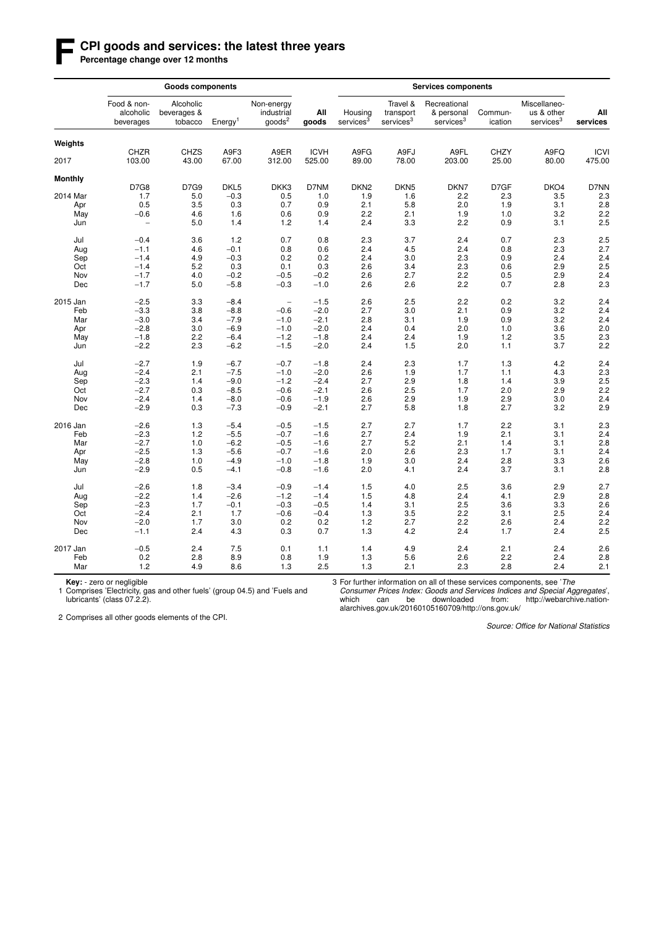#### **F CPI goods and services: the latest three years**

Percentage change over 12 months

|                |                                       | <b>Goods components</b>             |                     |                                               |                       |                                  |                                                | <b>Services components</b>                          |                    |                                                     |                       |
|----------------|---------------------------------------|-------------------------------------|---------------------|-----------------------------------------------|-----------------------|----------------------------------|------------------------------------------------|-----------------------------------------------------|--------------------|-----------------------------------------------------|-----------------------|
|                | Food & non-<br>alcoholic<br>beverages | Alcoholic<br>beverages &<br>tobacco | Energy <sup>1</sup> | Non-energy<br>industrial<br>$q$ oods ${}^{2}$ | All<br>goods          | Housing<br>services <sup>3</sup> | Travel &<br>transport<br>services <sup>3</sup> | Recreational<br>& personal<br>services <sup>3</sup> | Commun-<br>ication | Miscellaneo-<br>us & other<br>services <sup>3</sup> | All<br>services       |
| Weights        |                                       |                                     |                     |                                               |                       |                                  |                                                |                                                     |                    |                                                     |                       |
| 2017           | CHZR<br>103.00                        | <b>CHZS</b><br>43.00                | A9F3<br>67.00       | A9ER<br>312.00                                | <b>ICVH</b><br>525.00 | A9FG<br>89.00                    | A9FJ<br>78.00                                  | A9FL<br>203.00                                      | CHZY<br>25.00      | A9FQ<br>80.00                                       | <b>ICVI</b><br>475.00 |
| <b>Monthly</b> |                                       |                                     |                     |                                               |                       |                                  |                                                |                                                     |                    |                                                     |                       |
|                | D7G8                                  | D7G9                                | DKL <sub>5</sub>    | DKK3                                          | D7NM                  | DKN <sub>2</sub>                 | DKN <sub>5</sub>                               | DKN7                                                | D7GF               | DKO4                                                | D7NN                  |
| 2014 Mar       | 1.7                                   | 5.0                                 | $-0.3$              | 0.5                                           | 1.0                   | 1.9                              | 1.6                                            | 2.2                                                 | 2.3                | 3.5                                                 | 2.3                   |
| Apr            | 0.5                                   | 3.5                                 | 0.3                 | 0.7                                           | 0.9                   | 2.1                              | 5.8                                            | 2.0                                                 | 1.9                | 3.1                                                 | 2.8                   |
| May            | $-0.6$                                | 4.6                                 | 1.6                 | 0.6                                           | 0.9                   | 2.2                              | 2.1                                            | 1.9                                                 | 1.0                | 3.2                                                 | 2.2                   |
| Jun            | $\overline{\phantom{a}}$              | 5.0                                 | 1.4                 | 1.2                                           | 1.4                   | 2.4                              | 3.3                                            | 2.2                                                 | 0.9                | 3.1                                                 | 2.5                   |
| Jul            | $-0.4$                                | 3.6                                 | 1.2                 | 0.7                                           | 0.8                   | 2.3                              | 3.7                                            | 2.4                                                 | 0.7                | 2.3                                                 | 2.5                   |
| Aug            | $-1.1$                                | 4.6                                 | $-0.1$              | 0.8                                           | 0.6                   | 2.4                              | 4.5                                            | 2.4                                                 | 0.8                | 2.3                                                 | 2.7                   |
| Sep            | $-1.4$                                | 4.9                                 | $-0.3$              | 0.2                                           | 0.2                   | 2.4                              | 3.0                                            | 2.3                                                 | 0.9                | 2.4                                                 | 2.4                   |
| Oct            | $-1.4$                                | 5.2                                 | 0.3                 | 0.1                                           | 0.3                   | 2.6                              | 3.4                                            | 2.3                                                 | 0.6                | 2.9                                                 | 2.5                   |
| Nov            | $-1.7$                                | 4.0                                 | $-0.2$              | $-0.5$                                        | $-0.2$                | 2.6                              | 2.7                                            | 2.2                                                 | 0.5                | 2.9                                                 | 2.4                   |
| Dec            | $-1.7$                                | 5.0                                 | $-5.8$              | $-0.3$                                        | $-1.0$                | 2.6                              | 2.6                                            | 2.2                                                 | 0.7                | 2.8                                                 | 2.3                   |
| 2015 Jan       | $-2.5$                                | 3.3                                 | $-8.4$              | $\overline{\phantom{a}}$                      | $-1.5$                | 2.6                              | 2.5                                            | 2.2                                                 | 0.2                | 3.2                                                 | 2.4                   |
| Feb            | $-3.3$                                | 3.8                                 | $-8.8$              | $-0.6$                                        | $-2.0$                | 2.7                              | 3.0                                            | 2.1                                                 | 0.9                | 3.2                                                 | 2.4                   |
| Mar            | $-3.0$                                | 3.4                                 | $-7.9$              | $-1.0$                                        | $-2.1$                | 2.8                              | 3.1                                            | 1.9                                                 | 0.9                | 3.2                                                 | 2.4                   |
| Apr            | $-2.8$                                | 3.0                                 | $-6.9$              | $-1.0$                                        | $-2.0$                | 2.4                              | 0.4                                            | 2.0                                                 | 1.0                | 3.6                                                 | 2.0                   |
| May            | $-1.8$                                | 2.2                                 | $-6.4$              | $-1.2$                                        | $-1.8$                | 2.4                              | 2.4                                            | 1.9                                                 | 1.2                | 3.5                                                 | 2.3                   |
| Jun            | $-2.2$                                | 2.3                                 | $-6.2$              | $-1.5$                                        | $-2.0$                | 2.4                              | 1.5                                            | 2.0                                                 | 1.1                | 3.7                                                 | 2.2                   |
| Jul            | $-2.7$                                | 1.9                                 | $-6.7$              | $-0.7$                                        | $-1.8$                | 2.4                              | 2.3                                            | 1.7                                                 | 1.3                | 4.2                                                 | 2.4                   |
| Aug            | $-2.4$                                | 2.1                                 | $-7.5$              | $-1.0$                                        | $-2.0$                | 2.6                              | 1.9                                            | 1.7                                                 | 1.1                | 4.3                                                 | 2.3                   |
| Sep            | $-2.3$                                | 1.4                                 | $-9.0$              | $-1.2$                                        | $-2.4$                | 2.7                              | 2.9                                            | 1.8                                                 | 1.4                | 3.9                                                 | 2.5                   |
| Oct            | $-2.7$                                | 0.3                                 | $-8.5$              | $-0.6$                                        | $-2.1$                | 2.6                              | 2.5                                            | 1.7                                                 | 2.0                | 2.9                                                 | 2.2                   |
| Nov            | $-2.4$                                | 1.4                                 | $-8.0$              | $-0.6$                                        | $-1.9$                | 2.6                              | 2.9                                            | 1.9                                                 | 2.9                | 3.0                                                 | 2.4                   |
|                |                                       |                                     |                     |                                               |                       |                                  |                                                |                                                     |                    |                                                     |                       |
| Dec            | $-2.9$                                | 0.3                                 | $-7.3$              | $-0.9$                                        | $-2.1$                | 2.7                              | 5.8                                            | 1.8                                                 | 2.7                | 3.2                                                 | 2.9                   |
| 2016 Jan       | $-2.6$                                | 1.3                                 | $-5.4$              | $-0.5$                                        | $-1.5$                | 2.7                              | 2.7                                            | 1.7                                                 | 2.2                | 3.1                                                 | 2.3                   |
| Feb            | $-2.3$                                | 1.2                                 | $-5.5$              | $-0.7$                                        | $-1.6$                | 2.7                              | 2.4                                            | 1.9                                                 | 2.1                | 3.1                                                 | 2.4                   |
| Mar            | $-2.7$                                | 1.0                                 | $-6.2$              | $-0.5$                                        | $-1.6$                | 2.7                              | 5.2                                            | 2.1                                                 | 1.4                | 3.1                                                 | 2.8                   |
| Apr            | $-2.5$                                | 1.3                                 | $-5.6$              | $-0.7$                                        | $-1.6$                | 2.0                              | 2.6                                            | 2.3                                                 | 1.7                | 3.1                                                 | 2.4                   |
| May            | $-2.8$                                | 1.0                                 | $-4.9$              | $-1.0$                                        | $-1.8$                | 1.9                              | 3.0                                            | 2.4                                                 | 2.8                | 3.3                                                 | 2.6                   |
| Jun            | $-2.9$                                | 0.5                                 | $-4.1$              | $-0.8$                                        | $-1.6$                | 2.0                              | 4.1                                            | 2.4                                                 | 3.7                | 3.1                                                 | 2.8                   |
| Jul            | $-2.6$                                | 1.8                                 | $-3.4$              | $-0.9$                                        | $-1.4$                | 1.5                              | 4.0                                            | 2.5                                                 | 3.6                | 2.9                                                 | 2.7                   |
| Aug            | $-2.2$                                | 1.4                                 | $-2.6$              | $-1.2$                                        | $-1.4$                | 1.5                              | 4.8                                            | 2.4                                                 | 4.1                | 2.9                                                 | 2.8                   |
| Sep            | $-2.3$                                | 1.7                                 | $-0.1$              | $-0.3$                                        | $-0.5$                | 1.4                              | 3.1                                            | 2.5                                                 | 3.6                | 3.3                                                 | 2.6                   |
| Oct            | $-2.4$                                | 2.1                                 | 1.7                 | $-0.6$                                        | $-0.4$                | 1.3                              | 3.5                                            | 2.2                                                 | 3.1                | 2.5                                                 | 2.4                   |
| Nov            | $-2.0$                                | 1.7                                 | 3.0                 | 0.2                                           | 0.2                   | 1.2                              | 2.7                                            | 2.2                                                 | 2.6                | 2.4                                                 | 2.2                   |
| Dec            | $-1.1$                                | 2.4                                 | 4.3                 | 0.3                                           | 0.7                   | 1.3                              | 4.2                                            | 2.4                                                 | 1.7                | 2.4                                                 | 2.5                   |
|                |                                       |                                     |                     |                                               |                       |                                  |                                                |                                                     |                    | 2.4                                                 |                       |
| 2017 Jan       | $-0.5$                                | 2.4                                 | 7.5                 | 0.1                                           | 1.1                   | 1.4                              | 4.9                                            | 2.4                                                 | 2.1                |                                                     | 2.6                   |
| Feb            | 0.2                                   | 2.8                                 | 8.9                 | 0.8                                           | 1.9                   | 1.3                              | 5.6                                            | 2.6                                                 | 2.2                | 2.4                                                 | 2.8                   |
| Mar            | 1.2                                   | 4.9                                 | 8.6                 | 1.3                                           | 2.5                   | 1.3                              | 2.1                                            | 2.3                                                 | 2.8                | 2.4                                                 | 2.1                   |

**Key:** - zero or negligible<br>1 Comprises 'Electricity, gas and other fuels' (group 04.5) and 'Fuels and lubricants' (class 07.2.2).

3 For further information on all of these services components, see 'The

*Consumer Prices Index: Goods and Services Indices and Special Aggregates*', which can be downloaded from: http://webarchive.nationalarchives.gov.uk/20160105160709/http://ons.gov.uk/

2 Comprises all other goods elements of the CPI.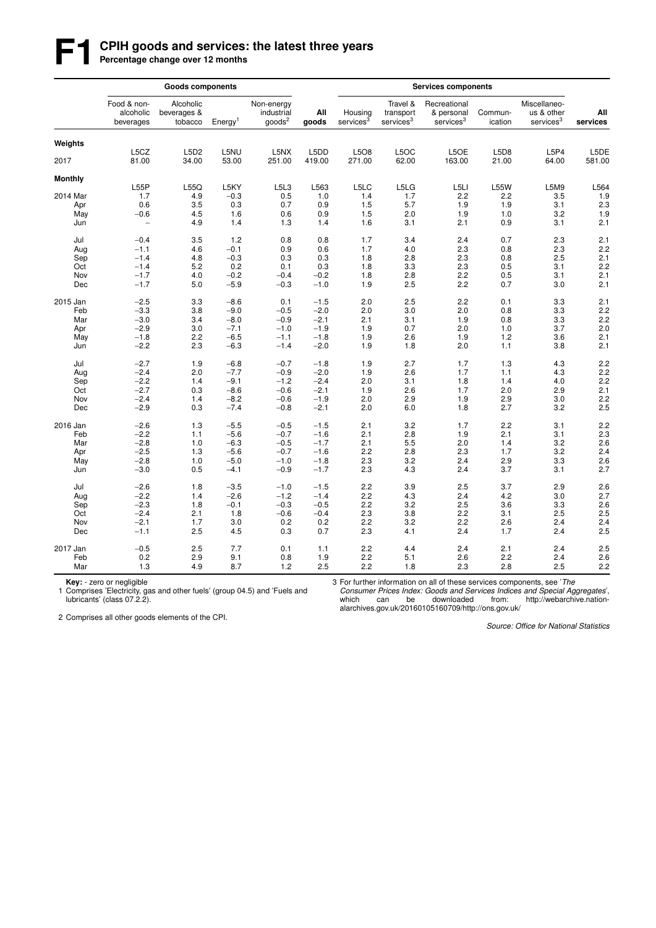# **F1 CPIH goods and services: the latest three years**<br>Percentage change over 12 months

|                |                                       | <b>Goods components</b>             |                     |                                                |              |                                  |                                                | <b>Services components</b>                          |                    |                                                     |                 |
|----------------|---------------------------------------|-------------------------------------|---------------------|------------------------------------------------|--------------|----------------------------------|------------------------------------------------|-----------------------------------------------------|--------------------|-----------------------------------------------------|-----------------|
|                | Food & non-<br>alcoholic<br>beverages | Alcoholic<br>beverages &<br>tobacco | Energy <sup>1</sup> | Non-energy<br>industrial<br>goods <sup>2</sup> | All<br>goods | Housing<br>services <sup>3</sup> | Travel &<br>transport<br>services <sup>3</sup> | Recreational<br>& personal<br>services <sup>3</sup> | Commun-<br>ication | Miscellaneo-<br>us & other<br>services <sup>3</sup> | All<br>services |
| Weights        |                                       |                                     |                     |                                                |              |                                  |                                                |                                                     |                    |                                                     |                 |
|                | L5CZ                                  | L5D2                                | L5NU                | L5NX                                           | L5DD         | L5O8                             | L5OC                                           | L5OE                                                | L5D8               | L5P4                                                | L5DE            |
| 2017           | 81.00                                 | 34.00                               | 53.00               | 251.00                                         | 419.00       | 271.00                           | 62.00                                          | 163.00                                              | 21.00              | 64.00                                               | 581.00          |
| <b>Monthly</b> |                                       |                                     |                     |                                                |              |                                  |                                                |                                                     |                    |                                                     |                 |
|                | L55P                                  | L55Q                                | L5KY                | L5L3                                           | L563         | L5LC                             | L5LG                                           | L5LI                                                | <b>L55W</b>        | L5M9                                                | L564            |
| 2014 Mar       | 1.7                                   | 4.9                                 | $-0.3$              | 0.5                                            | 1.0          | 1.4                              | 1.7                                            | 2.2                                                 | 2.2                | 3.5                                                 | 1.9             |
| Apr            | 0.6                                   | 3.5                                 | 0.3                 | 0.7                                            | 0.9          | 1.5                              | 5.7                                            | 1.9                                                 | 1.9                | 3.1                                                 | 2.3             |
| May            | $-0.6$                                | 4.5                                 | 1.6                 | 0.6                                            | 0.9          | 1.5                              | 2.0                                            | 1.9                                                 | 1.0                | 3.2                                                 | $1.9$           |
| Jun            | $\qquad \qquad -$                     | 4.9                                 | 1.4                 | 1.3                                            | 1.4          | 1.6                              | 3.1                                            | 2.1                                                 | 0.9                | 3.1                                                 | 2.1             |
| Jul            | $-0.4$                                | 3.5                                 | 1.2                 | 0.8                                            | 0.8          | 1.7                              | 3.4                                            | 2.4                                                 | 0.7                | 2.3                                                 | 2.1             |
| Aug            | $-1.1$                                | 4.6                                 | $-0.1$              | 0.9                                            | 0.6          | 1.7                              | 4.0                                            | 2.3                                                 | 0.8                | 2.3                                                 | 2.2             |
| Sep            | $-1.4$                                | 4.8                                 | $-0.3$              | 0.3                                            | 0.3          | 1.8                              | 2.8                                            | 2.3                                                 | 0.8                | 2.5                                                 | 2.1<br>2.2      |
| Oct            | $-1.4$                                | 5.2                                 | 0.2                 | 0.1                                            | 0.3          | 1.8                              | 3.3                                            | 2.3                                                 | 0.5                | 3.1                                                 |                 |
| Nov            | $-1.7$                                | 4.0                                 | $-0.2$              | $-0.4$                                         | $-0.2$       | 1.8                              | 2.8                                            | 2.2                                                 | 0.5                | 3.1                                                 | 2.1             |
| Dec            | $-1.7$                                | 5.0                                 | $-5.9$              | $-0.3$                                         | $-1.0$       | 1.9                              | 2.5                                            | 2.2                                                 | 0.7                | 3.0                                                 | 2.1             |
| 2015 Jan       | $-2.5$                                | 3.3                                 | $-8.6$              | 0.1                                            | $-1.5$       | 2.0                              | 2.5                                            | 2.2                                                 | 0.1                | 3.3                                                 | 2.1             |
| Feb            | $-3.3$                                | 3.8                                 | $-9.0$              | $-0.5$                                         | $-2.0$       | 2.0                              | 3.0                                            | 2.0                                                 | 0.8                | 3.3                                                 | 2.2             |
| Mar            | $-3.0$                                | 3.4                                 | $-8.0$              | $-0.9$                                         | $-2.1$       | 2.1                              | 3.1                                            | 1.9                                                 | 0.8                | 3.3                                                 | 2.2             |
| Apr            | $-2.9$                                | 3.0                                 | $-7.1$              | $-1.0$                                         | $-1.9$       | 1.9                              | 0.7                                            | 2.0                                                 | 1.0                | 3.7                                                 | 2.0             |
| May            | $-1.8$                                | 2.2                                 | $-6.5$              | $-1.1$                                         | $-1.8$       | 1.9                              | 2.6                                            | 1.9                                                 | 1.2                | 3.6                                                 | 2.1             |
| Jun            | $-2.2$                                | 2.3                                 | $-6.3$              | $-1.4$                                         | $-2.0$       | 1.9                              | 1.8                                            | 2.0                                                 | 1.1                | 3.8                                                 | 2.1             |
| Jul            | $-2.7$                                | 1.9                                 | $-6.8$              | $-0.7$                                         | $-1.8$       | 1.9                              | 2.7                                            | 1.7                                                 | 1.3                | 4.3                                                 | $2.2$<br>$2.2$  |
| Aug            | $-2.4$                                | 2.0                                 | $-7.7$              | $-0.9$                                         | $-2.0$       | 1.9                              | 2.6                                            | 1.7                                                 | 1.1                | 4.3                                                 |                 |
| Sep            | $-2.2$                                | 1.4                                 | $-9.1$              | $-1.2$                                         | $-2.4$       | 2.0                              | 3.1                                            | 1.8                                                 | 1.4                | 4.0                                                 | 2.2             |
| Oct            | $-2.7$                                | 0.3                                 | $-8.6$              | $-0.6$                                         | $-2.1$       | 1.9                              | 2.6                                            | 1.7                                                 | 2.0                | 2.9                                                 | 2.1             |
| Nov            | $-2.4$                                | 1.4                                 | $-8.2$              | $-0.6$                                         | $-1.9$       | 2.0                              | 2.9                                            | 1.9                                                 | 2.9                | 3.0                                                 | 2.2             |
| Dec            | $-2.9$                                | 0.3                                 | $-7.4$              | $-0.8$                                         | $-2.1$       | 2.0                              | 6.0                                            | 1.8                                                 | 2.7                | 3.2                                                 | 2.5             |
| 2016 Jan       | $-2.6$                                | 1.3                                 | $-5.5$              | $-0.5$                                         | $-1.5$       | 2.1                              | 3.2                                            | 1.7                                                 | 2.2                | 3.1                                                 | 2.2             |
| Feb            | $-2.2$                                | 1.1                                 | $-5.6$              | $-0.7$                                         | $-1.6$       | 2.1                              | 2.8                                            | 1.9                                                 | 2.1                | 3.1                                                 | 2.3             |
| Mar            | $-2.8$                                | 1.0                                 | $-6.3$              | $-0.5$                                         | $-1.7$       | 2.1                              | 5.5                                            | 2.0                                                 | 1.4                | 3.2                                                 | 2.6             |
| Apr            | $-2.5$                                | 1.3                                 | $-5.6$              | $-0.7$                                         | $-1.6$       | 2.2                              | 2.8                                            | 2.3                                                 | 1.7                | 3.2                                                 | 2.4             |
| May            | $-2.8$                                | 1.0                                 | $-5.0$              | $-1.0$                                         | $-1.8$       | 2.3                              | 3.2                                            | 2.4                                                 | 2.9                | 3.3                                                 | 2.6             |
| Jun            | $-3.0$                                | 0.5                                 | $-4.1$              | $-0.9$                                         | $-1.7$       | 2.3                              | 4.3                                            | 2.4                                                 | 3.7                | 3.1                                                 | 2.7             |
| Jul            | $-2.6$                                | 1.8                                 | $-3.5$              | $-1.0$                                         | $-1.5$       | 2.2                              | 3.9                                            | 2.5                                                 | 3.7                | 2.9                                                 | 2.6             |
| Aug            | $-2.2$                                | 1.4                                 | $-2.6$              | $-1.2$                                         | $-1.4$       | 2.2                              | $4.3$                                          | 2.4                                                 | 4.2                | 3.0                                                 | 2.7             |
| Sep            | $-2.3$                                | 1.8                                 | $-0.1$              | $-0.3$                                         | $-0.5$       | 2.2                              | 3.2                                            | 2.5                                                 | 3.6                | 3.3                                                 | 2.6             |
| Oct            | $-2.4$                                | 2.1                                 | 1.8                 | $-0.6$                                         | $-0.4$       | 2.3                              | 3.8                                            | 2.2                                                 | 3.1                | 2.5                                                 | 2.5             |
| Nov            | $-2.1$                                | 1.7                                 | 3.0                 | 0.2                                            | 0.2          | 2.2                              | 3.2                                            | 2.2                                                 | 2.6                | 2.4                                                 | 2.4             |
| Dec            | $-1.1$                                | 2.5                                 | 4.5                 | 0.3                                            | 0.7          | 2.3                              | 4.1                                            | 2.4                                                 | 1.7                | 2.4                                                 | 2.5             |
| 2017 Jan       | $-0.5$                                | 2.5                                 | 7.7                 | 0.1                                            | 1.1          | 2.2                              | 4.4                                            | 2.4                                                 | 2.1                | 2.4                                                 | 2.5             |
| Feb            | 0.2                                   | 2.9                                 | 9.1                 | 0.8                                            | 1.9          | 2.2                              | 5.1                                            | 2.6                                                 | 2.2                | 2.4                                                 | 2.6             |
| Mar            | 1.3                                   | 4.9                                 | 8.7                 | 1.2                                            | 2.5          | 2.2                              | 1.8                                            | 2.3                                                 | 2.8                | 2.5                                                 | 2.2             |

**Key:** - zero or negligible<br>1 Comprises 'Electricity, gas and other fuels' (group 04.5) and 'Fuels and lubricants' (class 07.2.2).

3 For further information on all of these services components, see 'The

*Consumer Prices Index: Goods and Services Indices and Special Aggregates*', which can be downloaded from: http://webarchive.nationalarchives.gov.uk/20160105160709/http://ons.gov.uk/

2 Comprises all other goods elements of the CPI.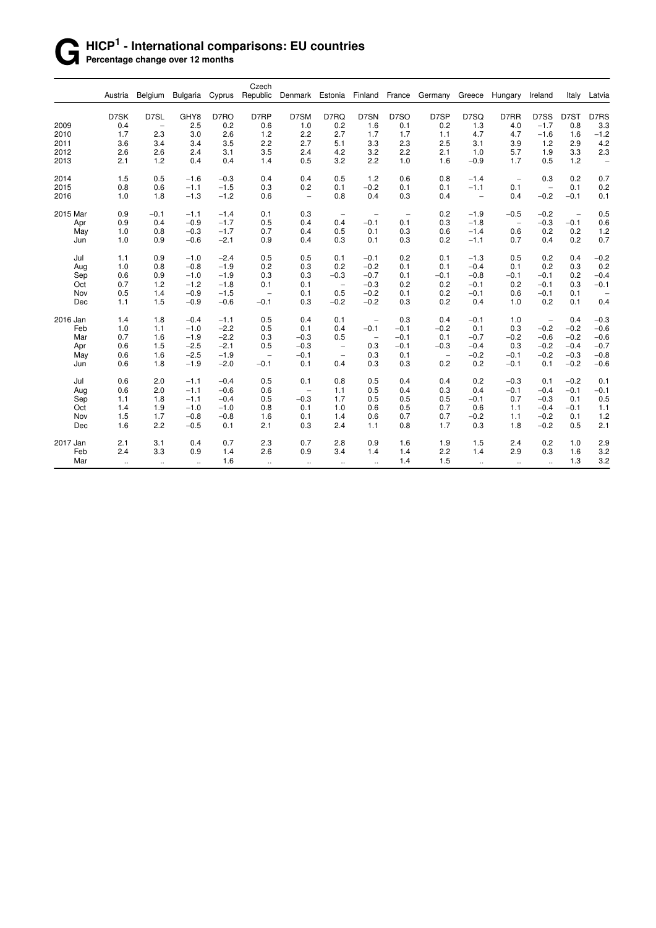### **G HICP<sup>1</sup> - International comparisons: EU countries Percentage change over 12 months**

| Denmark Estonia Finland<br>D7RQ<br>D7SN<br>D7SO<br>D7SK<br>D7SL<br>GHY8<br>D7RO<br>D7RP<br>D7SM<br>D7SP<br>D7SQ<br>D7RR<br>D7SS<br>2.5<br>0.2<br>0.6<br>0.2<br>0.2<br>$-1.7$<br>2009<br>0.4<br>1.0<br>1.6<br>0.1<br>1.3<br>4.0<br>$\overline{\phantom{a}}$<br>1.7<br>2.3<br>3.0<br>2.6<br>2.2<br>2.7<br>1.7<br>1.7<br>4.7<br>$-1.6$<br>2010<br>1.2<br>1.1<br>4.7<br>2011<br>3.6<br>3.5<br>2.2<br>2.7<br>5.1<br>3.3<br>2.3<br>2.5<br>3.9<br>1.2<br>3.4<br>3.4<br>3.1<br>2012<br>2.6<br>2.6<br>3.1<br>3.5<br>2.4<br>4.2<br>3.2<br>2.2<br>2.1<br>1.0<br>5.7<br>1.9<br>2.4<br>2.1<br>1.2<br>0.4<br>0.4<br>0.5<br>3.2<br>2.2<br>1.0<br>1.6<br>$-0.9$<br>1.7<br>0.5<br>2013<br>1.4<br>0.3<br>2014<br>1.5<br>0.5<br>$-1.6$<br>$-0.3$<br>0.4<br>0.4<br>0.5<br>1.2<br>0.6<br>0.8<br>$-1.4$<br>$\overline{\phantom{a}}$<br>$-1.5$<br>2015<br>0.8<br>0.6<br>0.3<br>0.2<br>0.1<br>$-0.2$<br>0.1<br>0.1<br>$-1.1$<br>0.1<br>$-1.1$<br>$\overline{\phantom{a}}$<br>$-0.2$<br>$-1.2$<br>0.4<br>0.3<br>2016<br>1.0<br>1.8<br>$-1.3$<br>0.6<br>0.8<br>0.4<br>0.4<br>$\qquad \qquad -$<br>$\overline{\phantom{a}}$<br>$-0.2$<br>2015 Mar<br>0.9<br>$-0.1$<br>$-1.1$<br>$-1.4$<br>0.1<br>0.3<br>0.2<br>$-1.9$<br>$-0.5$<br>$\qquad \qquad -$<br>$\overline{\phantom{a}}$<br>$\overline{\phantom{a}}$<br>0.9<br>$-1.7$<br>$-0.1$<br>0.1<br>0.3<br>$-0.3$<br>0.4<br>$-0.9$<br>0.5<br>0.4<br>0.4<br>$-1.8$<br>Apr<br>$\overline{\phantom{a}}$<br>$-1.7$<br>0.6<br>0.2<br>May<br>1.0<br>0.8<br>$-0.3$<br>0.7<br>0.4<br>0.5<br>0.1<br>0.3<br>0.6<br>$-1.4$<br>$-2.1$<br>0.3<br>0.3<br>0.2<br>0.7<br>0.4<br>1.0<br>0.9<br>$-0.6$<br>0.9<br>0.4<br>0.1<br>$-1.1$<br>Jun<br>Jul<br>1.1<br>0.9<br>$-2.4$<br>0.5<br>0.5<br>0.1<br>0.2<br>0.1<br>$-1.3$<br>0.5<br>0.2<br>$-1.0$<br>$-0.1$<br>0.2<br>1.0<br>$-1.9$<br>0.2<br>0.3<br>0.2<br>$-0.4$<br>0.1<br>Aug<br>0.8<br>$-0.8$<br>$-0.2$<br>0.1<br>0.1<br>0.6<br>$-0.3$<br>$-0.1$<br>0.9<br>$-1.0$<br>$-1.9$<br>0.3<br>0.3<br>$-0.7$<br>0.1<br>$-0.1$<br>$-0.8$<br>$-0.1$<br>Sep<br>0.7<br>$-1.2$<br>$-1.8$<br>0.2<br>0.2<br>0.2<br>0.3<br>Oct<br>1.2<br>0.1<br>0.1<br>$-0.3$<br>$-0.1$<br>$-0.1$<br>$\overline{\phantom{a}}$<br>0.5<br>$-0.9$<br>$-1.5$<br>0.5<br>$-0.2$<br>0.1<br>0.2<br>0.6<br>$-0.1$<br>0.1<br>Nov<br>1.4<br>0.1<br>$-0.1$<br>$\overline{\phantom{0}}$<br>0.1<br>Dec<br>1.1<br>1.5<br>$-0.9$<br>$-0.6$<br>$-0.1$<br>0.3<br>$-0.2$<br>$-0.2$<br>0.3<br>0.2<br>0.4<br>1.0<br>0.2<br>1.4<br>1.8<br>$-0.4$<br>$-1.1$<br>0.5<br>0.4<br>0.1<br>0.3<br>0.4<br>$-0.1$<br>1.0<br>2016 Jan<br>$\overline{\phantom{a}}$<br>$\overline{\phantom{m}}$<br>1.0<br>$-2.2$<br>$-0.2$<br>0.3<br>$-0.2$<br>$-0.2$<br>Feb<br>1.1<br>$-1.0$<br>0.5<br>0.1<br>0.4<br>$-0.1$<br>$-0.1$<br>0.1<br>$-2.2$<br>0.7<br>Mar<br>1.6<br>$-1.9$<br>0.3<br>$-0.3$<br>0.5<br>$-0.1$<br>0.1<br>$-0.7$<br>$-0.2$<br>$-0.6$<br>$-0.2$<br>$\overline{\phantom{a}}$<br>0.3<br>0.6<br>$-2.5$<br>$-2.1$<br>$-0.3$<br>$-0.1$<br>0.3<br>$-0.2$<br>$-0.4$<br>Apr<br>1.5<br>0.5<br>$-0.3$<br>$-0.4$<br>$\overline{\phantom{a}}$<br>0.3<br>0.6<br>1.6<br>$-2.5$<br>$-1.9$<br>$-0.1$<br>0.1<br>$-0.2$<br>$-0.2$<br>$-0.3$<br>May<br>$-0.1$<br>$\qquad \qquad -$<br>$\overline{\phantom{m}}$<br>$\overline{\phantom{m}}$<br>0.6<br>$-2.0$<br>0.1<br>0.4<br>0.3<br>0.3<br>0.2<br>0.2<br>$-0.1$<br>$-0.2$<br>1.8<br>$-1.9$<br>$-0.1$<br>0.1<br>Jun |     | Austria | Belgium | <b>Bulgaria</b> |        | Czech<br>Republic |     |     |     | France | Germany | Greece | Hungary | Ireland | Italy                    |                          |
|-----------------------------------------------------------------------------------------------------------------------------------------------------------------------------------------------------------------------------------------------------------------------------------------------------------------------------------------------------------------------------------------------------------------------------------------------------------------------------------------------------------------------------------------------------------------------------------------------------------------------------------------------------------------------------------------------------------------------------------------------------------------------------------------------------------------------------------------------------------------------------------------------------------------------------------------------------------------------------------------------------------------------------------------------------------------------------------------------------------------------------------------------------------------------------------------------------------------------------------------------------------------------------------------------------------------------------------------------------------------------------------------------------------------------------------------------------------------------------------------------------------------------------------------------------------------------------------------------------------------------------------------------------------------------------------------------------------------------------------------------------------------------------------------------------------------------------------------------------------------------------------------------------------------------------------------------------------------------------------------------------------------------------------------------------------------------------------------------------------------------------------------------------------------------------------------------------------------------------------------------------------------------------------------------------------------------------------------------------------------------------------------------------------------------------------------------------------------------------------------------------------------------------------------------------------------------------------------------------------------------------------------------------------------------------------------------------------------------------------------------------------------------------------------------------------------------------------------------------------------------------------------------------------------------------------------------------------------------------------------------------------------------------------------------------------------------------------------------------------------------------------------------------------------------------------------------------------------------------------------------------------------------------------------------------------------------------------------|-----|---------|---------|-----------------|--------|-------------------|-----|-----|-----|--------|---------|--------|---------|---------|--------------------------|--------------------------|
|                                                                                                                                                                                                                                                                                                                                                                                                                                                                                                                                                                                                                                                                                                                                                                                                                                                                                                                                                                                                                                                                                                                                                                                                                                                                                                                                                                                                                                                                                                                                                                                                                                                                                                                                                                                                                                                                                                                                                                                                                                                                                                                                                                                                                                                                                                                                                                                                                                                                                                                                                                                                                                                                                                                                                                                                                                                                                                                                                                                                                                                                                                                                                                                                                                                                                                                                         |     |         |         |                 | Cyprus |                   |     |     |     |        |         |        |         |         |                          | Latvia                   |
|                                                                                                                                                                                                                                                                                                                                                                                                                                                                                                                                                                                                                                                                                                                                                                                                                                                                                                                                                                                                                                                                                                                                                                                                                                                                                                                                                                                                                                                                                                                                                                                                                                                                                                                                                                                                                                                                                                                                                                                                                                                                                                                                                                                                                                                                                                                                                                                                                                                                                                                                                                                                                                                                                                                                                                                                                                                                                                                                                                                                                                                                                                                                                                                                                                                                                                                                         |     |         |         |                 |        |                   |     |     |     |        |         |        |         |         | D7ST                     | D7RS                     |
|                                                                                                                                                                                                                                                                                                                                                                                                                                                                                                                                                                                                                                                                                                                                                                                                                                                                                                                                                                                                                                                                                                                                                                                                                                                                                                                                                                                                                                                                                                                                                                                                                                                                                                                                                                                                                                                                                                                                                                                                                                                                                                                                                                                                                                                                                                                                                                                                                                                                                                                                                                                                                                                                                                                                                                                                                                                                                                                                                                                                                                                                                                                                                                                                                                                                                                                                         |     |         |         |                 |        |                   |     |     |     |        |         |        |         |         | 0.8                      | 3.3                      |
|                                                                                                                                                                                                                                                                                                                                                                                                                                                                                                                                                                                                                                                                                                                                                                                                                                                                                                                                                                                                                                                                                                                                                                                                                                                                                                                                                                                                                                                                                                                                                                                                                                                                                                                                                                                                                                                                                                                                                                                                                                                                                                                                                                                                                                                                                                                                                                                                                                                                                                                                                                                                                                                                                                                                                                                                                                                                                                                                                                                                                                                                                                                                                                                                                                                                                                                                         |     |         |         |                 |        |                   |     |     |     |        |         |        |         |         | 1.6                      | $-1.2$                   |
|                                                                                                                                                                                                                                                                                                                                                                                                                                                                                                                                                                                                                                                                                                                                                                                                                                                                                                                                                                                                                                                                                                                                                                                                                                                                                                                                                                                                                                                                                                                                                                                                                                                                                                                                                                                                                                                                                                                                                                                                                                                                                                                                                                                                                                                                                                                                                                                                                                                                                                                                                                                                                                                                                                                                                                                                                                                                                                                                                                                                                                                                                                                                                                                                                                                                                                                                         |     |         |         |                 |        |                   |     |     |     |        |         |        |         |         | 2.9                      | 4.2                      |
|                                                                                                                                                                                                                                                                                                                                                                                                                                                                                                                                                                                                                                                                                                                                                                                                                                                                                                                                                                                                                                                                                                                                                                                                                                                                                                                                                                                                                                                                                                                                                                                                                                                                                                                                                                                                                                                                                                                                                                                                                                                                                                                                                                                                                                                                                                                                                                                                                                                                                                                                                                                                                                                                                                                                                                                                                                                                                                                                                                                                                                                                                                                                                                                                                                                                                                                                         |     |         |         |                 |        |                   |     |     |     |        |         |        |         |         | 3.3                      | 2.3                      |
|                                                                                                                                                                                                                                                                                                                                                                                                                                                                                                                                                                                                                                                                                                                                                                                                                                                                                                                                                                                                                                                                                                                                                                                                                                                                                                                                                                                                                                                                                                                                                                                                                                                                                                                                                                                                                                                                                                                                                                                                                                                                                                                                                                                                                                                                                                                                                                                                                                                                                                                                                                                                                                                                                                                                                                                                                                                                                                                                                                                                                                                                                                                                                                                                                                                                                                                                         |     |         |         |                 |        |                   |     |     |     |        |         |        |         |         | 1.2                      | $\overline{\phantom{0}}$ |
|                                                                                                                                                                                                                                                                                                                                                                                                                                                                                                                                                                                                                                                                                                                                                                                                                                                                                                                                                                                                                                                                                                                                                                                                                                                                                                                                                                                                                                                                                                                                                                                                                                                                                                                                                                                                                                                                                                                                                                                                                                                                                                                                                                                                                                                                                                                                                                                                                                                                                                                                                                                                                                                                                                                                                                                                                                                                                                                                                                                                                                                                                                                                                                                                                                                                                                                                         |     |         |         |                 |        |                   |     |     |     |        |         |        |         |         | 0.2                      | 0.7                      |
|                                                                                                                                                                                                                                                                                                                                                                                                                                                                                                                                                                                                                                                                                                                                                                                                                                                                                                                                                                                                                                                                                                                                                                                                                                                                                                                                                                                                                                                                                                                                                                                                                                                                                                                                                                                                                                                                                                                                                                                                                                                                                                                                                                                                                                                                                                                                                                                                                                                                                                                                                                                                                                                                                                                                                                                                                                                                                                                                                                                                                                                                                                                                                                                                                                                                                                                                         |     |         |         |                 |        |                   |     |     |     |        |         |        |         |         | 0.1                      | 0.2                      |
|                                                                                                                                                                                                                                                                                                                                                                                                                                                                                                                                                                                                                                                                                                                                                                                                                                                                                                                                                                                                                                                                                                                                                                                                                                                                                                                                                                                                                                                                                                                                                                                                                                                                                                                                                                                                                                                                                                                                                                                                                                                                                                                                                                                                                                                                                                                                                                                                                                                                                                                                                                                                                                                                                                                                                                                                                                                                                                                                                                                                                                                                                                                                                                                                                                                                                                                                         |     |         |         |                 |        |                   |     |     |     |        |         |        |         |         | $-0.1$                   | 0.1                      |
|                                                                                                                                                                                                                                                                                                                                                                                                                                                                                                                                                                                                                                                                                                                                                                                                                                                                                                                                                                                                                                                                                                                                                                                                                                                                                                                                                                                                                                                                                                                                                                                                                                                                                                                                                                                                                                                                                                                                                                                                                                                                                                                                                                                                                                                                                                                                                                                                                                                                                                                                                                                                                                                                                                                                                                                                                                                                                                                                                                                                                                                                                                                                                                                                                                                                                                                                         |     |         |         |                 |        |                   |     |     |     |        |         |        |         |         | $\overline{\phantom{a}}$ | 0.5                      |
|                                                                                                                                                                                                                                                                                                                                                                                                                                                                                                                                                                                                                                                                                                                                                                                                                                                                                                                                                                                                                                                                                                                                                                                                                                                                                                                                                                                                                                                                                                                                                                                                                                                                                                                                                                                                                                                                                                                                                                                                                                                                                                                                                                                                                                                                                                                                                                                                                                                                                                                                                                                                                                                                                                                                                                                                                                                                                                                                                                                                                                                                                                                                                                                                                                                                                                                                         |     |         |         |                 |        |                   |     |     |     |        |         |        |         |         | $-0.1$                   | 0.6                      |
|                                                                                                                                                                                                                                                                                                                                                                                                                                                                                                                                                                                                                                                                                                                                                                                                                                                                                                                                                                                                                                                                                                                                                                                                                                                                                                                                                                                                                                                                                                                                                                                                                                                                                                                                                                                                                                                                                                                                                                                                                                                                                                                                                                                                                                                                                                                                                                                                                                                                                                                                                                                                                                                                                                                                                                                                                                                                                                                                                                                                                                                                                                                                                                                                                                                                                                                                         |     |         |         |                 |        |                   |     |     |     |        |         |        |         |         | 0.2                      | 1.2                      |
|                                                                                                                                                                                                                                                                                                                                                                                                                                                                                                                                                                                                                                                                                                                                                                                                                                                                                                                                                                                                                                                                                                                                                                                                                                                                                                                                                                                                                                                                                                                                                                                                                                                                                                                                                                                                                                                                                                                                                                                                                                                                                                                                                                                                                                                                                                                                                                                                                                                                                                                                                                                                                                                                                                                                                                                                                                                                                                                                                                                                                                                                                                                                                                                                                                                                                                                                         |     |         |         |                 |        |                   |     |     |     |        |         |        |         |         | 0.2                      | 0.7                      |
|                                                                                                                                                                                                                                                                                                                                                                                                                                                                                                                                                                                                                                                                                                                                                                                                                                                                                                                                                                                                                                                                                                                                                                                                                                                                                                                                                                                                                                                                                                                                                                                                                                                                                                                                                                                                                                                                                                                                                                                                                                                                                                                                                                                                                                                                                                                                                                                                                                                                                                                                                                                                                                                                                                                                                                                                                                                                                                                                                                                                                                                                                                                                                                                                                                                                                                                                         |     |         |         |                 |        |                   |     |     |     |        |         |        |         |         | 0.4                      | $-0.2$                   |
|                                                                                                                                                                                                                                                                                                                                                                                                                                                                                                                                                                                                                                                                                                                                                                                                                                                                                                                                                                                                                                                                                                                                                                                                                                                                                                                                                                                                                                                                                                                                                                                                                                                                                                                                                                                                                                                                                                                                                                                                                                                                                                                                                                                                                                                                                                                                                                                                                                                                                                                                                                                                                                                                                                                                                                                                                                                                                                                                                                                                                                                                                                                                                                                                                                                                                                                                         |     |         |         |                 |        |                   |     |     |     |        |         |        |         |         | 0.3                      | 0.2                      |
|                                                                                                                                                                                                                                                                                                                                                                                                                                                                                                                                                                                                                                                                                                                                                                                                                                                                                                                                                                                                                                                                                                                                                                                                                                                                                                                                                                                                                                                                                                                                                                                                                                                                                                                                                                                                                                                                                                                                                                                                                                                                                                                                                                                                                                                                                                                                                                                                                                                                                                                                                                                                                                                                                                                                                                                                                                                                                                                                                                                                                                                                                                                                                                                                                                                                                                                                         |     |         |         |                 |        |                   |     |     |     |        |         |        |         |         | 0.2                      | $-0.4$                   |
|                                                                                                                                                                                                                                                                                                                                                                                                                                                                                                                                                                                                                                                                                                                                                                                                                                                                                                                                                                                                                                                                                                                                                                                                                                                                                                                                                                                                                                                                                                                                                                                                                                                                                                                                                                                                                                                                                                                                                                                                                                                                                                                                                                                                                                                                                                                                                                                                                                                                                                                                                                                                                                                                                                                                                                                                                                                                                                                                                                                                                                                                                                                                                                                                                                                                                                                                         |     |         |         |                 |        |                   |     |     |     |        |         |        |         |         |                          | $-0.1$                   |
|                                                                                                                                                                                                                                                                                                                                                                                                                                                                                                                                                                                                                                                                                                                                                                                                                                                                                                                                                                                                                                                                                                                                                                                                                                                                                                                                                                                                                                                                                                                                                                                                                                                                                                                                                                                                                                                                                                                                                                                                                                                                                                                                                                                                                                                                                                                                                                                                                                                                                                                                                                                                                                                                                                                                                                                                                                                                                                                                                                                                                                                                                                                                                                                                                                                                                                                                         |     |         |         |                 |        |                   |     |     |     |        |         |        |         |         |                          |                          |
|                                                                                                                                                                                                                                                                                                                                                                                                                                                                                                                                                                                                                                                                                                                                                                                                                                                                                                                                                                                                                                                                                                                                                                                                                                                                                                                                                                                                                                                                                                                                                                                                                                                                                                                                                                                                                                                                                                                                                                                                                                                                                                                                                                                                                                                                                                                                                                                                                                                                                                                                                                                                                                                                                                                                                                                                                                                                                                                                                                                                                                                                                                                                                                                                                                                                                                                                         |     |         |         |                 |        |                   |     |     |     |        |         |        |         |         |                          | 0.4                      |
|                                                                                                                                                                                                                                                                                                                                                                                                                                                                                                                                                                                                                                                                                                                                                                                                                                                                                                                                                                                                                                                                                                                                                                                                                                                                                                                                                                                                                                                                                                                                                                                                                                                                                                                                                                                                                                                                                                                                                                                                                                                                                                                                                                                                                                                                                                                                                                                                                                                                                                                                                                                                                                                                                                                                                                                                                                                                                                                                                                                                                                                                                                                                                                                                                                                                                                                                         |     |         |         |                 |        |                   |     |     |     |        |         |        |         |         | 0.4                      | $-0.3$                   |
|                                                                                                                                                                                                                                                                                                                                                                                                                                                                                                                                                                                                                                                                                                                                                                                                                                                                                                                                                                                                                                                                                                                                                                                                                                                                                                                                                                                                                                                                                                                                                                                                                                                                                                                                                                                                                                                                                                                                                                                                                                                                                                                                                                                                                                                                                                                                                                                                                                                                                                                                                                                                                                                                                                                                                                                                                                                                                                                                                                                                                                                                                                                                                                                                                                                                                                                                         |     |         |         |                 |        |                   |     |     |     |        |         |        |         |         |                          | $-0.6$                   |
|                                                                                                                                                                                                                                                                                                                                                                                                                                                                                                                                                                                                                                                                                                                                                                                                                                                                                                                                                                                                                                                                                                                                                                                                                                                                                                                                                                                                                                                                                                                                                                                                                                                                                                                                                                                                                                                                                                                                                                                                                                                                                                                                                                                                                                                                                                                                                                                                                                                                                                                                                                                                                                                                                                                                                                                                                                                                                                                                                                                                                                                                                                                                                                                                                                                                                                                                         |     |         |         |                 |        |                   |     |     |     |        |         |        |         |         |                          | $-0.6$                   |
|                                                                                                                                                                                                                                                                                                                                                                                                                                                                                                                                                                                                                                                                                                                                                                                                                                                                                                                                                                                                                                                                                                                                                                                                                                                                                                                                                                                                                                                                                                                                                                                                                                                                                                                                                                                                                                                                                                                                                                                                                                                                                                                                                                                                                                                                                                                                                                                                                                                                                                                                                                                                                                                                                                                                                                                                                                                                                                                                                                                                                                                                                                                                                                                                                                                                                                                                         |     |         |         |                 |        |                   |     |     |     |        |         |        |         |         |                          | $-0.7$                   |
|                                                                                                                                                                                                                                                                                                                                                                                                                                                                                                                                                                                                                                                                                                                                                                                                                                                                                                                                                                                                                                                                                                                                                                                                                                                                                                                                                                                                                                                                                                                                                                                                                                                                                                                                                                                                                                                                                                                                                                                                                                                                                                                                                                                                                                                                                                                                                                                                                                                                                                                                                                                                                                                                                                                                                                                                                                                                                                                                                                                                                                                                                                                                                                                                                                                                                                                                         |     |         |         |                 |        |                   |     |     |     |        |         |        |         |         |                          | $-0.8$                   |
|                                                                                                                                                                                                                                                                                                                                                                                                                                                                                                                                                                                                                                                                                                                                                                                                                                                                                                                                                                                                                                                                                                                                                                                                                                                                                                                                                                                                                                                                                                                                                                                                                                                                                                                                                                                                                                                                                                                                                                                                                                                                                                                                                                                                                                                                                                                                                                                                                                                                                                                                                                                                                                                                                                                                                                                                                                                                                                                                                                                                                                                                                                                                                                                                                                                                                                                                         |     |         |         |                 |        |                   |     |     |     |        |         |        |         |         |                          | $-0.6$                   |
|                                                                                                                                                                                                                                                                                                                                                                                                                                                                                                                                                                                                                                                                                                                                                                                                                                                                                                                                                                                                                                                                                                                                                                                                                                                                                                                                                                                                                                                                                                                                                                                                                                                                                                                                                                                                                                                                                                                                                                                                                                                                                                                                                                                                                                                                                                                                                                                                                                                                                                                                                                                                                                                                                                                                                                                                                                                                                                                                                                                                                                                                                                                                                                                                                                                                                                                                         | Jul | 0.6     | 2.0     | $-1.1$          | $-0.4$ | 0.5               | 0.1 | 0.8 | 0.5 | 0.4    | 0.4     | 0.2    | $-0.3$  | 0.1     | $-0.2$                   | 0.1                      |
| 0.6<br>$-0.6$<br>0.5<br>0.4<br>0.4<br>$-0.1$<br>$-0.4$<br>Aug<br>2.0<br>$-1.1$<br>0.6<br>1.1<br>0.3<br>$\overline{\phantom{0}}$                                                                                                                                                                                                                                                                                                                                                                                                                                                                                                                                                                                                                                                                                                                                                                                                                                                                                                                                                                                                                                                                                                                                                                                                                                                                                                                                                                                                                                                                                                                                                                                                                                                                                                                                                                                                                                                                                                                                                                                                                                                                                                                                                                                                                                                                                                                                                                                                                                                                                                                                                                                                                                                                                                                                                                                                                                                                                                                                                                                                                                                                                                                                                                                                         |     |         |         |                 |        |                   |     |     |     |        |         |        |         |         | $-0.1$                   | $-0.1$                   |
| 1.1<br>1.8<br>$-0.4$<br>0.5<br>$-0.3$<br>1.7<br>0.5<br>0.5<br>0.5<br>0.7<br>$-0.3$<br>Sep<br>$-1.1$<br>$-0.1$                                                                                                                                                                                                                                                                                                                                                                                                                                                                                                                                                                                                                                                                                                                                                                                                                                                                                                                                                                                                                                                                                                                                                                                                                                                                                                                                                                                                                                                                                                                                                                                                                                                                                                                                                                                                                                                                                                                                                                                                                                                                                                                                                                                                                                                                                                                                                                                                                                                                                                                                                                                                                                                                                                                                                                                                                                                                                                                                                                                                                                                                                                                                                                                                                           |     |         |         |                 |        |                   |     |     |     |        |         |        |         |         | 0.1                      | 0.5                      |
| 1.4<br>$-1.0$<br>0.8<br>0.1<br>1.0<br>0.6<br>0.5<br>0.7<br>0.6<br>Oct<br>1.9<br>$-1.0$<br>1.1<br>$-0.4$                                                                                                                                                                                                                                                                                                                                                                                                                                                                                                                                                                                                                                                                                                                                                                                                                                                                                                                                                                                                                                                                                                                                                                                                                                                                                                                                                                                                                                                                                                                                                                                                                                                                                                                                                                                                                                                                                                                                                                                                                                                                                                                                                                                                                                                                                                                                                                                                                                                                                                                                                                                                                                                                                                                                                                                                                                                                                                                                                                                                                                                                                                                                                                                                                                 |     |         |         |                 |        |                   |     |     |     |        |         |        |         |         | $-0.1$                   | 1.1                      |
| 1.5<br>0.7<br>$-0.2$<br>Nov<br>1.7<br>$-0.8$<br>$-0.8$<br>1.6<br>0.1<br>1.4<br>0.6<br>0.7<br>1.1<br>$-0.2$                                                                                                                                                                                                                                                                                                                                                                                                                                                                                                                                                                                                                                                                                                                                                                                                                                                                                                                                                                                                                                                                                                                                                                                                                                                                                                                                                                                                                                                                                                                                                                                                                                                                                                                                                                                                                                                                                                                                                                                                                                                                                                                                                                                                                                                                                                                                                                                                                                                                                                                                                                                                                                                                                                                                                                                                                                                                                                                                                                                                                                                                                                                                                                                                                              |     |         |         |                 |        |                   |     |     |     |        |         |        |         |         | 0.1                      | 1.2                      |
| 2.2<br>1.6<br>$-0.5$<br>2.1<br>0.3<br>2.4<br>1.1<br>0.8<br>1.7<br>0.3<br>1.8<br>$-0.2$<br>Dec<br>0.1                                                                                                                                                                                                                                                                                                                                                                                                                                                                                                                                                                                                                                                                                                                                                                                                                                                                                                                                                                                                                                                                                                                                                                                                                                                                                                                                                                                                                                                                                                                                                                                                                                                                                                                                                                                                                                                                                                                                                                                                                                                                                                                                                                                                                                                                                                                                                                                                                                                                                                                                                                                                                                                                                                                                                                                                                                                                                                                                                                                                                                                                                                                                                                                                                                    |     |         |         |                 |        |                   |     |     |     |        |         |        |         |         | 0.5                      | 2.1                      |
| 2.1<br>2.3<br>1.5<br>2.4<br>0.2<br>2017 Jan<br>3.1<br>0.4<br>0.7<br>0.7<br>2.8<br>0.9<br>1.6<br>1.9                                                                                                                                                                                                                                                                                                                                                                                                                                                                                                                                                                                                                                                                                                                                                                                                                                                                                                                                                                                                                                                                                                                                                                                                                                                                                                                                                                                                                                                                                                                                                                                                                                                                                                                                                                                                                                                                                                                                                                                                                                                                                                                                                                                                                                                                                                                                                                                                                                                                                                                                                                                                                                                                                                                                                                                                                                                                                                                                                                                                                                                                                                                                                                                                                                     |     |         |         |                 |        |                   |     |     |     |        |         |        |         |         | 1.0                      | 2.9                      |
| Feb<br>2.4<br>3.3<br>0.9<br>1.4<br>2.6<br>0.9<br>1.4<br>1.4<br>2.2<br>1.4<br>2.9<br>0.3<br>3.4                                                                                                                                                                                                                                                                                                                                                                                                                                                                                                                                                                                                                                                                                                                                                                                                                                                                                                                                                                                                                                                                                                                                                                                                                                                                                                                                                                                                                                                                                                                                                                                                                                                                                                                                                                                                                                                                                                                                                                                                                                                                                                                                                                                                                                                                                                                                                                                                                                                                                                                                                                                                                                                                                                                                                                                                                                                                                                                                                                                                                                                                                                                                                                                                                                          |     |         |         |                 |        |                   |     |     |     |        |         |        |         |         | 1.6                      | 3.2                      |
| Mar<br>1.6<br>1.4<br>1.5<br>$\mathcal{L}_{\mathcal{A}}$<br>u.<br>à.<br>$\mathbf{r}$<br>$\ddotsc$<br>$\ddotsc$<br>$\ldots$<br>$\ldots$<br>$\cdot$ .<br>$\cdot$ .                                                                                                                                                                                                                                                                                                                                                                                                                                                                                                                                                                                                                                                                                                                                                                                                                                                                                                                                                                                                                                                                                                                                                                                                                                                                                                                                                                                                                                                                                                                                                                                                                                                                                                                                                                                                                                                                                                                                                                                                                                                                                                                                                                                                                                                                                                                                                                                                                                                                                                                                                                                                                                                                                                                                                                                                                                                                                                                                                                                                                                                                                                                                                                         |     |         |         |                 |        |                   |     |     |     |        |         |        |         |         | 1.3                      | 3.2                      |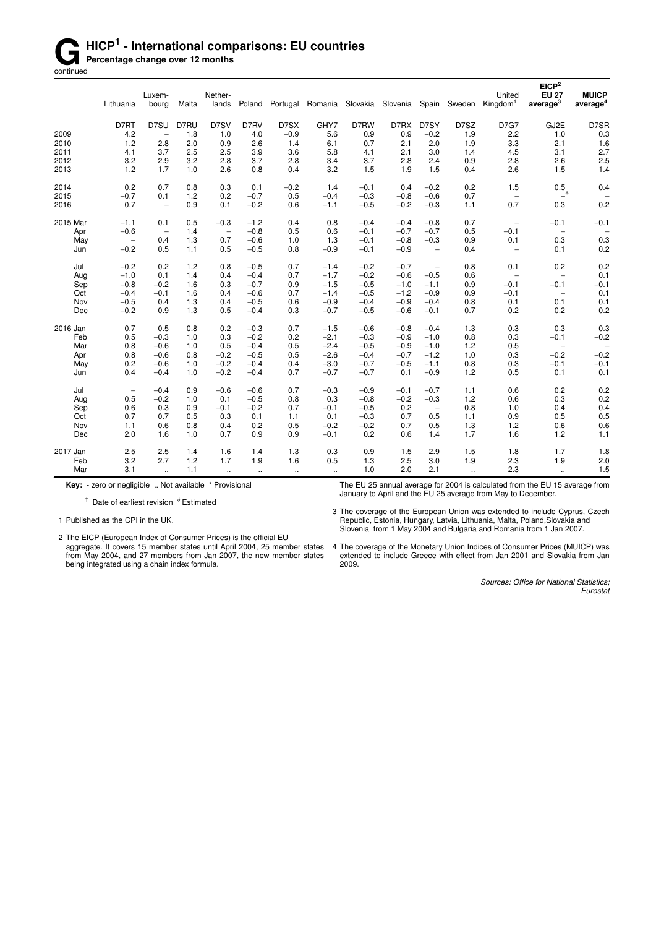# **G** HICP<sup>1</sup> - International comparisons: EU countries<br> **Gontinued**<br> **Gontinued**

**Percentage change over 12 months** continued

|          |                          | Luxem-                   |       | Nether-                  |          |              |         |        |                   |                          |                             | United                   | EICP <sup>2</sup><br><b>EU 27</b> | <b>MUICP</b>             |
|----------|--------------------------|--------------------------|-------|--------------------------|----------|--------------|---------|--------|-------------------|--------------------------|-----------------------------|--------------------------|-----------------------------------|--------------------------|
|          | Lithuania                | bourg                    | Malta | lands                    | Poland   | Portugal     | Romania |        | Slovakia Slovenia |                          | Spain Sweden                | Kingdom <sup>1</sup>     | average <sup>3</sup>              | average <sup>4</sup>     |
|          | D7RT                     | D7SU                     | D7RU  | D7SV                     | D7RV     | D7SX         | GHY7    | D7RW   | D7RX              | D7SY                     | D7SZ                        | <b>D7G7</b>              | GJ2E                              | D7SR                     |
| 2009     | 4.2                      | $\qquad \qquad -$        | 1.8   | 1.0                      | 4.0      | $-0.9$       | 5.6     | 0.9    | 0.9               | $-0.2$                   | 1.9                         | 2.2                      | 1.0                               | 0.3                      |
| 2010     | 1.2                      | 2.8                      | 2.0   | 0.9                      | 2.6      | 1.4          | 6.1     | 0.7    | 2.1               | 2.0                      | 1.9                         | 3.3                      | 2.1                               | 1.6                      |
| 2011     | 4.1                      | 3.7                      | 2.5   | 2.5                      | 3.9      | 3.6          | 5.8     | 4.1    | 2.1               | 3.0                      | 1.4                         | 4.5                      | 3.1                               | 2.7                      |
| 2012     | 3.2                      | 2.9                      | 3.2   | 2.8                      | 3.7      | 2.8          | 3.4     | 3.7    | 2.8               | 2.4                      | 0.9                         | 2.8                      | 2.6                               | 2.5                      |
| 2013     | 1.2                      | 1.7                      | 1.0   | 2.6                      | 0.8      | 0.4          | 3.2     | 1.5    | 1.9               | 1.5                      | 0.4                         | 2.6                      | 1.5                               | 1.4                      |
| 2014     | 0.2                      | 0.7                      | 0.8   | 0.3                      | 0.1      | $-0.2$       | 1.4     | $-0.1$ | 0.4               | $-0.2$                   | 0.2                         | 1.5                      | 0.5                               | 0.4                      |
| 2015     | $-0.7$                   | 0.1                      | 1.2   | 0.2                      | $-0.7$   | 0.5          | $-0.4$  | $-0.3$ | $-0.8$            | $-0.6$                   | 0.7                         | $\overline{\phantom{a}}$ | $\mathbf{L}^*$                    |                          |
| 2016     | 0.7                      | $\overline{\phantom{0}}$ | 0.9   | 0.1                      | $-0.2$   | 0.6          | $-1.1$  | $-0.5$ | $-0.2$            | $-0.3$                   | 1.1                         | 0.7                      | 0.3                               | 0.2                      |
| 2015 Mar | $-1.1$                   | 0.1                      | 0.5   | $-0.3$                   | $-1.2$   | 0.4          | 0.8     | $-0.4$ | $-0.4$            | $-0.8$                   | 0.7                         | $\overline{\phantom{a}}$ | $-0.1$                            | $-0.1$                   |
| Apr      | $-0.6$                   | $\qquad \qquad -$        | 1.4   | $\overline{\phantom{a}}$ | $-0.8$   | 0.5          | 0.6     | $-0.1$ | $-0.7$            | $-0.7$                   | 0.5                         | $-0.1$                   | $\overline{\phantom{a}}$          |                          |
| May      | $\overline{\phantom{a}}$ | 0.4                      | 1.3   | 0.7                      | $-0.6$   | 1.0          | 1.3     | $-0.1$ | $-0.8$            | $-0.3$                   | 0.9                         | 0.1                      | 0.3                               | 0.3                      |
| Jun      | $-0.2$                   | 0.5                      | 1.1   | 0.5                      | $-0.5$   | 0.8          | $-0.9$  | $-0.1$ | $-0.9$            | $\qquad \qquad -$        | 0.4                         | $\qquad \qquad -$        | 0.1                               | 0.2                      |
| Jul      | $-0.2$                   | 0.2                      | 1.2   | 0.8                      | $-0.5$   | 0.7          | $-1.4$  | $-0.2$ | $-0.7$            | $\qquad \qquad -$        | 0.8                         | 0.1                      | 0.2                               | 0.2                      |
| Aug      | $-1.0$                   | 0.1                      | 1.4   | 0.4                      | $-0.4$   | 0.7          | $-1.7$  | $-0.2$ | $-0.6$            | $-0.5$                   | 0.6                         | $\qquad \qquad -$        | $\overline{\phantom{a}}$          | 0.1                      |
| Sep      | $-0.8$                   | $-0.2$                   | 1.6   | 0.3                      | $-0.7$   | 0.9          | $-1.5$  | $-0.5$ | $-1.0$            | $-1.1$                   | 0.9                         | $-0.1$                   | $-0.1$                            | $-0.1$                   |
| Oct      | $-0.4$                   | $-0.1$                   | 1.6   | 0.4                      | $-0.6$   | 0.7          | $-1.4$  | $-0.5$ | $-1.2$            | $-0.9$                   | 0.9                         | $-0.1$                   | $\overline{\phantom{a}}$          | 0.1                      |
| Nov      | $-0.5$                   | 0.4                      | 1.3   | 0.4                      | $-0.5$   | 0.6          | $-0.9$  | $-0.4$ | $-0.9$            | $-0.4$                   | 0.8                         | 0.1                      | 0.1                               | 0.1                      |
| Dec      | $-0.2$                   | 0.9                      | 1.3   | 0.5                      | $-0.4$   | 0.3          | $-0.7$  | $-0.5$ | $-0.6$            | $-0.1$                   | 0.7                         | 0.2                      | 0.2                               | 0.2                      |
| 2016 Jan | 0.7                      | 0.5                      | 0.8   | 0.2                      | $-0.3$   | 0.7          | $-1.5$  | $-0.6$ | $-0.8$            | $-0.4$                   | 1.3                         | 0.3                      | 0.3                               | 0.3                      |
| Feb      | 0.5                      | $-0.3$                   | 1.0   | 0.3                      | $-0.2$   | 0.2          | $-2.1$  | $-0.3$ | $-0.9$            | $-1.0$                   | 0.8                         | 0.3                      | $-0.1$                            | $-0.2$                   |
| Mar      | 0.8                      | $-0.6$                   | 1.0   | 0.5                      | $-0.4$   | 0.5          | $-2.4$  | $-0.5$ | $-0.9$            | $-1.0$                   | 1.2                         | 0.5                      | $\overline{\phantom{a}}$          | $\overline{\phantom{m}}$ |
| Apr      | 0.8                      | $-0.6$                   | 0.8   | $-0.2$                   | $-0.5$   | 0.5          | $-2.6$  | $-0.4$ | $-0.7$            | $-1.2$                   | 1.0                         | 0.3                      | $-0.2$                            | $-0.2$                   |
| May      | 0.2                      | $-0.6$                   | 1.0   | $-0.2$                   | $-0.4$   | 0.4          | $-3.0$  | $-0.7$ | $-0.5$            | $-1.1$                   | 0.8                         | 0.3                      | $-0.1$                            | $-0.1$                   |
| Jun      | 0.4                      | $-0.4$                   | 1.0   | $-0.2$                   | $-0.4$   | 0.7          | $-0.7$  | $-0.7$ | 0.1               | $-0.9$                   | 1.2                         | 0.5                      | 0.1                               | 0.1                      |
| Jul      | $\overline{\phantom{a}}$ | $-0.4$                   | 0.9   | $-0.6$                   | $-0.6$   | 0.7          | $-0.3$  | $-0.9$ | $-0.1$            | $-0.7$                   | 1.1                         | 0.6                      | 0.2                               | 0.2                      |
| Aug      | 0.5                      | $-0.2$                   | 1.0   | 0.1                      | $-0.5$   | 0.8          | 0.3     | $-0.8$ | $-0.2$            | $-0.3$                   | 1.2                         | 0.6                      | 0.3                               | 0.2                      |
| Sep      | 0.6                      | 0.3                      | 0.9   | $-0.1$                   | $-0.2$   | 0.7          | $-0.1$  | $-0.5$ | 0.2               | $\overline{\phantom{a}}$ | 0.8                         | 1.0                      | 0.4                               | 0.4                      |
| Oct      | 0.7                      | 0.7                      | 0.5   | 0.3                      | 0.1      | 1.1          | 0.1     | $-0.3$ | 0.7               | 0.5                      | 1.1                         | 0.9                      | 0.5                               | 0.5                      |
| Nov      | 1.1                      | 0.6                      | 0.8   | 0.4                      | 0.2      | 0.5          | $-0.2$  | $-0.2$ | 0.7               | 0.5                      | 1.3                         | 1.2                      | 0.6                               | 0.6                      |
| Dec      | 2.0                      | 1.6                      | 1.0   | 0.7                      | 0.9      | 0.9          | $-0.1$  | 0.2    | 0.6               | 1.4                      | 1.7                         | 1.6                      | 1.2                               | 1.1                      |
| 2017 Jan | 2.5                      | 2.5                      | 1.4   | 1.6                      | 1.4      | 1.3          | 0.3     | 0.9    | 1.5               | 2.9                      | 1.5                         | 1.8                      | 1.7                               | 1.8                      |
| Feb      | 3.2                      | 2.7                      | 1.2   | 1.7                      | 1.9      | 1.6          | 0.5     | 1.3    | 2.5               | 3.0                      | 1.9                         | 2.3                      | 1.9                               | 2.0                      |
| Mar      | 3.1                      | $\mathbf{r}$ .           | 1.1   | $\ddot{\phantom{1}}$     | $\ldots$ | $\mathbf{r}$ | $\sim$  | 1.0    | 2.0               | 2.1                      | $\mathcal{L}_{\mathcal{A}}$ | 2.3                      | $\mathcal{L}_{\mathcal{A}}$       | 1.5                      |

**Key:** - zero or negligible .. Not available \* Provisional

 $\dagger$  Date of earliest revision  $\mathcal ^{\phi }$  Estimated

1 Published as the CPI in the UK.

2 The EICP (European Index of Consumer Prices) is the official EU aggregate. It covers 15 member states until April 2004, 25 member states from May 2004, and 27 members from Jan 2007, the new member states being integrated using a chain index formula.

The EU 25 annual average for 2004 is calculated from the EU 15 average from January to April and the EU 25 average from May to December.

3 The coverage of the European Union was extended to include Cyprus, Czech Republic, Estonia, Hungary, Latvia, Lithuania, Malta, Poland,Slovakia and Slovenia from 1 May 2004 and Bulgaria and Romania from 1 Jan 2007.

4 The coverage of the Monetary Union Indices of Consumer Prices (MUICP) was extended to include Greece with effect from Jan 2001 and Slovakia from Jan 2009.

> *Sources: Office for National Statistics; Eurostat*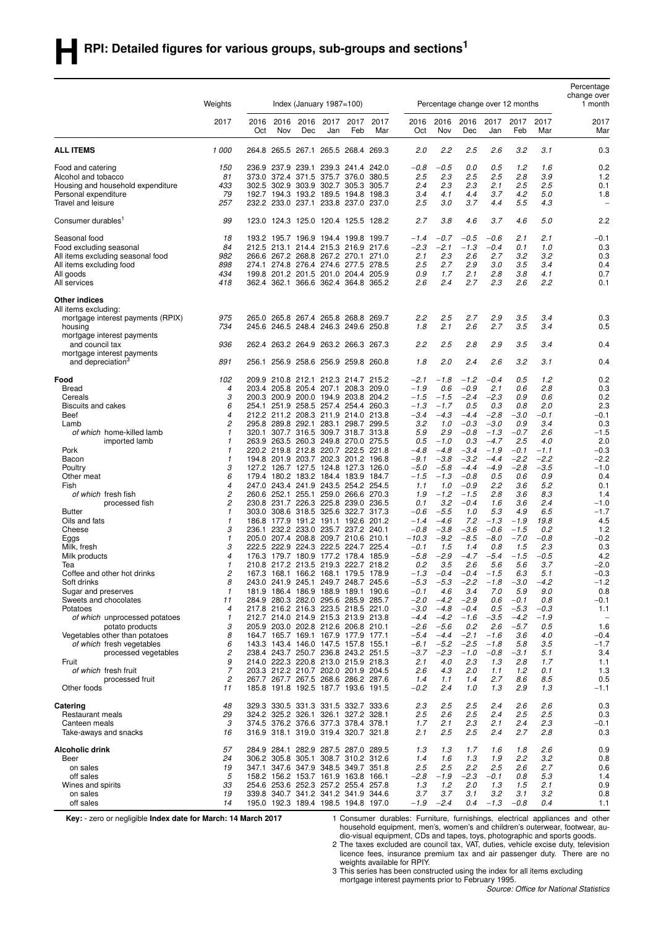|                                                               |                   |             |             |             |                               |                                                                            |             |                  |                  |                                  |                  |                  |                  | Percentage<br>change over       |
|---------------------------------------------------------------|-------------------|-------------|-------------|-------------|-------------------------------|----------------------------------------------------------------------------|-------------|------------------|------------------|----------------------------------|------------------|------------------|------------------|---------------------------------|
|                                                               | Weights           |             |             |             | Index (January $1987 = 100$ ) |                                                                            |             |                  |                  | Percentage change over 12 months |                  |                  |                  | 1 month                         |
|                                                               | 2017              | 2016<br>Oct | 2016<br>Nov | 2016<br>Dec | 2017<br>Jan                   | 2017<br>Feb                                                                | 2017<br>Mar | 2016<br>Oct      | 2016<br>Nov      | 2016<br>Dec                      | 2017<br>Jan      | 2017<br>Feb      | 2017<br>Mar      | 2017<br>Mar                     |
| <b>ALL ITEMS</b>                                              | 1 000             | 264.8       |             |             |                               | 265.5 267.1 265.5 268.4 269.3                                              |             | 2.0              | 2.2              | 2.5                              | 2.6              | 3.2              | 3.1              | 0.3                             |
| Food and catering                                             | 150               |             |             |             |                               | 236.9 237.9 239.1 239.3 241.4 242.0                                        |             | $-0.8$           | $-0.5$           | 0.0                              | 0.5              | 1.2              | 1.6              | 0.2                             |
| Alcohol and tobacco                                           | 81                |             |             |             |                               | 373.0 372.4 371.5 375.7 376.0 380.5                                        |             | 2.5              | 2.3              | 2.5                              | 2.5              | 2.8              | 3.9              | 1.2                             |
| Housing and household expenditure                             | 433               |             |             |             |                               | 302.5 302.9 303.9 302.7 305.3 305.7                                        |             | 2.4              | 2.3              | 2.3                              | 2.1              | 2.5              | 2.5              | 0.1                             |
| Personal expenditure<br>Travel and leisure                    | 79<br>257         |             |             |             |                               | 192.7 194.3 193.2 189.5 194.8 198.3<br>232.2 233.0 237.1 233.8 237.0 237.0 |             | 3.4<br>2.5       | 4.1<br>3.0       | 4.4<br>3.7                       | 3.7<br>4.4       | 4.2<br>5.5       | 5.0<br>4.3       | 1.8<br>$\overline{\phantom{a}}$ |
| Consumer durables <sup>1</sup>                                | 99                |             |             |             |                               | 123.0 124.3 125.0 120.4 125.5 128.2                                        |             | 2.7              | 3.8              | 4.6                              | 3.7              | 4.6              | 5.0              | 2.2                             |
| Seasonal food                                                 | 18                |             |             |             |                               | 193.2 195.7 196.9 194.4 199.8 199.7                                        |             | $-1.4$           | $-0.7$           | $-0.5$                           | $-0.6$           | 2.1              | 2.1              | $-0.1$                          |
| Food excluding seasonal                                       | 84                |             |             |             |                               | 212.5 213.1 214.4 215.3 216.9 217.6                                        |             | $-2.3$           | $-2.1$           | $-1.3$                           | $-0.4$           | 0.1              | 1.0              | 0.3                             |
| All items excluding seasonal food<br>All items excluding food | 982<br>898        | 274.1       |             |             |                               | 266.6 267.2 268.8 267.2 270.1 271.0<br>274.8 276.4 274.6 277.5 278.5       |             | 2.1<br>2.5       | 2.3<br>2.7       | 2.6<br>2.9                       | 2.7<br>3.0       | 3.2<br>3.5       | 3.2<br>3.4       | 0.3<br>0.4                      |
| All goods                                                     | 434               |             |             |             |                               | 199.8 201.2 201.5 201.0 204.4 205.9                                        |             | 0.9              | 1.7              | 2.1                              | 2.8              | 3.8              | 4.1              | 0.7                             |
| All services                                                  | 418               |             |             |             |                               | 362.4 362.1 366.6 362.4 364.8 365.2                                        |             | 2.6              | 2.4              | 2.7                              | 2.3              | 2.6              | 2.2              | 0.1                             |
| <b>Other indices</b><br>All items excluding:                  |                   |             |             |             |                               |                                                                            |             |                  |                  |                                  |                  |                  |                  |                                 |
| mortgage interest payments (RPIX)<br>housing                  | 975<br>734        |             |             |             |                               | 265.0 265.8 267.4 265.8 268.8 269.7<br>245.6 246.5 248.4 246.3 249.6 250.8 |             | 2.2<br>1.8       | 2.5<br>2.1       | 2.7<br>2.6                       | 2.9<br>2.7       | 3.5<br>3.5       | 3.4<br>3.4       | 0.3<br>0.5                      |
| mortgage interest payments                                    |                   |             |             |             |                               |                                                                            |             |                  |                  |                                  |                  |                  |                  |                                 |
| and council tax<br>mortgage interest payments                 | 936               |             |             |             |                               | 262.4 263.2 264.9 263.2 266.3 267.3                                        |             | 2.2              | 2.5              | 2.8                              | 2.9              | 3.5              | 3.4              | 0.4                             |
| and depreciation <sup>3</sup>                                 | 891               |             |             |             |                               | 256.1 256.9 258.6 256.9 259.8 260.8                                        |             | 1.8              | 2.0              | 2.4                              | 2.6              | 3.2              | 3.1              | 0.4                             |
| Food                                                          | 102               |             |             |             |                               | 209.9 210.8 212.1 212.3 214.7 215.2                                        |             | $-2.1$           | $-1.8$           | $-1.2$                           | $-0.4$           | 0.5              | 1.2              | 0.2                             |
| Bread                                                         | 4                 |             |             |             |                               | 203.4 205.8 205.4 207.1 208.3 209.0                                        |             | $-1.9$           | 0.6              | $-0.9$                           | 2.1              | 0.6              | 2.8              | 0.3                             |
| Cereals                                                       | З                 |             |             |             |                               | 200.3 200.9 200.0 194.9 203.8 204.2                                        |             | $-1.5$           | $-1.5$           | $-2.4$                           | $-2.3$           | 0.9              | 0.6              | 0.2                             |
| <b>Biscuits and cakes</b><br><b>Beef</b>                      | 6<br>4            |             |             |             |                               | 254.1 251.9 258.5 257.4 254.4 260.3<br>212.2 211.2 208.3 211.9 214.0 213.8 |             | $-1.3$<br>$-3.4$ | $-1.7$<br>$-4.3$ | 0.5<br>$-4.4$                    | 0.3<br>$-2.8$    | 0.8<br>$-3.0$    | 2.0<br>$-0.1$    | 2.3<br>$-0.1$                   |
| Lamb                                                          | 2                 |             |             |             |                               | 295.8 289.8 292.1 283.1 298.7 299.5                                        |             | 3.2              | 1.0              | $-0.3$                           | $-3.0$           | 0.9              | 3.4              | 0.3                             |
| of which home-killed lamb                                     | $\mathbf{1}$      |             |             |             |                               | 320.1 307.7 316.5 309.7 318.7 313.8                                        |             | 5.9              | 2.9              | $-0.8$                           | $-1.3$           | $-0.7$           | 2.6              | $-1.5$                          |
| imported lamb                                                 | 1                 |             |             |             |                               | 263.9 263.5 260.3 249.8 270.0 275.5                                        |             | 0.5              | $-1.0$           | 0.3                              | $-4.7$           | 2.5              | 4.0              | 2.0                             |
| Pork                                                          | 1                 |             |             |             |                               | 220.2 219.8 212.8 220.7 222.5 221.8                                        |             | $-4.8$           | $-4.8$           | $-3.4$                           | $-1.9$           | $-0.1$           | $-1.1$           | $-0.3$                          |
| Bacon                                                         | $\mathbf{1}$<br>3 |             |             |             |                               | 194.8 201.9 203.7 202.3 201.2 196.8                                        |             | $-9.1$<br>$-5.0$ | $-3.8$<br>$-5.8$ | $-3.2$                           | $-4.4$<br>$-4.9$ | $-2.2$<br>$-2.8$ | $-2.2$<br>$-3.5$ | $-2.2$<br>$-1.0$                |
| Poultry<br>Other meat                                         | 6                 |             |             |             |                               | 127.2 126.7 127.5 124.8 127.3 126.0<br>179.4 180.2 183.2 184.4 183.9 184.7 |             | $-1.5$           | $-1.3$           | $-4.4$<br>$-0.8$                 | 0.5              | 0.6              | 0.9              | 0.4                             |
| Fish                                                          | 4                 |             |             |             |                               | 247.0 243.4 241.9 243.5 254.2 254.5                                        |             | 1.1              | 1.0              | $-0.9$                           | 2.2              | 3.6              | 5.2              | 0.1                             |
| of which fresh fish                                           | 2                 |             |             |             |                               | 260.6 252.1 255.1 259.0 266.6 270.3                                        |             | 1.9              | $-1.2$           | $-1.5$                           | 2.8              | 3.6              | 8.3              | 1.4                             |
| processed fish                                                | 2                 |             |             |             |                               | 230.8 231.7 226.3 225.8 239.0 236.5                                        |             | 0.1              | 3.2              | $-0.4$                           | 1.6              | 3.6              | 2.4              | $-1.0$                          |
| <b>Butter</b>                                                 | $\mathbf{1}$      |             |             |             |                               | 303.0 308.6 318.5 325.6 322.7 317.3                                        |             | $-0.6$           | $-5.5$           | 1.0                              | 5.3              | 4.9              | 6.5              | $-1.7$                          |
| Oils and fats<br>Cheese                                       | 1<br>З            | 186.8       |             |             |                               | 177.9 191.2 191.1 192.6 201.2<br>236.1 232.2 233.0 235.7 237.2 240.1       |             | $-1.4$<br>$-0.8$ | $-4.6$<br>$-3.8$ | 7.2<br>$-3.6$                    | $-1.3$<br>$-0.6$ | $-1.9$<br>$-1.5$ | 19.8<br>0.2      | 4.5<br>1.2                      |
| Eggs                                                          | 1                 |             |             |             |                               | 205.0 207.4 208.8 209.7 210.6 210.1                                        |             | $-10.3$          | $-9.2$           | $-8.5$                           | $-8.0$           | $-7.0$           | $-0.8$           | $-0.2$                          |
| Milk, fresh                                                   | 3                 |             |             |             |                               | 222.5 222.9 224.3 222.5 224.7 225.4                                        |             | $-0.1$           | 1.5              | 1.4                              | 0.8              | 1.5              | 2.3              | 0.3                             |
| Milk products                                                 | 4                 |             |             |             |                               | 176.3 179.7 180.9 177.2 178.4 185.9                                        |             | $-5.8$           | $-2.9$           | $-4.7$                           | $-5.4$           | $-1.5$           | $-0.5$           | 4.2                             |
| Tea                                                           | $\mathbf{1}$      |             |             |             |                               | 210.8 217.2 213.5 219.3 222.7 218.2                                        |             | 0.2              | 3.5              | 2.6                              | 5.6              | 5.6              | 3.7              | $-2.0$                          |
| Coffee and other hot drinks<br>Soft drinks                    | 2<br>8            |             |             |             |                               | 167 3 168 1 166 2 168 1 179 5 178 9<br>243.0 241.9 245.1 249.7 248.7 245.6 |             | $-1.3$<br>$-5.3$ | $-0.4$<br>$-5.3$ | $-0.4$<br>$-2.2$                 | $-1.5$<br>$-1.8$ | 6.3<br>$-3.0$    | 5.1<br>$-4.2$    | $-0.3$<br>$-1.2$                |
| Sugar and preserves                                           | $\mathbf{1}$      |             |             |             |                               | 181.9 186.4 186.9 188.9 189.1 190.6                                        |             | $-0.1$           | 4.6              | 3.4                              | 7.0              | 5.9              | 9.0              | 0.8                             |
| Sweets and chocolates                                         | 11                | 284.9       |             |             |                               | 280.3 282.0 295.6 285.9 285.7                                              |             | $-2.0$           | $-4.2$           | $-2.9$                           | 0.6              | $-0.1$           | 0.8              | $-0.1$                          |
| Potatoes                                                      | 4                 |             |             |             |                               | 217.8 216.2 216.3 223.5 218.5 221.0                                        |             | $-3.0$           | $-4.8$           | $-0.4$                           | 0.5              | $-5.3$           | $-0.3$           | 1.1                             |
| of which unprocessed potatoes                                 | 1                 |             |             |             |                               | 212.7 214.0 214.9 215.3 213.9 213.8                                        |             | $-4.4$           | $-4.2$           | $-1.6$                           | $-3.5$           | $-4.2$           | $-1.9$           | $\qquad \qquad -$               |
| potato products<br>Vegetables other than potatoes             | 3<br>8            |             |             |             |                               | 205.9 203.0 202.8 212.6 206.8 210.1<br>164.7 165.7 169.1 167.9 177.9 177.1 |             | $-2.6$<br>$-5.4$ | $-5.6$<br>$-4.4$ | 0.2<br>$-2.1$                    | 2.6<br>$-1.6$    | $-5.7$<br>3.6    | 0.5<br>4.0       | 1.6<br>$-0.4$                   |
| of which fresh vegetables                                     | 6                 |             |             |             |                               | 143.3 143.4 146.0 147.5 157.8 155.1                                        |             | $-6.1$           | $-5.2$           | $-2.5$                           | $-1.8$           | 5.8              | 3.5              | $-1.7$                          |
| processed vegetables                                          | 2                 |             |             |             |                               | 238.4 243.7 250.7 236.8 243.2 251.5                                        |             | $-3.7$           | $-2.3$           | $-1.0$                           | $-0.8$           | $-3.1$           | 5.1              | 3.4                             |
| Fruit                                                         | 9                 |             |             |             |                               | 214.0 222.3 220.8 213.0 215.9 218.3                                        |             | 2.1              | 4.0              | 2.3                              | 1.3              | 2.8              | 1.7              | 1.1                             |
| of which fresh fruit                                          | 7                 |             |             |             |                               | 203.3 212.2 210.7 202.0 201.9 204.5                                        |             | 2.6              | 4.3              | 2.0                              | 1.1              | 1.2              | 0.1              | 1.3                             |
| processed fruit<br>Other foods                                | 2<br>11           |             |             |             |                               | 267.7 267.7 267.5 268.6 286.2 287.6<br>185.8 191.8 192.5 187.7 193.6 191.5 |             | 1.4<br>$-0.2$    | 1.1<br>2.4       | 1.4<br>1.0                       | 2.7<br>1.3       | 8.6<br>2.9       | 8.5<br>1.3       | 0.5<br>$-1.1$                   |
| Catering                                                      | 48                |             |             |             |                               | 329.3 330.5 331.3 331.5 332.7 333.6                                        |             | 2.3              | 2.5              | 2.5                              | 2.4              | 2.6              | 2.6              | 0.3                             |
| Restaurant meals                                              | 29                |             |             |             |                               | 324.2 325.2 326.1 326.1 327.2 328.1                                        |             | 2.5              | 2.6              | 2.5                              | 2.4              | 2.5              | 2.5              | 0.3                             |
| Canteen meals                                                 | 3                 |             |             |             |                               | 374.5 376.2 376.6 377.3 378.4 378.1                                        |             | 1.7              | 2.1              | 2.3                              | 2.1              | 2.4              | 2.3              | $-0.1$                          |
| Take-aways and snacks                                         | 16                |             |             |             |                               | 316.9 318.1 319.0 319.4 320.7 321.8                                        |             | 2.1              | 2.5              | 2.5                              | 2.4              | 2.7              | 2.8              | 0.3                             |
| Alcoholic drink<br>Beer                                       | 57<br>24          |             |             |             |                               | 284.9 284.1 282.9 287.5 287.0 289.5<br>306.2 305.8 305.1 308.7 310.2 312.6 |             | 1.3<br>1.4       | 1.3<br>1.6       | 1.7<br>1.3                       | 1.6<br>1.9       | 1.8<br>2.2       | 2.6<br>3.2       | 0.9<br>0.8                      |
| on sales                                                      | 19                |             |             |             |                               | 347.1 347.6 347.9 348.5 349.7 351.8                                        |             | 2.5              | 2.5              | 2.2                              | 2.5              | 2.6              | 2.7              | 0.6                             |
| off sales                                                     | 5                 |             |             |             |                               | 158.2 156.2 153.7 161.9 163.8 166.1                                        |             | $-2.8$           | $-1.9$           | $-2.3$                           | $-0.1$           | 0.8              | 5.3              | 1.4                             |
| Wines and spirits                                             | 33                |             |             |             |                               | 254.6 253.6 252.3 257.2 255.4 257.8                                        |             | 1.3              | 1.2              | 2.0                              | 1.3              | 1.5              | 2.1              | 0.9                             |
| on sales                                                      | 19                |             |             |             |                               | 339.8 340.7 341.2 341.2 341.9 344.6                                        |             | 3.7              | 3.7              | 3.1                              | 3.2              | 3.1              | 3.2              | 0.8                             |
| off sales                                                     | 14                |             |             |             |                               | 195.0 192.3 189.4 198.5 194.8 197.0                                        |             | $-1.9$           | $-2.4$           | 0.4                              | $-1.3$           | $-0.8$           | 0.4              | 1.1                             |

Key: - zero or negligible lndex date for March: 14 March 2017 1 Consumer durables: Furniture, furnishings, electrical appliances and other<br>household equipment, men's, women's and children's outerwear, footwear, audio-visual equipment, CDs and tapes, toys, photographic and sports goods.

2 The taxes excluded are council tax, VAT, duties, vehicle excise duty, television licence fees, insurance premium tax and air passenger duty. There are no

weights available for RPIY. 3 This series has been constructed using the index for all items excluding

mortgage interest payments prior to February 1995.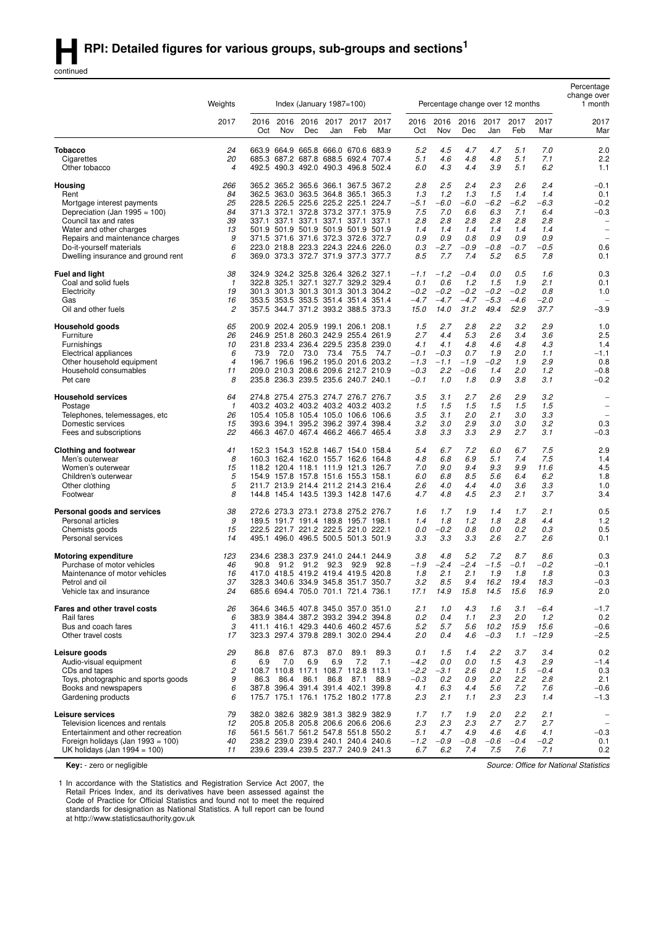continued

|                                                                         |                    |             |             |             |                               |                                                                            |             |                  |                  |                  |                  |                                  |                 | Percentage<br>change over |
|-------------------------------------------------------------------------|--------------------|-------------|-------------|-------------|-------------------------------|----------------------------------------------------------------------------|-------------|------------------|------------------|------------------|------------------|----------------------------------|-----------------|---------------------------|
|                                                                         | Weights            |             |             |             | Index (January $1987 = 100$ ) |                                                                            |             |                  |                  |                  |                  | Percentage change over 12 months |                 | 1 month                   |
|                                                                         | 2017               | 2016<br>Oct | 2016<br>Nov | 2016<br>Dec | 2017<br>Jan                   | 2017<br>Feb                                                                | 2017<br>Mar | 2016<br>Oct      | 2016<br>Nov      | 2016<br>Dec      | 2017<br>Jan      | 2017<br>Feb                      | 2017<br>Mar     | 2017<br>Mar               |
| Tobacco                                                                 | 24                 |             |             |             |                               | 663.9 664.9 665.8 666.0 670.6 683.9                                        |             | 5.2              | 4.5              | 4.7              | 4.7              | 5.1                              | 7.0             | 2.0                       |
| Cigarettes                                                              | 20                 |             |             |             |                               | 685.3 687.2 687.8 688.5 692.4 707.4                                        |             | 5.1              | 4.6              | 4.8              | 4.8              | 5.1                              | 7.1             | 2.2                       |
| Other tobacco                                                           | $\overline{4}$     |             |             |             |                               | 492.5 490.3 492.0 490.3 496.8 502.4                                        |             | 6.0              | 4.3              | 4.4              | 3.9              | 5.1                              | 6.2             | 1.1                       |
| Housing                                                                 | 266                |             |             |             |                               | 365.2 365.2 365.6 366.1 367.5 367.2                                        |             | 2.8              | 2.5              | 2.4              | 2.3              | 2.6                              | 2.4             | -0.1                      |
| Rent                                                                    | 84                 |             | 362.5 363.0 |             |                               | 363.5 364.8 365.1                                                          | 365.3       | 1.3              | 1.2              | 1.3              | 1.5              | 1.4                              | 1.4             | 0.1                       |
| Mortgage interest payments                                              | 25<br>84           |             |             |             |                               | 228.5 226.5 225.6 225.2 225.1 224.7<br>371.3 372.1 372.8 373.2 377.1 375.9 |             | $-5.1$<br>7.5    | $-6.0$<br>7.0    | $-6.0$<br>6.6    | $-6.2$<br>6.3    | $-6.2$<br>7.1                    | $-6.3$<br>6.4   | $-0.2$<br>$-0.3$          |
| Depreciation (Jan 1995 = 100)<br>Council tax and rates                  | 39                 |             |             |             |                               | 337.1 337.1 337.1 337.1 337.1 337.1                                        |             | 2.8              | 2.8              | 2.8              | 2.8              | 2.8                              | 2.8             |                           |
| Water and other charges                                                 | 13                 |             |             |             |                               | 501.9 501.9 501.9 501.9 501.9 501.9                                        |             | 1.4              | 1.4              | 1.4              | 1.4              | 1.4                              | 1.4             | $\overline{\phantom{a}}$  |
| Repairs and maintenance charges                                         | 9                  |             |             |             |                               | 371.5 371.6 371.6 372.3 372.6 372.7                                        |             | 0.9              | 0.9              | 0.8              | 0.9              | 0.9                              | 0.9             | $\overline{\phantom{0}}$  |
| Do-it-yourself materials                                                | 6                  |             |             |             |                               | 223.0 218.8 223.3 224.3 224.6 226.0                                        |             | 0.3              | $-2.7$           | $-0.9$           | $-0.8$           | $-0.7$                           | $-0.5$          | 0.6                       |
| Dwelling insurance and ground rent                                      | 6                  |             |             |             |                               | 369.0 373.3 372.7 371.9 377.3 377.7                                        |             | 8.5              | 7.7              | 7.4              | 5.2              | 6.5                              | 7.8             | 0.1                       |
| <b>Fuel and light</b>                                                   | 38                 |             |             |             |                               | 324.9 324.2 325.8 326.4 326.2 327.1                                        |             | $-1.1$           | $-1.2$           | $-0.4$           | 0.0              | 0.5                              | 1.6             | 0.3                       |
| Coal and solid fuels                                                    | 1                  |             | 322.8 325.1 |             |                               | 327.1 327.7 329.2 329.4                                                    |             | 0.1              | 0.6              | 1.2              | 1.5              | 1.9                              | 2.1             | 0.1                       |
| Electricity<br>Gas                                                      | 19<br>16           |             |             |             |                               | 301.3 301.3 301.3 301.3 301.3 304.2<br>353.5 353.5 353.5 351.4 351.4 351.4 |             | $-0.2$<br>$-4.7$ | $-0.2$<br>$-4.7$ | $-0.2$<br>$-4.7$ | $-0.2$<br>$-5.3$ | $-0.2$<br>$-4.6$                 | 0.8<br>$-2.0$   | 1.0                       |
| Oil and other fuels                                                     | 2                  |             |             |             |                               | 357.5 344.7 371.2 393.2 388.5 373.3                                        |             | 15.0             | 14.0             | 31.2             | 49.4             | 52.9                             | 37.7            | $-3.9$                    |
| Household goods                                                         | 65                 |             |             |             |                               | 200.9 202.4 205.9 199.1 206.1 208.1                                        |             | 1.5              | 2.7              | 2.8              | 2.2              | 3.2                              | 2.9             | 1.0                       |
| Furniture                                                               | 26                 |             |             |             |                               | 246.9 251.8 260.3 242.9 255.4 261.9                                        |             | 2.7              | 4.4              | 5.3              | 2.6              | 3.4                              | 3.6             | 2.5                       |
| Furnishings                                                             | 10                 |             |             |             |                               | 231.8 233.4 236.4 229.5 235.8 239.0                                        |             | 4.1              | 4.1              | 4.8              | 4.6              | 4.8                              | 4.3             | 1.4                       |
| Electrical appliances                                                   | 6                  | 73.9        | 72.0        | 73.0        | 73.4                          | 75.5                                                                       | 74.7        | $-0.1$           | $-0.3$           | 0.7              | 1.9              | 2.0                              | 1.1             | $-1.1$                    |
| Other household equipment                                               | $\overline{4}$     |             |             |             |                               | 196.7 196.6 196.2 195.0 201.6 203.2                                        |             | $-1.3$           | $-1.1$           | $-1.9$           | $-0.2$           | 1.9                              | 2.9             | 0.8                       |
| Household consumables                                                   | 11                 |             |             |             |                               | 209.0 210.3 208.6 209.6 212.7 210.9                                        |             | $-0.3$           | 2.2              | $-0.6$           | 1.4              | 2.0                              | 1.2             | $-0.8$                    |
| Pet care                                                                | 8                  |             |             |             |                               | 235.8 236.3 239.5 235.6 240.7 240.1                                        |             | $-0.1$           | 1.0              | 1.8              | 0.9              | 3.8                              | 3.1             | $-0.2$                    |
| <b>Household services</b>                                               | 64                 |             |             |             |                               | 274.8 275.4 275.3 274.7 276.7 276.7                                        |             | 3.5              | 3.1              | 2.7              | 2.6              | 2.9                              | 3.2             | $\overline{\phantom{m}}$  |
| Postage<br>Telephones, telemessages, etc                                | $\mathbf{1}$<br>26 |             |             |             |                               | 403.2 403.2 403.2 403.2 403.2 403.2<br>105.4 105.8 105.4 105.0 106.6 106.6 |             | 1.5<br>3.5       | 1.5<br>3.1       | 1.5<br>2.0       | 1.5<br>2.1       | 1.5<br>3.0                       | 1.5<br>3.3      | $\overline{\phantom{0}}$  |
| Domestic services                                                       | 15                 |             |             |             |                               | 393.6 394.1 395.2 396.2 397.4 398.4                                        |             | 3.2              | 3.0              | 2.9              | 3.0              | 3.0                              | 3.2             | 0.3                       |
| Fees and subscriptions                                                  | 22                 |             |             |             |                               | 466.3 467.0 467.4 466.2 466.7 465.4                                        |             | 3.8              | 3.3              | 3.3              | 2.9              | 2.7                              | 3.1             | $-0.3$                    |
| <b>Clothing and footwear</b>                                            | 41                 |             |             |             |                               | 152.3 154.3 152.8 146.7 154.0 158.4                                        |             | 5.4              | 6.7              | 7.2              | 6.0              | 6.7                              | 7.5             | 2.9                       |
| Men's outerwear                                                         | 8                  |             |             |             |                               | 160.3 162.4 162.0 155.7 162.6 164.8                                        |             | 4.8              | 6.8              | 6.9              | 5.1              | 7.4                              | 7.5             | 1.4                       |
| Women's outerwear                                                       | 15                 |             |             |             |                               | 118.2 120.4 118.1 111.9 121.3 126.7                                        |             | 7.0              | 9.0              | 9.4              | 9.3              | 9.9                              | 11.6            | 4.5                       |
| Children's outerwear                                                    | 5                  |             |             |             |                               | 154.9 157.8 157.8 151.6 155.3 158.1                                        |             | 6.0              | 6.8              | 8.5              | 5.6              | 6.4                              | 6.2             | 1.8                       |
| Other clothing<br>Footwear                                              | 5<br>8             |             |             |             |                               | 211.7 213.9 214.4 211.2 214.3 216.4<br>144.8 145.4 143.5 139.3 142.8 147.6 |             | 2.6<br>4.7       | 4.0<br>4.8       | 4.4<br>4.5       | 4.0<br>2.3       | 3.6<br>2.1                       | 3.3<br>3.7      | 1.0<br>3.4                |
|                                                                         |                    |             |             |             |                               |                                                                            |             |                  |                  |                  |                  |                                  |                 |                           |
| Personal goods and services                                             | 38<br>9            |             |             |             |                               | 272.6 273.3 273.1 273.8 275.2 276.7                                        |             | 1.6<br>1.4       | 1.7              | 1.9              | 1.4              | 1.7<br>2.8                       | 2.1             | 0.5                       |
| Personal articles<br>Chemists goods                                     | 15                 |             |             |             |                               | 189.5 191.7 191.4 189.8 195.7 198.1<br>222.5 221.7 221.2 222.5 221.0 222.1 |             | 0.0              | 1.8<br>$-0.2$    | 1.2<br>0.8       | 1.8<br>0.0       | 0.2                              | 4.4<br>0.3      | 1.2<br>0.5                |
| Personal services                                                       | 14                 |             |             |             |                               | 495.1 496.0 496.5 500.5 501.3 501.9                                        |             | 3.3              | 3.3              | 3.3              | 2.6              | 2.7                              | 2.6             | 0.1                       |
| <b>Motoring expenditure</b>                                             | 123                |             |             |             |                               | 234.6 238.3 237.9 241.0 244.1 244.9                                        |             | 3.8              | 4.8              | 5.2              | 7.2              | 8.7                              | 8.6             | 0.3                       |
| Purchase of motor vehicles                                              | 46                 | 90.8        | 91.2        |             | 91.2 92.3                     | 92.9                                                                       | 92.8        | $-1.9$           | $-2.4$           | $-2.4$           | $-1.5$           | $-0.1$                           | $-0.2$          | $-0.1$                    |
| Maintenance of motor vehicles                                           | 16                 |             |             |             |                               | 417.0 418.5 419.2 419.4 419.5 420.8                                        |             | 1.8              | 2.1              | 2.1              | 1.9              | 1.8                              | 1.8             | 0.3                       |
| Petrol and oil                                                          | 37                 |             |             |             |                               | 328.3 340.6 334.9 345.8 351.7 350.7                                        |             | 3.2              | 8.5              | 9.4              | 16.2             | 19.4                             | 18.3            | $-0.3$                    |
| Vehicle tax and insurance                                               | 24                 |             |             |             |                               | 685.6 694.4 705.0 701.1 721.4 736.1                                        |             | 17.1             | 14.9             | 15.8             | 14.5             | 15.6                             | 16.9            | 2.0                       |
| Fares and other travel costs                                            | 26                 |             |             |             |                               | 364.6 346.5 407.8 345.0 357.0 351.0                                        |             | 2.1              | 1.0              | 4.3              | 1.6              | 3.1                              | $-6.4$          | $-1.7$                    |
| Rail fares                                                              | 6                  |             |             |             |                               | 383.9 384.4 387.2 393.2 394.2 394.8                                        |             | 0.2              | 0.4              | 1.1              | 2.3              | 2.0                              | 1.2             | 0.2                       |
| Bus and coach fares<br>Other travel costs                               | 3<br>17            |             |             |             |                               | 411.1 416.1 429.3 440.6 460.2 457.6<br>323.3 297.4 379.8 289.1 302.0 294.4 |             | 5.2<br>2.0       | 5.7<br>0.4       | 5.6<br>4.6       | 10.2<br>$-0.3$   | 15.9<br>1.1                      | 15.6<br>$-12.9$ | $-0.6$<br>$-2.5$          |
|                                                                         |                    |             |             |             |                               |                                                                            |             |                  |                  |                  |                  |                                  |                 |                           |
| Leisure goods                                                           | 29<br>6            | 86.8<br>6.9 | 87.6<br>7.0 | 87.3        | 87.0                          | 89.1<br>7.2                                                                | 89.3<br>7.1 | 0.1              | 1.5<br>0.0       | 1.4<br>0.0       | 2.2              | 3.7                              | 3.4             | 0.2<br>$-1.4$             |
| Audio-visual equipment<br>CDs and tapes                                 | $\overline{c}$     |             |             | 6.9         | 6.9                           | 108.7 110.8 117.1 108.7 112.8 113.1                                        |             | $-4.2$<br>$-2.2$ | $-3.1$           | 2.6              | 1.5<br>0.2       | 4.3<br>1.5                       | 2.9<br>$-0.4$   | 0.3                       |
| Toys, photographic and sports goods                                     | 9                  | 86.3        | 86.4        | 86.1        | 86.8                          | 87.1                                                                       | 88.9        | $-0.3$           | 0.2              | 0.9              | 2.0              | 2.2                              | 2.8             | 2.1                       |
| Books and newspapers                                                    | 6                  |             |             |             |                               | 387.8 396.4 391.4 391.4 402.1 399.8                                        |             | 4.1              | 6.3              | 4.4              | 5.6              | 7.2                              | 7.6             | $-0.6$                    |
| Gardening products                                                      | 6                  |             |             |             |                               | 175.7 175.1 176.1 175.2 180.2 177.8                                        |             | 2.3              | 2.1              | 1.1              | 2.3              | 2.3                              | 1.4             | $-1.3$                    |
| Leisure services                                                        | 79                 |             |             |             |                               | 382.0 382.6 382.9 381.3 382.9 382.9                                        |             | 1.7              | 1.7              | 1.9              | 2.0              | 2.2                              | 2.1             | $\overline{\phantom{m}}$  |
| Television licences and rentals                                         | 12                 |             |             |             |                               | 205.8 205.8 205.8 206.6 206.6 206.6                                        |             | 2.3              | 2.3              | 2.3              | 2.7              | 2.7                              | 2.7             |                           |
| Entertainment and other recreation                                      | 16                 |             |             |             |                               | 561.5 561.7 561.2 547.8 551.8 550.2                                        |             | 5.1              | 4.7              | 4.9              | 4.6              | 4.6                              | 4.1             | $-0.3$                    |
| Foreign holidays (Jan $1993 = 100$ )<br>UK holidays (Jan $1994 = 100$ ) | 40<br>11           |             |             |             |                               | 238.2 239.0 239.4 240.1 240.4 240.6<br>239.6 239.4 239.5 237.7 240.9 241.3 |             | $-1.2$<br>6.7    | $-0.9$<br>6.2    | $-0.8$<br>7.4    | $-0.6$<br>7.5    | $-0.4$<br>7.6                    | $-0.2$<br>7.1   | 0.1<br>0.2                |
|                                                                         |                    |             |             |             |                               |                                                                            |             |                  |                  |                  |                  |                                  |                 |                           |

**Key:** - zero or negligible

1 In accordance with the Statistics and Registration Service Act 2007, the Retail Prices Index, and its derivatives have been assessed against the Code of Practice for Official Statistics and found not to meet the required standards for designation as National Statistics. A full report can be found at http://www.statisticsauthor ity.gov.uk